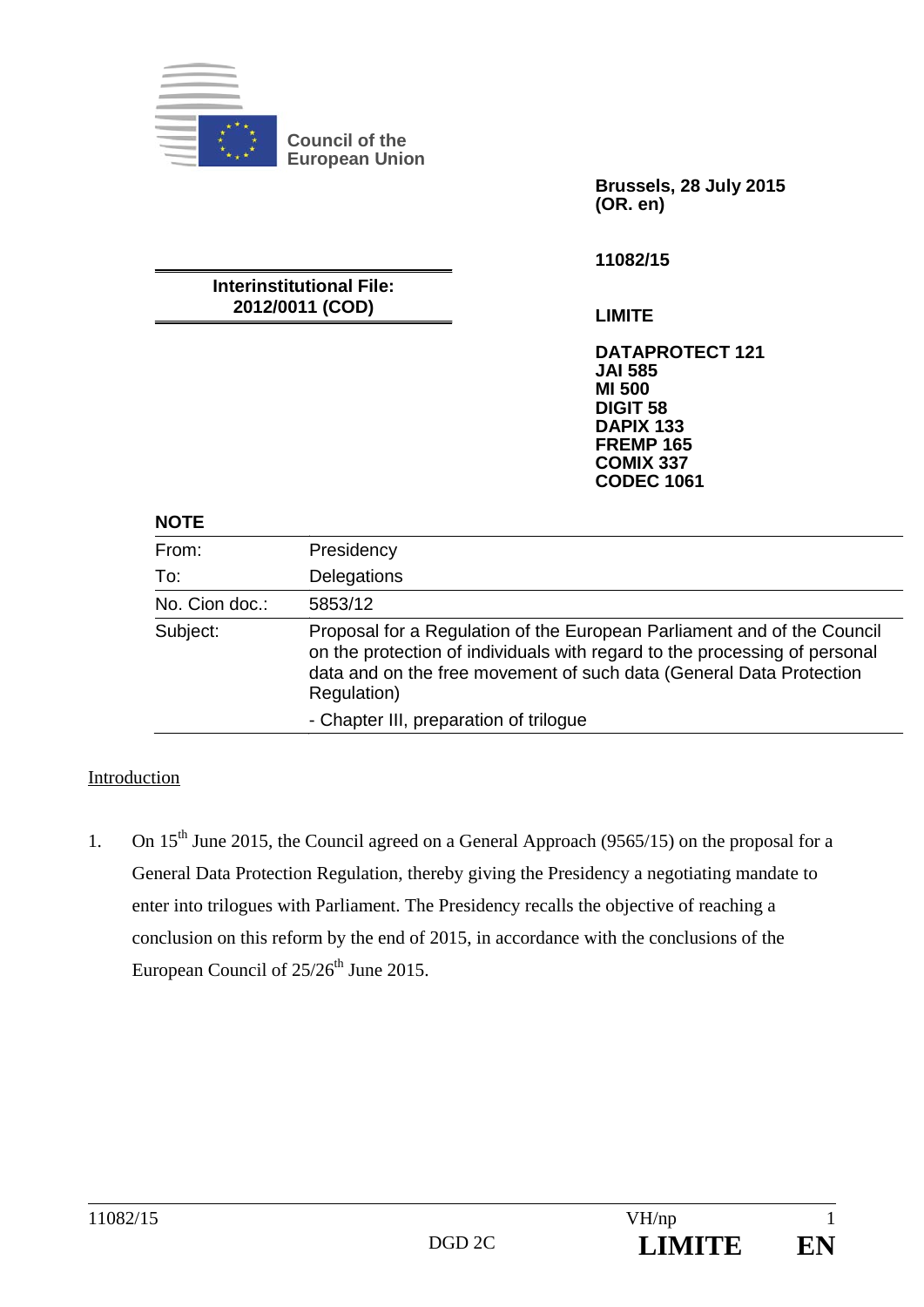

**Council of the European Union** 

**Interinstitutional File: 2012/0011 (COD)** 

**Brussels, 28 July 2015 (OR. en)** 

**11082/15** 

**LIMITE** 

**DATAPROTECT 121 JAI 585 MI 500 DIGIT 58 DAPIX 133 FREMP 165 COMIX 337 CODEC 1061** 

### **NOTE**

| From:          | Presidency                                                                                                                                                                                                                                  |
|----------------|---------------------------------------------------------------------------------------------------------------------------------------------------------------------------------------------------------------------------------------------|
| To:            | Delegations                                                                                                                                                                                                                                 |
| No. Cion doc.: | 5853/12                                                                                                                                                                                                                                     |
| Subject:       | Proposal for a Regulation of the European Parliament and of the Council<br>on the protection of individuals with regard to the processing of personal<br>data and on the free movement of such data (General Data Protection<br>Regulation) |
|                | - Chapter III, preparation of trilogue                                                                                                                                                                                                      |

#### Introduction

1. On  $15<sup>th</sup>$  June 2015, the Council agreed on a General Approach (9565/15) on the proposal for a General Data Protection Regulation, thereby giving the Presidency a negotiating mandate to enter into trilogues with Parliament. The Presidency recalls the objective of reaching a conclusion on this reform by the end of 2015, in accordance with the conclusions of the European Council of  $25/26^{th}$  June 2015.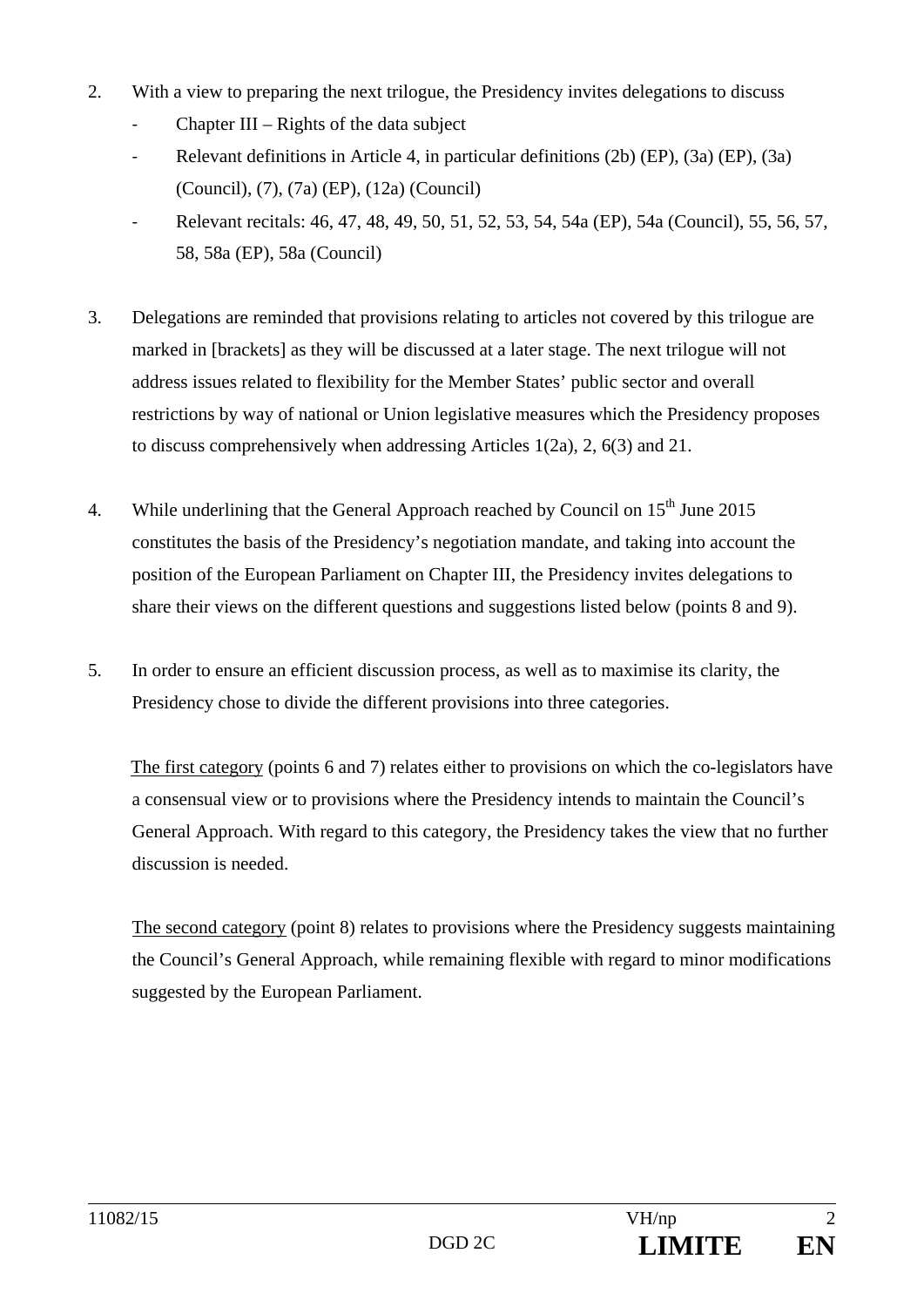- 2. With a view to preparing the next trilogue, the Presidency invites delegations to discuss
	- Chapter III Rights of the data subject
	- ‐ Relevant definitions in Article 4, in particular definitions (2b) (EP), (3a) (EP), (3a) (Council), (7), (7a) (EP), (12a) (Council)
	- ‐ Relevant recitals: 46, 47, 48, 49, 50, 51, 52, 53, 54, 54a (EP), 54a (Council), 55, 56, 57, 58, 58a (EP), 58a (Council)
- 3. Delegations are reminded that provisions relating to articles not covered by this trilogue are marked in [brackets] as they will be discussed at a later stage. The next trilogue will not address issues related to flexibility for the Member States' public sector and overall restrictions by way of national or Union legislative measures which the Presidency proposes to discuss comprehensively when addressing Articles 1(2a), 2, 6(3) and 21.
- 4. While underlining that the General Approach reached by Council on 15<sup>th</sup> June 2015 constitutes the basis of the Presidency's negotiation mandate, and taking into account the position of the European Parliament on Chapter III, the Presidency invites delegations to share their views on the different questions and suggestions listed below (points 8 and 9).
- 5. In order to ensure an efficient discussion process, as well as to maximise its clarity, the Presidency chose to divide the different provisions into three categories.

The first category (points 6 and 7) relates either to provisions on which the co-legislators have a consensual view or to provisions where the Presidency intends to maintain the Council's General Approach. With regard to this category, the Presidency takes the view that no further discussion is needed.

The second category (point 8) relates to provisions where the Presidency suggests maintaining the Council's General Approach, while remaining flexible with regard to minor modifications suggested by the European Parliament.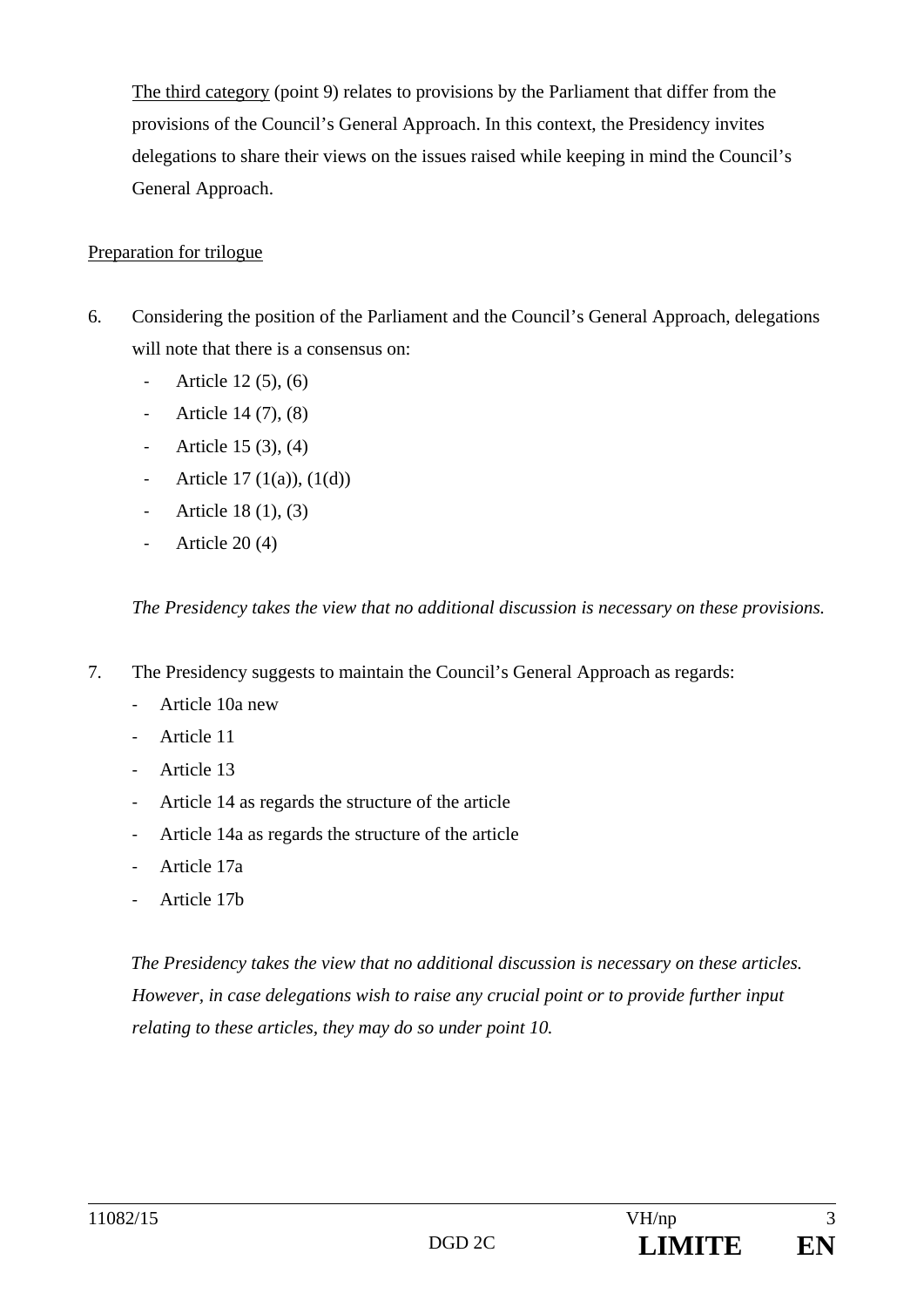The third category (point 9) relates to provisions by the Parliament that differ from the provisions of the Council's General Approach. In this context, the Presidency invites delegations to share their views on the issues raised while keeping in mind the Council's General Approach.

### Preparation for trilogue

- 6. Considering the position of the Parliament and the Council's General Approach, delegations will note that there is a consensus on:
	- ‐ Article 12 (5), (6)
	- ‐ Article 14 (7), (8)
	- Article  $15 (3)$ ,  $(4)$
	- Article  $17 \text{ (1(a)), (1(d))}$
	- ‐ Article 18 (1), (3)
	- Article  $20(4)$

*The Presidency takes the view that no additional discussion is necessary on these provisions.* 

- 7. The Presidency suggests to maintain the Council's General Approach as regards:
	- ‐ Article 10a new
	- ‐ Article 11
	- ‐ Article 13
	- ‐ Article 14 as regards the structure of the article
	- ‐ Article 14a as regards the structure of the article
	- ‐ Article 17a
	- ‐ Article 17b

*The Presidency takes the view that no additional discussion is necessary on these articles. However, in case delegations wish to raise any crucial point or to provide further input relating to these articles, they may do so under point 10.*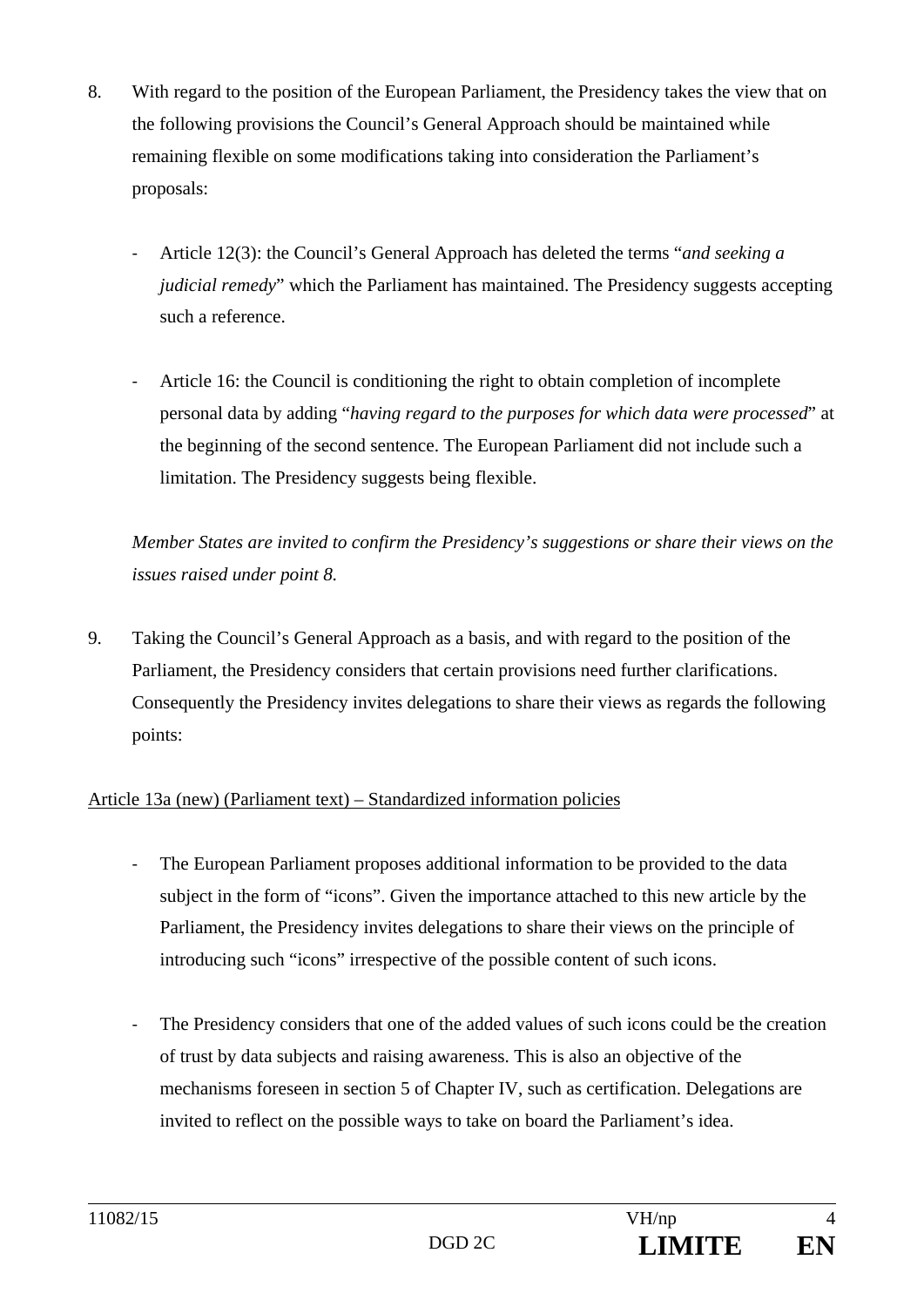- 8. With regard to the position of the European Parliament, the Presidency takes the view that on the following provisions the Council's General Approach should be maintained while remaining flexible on some modifications taking into consideration the Parliament's proposals:
	- ‐ Article 12(3): the Council's General Approach has deleted the terms "*and seeking a judicial remedy*" which the Parliament has maintained. The Presidency suggests accepting such a reference.
	- ‐ Article 16: the Council is conditioning the right to obtain completion of incomplete personal data by adding "*having regard to the purposes for which data were processed*" at the beginning of the second sentence. The European Parliament did not include such a limitation. The Presidency suggests being flexible.

*Member States are invited to confirm the Presidency's suggestions or share their views on the issues raised under point 8.* 

9. Taking the Council's General Approach as a basis, and with regard to the position of the Parliament, the Presidency considers that certain provisions need further clarifications. Consequently the Presidency invites delegations to share their views as regards the following points:

# Article 13a (new) (Parliament text) – Standardized information policies

- ‐ The European Parliament proposes additional information to be provided to the data subject in the form of "icons". Given the importance attached to this new article by the Parliament, the Presidency invites delegations to share their views on the principle of introducing such "icons" irrespective of the possible content of such icons.
- The Presidency considers that one of the added values of such icons could be the creation of trust by data subjects and raising awareness. This is also an objective of the mechanisms foreseen in section 5 of Chapter IV, such as certification. Delegations are invited to reflect on the possible ways to take on board the Parliament's idea.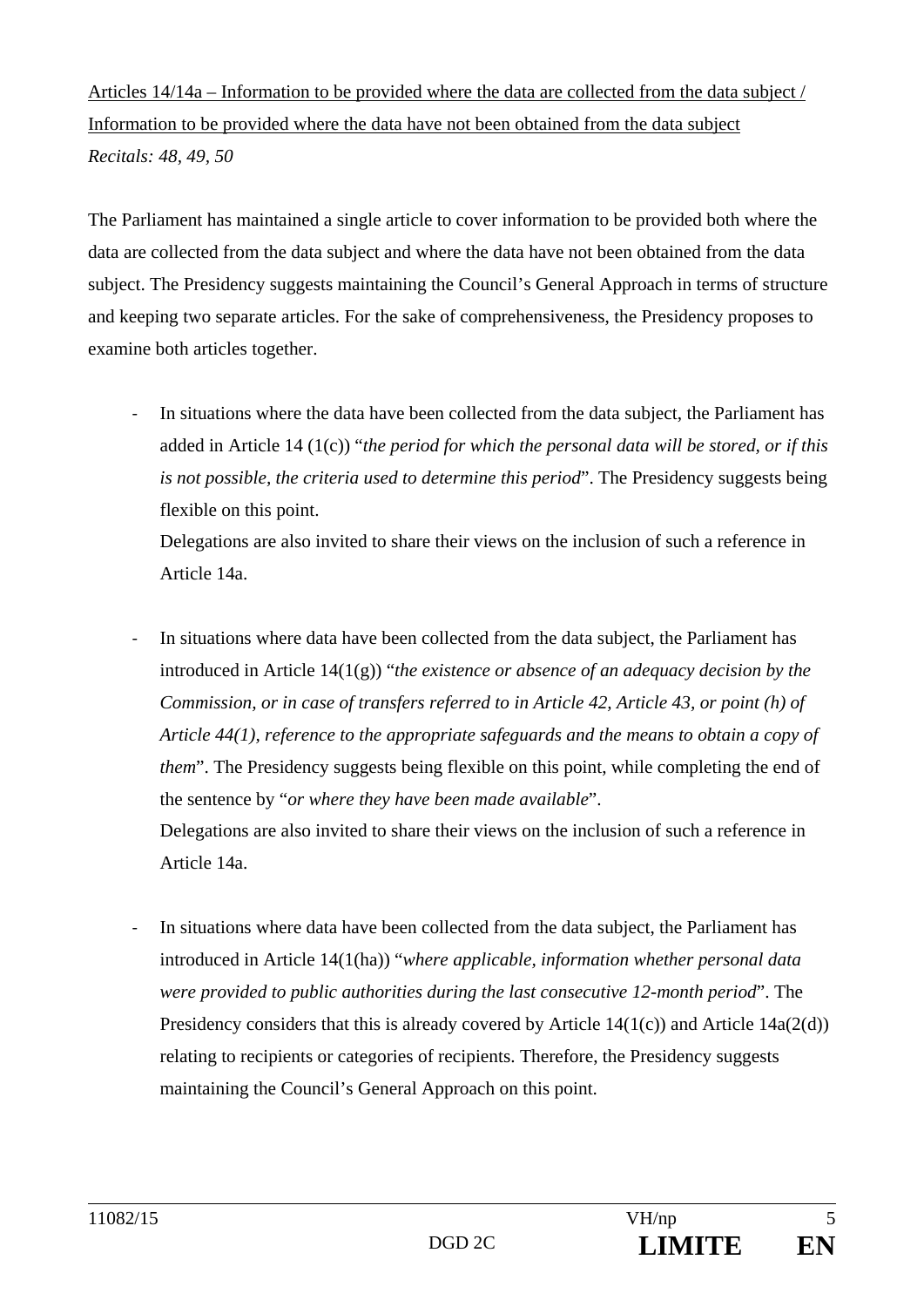# Articles 14/14a – Information to be provided where the data are collected from the data subject / Information to be provided where the data have not been obtained from the data subject *Recitals: 48, 49, 50*

The Parliament has maintained a single article to cover information to be provided both where the data are collected from the data subject and where the data have not been obtained from the data subject. The Presidency suggests maintaining the Council's General Approach in terms of structure and keeping two separate articles. For the sake of comprehensiveness, the Presidency proposes to examine both articles together.

- In situations where the data have been collected from the data subject, the Parliament has added in Article 14 (1(c)) "*the period for which the personal data will be stored, or if this is not possible, the criteria used to determine this period*". The Presidency suggests being flexible on this point. Delegations are also invited to share their views on the inclusion of such a reference in Article 14a.
- In situations where data have been collected from the data subject, the Parliament has introduced in Article 14(1(g)) "*the existence or absence of an adequacy decision by the Commission, or in case of transfers referred to in Article 42, Article 43, or point (h) of Article 44(1), reference to the appropriate safeguards and the means to obtain a copy of them*". The Presidency suggests being flexible on this point, while completing the end of the sentence by "*or where they have been made available*".

Delegations are also invited to share their views on the inclusion of such a reference in Article 14a.

In situations where data have been collected from the data subject, the Parliament has introduced in Article 14(1(ha)) "*where applicable, information whether personal data were provided to public authorities during the last consecutive 12-month period*". The Presidency considers that this is already covered by Article  $14(1(c))$  and Article  $14a(2(d))$ relating to recipients or categories of recipients. Therefore, the Presidency suggests maintaining the Council's General Approach on this point.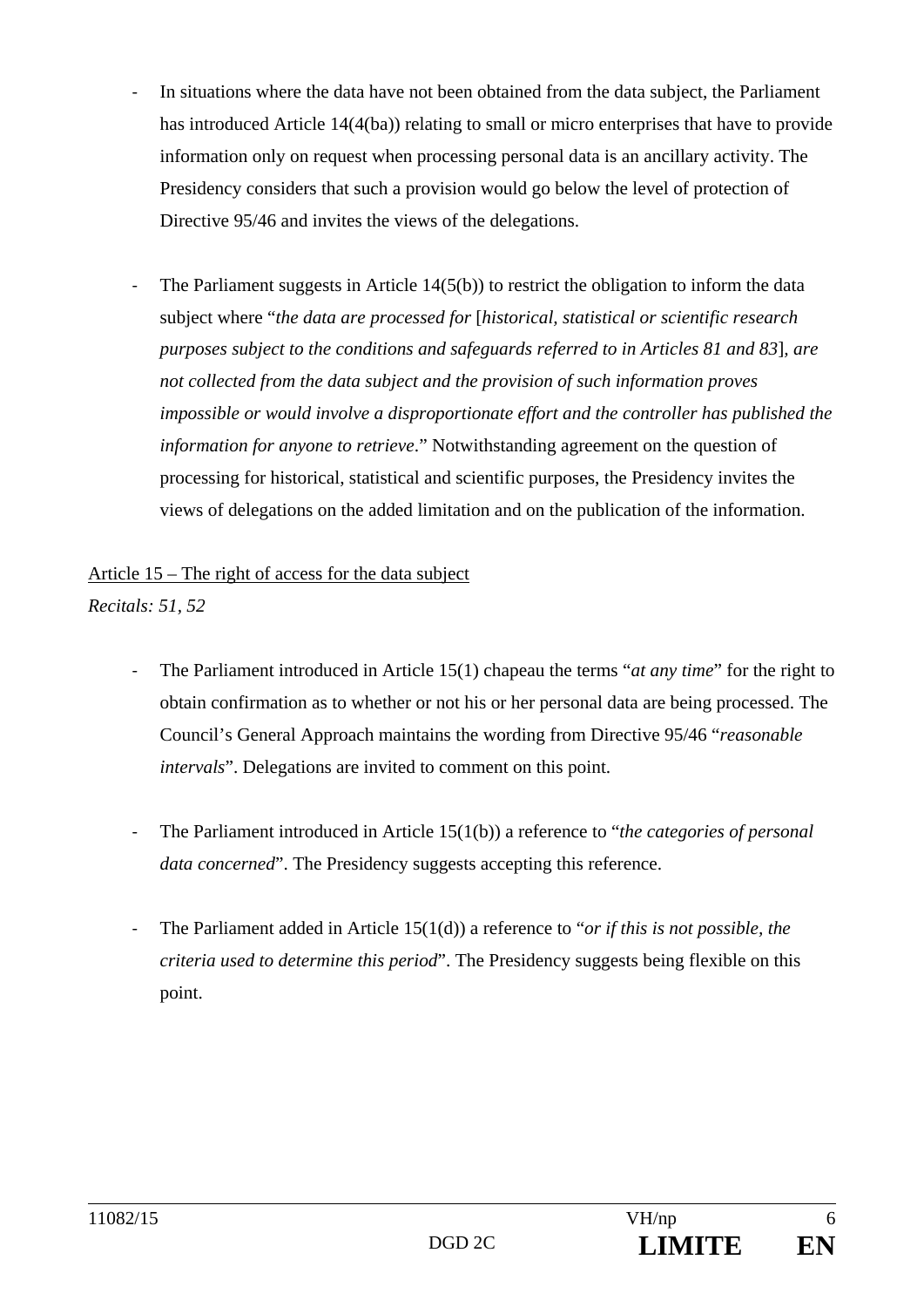- In situations where the data have not been obtained from the data subject, the Parliament has introduced Article 14(4(ba)) relating to small or micro enterprises that have to provide information only on request when processing personal data is an ancillary activity. The Presidency considers that such a provision would go below the level of protection of Directive 95/46 and invites the views of the delegations.
- The Parliament suggests in Article  $14(5(b))$  to restrict the obligation to inform the data subject where "*the data are processed for* [*historical, statistical or scientific research purposes subject to the conditions and safeguards referred to in Articles 81 and 83*]*, are not collected from the data subject and the provision of such information proves impossible or would involve a disproportionate effort and the controller has published the information for anyone to retrieve*." Notwithstanding agreement on the question of processing for historical, statistical and scientific purposes, the Presidency invites the views of delegations on the added limitation and on the publication of the information.

# Article 15 – The right of access for the data subject

*Recitals: 51, 52* 

- ‐ The Parliament introduced in Article 15(1) chapeau the terms "*at any time*" for the right to obtain confirmation as to whether or not his or her personal data are being processed. The Council's General Approach maintains the wording from Directive 95/46 "*reasonable intervals*". Delegations are invited to comment on this point.
- ‐ The Parliament introduced in Article 15(1(b)) a reference to "*the categories of personal data concerned*". The Presidency suggests accepting this reference.
- ‐ The Parliament added in Article 15(1(d)) a reference to "*or if this is not possible, the criteria used to determine this period*". The Presidency suggests being flexible on this point.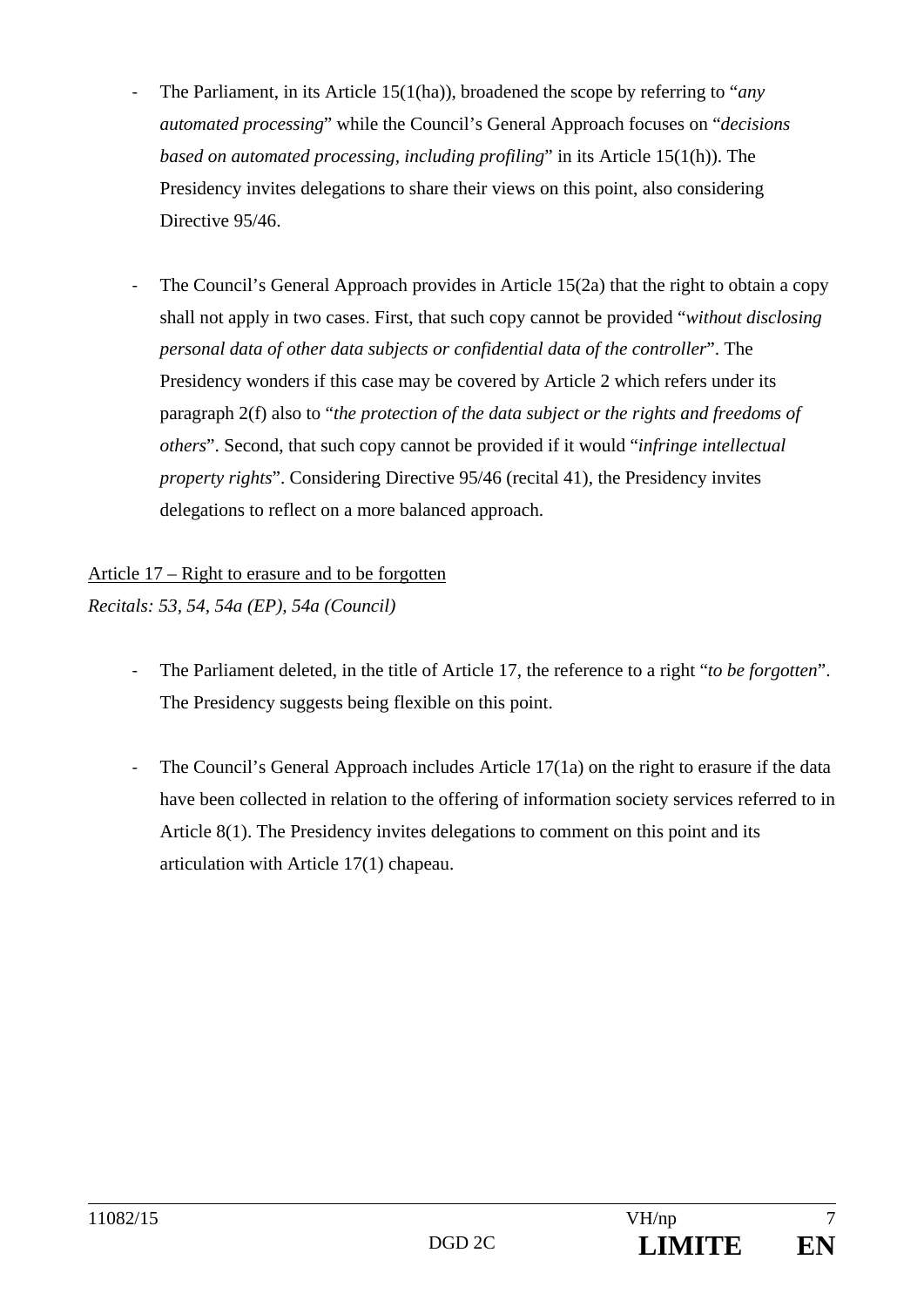- ‐ The Parliament, in its Article 15(1(ha)), broadened the scope by referring to "*any automated processing*" while the Council's General Approach focuses on "*decisions based on automated processing, including profiling*" in its Article 15(1(h)). The Presidency invites delegations to share their views on this point, also considering Directive 95/46.
- ‐ The Council's General Approach provides in Article 15(2a) that the right to obtain a copy shall not apply in two cases. First, that such copy cannot be provided "*without disclosing personal data of other data subjects or confidential data of the controller*". The Presidency wonders if this case may be covered by Article 2 which refers under its paragraph 2(f) also to "*the protection of the data subject or the rights and freedoms of others*". Second, that such copy cannot be provided if it would "*infringe intellectual property rights*". Considering Directive 95/46 (recital 41), the Presidency invites delegations to reflect on a more balanced approach.

# Article 17 – Right to erasure and to be forgotten *Recitals: 53, 54, 54a (EP), 54a (Council)*

- ‐ The Parliament deleted, in the title of Article 17, the reference to a right "*to be forgotten*". The Presidency suggests being flexible on this point.
- ‐ The Council's General Approach includes Article 17(1a) on the right to erasure if the data have been collected in relation to the offering of information society services referred to in Article 8(1). The Presidency invites delegations to comment on this point and its articulation with Article 17(1) chapeau.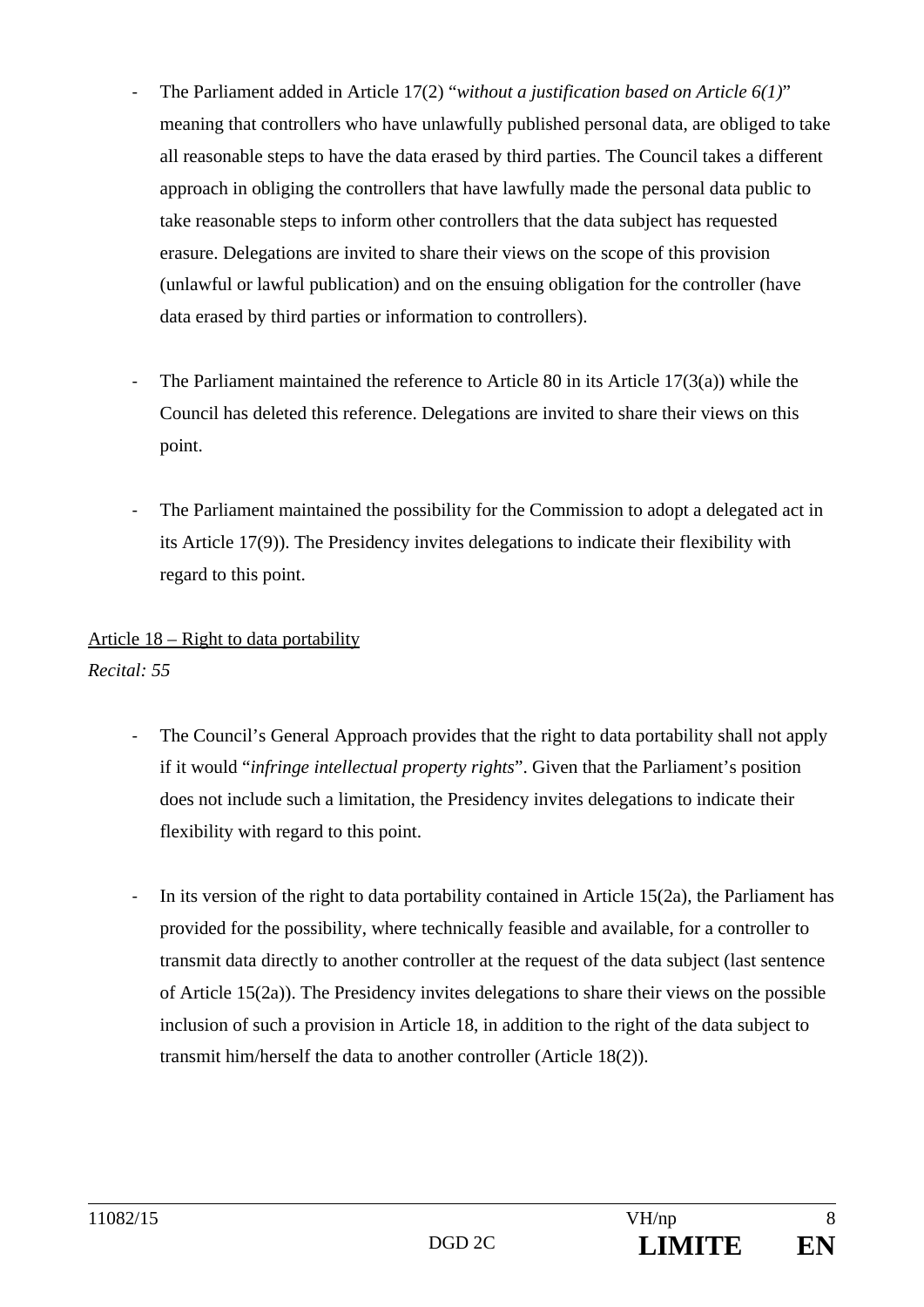- ‐ The Parliament added in Article 17(2) "*without a justification based on Article 6(1)*" meaning that controllers who have unlawfully published personal data, are obliged to take all reasonable steps to have the data erased by third parties. The Council takes a different approach in obliging the controllers that have lawfully made the personal data public to take reasonable steps to inform other controllers that the data subject has requested erasure. Delegations are invited to share their views on the scope of this provision (unlawful or lawful publication) and on the ensuing obligation for the controller (have data erased by third parties or information to controllers).
- The Parliament maintained the reference to Article 80 in its Article  $17(3(a))$  while the Council has deleted this reference. Delegations are invited to share their views on this point.
- ‐ The Parliament maintained the possibility for the Commission to adopt a delegated act in its Article 17(9)). The Presidency invites delegations to indicate their flexibility with regard to this point.

## Article 18 – Right to data portability

*Recital: 55* 

- ‐ The Council's General Approach provides that the right to data portability shall not apply if it would "*infringe intellectual property rights*". Given that the Parliament's position does not include such a limitation, the Presidency invites delegations to indicate their flexibility with regard to this point.
- In its version of the right to data portability contained in Article  $15(2a)$ , the Parliament has provided for the possibility, where technically feasible and available, for a controller to transmit data directly to another controller at the request of the data subject (last sentence of Article 15(2a)). The Presidency invites delegations to share their views on the possible inclusion of such a provision in Article 18, in addition to the right of the data subject to transmit him/herself the data to another controller (Article 18(2)).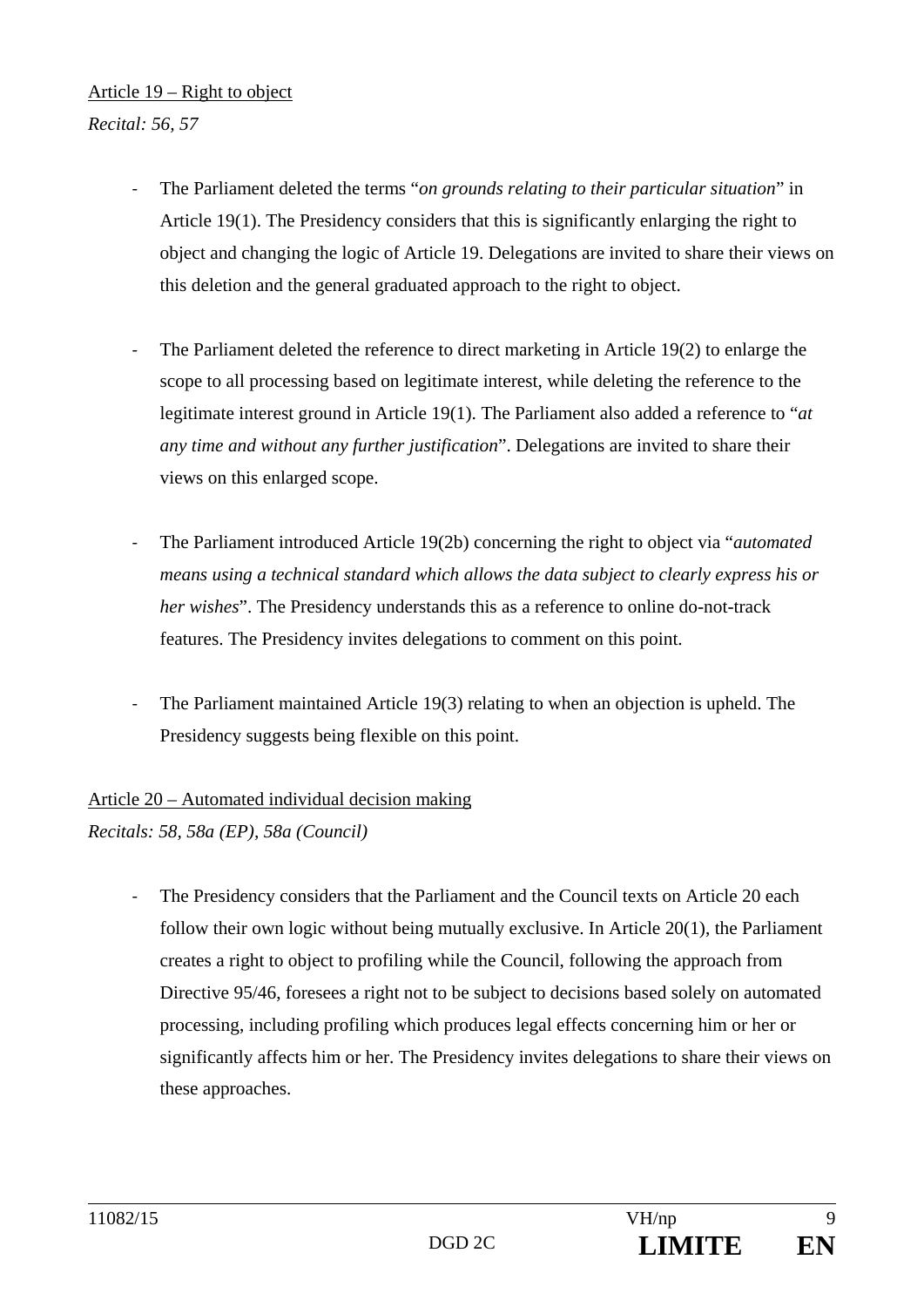## Article 19 – Right to object

*Recital: 56, 57* 

- ‐ The Parliament deleted the terms "*on grounds relating to their particular situation*" in Article 19(1). The Presidency considers that this is significantly enlarging the right to object and changing the logic of Article 19. Delegations are invited to share their views on this deletion and the general graduated approach to the right to object.
- The Parliament deleted the reference to direct marketing in Article 19(2) to enlarge the scope to all processing based on legitimate interest, while deleting the reference to the legitimate interest ground in Article 19(1). The Parliament also added a reference to "*at any time and without any further justification*". Delegations are invited to share their views on this enlarged scope.
- ‐ The Parliament introduced Article 19(2b) concerning the right to object via "*automated means using a technical standard which allows the data subject to clearly express his or her wishes*". The Presidency understands this as a reference to online do-not-track features. The Presidency invites delegations to comment on this point.
- The Parliament maintained Article 19(3) relating to when an objection is upheld. The Presidency suggests being flexible on this point.

## Article 20 – Automated individual decision making

*Recitals: 58, 58a (EP), 58a (Council)* 

The Presidency considers that the Parliament and the Council texts on Article 20 each follow their own logic without being mutually exclusive. In Article 20(1), the Parliament creates a right to object to profiling while the Council, following the approach from Directive 95/46, foresees a right not to be subject to decisions based solely on automated processing, including profiling which produces legal effects concerning him or her or significantly affects him or her. The Presidency invites delegations to share their views on these approaches.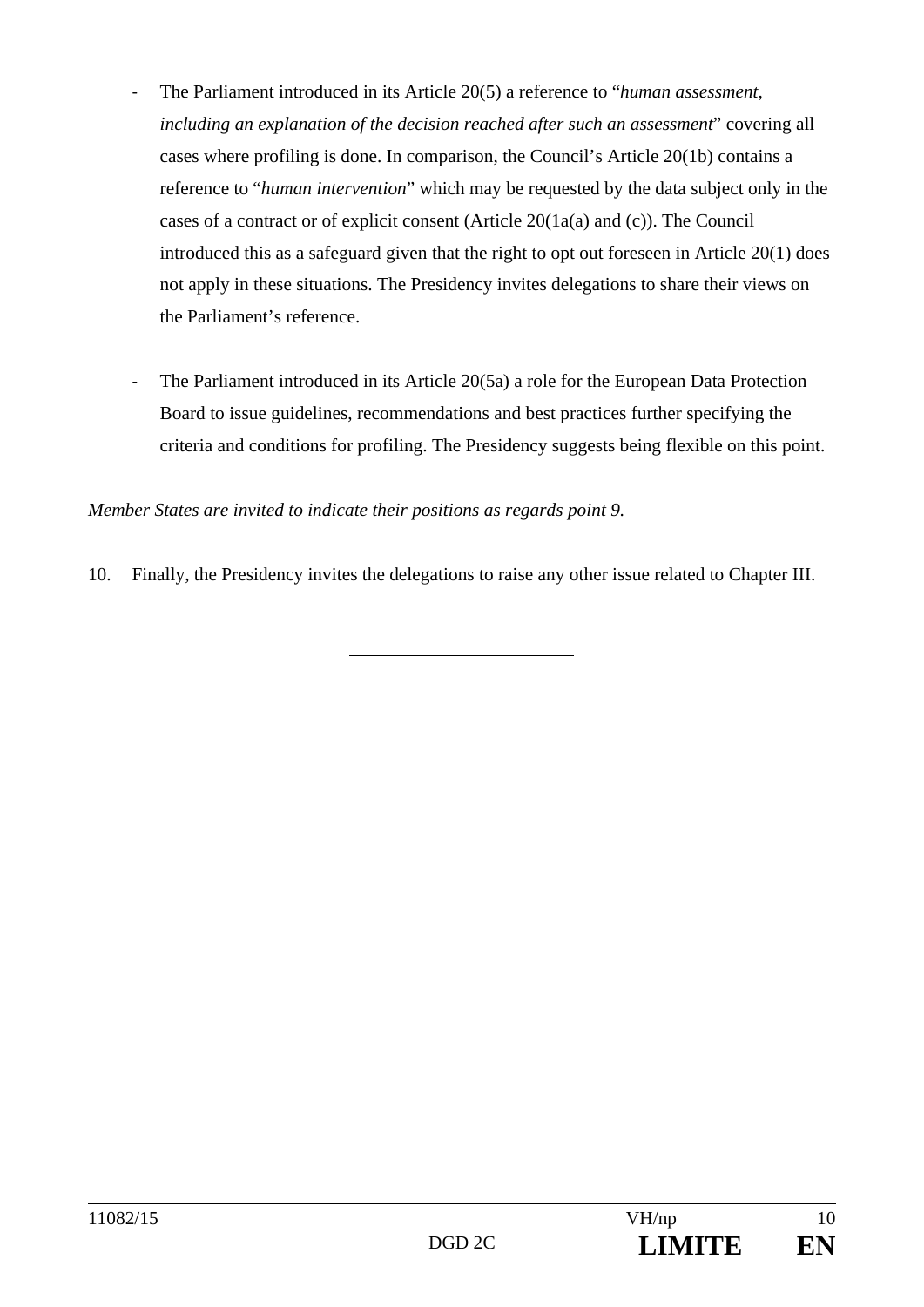- ‐ The Parliament introduced in its Article 20(5) a reference to "*human assessment, including an explanation of the decision reached after such an assessment*" covering all cases where profiling is done. In comparison, the Council's Article 20(1b) contains a reference to "*human intervention*" which may be requested by the data subject only in the cases of a contract or of explicit consent (Article 20(1a(a) and (c)). The Council introduced this as a safeguard given that the right to opt out foreseen in Article 20(1) does not apply in these situations. The Presidency invites delegations to share their views on the Parliament's reference.
- The Parliament introduced in its Article 20(5a) a role for the European Data Protection Board to issue guidelines, recommendations and best practices further specifying the criteria and conditions for profiling. The Presidency suggests being flexible on this point.

*Member States are invited to indicate their positions as regards point 9.* 

10. Finally, the Presidency invites the delegations to raise any other issue related to Chapter III.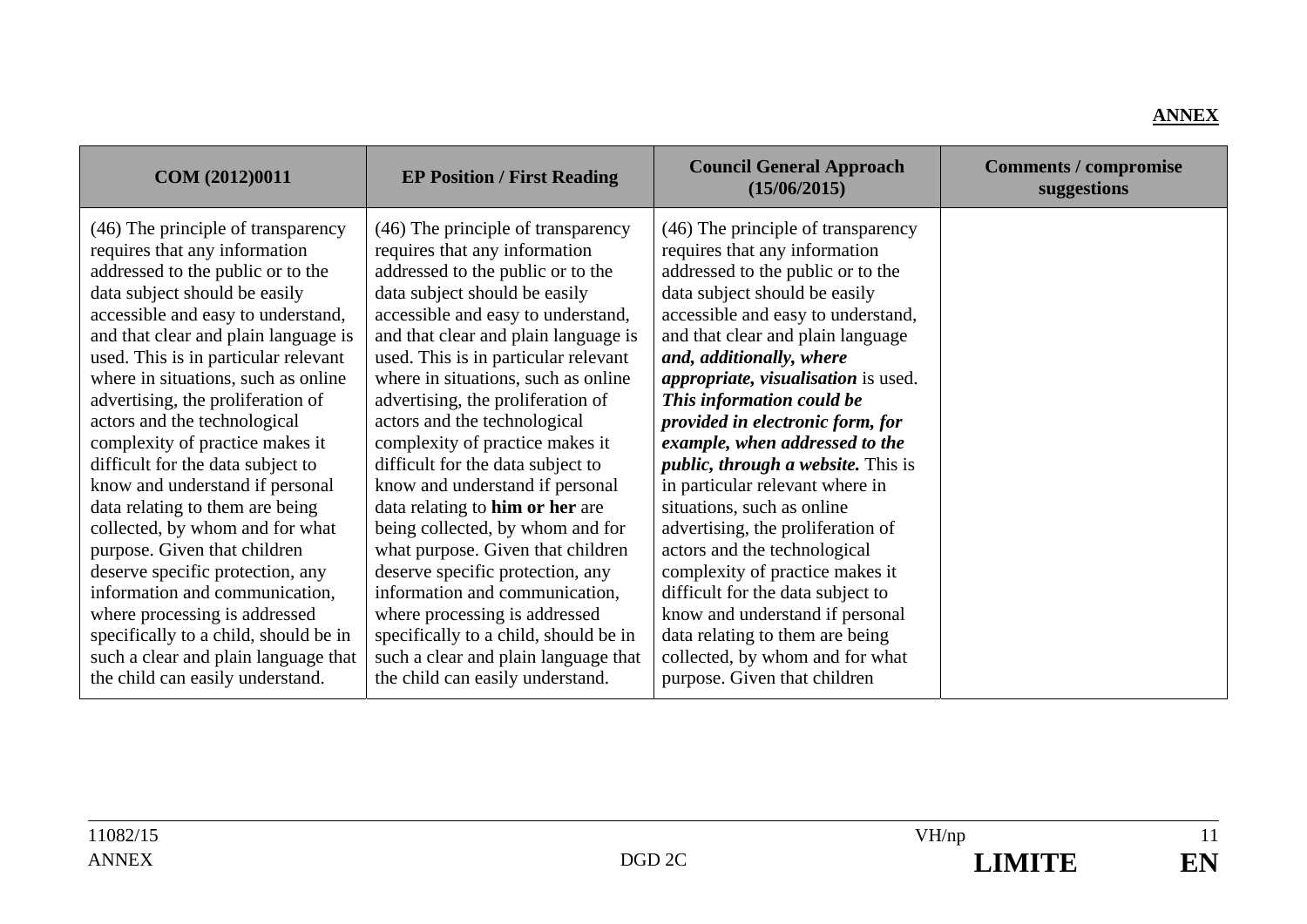### **ANNEX**

| COM (2012)0011                        | <b>EP Position / First Reading</b>    | <b>Council General Approach</b><br>(15/06/2015) | <b>Comments / compromise</b><br>suggestions |
|---------------------------------------|---------------------------------------|-------------------------------------------------|---------------------------------------------|
| (46) The principle of transparency    | (46) The principle of transparency    | (46) The principle of transparency              |                                             |
| requires that any information         | requires that any information         | requires that any information                   |                                             |
| addressed to the public or to the     | addressed to the public or to the     | addressed to the public or to the               |                                             |
| data subject should be easily         | data subject should be easily         | data subject should be easily                   |                                             |
| accessible and easy to understand,    | accessible and easy to understand,    | accessible and easy to understand,              |                                             |
| and that clear and plain language is  | and that clear and plain language is  | and that clear and plain language               |                                             |
| used. This is in particular relevant  | used. This is in particular relevant  | and, additionally, where                        |                                             |
| where in situations, such as online   | where in situations, such as online   | <i>appropriate, visualisation</i> is used.      |                                             |
| advertising, the proliferation of     | advertising, the proliferation of     | This information could be                       |                                             |
| actors and the technological          | actors and the technological          | provided in electronic form, for                |                                             |
| complexity of practice makes it       | complexity of practice makes it       | example, when addressed to the                  |                                             |
| difficult for the data subject to     | difficult for the data subject to     | <i>public, through a website. This is</i>       |                                             |
| know and understand if personal       | know and understand if personal       | in particular relevant where in                 |                                             |
| data relating to them are being       | data relating to him or her are       | situations, such as online                      |                                             |
| collected, by whom and for what       | being collected, by whom and for      | advertising, the proliferation of               |                                             |
| purpose. Given that children          | what purpose. Given that children     | actors and the technological                    |                                             |
| deserve specific protection, any      | deserve specific protection, any      | complexity of practice makes it                 |                                             |
| information and communication,        | information and communication,        | difficult for the data subject to               |                                             |
| where processing is addressed         | where processing is addressed         | know and understand if personal                 |                                             |
| specifically to a child, should be in | specifically to a child, should be in | data relating to them are being                 |                                             |
| such a clear and plain language that  | such a clear and plain language that  | collected, by whom and for what                 |                                             |
| the child can easily understand.      | the child can easily understand.      | purpose. Given that children                    |                                             |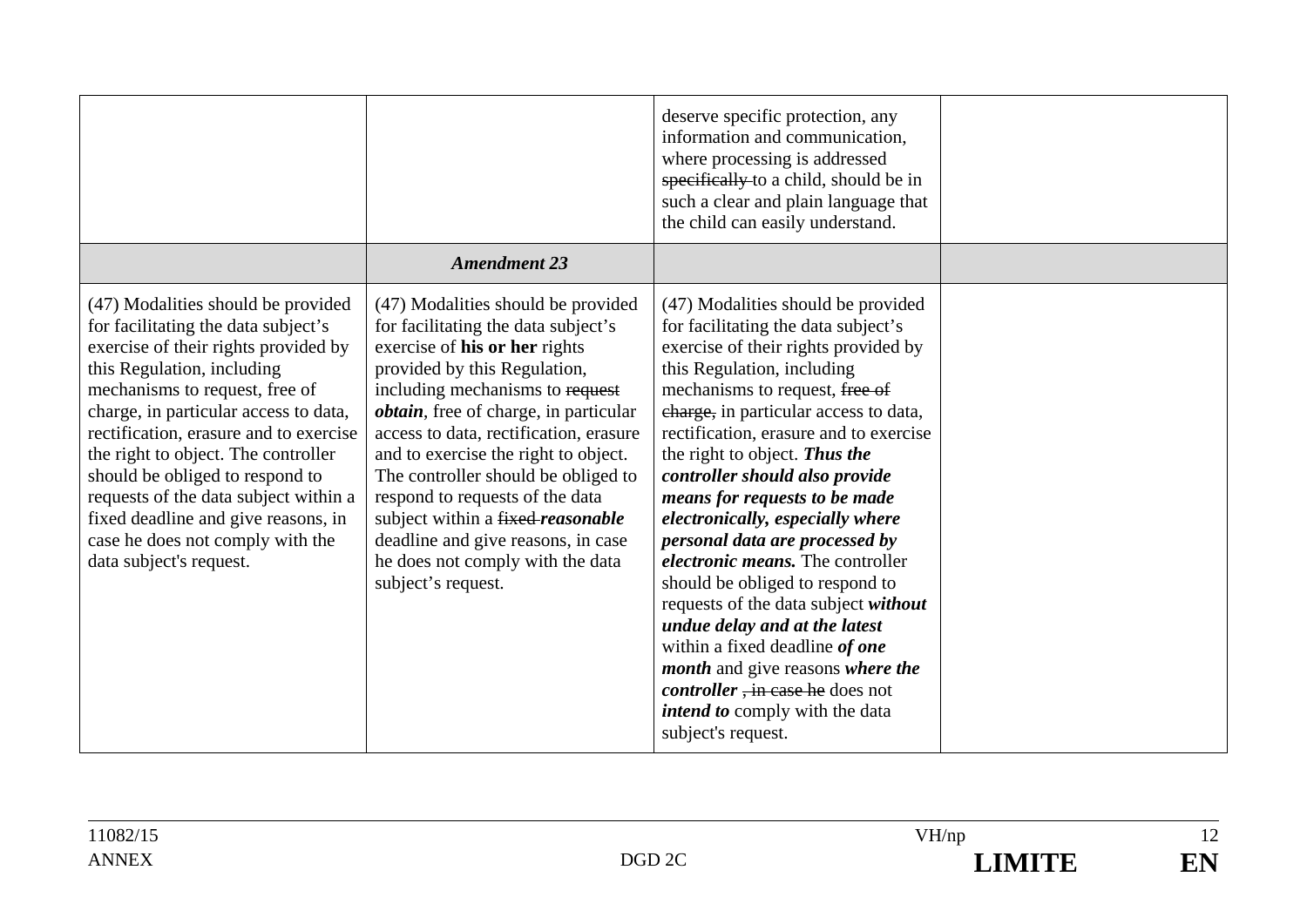|                                                                                                                                                                                                                                                                                                                                                                                                                                                                                               |                                                                                                                                                                                                                                                                                                                                                                                                                                                                                                                                 | deserve specific protection, any<br>information and communication,<br>where processing is addressed<br>specifically to a child, should be in<br>such a clear and plain language that<br>the child can easily understand.                                                                                                                                                                                                                                                                                                                                                                                                                                                                                                                                                                     |  |
|-----------------------------------------------------------------------------------------------------------------------------------------------------------------------------------------------------------------------------------------------------------------------------------------------------------------------------------------------------------------------------------------------------------------------------------------------------------------------------------------------|---------------------------------------------------------------------------------------------------------------------------------------------------------------------------------------------------------------------------------------------------------------------------------------------------------------------------------------------------------------------------------------------------------------------------------------------------------------------------------------------------------------------------------|----------------------------------------------------------------------------------------------------------------------------------------------------------------------------------------------------------------------------------------------------------------------------------------------------------------------------------------------------------------------------------------------------------------------------------------------------------------------------------------------------------------------------------------------------------------------------------------------------------------------------------------------------------------------------------------------------------------------------------------------------------------------------------------------|--|
|                                                                                                                                                                                                                                                                                                                                                                                                                                                                                               | <b>Amendment 23</b>                                                                                                                                                                                                                                                                                                                                                                                                                                                                                                             |                                                                                                                                                                                                                                                                                                                                                                                                                                                                                                                                                                                                                                                                                                                                                                                              |  |
| (47) Modalities should be provided<br>for facilitating the data subject's<br>exercise of their rights provided by<br>this Regulation, including<br>mechanisms to request, free of<br>charge, in particular access to data,<br>rectification, erasure and to exercise<br>the right to object. The controller<br>should be obliged to respond to<br>requests of the data subject within a<br>fixed deadline and give reasons, in<br>case he does not comply with the<br>data subject's request. | (47) Modalities should be provided<br>for facilitating the data subject's<br>exercise of his or her rights<br>provided by this Regulation,<br>including mechanisms to request<br><i>obtain</i> , free of charge, in particular<br>access to data, rectification, erasure<br>and to exercise the right to object.<br>The controller should be obliged to<br>respond to requests of the data<br>subject within a fixed-reasonable<br>deadline and give reasons, in case<br>he does not comply with the data<br>subject's request. | (47) Modalities should be provided<br>for facilitating the data subject's<br>exercise of their rights provided by<br>this Regulation, including<br>mechanisms to request, free of<br>charge, in particular access to data,<br>rectification, erasure and to exercise<br>the right to object. Thus the<br>controller should also provide<br>means for requests to be made<br>electronically, especially where<br>personal data are processed by<br><i>electronic means.</i> The controller<br>should be obliged to respond to<br>requests of the data subject without<br>undue delay and at the latest<br>within a fixed deadline of one<br><i>month</i> and give reasons where the<br><i>controller</i> , in case he does not<br><i>intend to</i> comply with the data<br>subject's request. |  |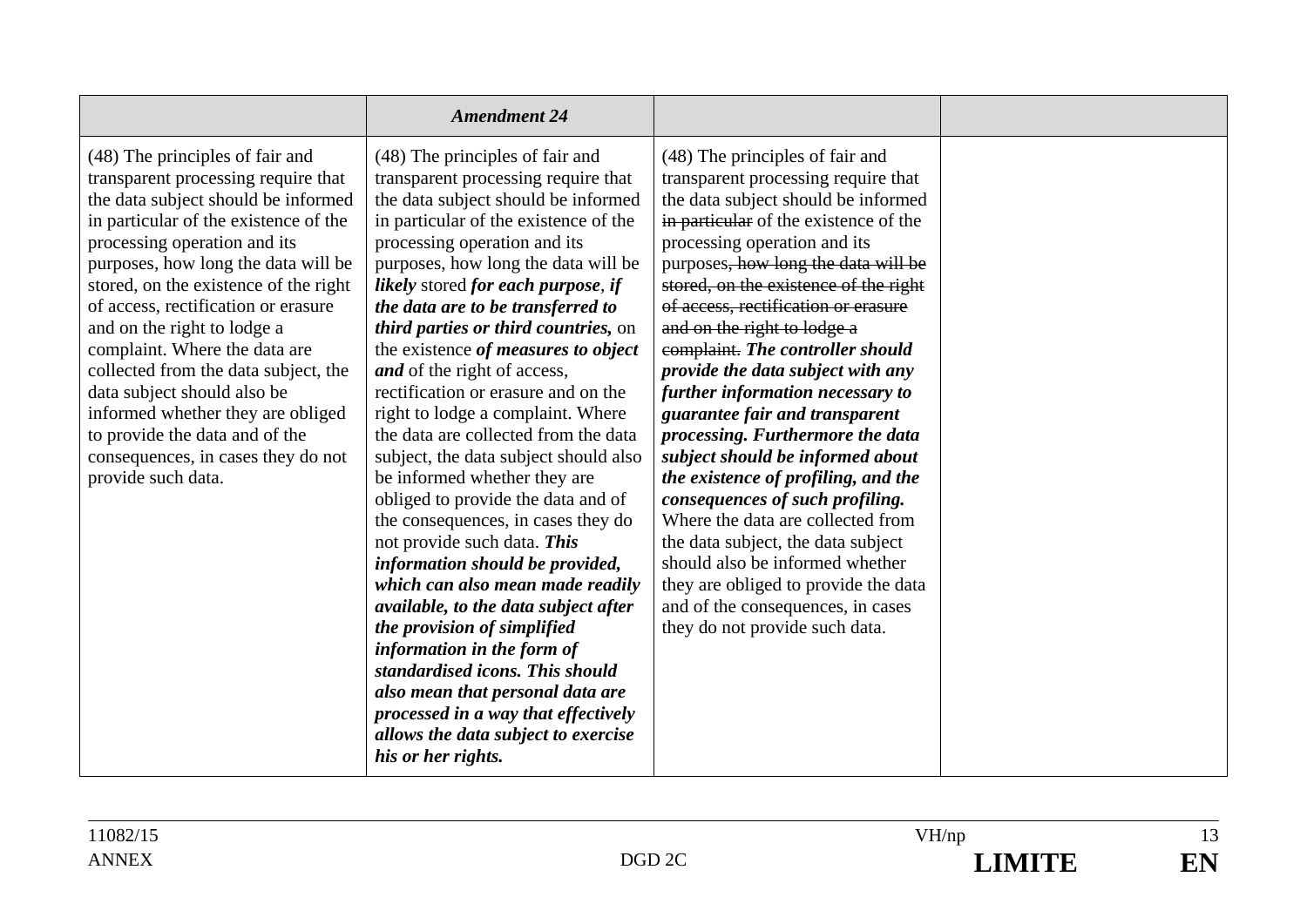|                                                                                                                                                                                                                                                                                                                                                                                                                                                                                                                                                                                         | <b>Amendment 24</b>                                                                                                                                                                                                                                                                                                                                                                                                                                                                                                                                                                                                                                                                                                                                                                                                                                                                                                                                                                                                                                                                          |                                                                                                                                                                                                                                                                                                                                                                                                                                                                                                                                                                                                                                                                                                                                                                                                                                                                            |  |
|-----------------------------------------------------------------------------------------------------------------------------------------------------------------------------------------------------------------------------------------------------------------------------------------------------------------------------------------------------------------------------------------------------------------------------------------------------------------------------------------------------------------------------------------------------------------------------------------|----------------------------------------------------------------------------------------------------------------------------------------------------------------------------------------------------------------------------------------------------------------------------------------------------------------------------------------------------------------------------------------------------------------------------------------------------------------------------------------------------------------------------------------------------------------------------------------------------------------------------------------------------------------------------------------------------------------------------------------------------------------------------------------------------------------------------------------------------------------------------------------------------------------------------------------------------------------------------------------------------------------------------------------------------------------------------------------------|----------------------------------------------------------------------------------------------------------------------------------------------------------------------------------------------------------------------------------------------------------------------------------------------------------------------------------------------------------------------------------------------------------------------------------------------------------------------------------------------------------------------------------------------------------------------------------------------------------------------------------------------------------------------------------------------------------------------------------------------------------------------------------------------------------------------------------------------------------------------------|--|
| (48) The principles of fair and<br>transparent processing require that<br>the data subject should be informed<br>in particular of the existence of the<br>processing operation and its<br>purposes, how long the data will be<br>stored, on the existence of the right<br>of access, rectification or erasure<br>and on the right to lodge a<br>complaint. Where the data are<br>collected from the data subject, the<br>data subject should also be<br>informed whether they are obliged<br>to provide the data and of the<br>consequences, in cases they do not<br>provide such data. | (48) The principles of fair and<br>transparent processing require that<br>the data subject should be informed<br>in particular of the existence of the<br>processing operation and its<br>purposes, how long the data will be<br>likely stored for each purpose, if<br>the data are to be transferred to<br>third parties or third countries, on<br>the existence of measures to object<br><i>and</i> of the right of access,<br>rectification or erasure and on the<br>right to lodge a complaint. Where<br>the data are collected from the data<br>subject, the data subject should also<br>be informed whether they are<br>obliged to provide the data and of<br>the consequences, in cases they do<br>not provide such data. This<br>information should be provided,<br>which can also mean made readily<br>available, to the data subject after<br>the provision of simplified<br>information in the form of<br>standardised icons. This should<br>also mean that personal data are<br>processed in a way that effectively<br>allows the data subject to exercise<br>his or her rights. | (48) The principles of fair and<br>transparent processing require that<br>the data subject should be informed<br>in particular of the existence of the<br>processing operation and its<br>purposes, how long the data will be<br>stored, on the existence of the right<br>of access, rectification or erasure<br>and on the right to lodge a<br>complaint. The controller should<br>provide the data subject with any<br>further information necessary to<br>guarantee fair and transparent<br>processing. Furthermore the data<br>subject should be informed about<br>the existence of profiling, and the<br>consequences of such profiling.<br>Where the data are collected from<br>the data subject, the data subject<br>should also be informed whether<br>they are obliged to provide the data<br>and of the consequences, in cases<br>they do not provide such data. |  |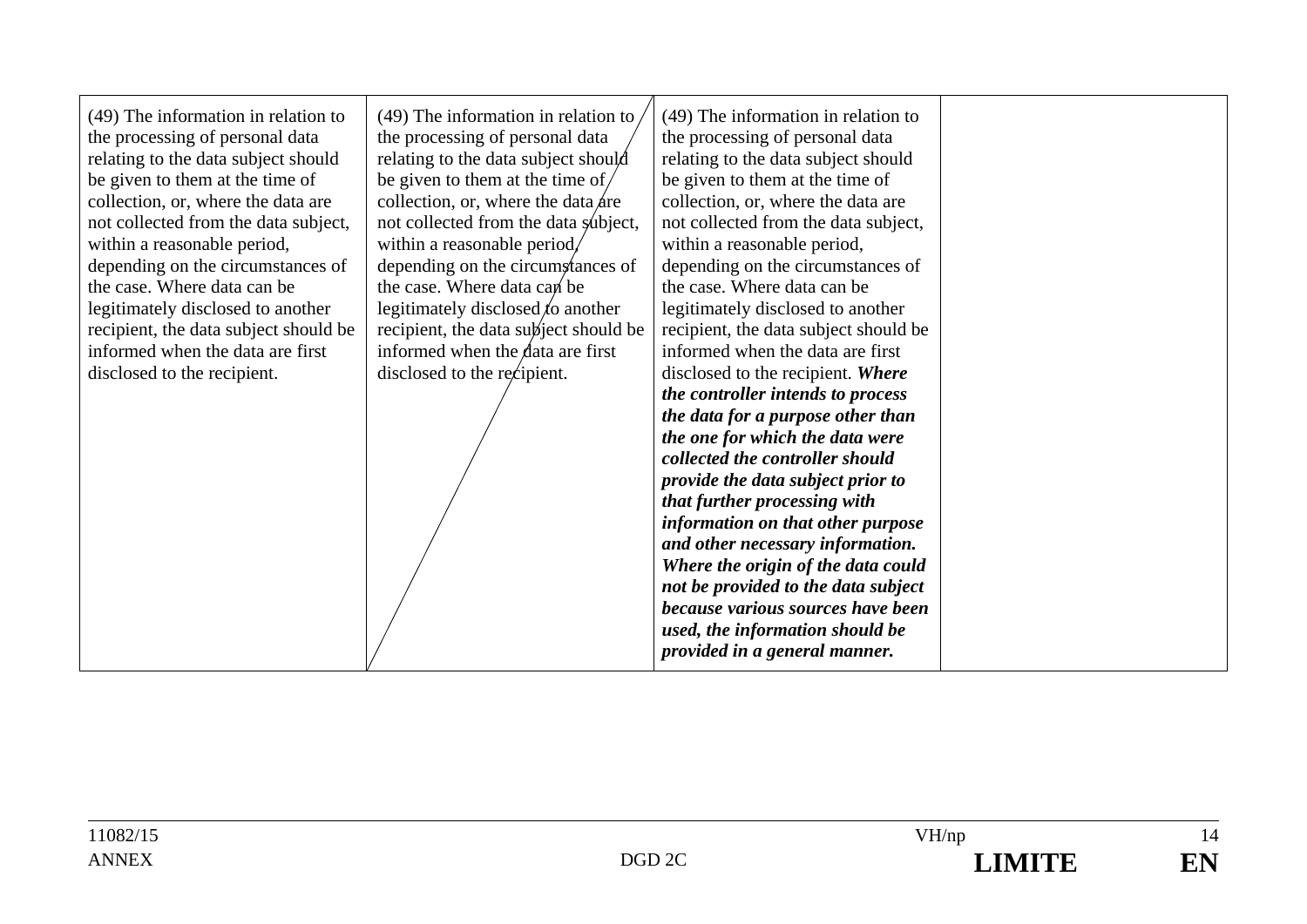| (49) The information in relation to          | (49) The information in relation to   |
|----------------------------------------------|---------------------------------------|
| (49) The information in relation to          | the processing of personal data       |
| the processing of personal data              | relating to the data subject should   |
| the processing of personal data              | be given to them at the time of       |
| relating to the data subject should          | collection, or, where the data are    |
| relating to the data subject should          | not collected from the data subject,  |
| be given to them at the time of              | within a reasonable period,           |
| be given to them at the time of              | depending on the circumstances of     |
| collection, or, where the data are           | the case. Where data can be           |
| collection, or, where the data $\angle A$ re | legitimately disclosed to another     |
| not collected from the data subject,         | recipient, the data subject should be |
| not collected from the data subject,         | informed when the data are first      |
| within a reasonable period,                  | disclosed to the recipient. Where     |
| within a reasonable period $\angle$          | the controller intends to process     |
| depending on the circumstances of            | the data for a purpose other than     |
| depending on the circumstances of            | the one for which the data were       |
| the case. Where data can be                  | collected the controller should       |
| the case. Where data can be                  | provide the data subject prior to     |
| legitimately disclosed to another            | that further processing with          |
| legitimately disclosed to another            | information on that other purpose     |
| recipient, the data subject should be        | and other necessary information.      |
| recipient, the data subject should be        | Where the origin of the data could    |
| informed when the data are first             | not be provided to the data subject   |
| informed when the data are first             | because various sources have been     |
| disclosed to the recipient.                  | used, the information should be       |
| disclosed to the recipient.                  | provided in a general manner.         |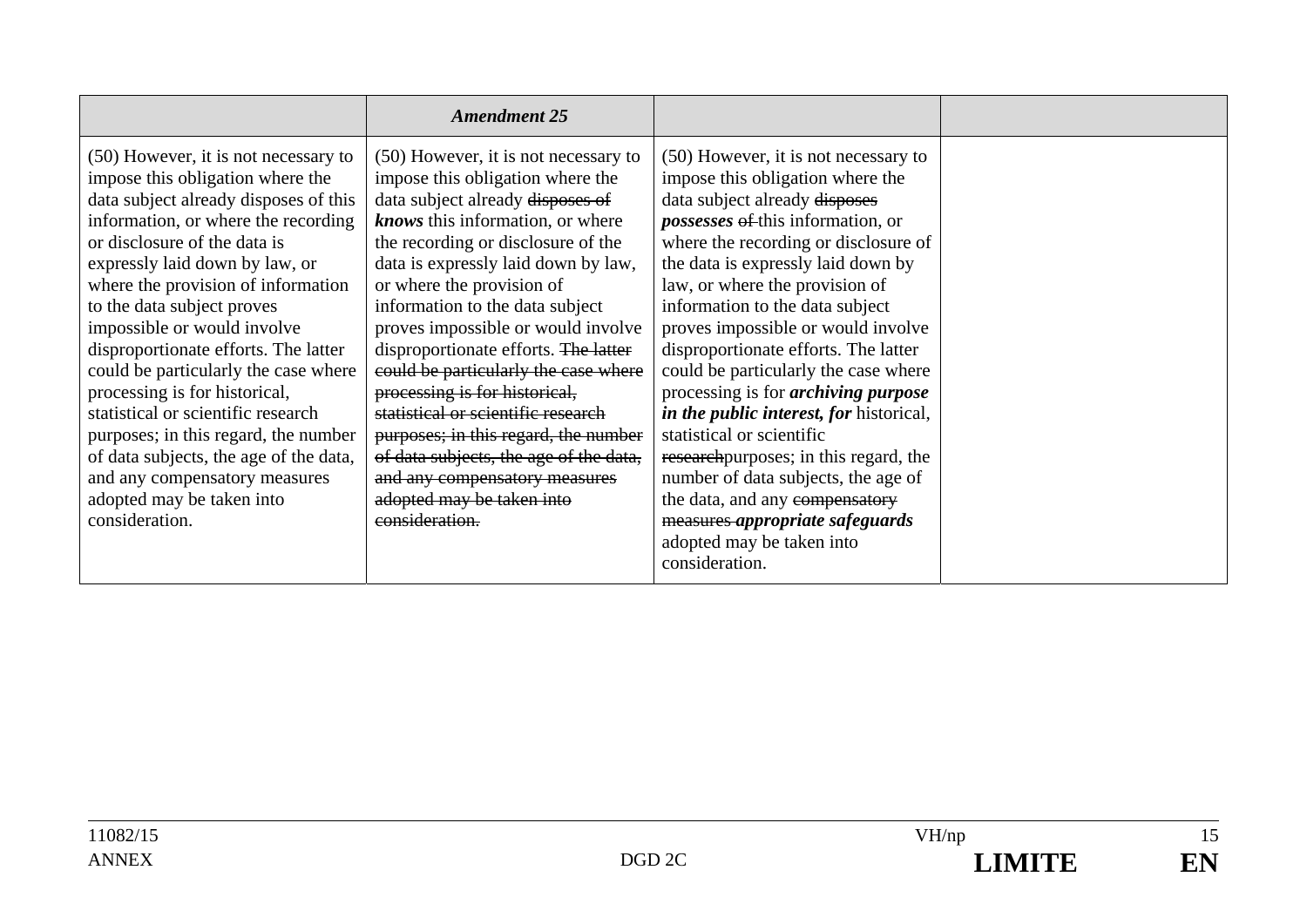|                                                                                                                                                                                                                                                                                                                                                                                                                                                                                                                                                                                                                                                        | <b>Amendment 25</b>                                                                                                                                                                                                                                                                                                                                                                                                                                                                                                                                                                                                                                                 |                                                                                                                                                                                                                                                                                                                                                                                                                                                                                                                                                                                                                                                                                                                                                |  |
|--------------------------------------------------------------------------------------------------------------------------------------------------------------------------------------------------------------------------------------------------------------------------------------------------------------------------------------------------------------------------------------------------------------------------------------------------------------------------------------------------------------------------------------------------------------------------------------------------------------------------------------------------------|---------------------------------------------------------------------------------------------------------------------------------------------------------------------------------------------------------------------------------------------------------------------------------------------------------------------------------------------------------------------------------------------------------------------------------------------------------------------------------------------------------------------------------------------------------------------------------------------------------------------------------------------------------------------|------------------------------------------------------------------------------------------------------------------------------------------------------------------------------------------------------------------------------------------------------------------------------------------------------------------------------------------------------------------------------------------------------------------------------------------------------------------------------------------------------------------------------------------------------------------------------------------------------------------------------------------------------------------------------------------------------------------------------------------------|--|
| (50) However, it is not necessary to<br>impose this obligation where the<br>data subject already disposes of this<br>information, or where the recording<br>or disclosure of the data is<br>expressly laid down by law, or<br>where the provision of information<br>to the data subject proves<br>impossible or would involve<br>disproportionate efforts. The latter<br>could be particularly the case where<br>processing is for historical,<br>statistical or scientific research<br>purposes; in this regard, the number<br>of data subjects, the age of the data,<br>and any compensatory measures<br>adopted may be taken into<br>consideration. | (50) However, it is not necessary to<br>impose this obligation where the<br>data subject already disposes of<br><i>knows</i> this information, or where<br>the recording or disclosure of the<br>data is expressly laid down by law,<br>or where the provision of<br>information to the data subject<br>proves impossible or would involve<br>disproportionate efforts. The latter<br>could be particularly the case where<br>processing is for historical,<br>statistical or scientific research<br>purposes; in this regard, the number<br>of data subjects, the age of the data,<br>and any compensatory measures<br>adopted may be taken into<br>consideration. | (50) However, it is not necessary to<br>impose this obligation where the<br>data subject already disposes<br><i>possesses</i> of this information, or<br>where the recording or disclosure of<br>the data is expressly laid down by<br>law, or where the provision of<br>information to the data subject<br>proves impossible or would involve<br>disproportionate efforts. The latter<br>could be particularly the case where<br>processing is for <i>archiving purpose</i><br><i>in the public interest, for historical,</i><br>statistical or scientific<br>research purposes; in this regard, the<br>number of data subjects, the age of<br>the data, and any compensatory<br>measures appropriate safeguards<br>adopted may be taken into |  |
|                                                                                                                                                                                                                                                                                                                                                                                                                                                                                                                                                                                                                                                        |                                                                                                                                                                                                                                                                                                                                                                                                                                                                                                                                                                                                                                                                     | consideration.                                                                                                                                                                                                                                                                                                                                                                                                                                                                                                                                                                                                                                                                                                                                 |  |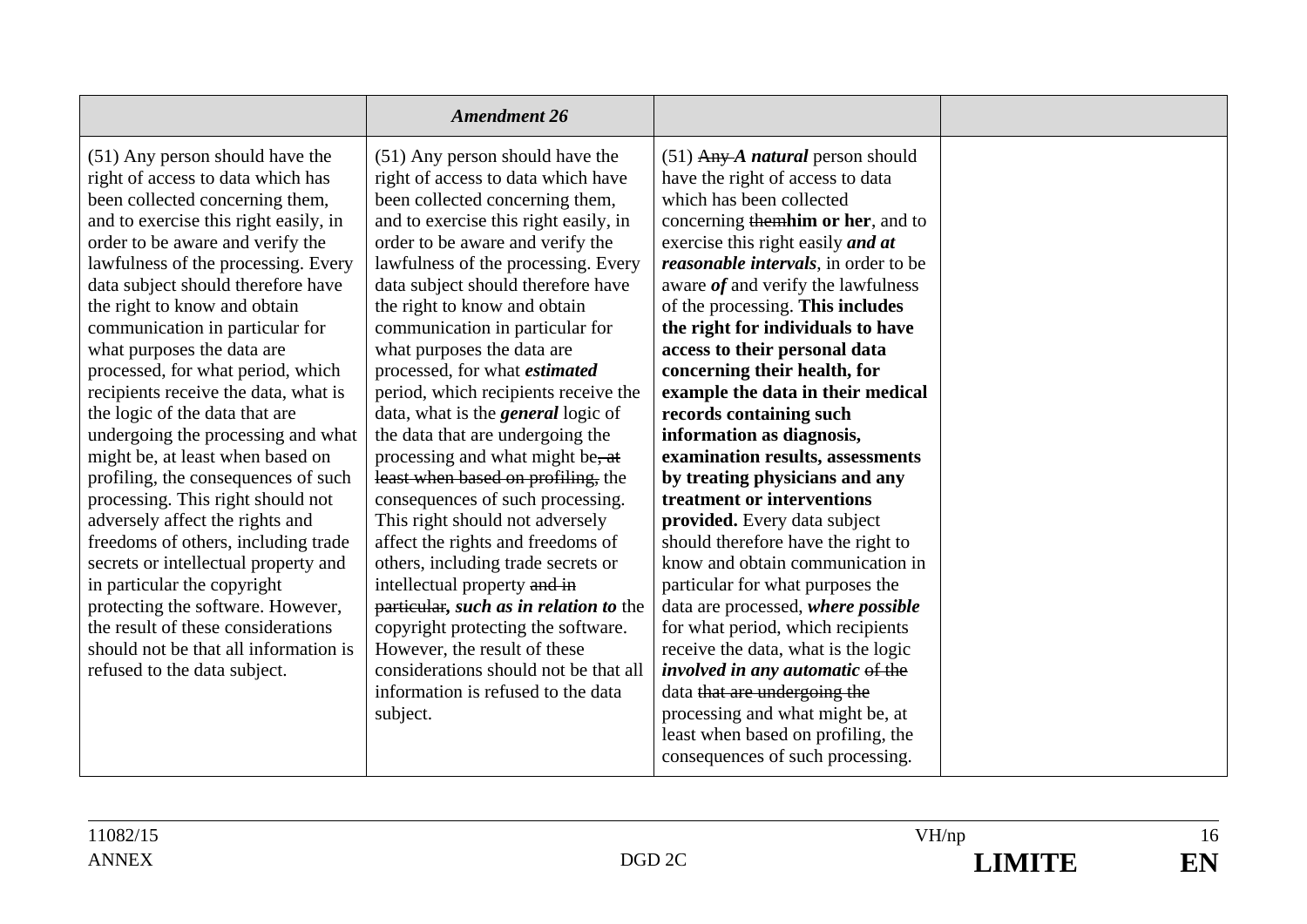|                                                                                                                                                                                                                                                                                                                                                                                                                                                                                                                                                                                                                                                                                                                                                                                                                                                                     | <b>Amendment 26</b>                                                                                                                                                                                                                                                                                                                                                                                                                                                                                                                                                                                                                                                                                                                                                                                                                                                              |                                                                                                                                                                                                                                                                                                                                                                                                                                                                                                                                                                                                                                                                                                                                                                                                                                               |  |
|---------------------------------------------------------------------------------------------------------------------------------------------------------------------------------------------------------------------------------------------------------------------------------------------------------------------------------------------------------------------------------------------------------------------------------------------------------------------------------------------------------------------------------------------------------------------------------------------------------------------------------------------------------------------------------------------------------------------------------------------------------------------------------------------------------------------------------------------------------------------|----------------------------------------------------------------------------------------------------------------------------------------------------------------------------------------------------------------------------------------------------------------------------------------------------------------------------------------------------------------------------------------------------------------------------------------------------------------------------------------------------------------------------------------------------------------------------------------------------------------------------------------------------------------------------------------------------------------------------------------------------------------------------------------------------------------------------------------------------------------------------------|-----------------------------------------------------------------------------------------------------------------------------------------------------------------------------------------------------------------------------------------------------------------------------------------------------------------------------------------------------------------------------------------------------------------------------------------------------------------------------------------------------------------------------------------------------------------------------------------------------------------------------------------------------------------------------------------------------------------------------------------------------------------------------------------------------------------------------------------------|--|
| (51) Any person should have the<br>right of access to data which has<br>been collected concerning them,<br>and to exercise this right easily, in<br>order to be aware and verify the<br>lawfulness of the processing. Every<br>data subject should therefore have<br>the right to know and obtain<br>communication in particular for<br>what purposes the data are<br>processed, for what period, which<br>recipients receive the data, what is<br>the logic of the data that are<br>undergoing the processing and what<br>might be, at least when based on<br>profiling, the consequences of such<br>processing. This right should not<br>adversely affect the rights and<br>freedoms of others, including trade<br>secrets or intellectual property and<br>in particular the copyright<br>protecting the software. However,<br>the result of these considerations | (51) Any person should have the<br>right of access to data which have<br>been collected concerning them,<br>and to exercise this right easily, in<br>order to be aware and verify the<br>lawfulness of the processing. Every<br>data subject should therefore have<br>the right to know and obtain<br>communication in particular for<br>what purposes the data are<br>processed, for what <i>estimated</i><br>period, which recipients receive the<br>data, what is the <i>general</i> logic of<br>the data that are undergoing the<br>processing and what might be, at<br>least when based on profiling, the<br>consequences of such processing.<br>This right should not adversely<br>affect the rights and freedoms of<br>others, including trade secrets or<br>intellectual property and in<br>particular, such as in relation to the<br>copyright protecting the software. | $(51)$ Any A natural person should<br>have the right of access to data<br>which has been collected<br>concerning themhim or her, and to<br>exercise this right easily and at<br><i>reasonable intervals</i> , in order to be<br>aware <i>of</i> and verify the lawfulness<br>of the processing. This includes<br>the right for individuals to have<br>access to their personal data<br>concerning their health, for<br>example the data in their medical<br>records containing such<br>information as diagnosis,<br>examination results, assessments<br>by treating physicians and any<br>treatment or interventions<br>provided. Every data subject<br>should therefore have the right to<br>know and obtain communication in<br>particular for what purposes the<br>data are processed, where possible<br>for what period, which recipients |  |
| should not be that all information is<br>refused to the data subject.                                                                                                                                                                                                                                                                                                                                                                                                                                                                                                                                                                                                                                                                                                                                                                                               | However, the result of these<br>considerations should not be that all<br>information is refused to the data<br>subject.                                                                                                                                                                                                                                                                                                                                                                                                                                                                                                                                                                                                                                                                                                                                                          | receive the data, what is the logic<br>involved in any automatic of the<br>data that are undergoing the<br>processing and what might be, at<br>least when based on profiling, the<br>consequences of such processing.                                                                                                                                                                                                                                                                                                                                                                                                                                                                                                                                                                                                                         |  |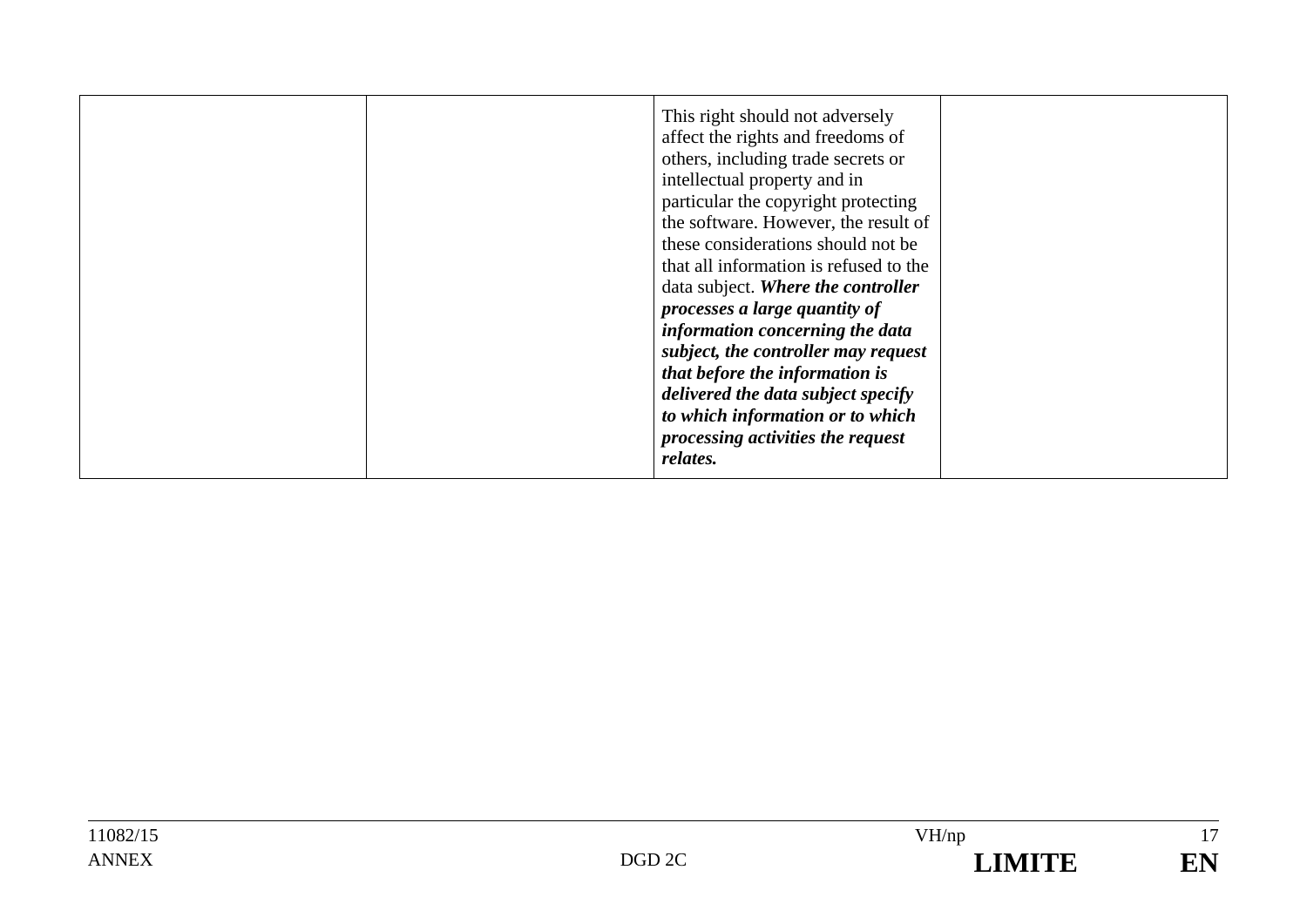|  | This right should not adversely<br>affect the rights and freedoms of<br>others, including trade secrets or<br>intellectual property and in<br>particular the copyright protecting<br>the software. However, the result of<br>these considerations should not be<br>that all information is refused to the<br>data subject. Where the controller<br>processes a large quantity of<br>information concerning the data<br>subject, the controller may request<br>that before the information is<br>delivered the data subject specify<br>to which information or to which<br>processing activities the request<br>relates. |
|--|-------------------------------------------------------------------------------------------------------------------------------------------------------------------------------------------------------------------------------------------------------------------------------------------------------------------------------------------------------------------------------------------------------------------------------------------------------------------------------------------------------------------------------------------------------------------------------------------------------------------------|
|--|-------------------------------------------------------------------------------------------------------------------------------------------------------------------------------------------------------------------------------------------------------------------------------------------------------------------------------------------------------------------------------------------------------------------------------------------------------------------------------------------------------------------------------------------------------------------------------------------------------------------------|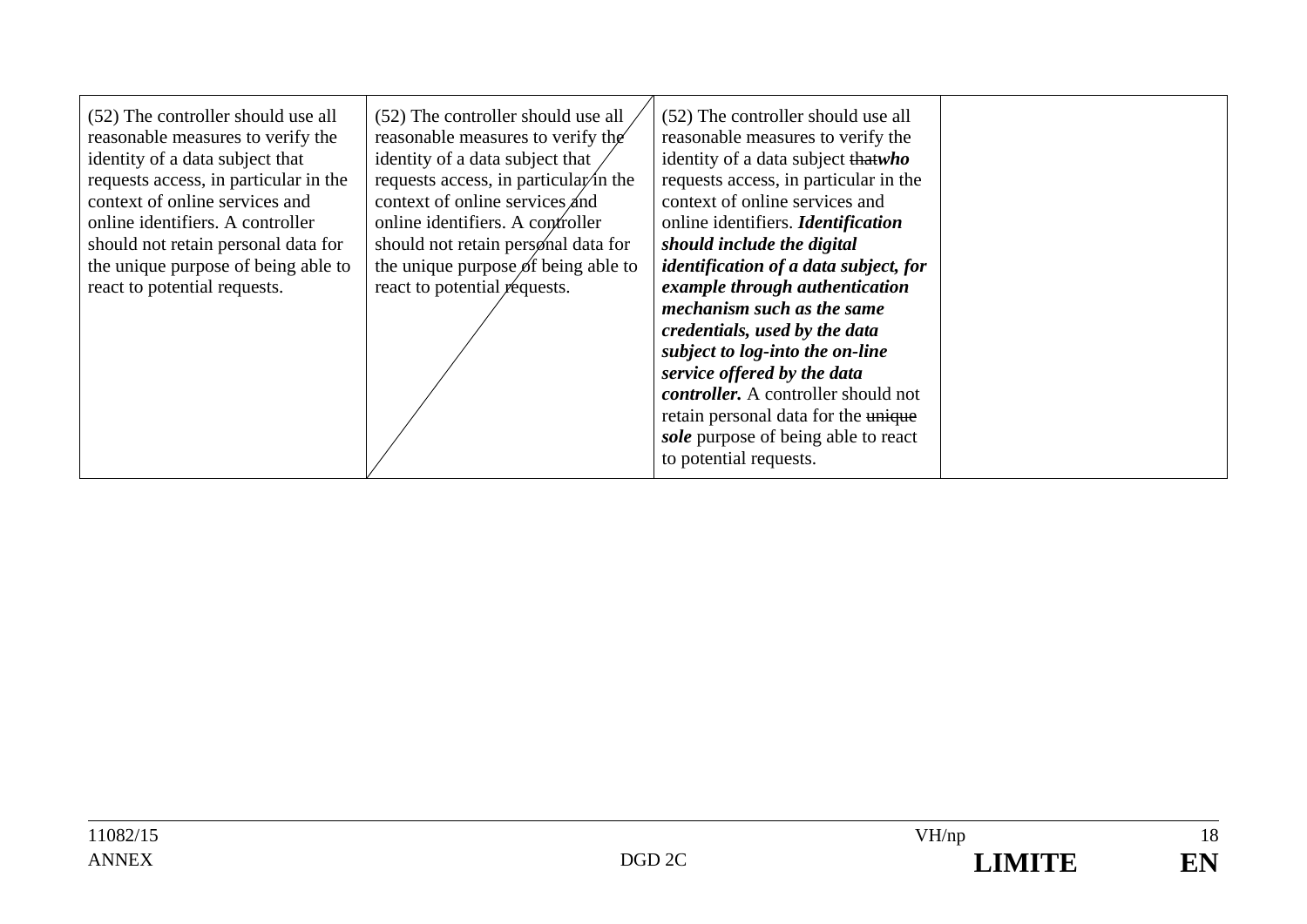| (52) The controller should use all<br>reasonable measures to verify the<br>identity of a data subject that<br>requests access, in particular in the<br>context of online services and<br>online identifiers. A controller<br>should not retain personal data for<br>the unique purpose of being able to<br>react to potential requests. | (52) The controller should use all<br>reasonable measures to verify the<br>identity of a data subject that<br>requests access, in particular $\sin$ the<br>context of online services and<br>online identifiers. A controller<br>should not retain personal data for<br>the unique purpose of being able to<br>react to potential requests. | (52) The controller should use all<br>reasonable measures to verify the<br>identity of a data subject that who<br>requests access, in particular in the<br>context of online services and<br>online identifiers. <i>Identification</i><br>should include the digital<br><i>identification of a data subject, for</i><br>example through authentication<br>mechanism such as the same<br>credentials, used by the data<br>subject to log-into the on-line<br>service offered by the data<br><i>controller.</i> A controller should not<br>retain personal data for the unique<br>sole purpose of being able to react<br>to potential requests. |  |
|-----------------------------------------------------------------------------------------------------------------------------------------------------------------------------------------------------------------------------------------------------------------------------------------------------------------------------------------|---------------------------------------------------------------------------------------------------------------------------------------------------------------------------------------------------------------------------------------------------------------------------------------------------------------------------------------------|-----------------------------------------------------------------------------------------------------------------------------------------------------------------------------------------------------------------------------------------------------------------------------------------------------------------------------------------------------------------------------------------------------------------------------------------------------------------------------------------------------------------------------------------------------------------------------------------------------------------------------------------------|--|
|-----------------------------------------------------------------------------------------------------------------------------------------------------------------------------------------------------------------------------------------------------------------------------------------------------------------------------------------|---------------------------------------------------------------------------------------------------------------------------------------------------------------------------------------------------------------------------------------------------------------------------------------------------------------------------------------------|-----------------------------------------------------------------------------------------------------------------------------------------------------------------------------------------------------------------------------------------------------------------------------------------------------------------------------------------------------------------------------------------------------------------------------------------------------------------------------------------------------------------------------------------------------------------------------------------------------------------------------------------------|--|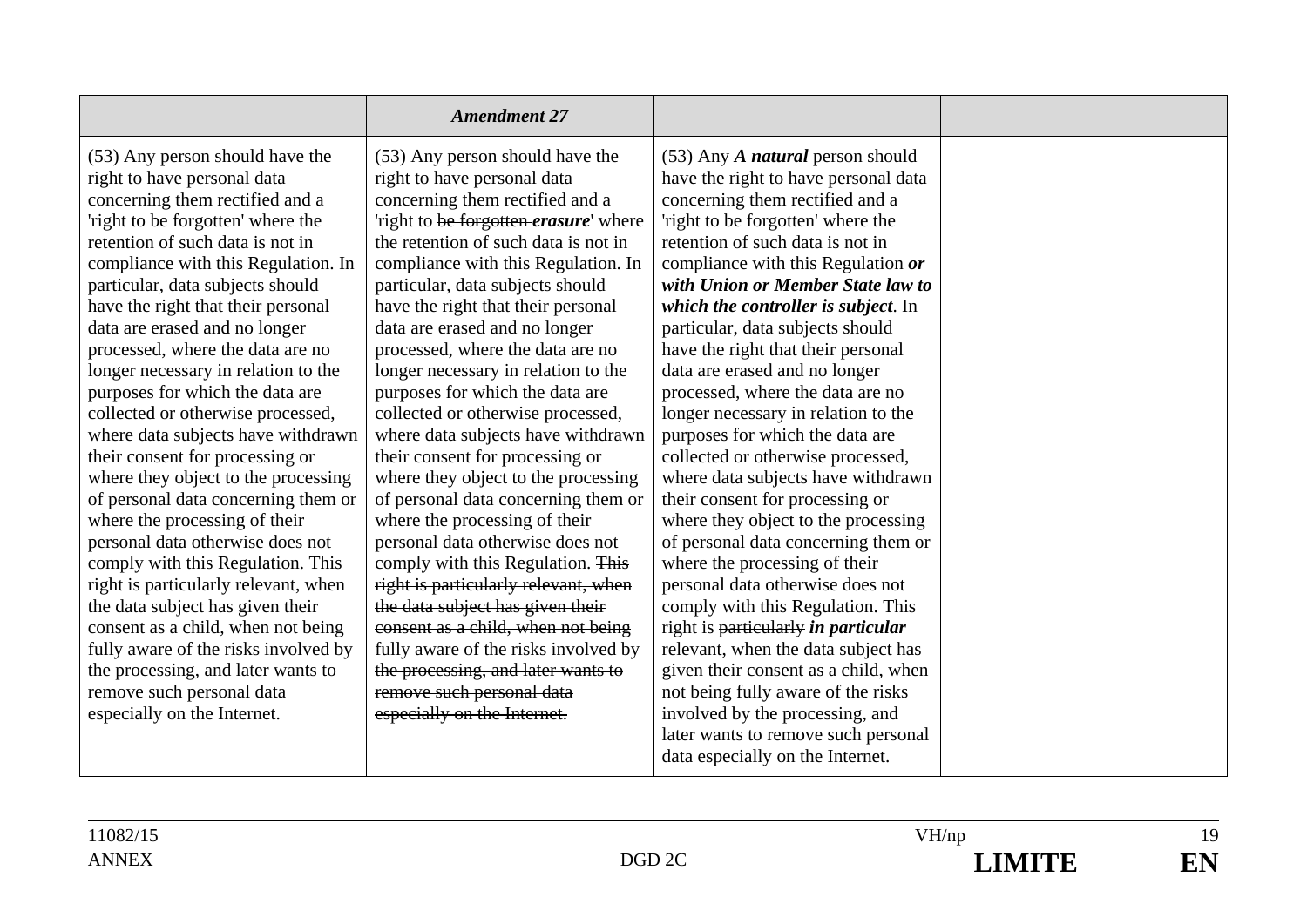|                                                                                                                                                                                                                  | <b>Amendment 27</b>                                                                                                                                                                                              |                                                                                                                                                                                                                                                                                                             |  |
|------------------------------------------------------------------------------------------------------------------------------------------------------------------------------------------------------------------|------------------------------------------------------------------------------------------------------------------------------------------------------------------------------------------------------------------|-------------------------------------------------------------------------------------------------------------------------------------------------------------------------------------------------------------------------------------------------------------------------------------------------------------|--|
| (53) Any person should have the                                                                                                                                                                                  | (53) Any person should have the                                                                                                                                                                                  | $(53)$ Any A natural person should                                                                                                                                                                                                                                                                          |  |
| right to have personal data                                                                                                                                                                                      | right to have personal data                                                                                                                                                                                      | have the right to have personal data                                                                                                                                                                                                                                                                        |  |
| concerning them rectified and a                                                                                                                                                                                  | concerning them rectified and a                                                                                                                                                                                  | concerning them rectified and a                                                                                                                                                                                                                                                                             |  |
| 'right to be forgotten' where the                                                                                                                                                                                | 'right to be forgotten erasure' where                                                                                                                                                                            | 'right to be forgotten' where the                                                                                                                                                                                                                                                                           |  |
| retention of such data is not in                                                                                                                                                                                 | the retention of such data is not in                                                                                                                                                                             | retention of such data is not in                                                                                                                                                                                                                                                                            |  |
| compliance with this Regulation. In                                                                                                                                                                              | compliance with this Regulation. In                                                                                                                                                                              | compliance with this Regulation or                                                                                                                                                                                                                                                                          |  |
| particular, data subjects should                                                                                                                                                                                 | particular, data subjects should                                                                                                                                                                                 | with Union or Member State law to                                                                                                                                                                                                                                                                           |  |
| have the right that their personal                                                                                                                                                                               | have the right that their personal                                                                                                                                                                               | which the controller is subject. In                                                                                                                                                                                                                                                                         |  |
| data are erased and no longer                                                                                                                                                                                    | data are erased and no longer                                                                                                                                                                                    | particular, data subjects should                                                                                                                                                                                                                                                                            |  |
| processed, where the data are no                                                                                                                                                                                 | processed, where the data are no                                                                                                                                                                                 | have the right that their personal                                                                                                                                                                                                                                                                          |  |
| longer necessary in relation to the                                                                                                                                                                              | longer necessary in relation to the                                                                                                                                                                              | data are erased and no longer                                                                                                                                                                                                                                                                               |  |
| purposes for which the data are                                                                                                                                                                                  | purposes for which the data are                                                                                                                                                                                  | processed, where the data are no                                                                                                                                                                                                                                                                            |  |
| collected or otherwise processed,                                                                                                                                                                                | collected or otherwise processed,                                                                                                                                                                                | longer necessary in relation to the                                                                                                                                                                                                                                                                         |  |
| where data subjects have withdrawn                                                                                                                                                                               | where data subjects have withdrawn                                                                                                                                                                               | purposes for which the data are                                                                                                                                                                                                                                                                             |  |
| their consent for processing or                                                                                                                                                                                  | their consent for processing or                                                                                                                                                                                  | collected or otherwise processed,                                                                                                                                                                                                                                                                           |  |
| where they object to the processing                                                                                                                                                                              | where they object to the processing                                                                                                                                                                              | where data subjects have withdrawn                                                                                                                                                                                                                                                                          |  |
| of personal data concerning them or                                                                                                                                                                              | of personal data concerning them or                                                                                                                                                                              | their consent for processing or                                                                                                                                                                                                                                                                             |  |
| where the processing of their                                                                                                                                                                                    | where the processing of their                                                                                                                                                                                    | where they object to the processing                                                                                                                                                                                                                                                                         |  |
| personal data otherwise does not                                                                                                                                                                                 | personal data otherwise does not                                                                                                                                                                                 | of personal data concerning them or                                                                                                                                                                                                                                                                         |  |
| comply with this Regulation. This                                                                                                                                                                                | comply with this Regulation. This                                                                                                                                                                                | where the processing of their                                                                                                                                                                                                                                                                               |  |
| right is particularly relevant, when                                                                                                                                                                             | right is particularly relevant, when                                                                                                                                                                             | personal data otherwise does not                                                                                                                                                                                                                                                                            |  |
| the data subject has given their<br>consent as a child, when not being<br>fully aware of the risks involved by<br>the processing, and later wants to<br>remove such personal data<br>especially on the Internet. | the data subject has given their<br>consent as a child, when not being<br>fully aware of the risks involved by<br>the processing, and later wants to<br>remove such personal data<br>especially on the Internet. | comply with this Regulation. This<br>right is particularly in particular<br>relevant, when the data subject has<br>given their consent as a child, when<br>not being fully aware of the risks<br>involved by the processing, and<br>later wants to remove such personal<br>data especially on the Internet. |  |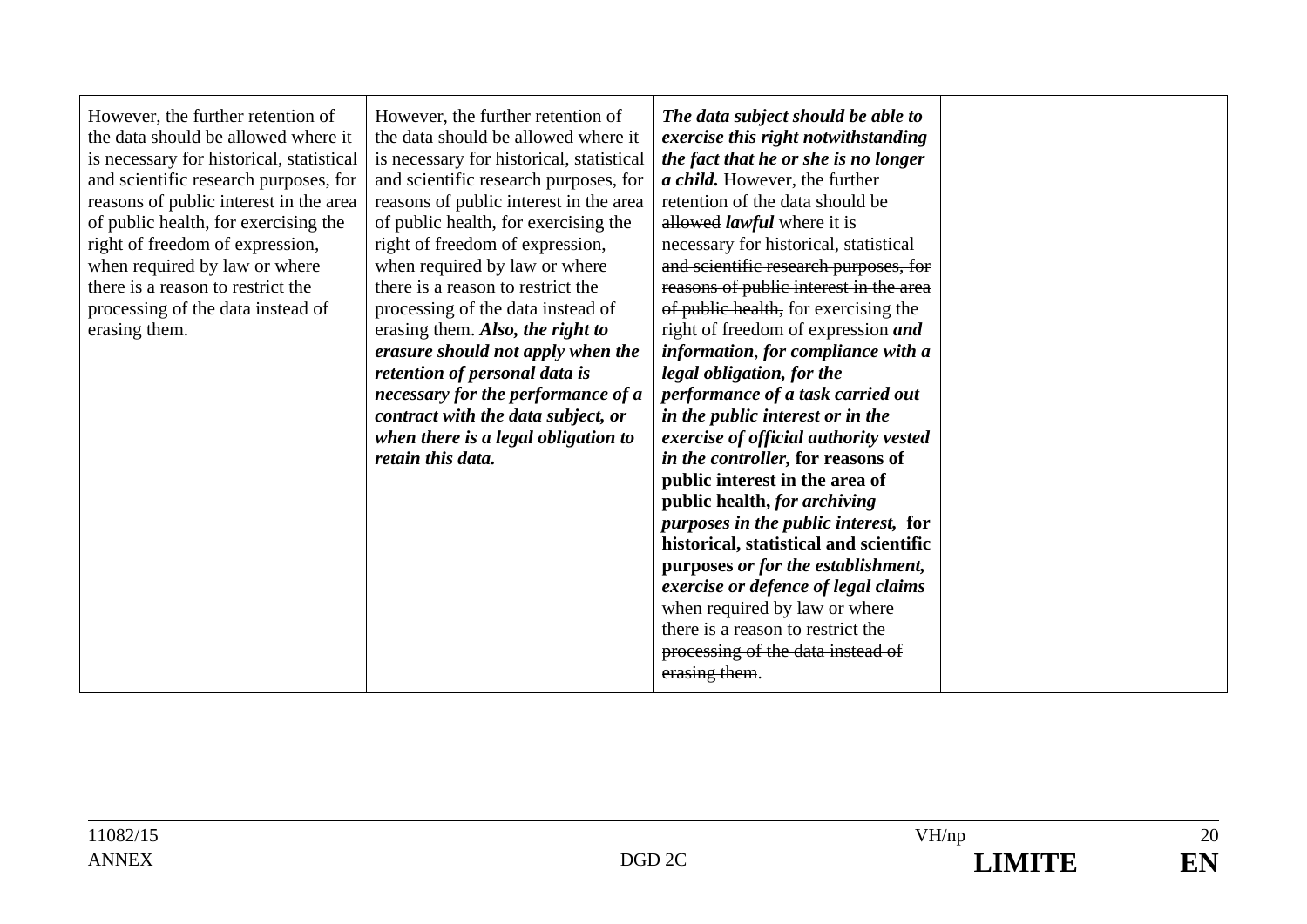| However, the further retention of<br>the data should be allowed where it<br>is necessary for historical, statistical<br>and scientific research purposes, for<br>reasons of public interest in the area<br>of public health, for exercising the<br>right of freedom of expression,<br>when required by law or where<br>there is a reason to restrict the<br>processing of the data instead of<br>erasing them. | However, the further retention of<br>the data should be allowed where it<br>is necessary for historical, statistical<br>and scientific research purposes, for<br>reasons of public interest in the area<br>of public health, for exercising the<br>right of freedom of expression,<br>when required by law or where<br>there is a reason to restrict the<br>processing of the data instead of<br>erasing them. Also, the right to<br>erasure should not apply when the<br>retention of personal data is<br>necessary for the performance of a<br>contract with the data subject, or<br>when there is a legal obligation to<br>retain this data. | The data subject should be able to<br>exercise this right notwithstanding<br>the fact that he or she is no longer<br><i>a child</i> . However, the further<br>retention of the data should be<br>allowed <i>lawful</i> where it is<br>necessary for historical, statistical<br>and scientific research purposes, for<br>reasons of public interest in the area<br>of public health, for exercising the<br>right of freedom of expression <i>and</i><br>information, for compliance with a<br>legal obligation, for the<br>performance of a task carried out<br>in the public interest or in the<br>exercise of official authority vested<br>in the controller, for reasons of<br>public interest in the area of<br>public health, for archiving<br>purposes in the public interest, for<br>historical, statistical and scientific<br>purposes or for the establishment,<br>exercise or defence of legal claims<br>when required by law or where<br>there is a reason to restrict the |  |
|----------------------------------------------------------------------------------------------------------------------------------------------------------------------------------------------------------------------------------------------------------------------------------------------------------------------------------------------------------------------------------------------------------------|-------------------------------------------------------------------------------------------------------------------------------------------------------------------------------------------------------------------------------------------------------------------------------------------------------------------------------------------------------------------------------------------------------------------------------------------------------------------------------------------------------------------------------------------------------------------------------------------------------------------------------------------------|--------------------------------------------------------------------------------------------------------------------------------------------------------------------------------------------------------------------------------------------------------------------------------------------------------------------------------------------------------------------------------------------------------------------------------------------------------------------------------------------------------------------------------------------------------------------------------------------------------------------------------------------------------------------------------------------------------------------------------------------------------------------------------------------------------------------------------------------------------------------------------------------------------------------------------------------------------------------------------------|--|
|                                                                                                                                                                                                                                                                                                                                                                                                                |                                                                                                                                                                                                                                                                                                                                                                                                                                                                                                                                                                                                                                                 | processing of the data instead of<br>erasing them.                                                                                                                                                                                                                                                                                                                                                                                                                                                                                                                                                                                                                                                                                                                                                                                                                                                                                                                                   |  |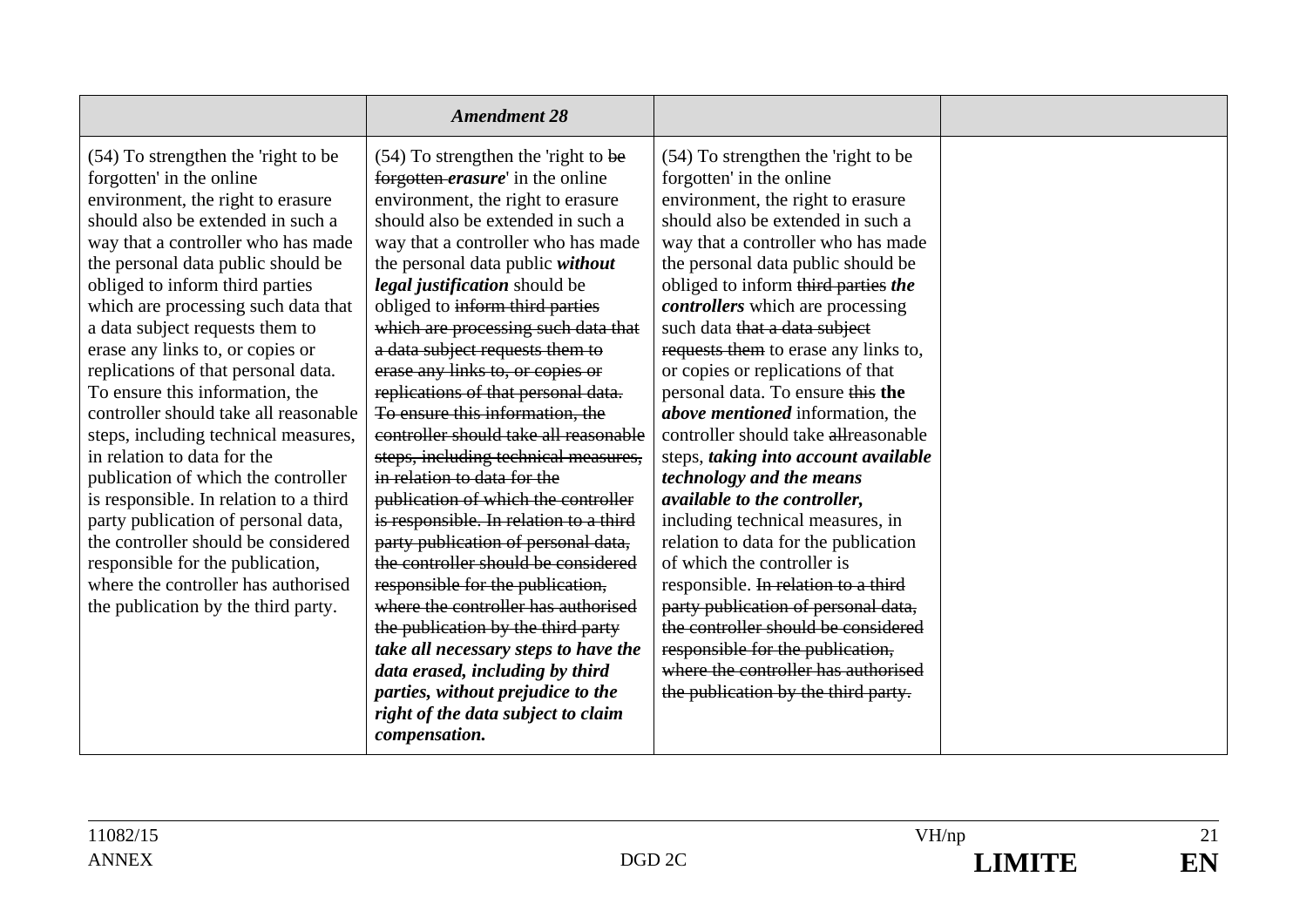|                                                                                                                                                                                                                                                                                                                                                                                                                                                                                                                                                                                                                                                                                                                                                                                                                                                   | <b>Amendment 28</b>                                                                                                                                                                                                                                                                                                                                                                                                                                                                                                                                                                                                                                                                                                                                                                                                                                                                                                                                                  |                                                                                                                                                                                                                                                                                                                                                                                                                                                                                                                                                                                                                                                                                                                                                                                                                                                                                                                                                              |  |
|---------------------------------------------------------------------------------------------------------------------------------------------------------------------------------------------------------------------------------------------------------------------------------------------------------------------------------------------------------------------------------------------------------------------------------------------------------------------------------------------------------------------------------------------------------------------------------------------------------------------------------------------------------------------------------------------------------------------------------------------------------------------------------------------------------------------------------------------------|----------------------------------------------------------------------------------------------------------------------------------------------------------------------------------------------------------------------------------------------------------------------------------------------------------------------------------------------------------------------------------------------------------------------------------------------------------------------------------------------------------------------------------------------------------------------------------------------------------------------------------------------------------------------------------------------------------------------------------------------------------------------------------------------------------------------------------------------------------------------------------------------------------------------------------------------------------------------|--------------------------------------------------------------------------------------------------------------------------------------------------------------------------------------------------------------------------------------------------------------------------------------------------------------------------------------------------------------------------------------------------------------------------------------------------------------------------------------------------------------------------------------------------------------------------------------------------------------------------------------------------------------------------------------------------------------------------------------------------------------------------------------------------------------------------------------------------------------------------------------------------------------------------------------------------------------|--|
| (54) To strengthen the 'right to be<br>forgotten' in the online<br>environment, the right to erasure<br>should also be extended in such a<br>way that a controller who has made<br>the personal data public should be<br>obliged to inform third parties<br>which are processing such data that<br>a data subject requests them to<br>erase any links to, or copies or<br>replications of that personal data.<br>To ensure this information, the<br>controller should take all reasonable<br>steps, including technical measures,<br>in relation to data for the<br>publication of which the controller<br>is responsible. In relation to a third<br>party publication of personal data,<br>the controller should be considered<br>responsible for the publication,<br>where the controller has authorised<br>the publication by the third party. | $(54)$ To strengthen the 'right to be<br>forgotten erasure' in the online<br>environment, the right to erasure<br>should also be extended in such a<br>way that a controller who has made<br>the personal data public without<br>legal justification should be<br>obliged to inform third parties<br>which are processing such data that<br>a data subject requests them to<br>erase any links to, or copies or<br>replications of that personal data.<br>To ensure this information, the<br>controller should take all reasonable<br>steps, including technical measures,<br>in relation to data for the<br>publication of which the controller<br>is responsible. In relation to a third<br>party publication of personal data,<br>the controller should be considered<br>responsible for the publication,<br>where the controller has authorised<br>the publication by the third party<br>take all necessary steps to have the<br>data erased, including by third | (54) To strengthen the 'right to be<br>forgotten' in the online<br>environment, the right to erasure<br>should also be extended in such a<br>way that a controller who has made<br>the personal data public should be<br>obliged to inform third parties the<br>controllers which are processing<br>such data that a data subject<br>requests them to erase any links to,<br>or copies or replications of that<br>personal data. To ensure this the<br><i>above mentioned</i> information, the<br>controller should take all reasonable<br>steps, taking into account available<br><i>technology and the means</i><br>available to the controller,<br>including technical measures, in<br>relation to data for the publication<br>of which the controller is<br>responsible. In relation to a third<br>party publication of personal data,<br>the controller should be considered<br>responsible for the publication,<br>where the controller has authorised |  |
|                                                                                                                                                                                                                                                                                                                                                                                                                                                                                                                                                                                                                                                                                                                                                                                                                                                   | parties, without prejudice to the<br>right of the data subject to claim                                                                                                                                                                                                                                                                                                                                                                                                                                                                                                                                                                                                                                                                                                                                                                                                                                                                                              | the publication by the third party.                                                                                                                                                                                                                                                                                                                                                                                                                                                                                                                                                                                                                                                                                                                                                                                                                                                                                                                          |  |
|                                                                                                                                                                                                                                                                                                                                                                                                                                                                                                                                                                                                                                                                                                                                                                                                                                                   | compensation.                                                                                                                                                                                                                                                                                                                                                                                                                                                                                                                                                                                                                                                                                                                                                                                                                                                                                                                                                        |                                                                                                                                                                                                                                                                                                                                                                                                                                                                                                                                                                                                                                                                                                                                                                                                                                                                                                                                                              |  |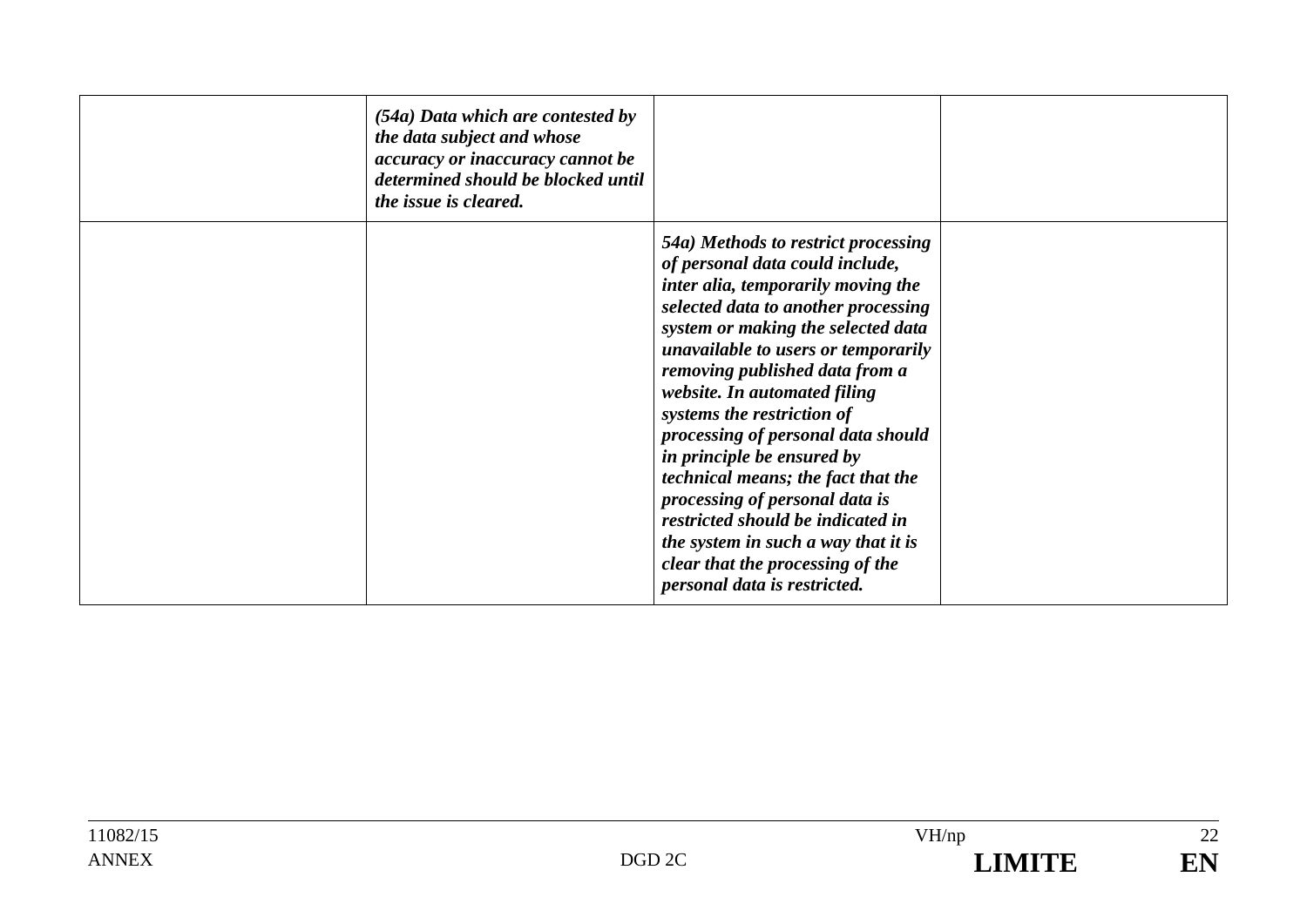| $(54a)$ Data which are contested by<br>the data subject and whose<br>accuracy or inaccuracy cannot be<br>determined should be blocked until<br>the issue is cleared. |                                                                                                                                                                                                                                                                                                                                                                                                                                                                                                                                                                                                                              |  |
|----------------------------------------------------------------------------------------------------------------------------------------------------------------------|------------------------------------------------------------------------------------------------------------------------------------------------------------------------------------------------------------------------------------------------------------------------------------------------------------------------------------------------------------------------------------------------------------------------------------------------------------------------------------------------------------------------------------------------------------------------------------------------------------------------------|--|
|                                                                                                                                                                      | 54a) Methods to restrict processing<br>of personal data could include,<br>inter alia, temporarily moving the<br>selected data to another processing<br>system or making the selected data<br>unavailable to users or temporarily<br>removing published data from a<br>website. In automated filing<br>systems the restriction of<br>processing of personal data should<br>in principle be ensured by<br>technical means; the fact that the<br>processing of personal data is<br>restricted should be indicated in<br>the system in such a way that it is<br>clear that the processing of the<br>personal data is restricted. |  |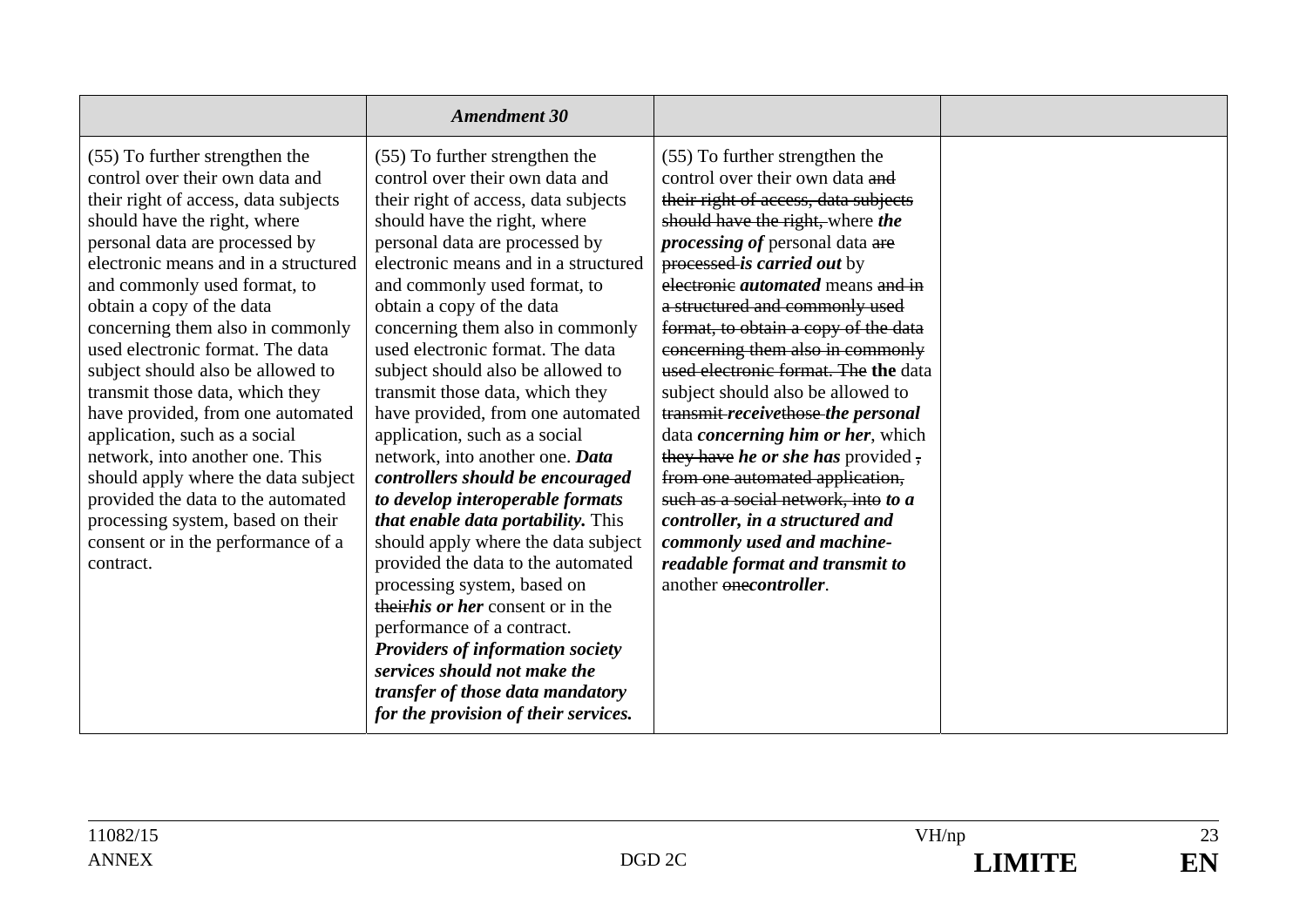|                                                                                                                                                                                                                                                                                                                                                                                                                                                                                                                                                                                                                                                                                                                | <b>Amendment 30</b>                                                                                                                                                                                                                                                                                                                                                                                                                                                                                                                                                                                                                                                                                                                                                                                                                                                                                                                                                                                  |                                                                                                                                                                                                                                                                                                                                                                                                                                                                                                                                                                                                                                                                                                                                                                                        |  |
|----------------------------------------------------------------------------------------------------------------------------------------------------------------------------------------------------------------------------------------------------------------------------------------------------------------------------------------------------------------------------------------------------------------------------------------------------------------------------------------------------------------------------------------------------------------------------------------------------------------------------------------------------------------------------------------------------------------|------------------------------------------------------------------------------------------------------------------------------------------------------------------------------------------------------------------------------------------------------------------------------------------------------------------------------------------------------------------------------------------------------------------------------------------------------------------------------------------------------------------------------------------------------------------------------------------------------------------------------------------------------------------------------------------------------------------------------------------------------------------------------------------------------------------------------------------------------------------------------------------------------------------------------------------------------------------------------------------------------|----------------------------------------------------------------------------------------------------------------------------------------------------------------------------------------------------------------------------------------------------------------------------------------------------------------------------------------------------------------------------------------------------------------------------------------------------------------------------------------------------------------------------------------------------------------------------------------------------------------------------------------------------------------------------------------------------------------------------------------------------------------------------------------|--|
| (55) To further strengthen the<br>control over their own data and<br>their right of access, data subjects<br>should have the right, where<br>personal data are processed by<br>electronic means and in a structured<br>and commonly used format, to<br>obtain a copy of the data<br>concerning them also in commonly<br>used electronic format. The data<br>subject should also be allowed to<br>transmit those data, which they<br>have provided, from one automated<br>application, such as a social<br>network, into another one. This<br>should apply where the data subject<br>provided the data to the automated<br>processing system, based on their<br>consent or in the performance of a<br>contract. | (55) To further strengthen the<br>control over their own data and<br>their right of access, data subjects<br>should have the right, where<br>personal data are processed by<br>electronic means and in a structured<br>and commonly used format, to<br>obtain a copy of the data<br>concerning them also in commonly<br>used electronic format. The data<br>subject should also be allowed to<br>transmit those data, which they<br>have provided, from one automated<br>application, such as a social<br>network, into another one. Data<br>controllers should be encouraged<br>to develop interoperable formats<br><i>that enable data portability.</i> This<br>should apply where the data subject<br>provided the data to the automated<br>processing system, based on<br>theirhis or her consent or in the<br>performance of a contract.<br><b>Providers of information society</b><br>services should not make the<br>transfer of those data mandatory<br>for the provision of their services. | (55) To further strengthen the<br>control over their own data and<br>their right of access, data subjects<br>should have the right, where the<br>processing of personal data are<br>processed is carried out by<br>electronic <i>automated</i> means and in<br>a structured and commonly used<br>format, to obtain a copy of the data<br>concerning them also in commonly<br>used electronic format. The the data<br>subject should also be allowed to<br>transmit-receivethose-the personal<br>data <i>concerning him or her</i> , which<br>they have he or she has provided,<br>from one automated application,<br>such as a social network, into to a<br>controller, in a structured and<br>commonly used and machine-<br>readable format and transmit to<br>another onecontroller. |  |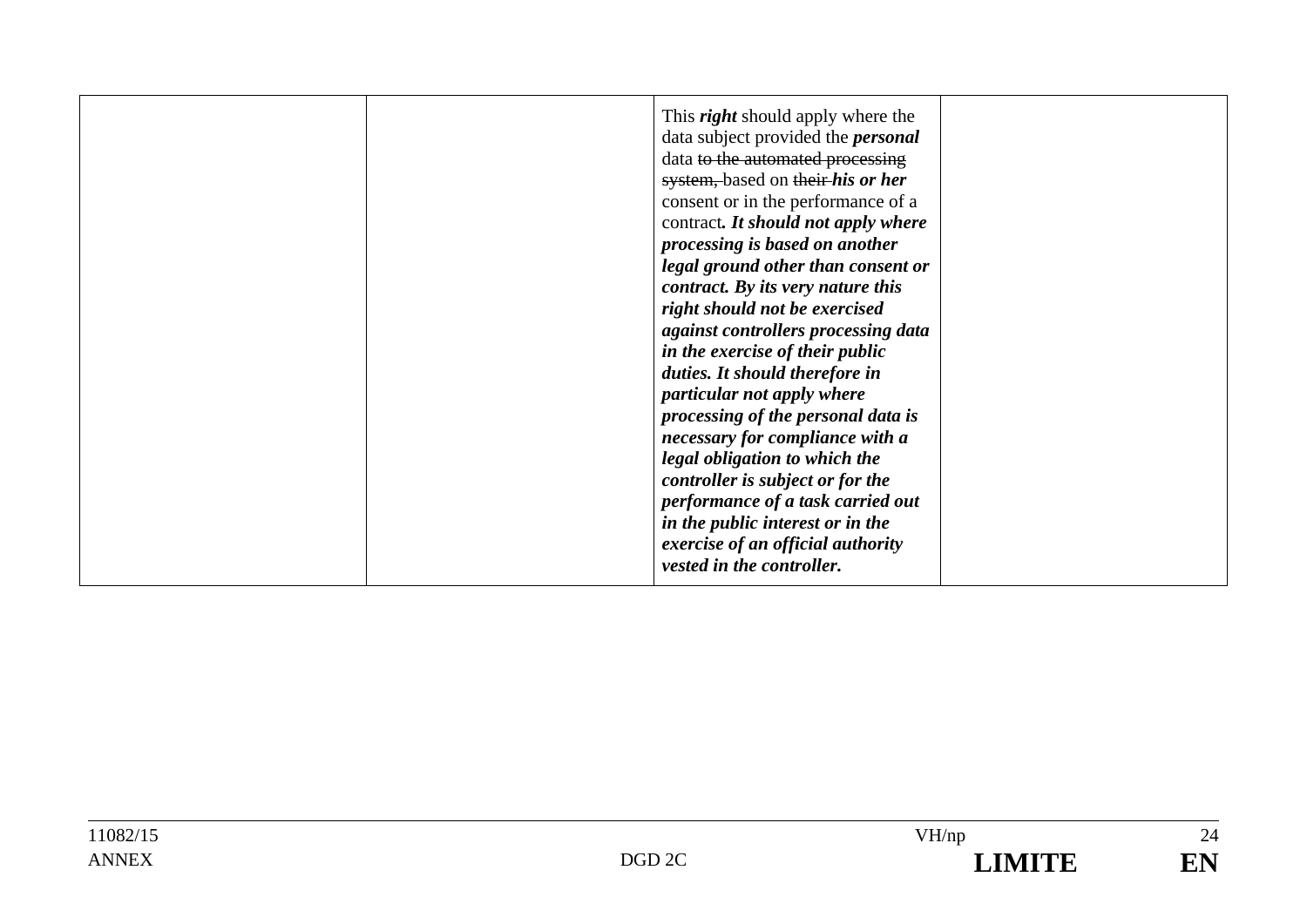| This <i>right</i> should apply where the<br>data subject provided the <i>personal</i><br>data to the automated processing |
|---------------------------------------------------------------------------------------------------------------------------|
| system, based on their his or her                                                                                         |
| consent or in the performance of a                                                                                        |
| contract. It should not apply where                                                                                       |
| processing is based on another                                                                                            |
| legal ground other than consent or                                                                                        |
| contract. By its very nature this                                                                                         |
| right should not be exercised                                                                                             |
| against controllers processing data                                                                                       |
| in the exercise of their public                                                                                           |
| duties. It should therefore in                                                                                            |
| particular not apply where                                                                                                |
| processing of the personal data is                                                                                        |
| necessary for compliance with a                                                                                           |
| legal obligation to which the                                                                                             |
| controller is subject or for the                                                                                          |
| performance of a task carried out                                                                                         |
| in the public interest or in the                                                                                          |
| exercise of an official authority                                                                                         |
| vested in the controller.                                                                                                 |
|                                                                                                                           |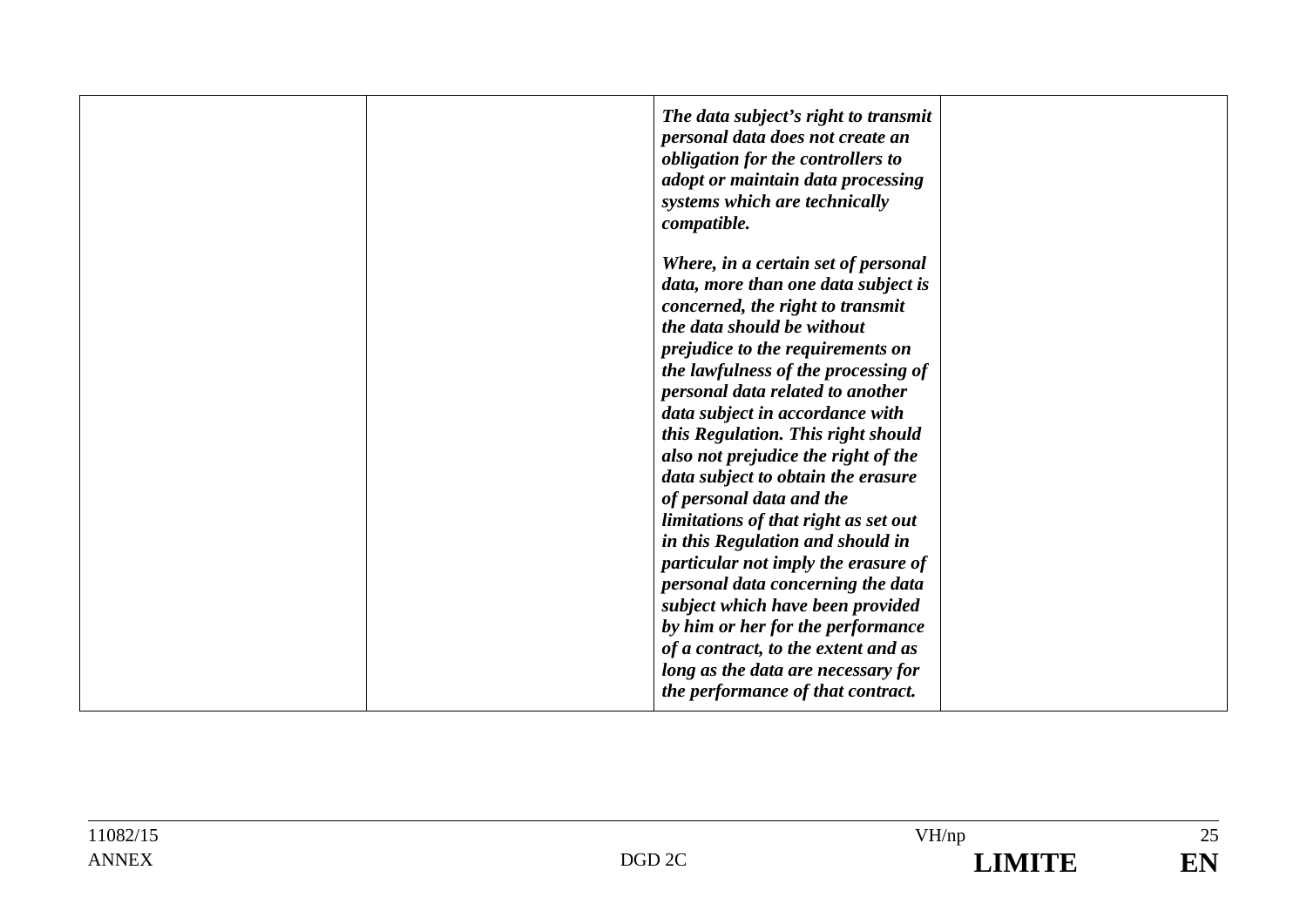| The data subject's right to transmit<br>personal data does not create an<br>obligation for the controllers to<br>adopt or maintain data processing<br>systems which are technically<br>compatible.                                                                                                                                                                                                                                                                                                                                                                                                                                                                                                                                                          |  |
|-------------------------------------------------------------------------------------------------------------------------------------------------------------------------------------------------------------------------------------------------------------------------------------------------------------------------------------------------------------------------------------------------------------------------------------------------------------------------------------------------------------------------------------------------------------------------------------------------------------------------------------------------------------------------------------------------------------------------------------------------------------|--|
| Where, in a certain set of personal<br>data, more than one data subject is<br>concerned, the right to transmit<br>the data should be without<br>prejudice to the requirements on<br>the lawfulness of the processing of<br>personal data related to another<br>data subject in accordance with<br>this Regulation. This right should<br>also not prejudice the right of the<br>data subject to obtain the erasure<br>of personal data and the<br>limitations of that right as set out<br>in this Regulation and should in<br>particular not imply the erasure of<br>personal data concerning the data<br>subject which have been provided<br>by him or her for the performance<br>of a contract, to the extent and as<br>long as the data are necessary for |  |
| the performance of that contract.                                                                                                                                                                                                                                                                                                                                                                                                                                                                                                                                                                                                                                                                                                                           |  |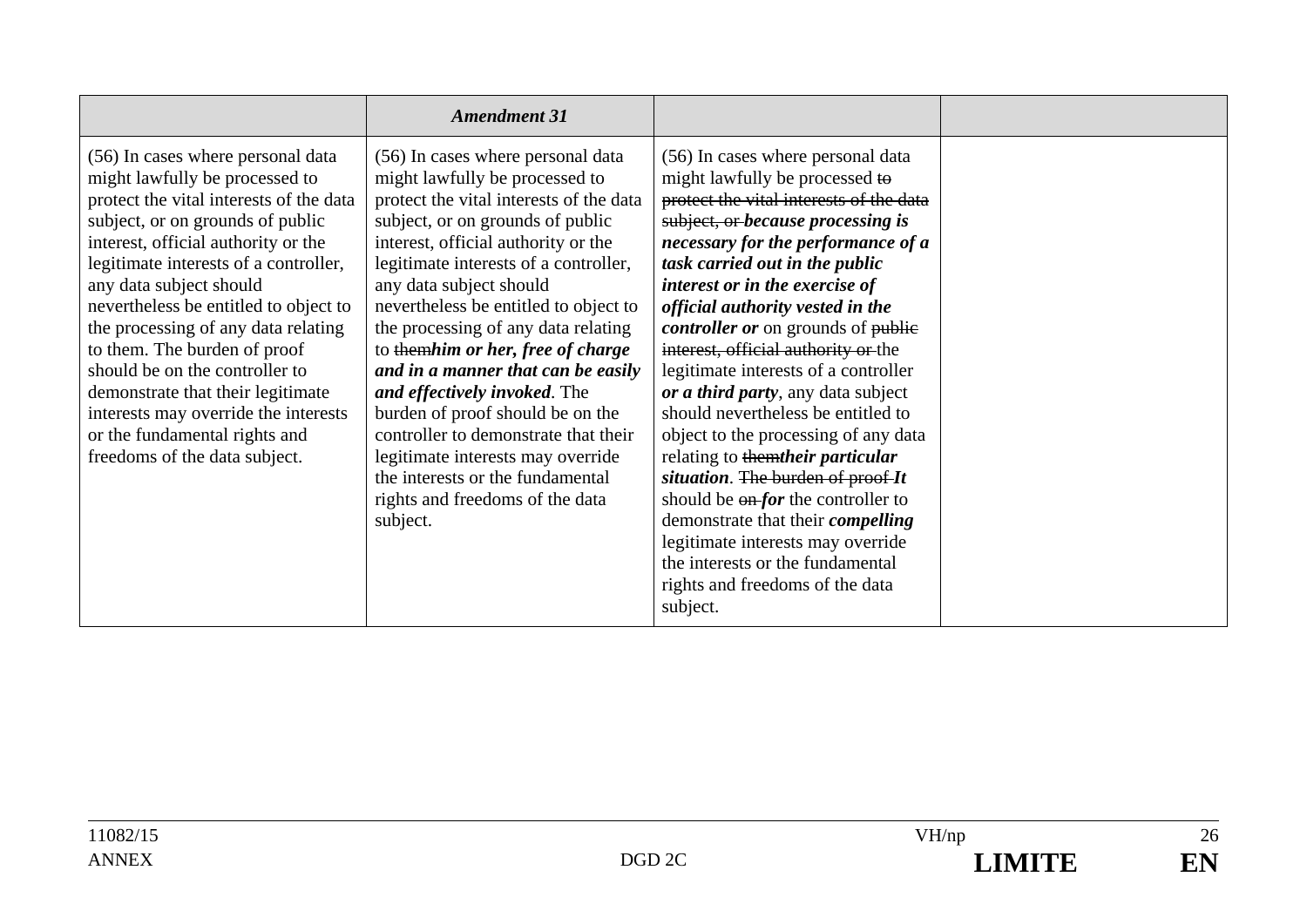|                                                                                                                                                                                                                                                                                                                                                                                                                                                                                                                                                                | <b>Amendment 31</b>                                                                                                                                                                                                                                                                                                                                                                                                                                                                                                                                                                                                                                          |                                                                                                                                                                                                                                                                                                                                                                                                                                                                                                                                                                                                                                                                                                                                                                                                                                                |  |
|----------------------------------------------------------------------------------------------------------------------------------------------------------------------------------------------------------------------------------------------------------------------------------------------------------------------------------------------------------------------------------------------------------------------------------------------------------------------------------------------------------------------------------------------------------------|--------------------------------------------------------------------------------------------------------------------------------------------------------------------------------------------------------------------------------------------------------------------------------------------------------------------------------------------------------------------------------------------------------------------------------------------------------------------------------------------------------------------------------------------------------------------------------------------------------------------------------------------------------------|------------------------------------------------------------------------------------------------------------------------------------------------------------------------------------------------------------------------------------------------------------------------------------------------------------------------------------------------------------------------------------------------------------------------------------------------------------------------------------------------------------------------------------------------------------------------------------------------------------------------------------------------------------------------------------------------------------------------------------------------------------------------------------------------------------------------------------------------|--|
| (56) In cases where personal data<br>might lawfully be processed to<br>protect the vital interests of the data<br>subject, or on grounds of public<br>interest, official authority or the<br>legitimate interests of a controller,<br>any data subject should<br>nevertheless be entitled to object to<br>the processing of any data relating<br>to them. The burden of proof<br>should be on the controller to<br>demonstrate that their legitimate<br>interests may override the interests<br>or the fundamental rights and<br>freedoms of the data subject. | (56) In cases where personal data<br>might lawfully be processed to<br>protect the vital interests of the data<br>subject, or on grounds of public<br>interest, official authority or the<br>legitimate interests of a controller,<br>any data subject should<br>nevertheless be entitled to object to<br>the processing of any data relating<br>to themhim or her, free of charge<br>and in a manner that can be easily<br>and effectively invoked. The<br>burden of proof should be on the<br>controller to demonstrate that their<br>legitimate interests may override<br>the interests or the fundamental<br>rights and freedoms of the data<br>subject. | (56) In cases where personal data<br>might lawfully be processed to<br>protect the vital interests of the data<br>subject, or because processing is<br>necessary for the performance of a<br>task carried out in the public<br>interest or in the exercise of<br>official authority vested in the<br><i>controller or</i> on grounds of public<br>interest, official authority or the<br>legitimate interests of a controller<br>or a third party, any data subject<br>should nevertheless be entitled to<br>object to the processing of any data<br>relating to them their particular<br>situation. The burden of proof-It<br>should be $\theta$ on for the controller to<br>demonstrate that their <i>compelling</i><br>legitimate interests may override<br>the interests or the fundamental<br>rights and freedoms of the data<br>subject. |  |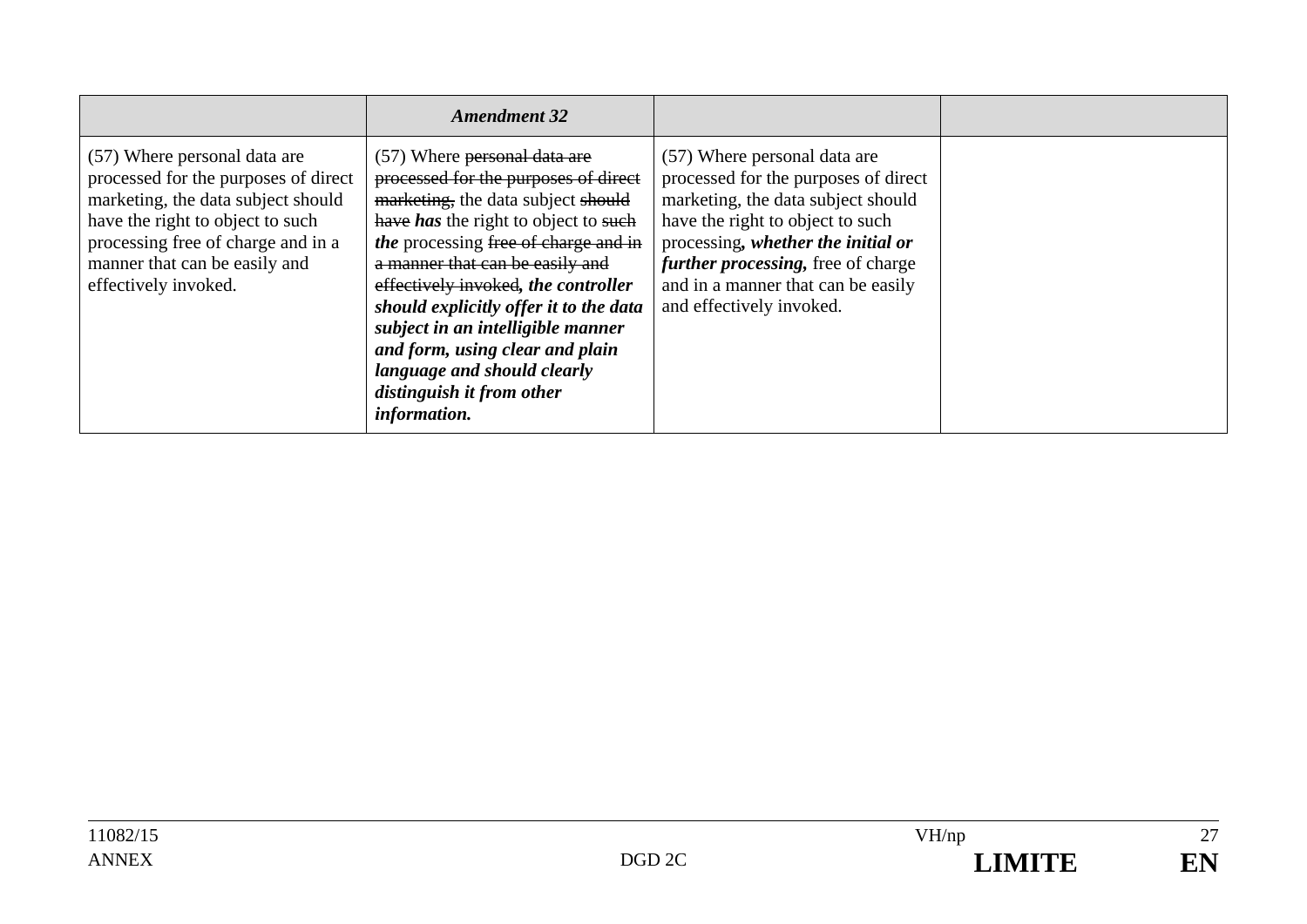|                                                                                                                                                                                                                                               | <b>Amendment 32</b>                                                                                                                                                                                                                                                                                                                                                                                                                                                |                                                                                                                                                                                                                                                                                                     |  |
|-----------------------------------------------------------------------------------------------------------------------------------------------------------------------------------------------------------------------------------------------|--------------------------------------------------------------------------------------------------------------------------------------------------------------------------------------------------------------------------------------------------------------------------------------------------------------------------------------------------------------------------------------------------------------------------------------------------------------------|-----------------------------------------------------------------------------------------------------------------------------------------------------------------------------------------------------------------------------------------------------------------------------------------------------|--|
| (57) Where personal data are<br>processed for the purposes of direct<br>marketing, the data subject should<br>have the right to object to such<br>processing free of charge and in a<br>manner that can be easily and<br>effectively invoked. | (57) Where personal data are<br>processed for the purposes of direct<br>marketing, the data subject should<br>have has the right to object to such<br>the processing free of charge and in<br>a manner that can be easily and<br>effectively invoked, the controller<br>should explicitly offer it to the data<br>subject in an intelligible manner<br>and form, using clear and plain<br>language and should clearly<br>distinguish it from other<br>information. | (57) Where personal data are<br>processed for the purposes of direct<br>marketing, the data subject should<br>have the right to object to such<br>processing, whether the initial or<br><i>further processing, free of charge</i><br>and in a manner that can be easily<br>and effectively invoked. |  |

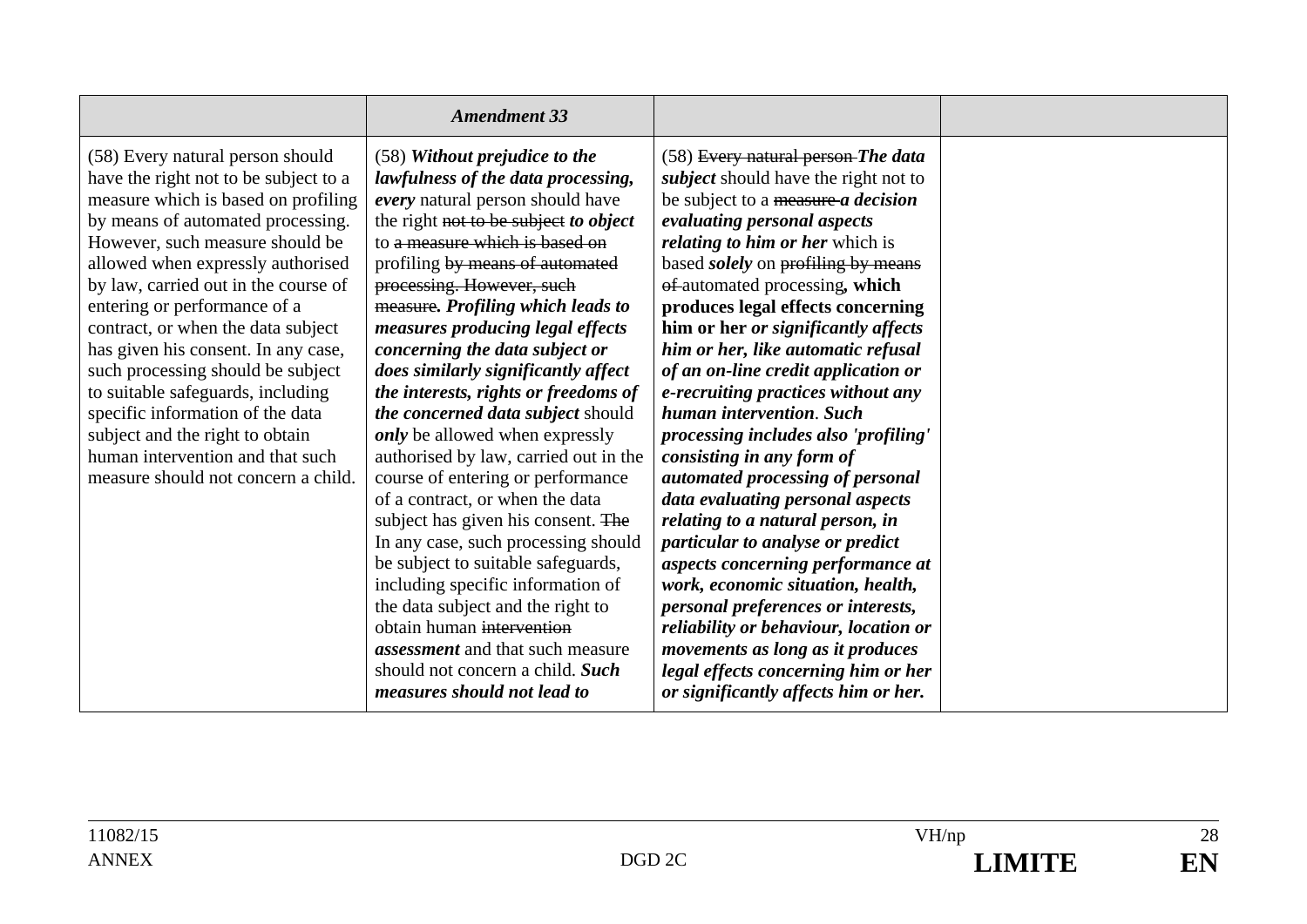|                                                                                                                                                                                                                                                                                                                                                                                                                                                                                                                                                                                                                | <b>Amendment 33</b>                                                                                                                                                                                                                                                                                                                                                                                                                                                                                                                                                                                                                                                                                                                                                                                                                                                                                                                                                          |                                                                                                                                                                                                                                                                                                                                                                                                                                                                                                                                                                                                                                                                                                                                                                                                                                                                                                                                                                                                                    |  |
|----------------------------------------------------------------------------------------------------------------------------------------------------------------------------------------------------------------------------------------------------------------------------------------------------------------------------------------------------------------------------------------------------------------------------------------------------------------------------------------------------------------------------------------------------------------------------------------------------------------|------------------------------------------------------------------------------------------------------------------------------------------------------------------------------------------------------------------------------------------------------------------------------------------------------------------------------------------------------------------------------------------------------------------------------------------------------------------------------------------------------------------------------------------------------------------------------------------------------------------------------------------------------------------------------------------------------------------------------------------------------------------------------------------------------------------------------------------------------------------------------------------------------------------------------------------------------------------------------|--------------------------------------------------------------------------------------------------------------------------------------------------------------------------------------------------------------------------------------------------------------------------------------------------------------------------------------------------------------------------------------------------------------------------------------------------------------------------------------------------------------------------------------------------------------------------------------------------------------------------------------------------------------------------------------------------------------------------------------------------------------------------------------------------------------------------------------------------------------------------------------------------------------------------------------------------------------------------------------------------------------------|--|
| (58) Every natural person should<br>have the right not to be subject to a<br>measure which is based on profiling<br>by means of automated processing.<br>However, such measure should be<br>allowed when expressly authorised<br>by law, carried out in the course of<br>entering or performance of a<br>contract, or when the data subject<br>has given his consent. In any case,<br>such processing should be subject<br>to suitable safeguards, including<br>specific information of the data<br>subject and the right to obtain<br>human intervention and that such<br>measure should not concern a child. | (58) Without prejudice to the<br>lawfulness of the data processing,<br>every natural person should have<br>the right not to be subject to object<br>to a measure which is based on<br>profiling by means of automated<br>processing. However, such<br>measure. Profiling which leads to<br>measures producing legal effects<br>concerning the data subject or<br>does similarly significantly affect<br>the interests, rights or freedoms of<br>the concerned data subject should<br>only be allowed when expressly<br>authorised by law, carried out in the<br>course of entering or performance<br>of a contract, or when the data<br>subject has given his consent. The<br>In any case, such processing should<br>be subject to suitable safeguards,<br>including specific information of<br>the data subject and the right to<br>obtain human intervention<br><i>assessment</i> and that such measure<br>should not concern a child. Such<br>measures should not lead to | (58) Every natural person-The data<br><i>subject</i> should have the right not to<br>be subject to a measure <i>a decision</i><br>evaluating personal aspects<br><i>relating to him or her which is</i><br>based <i>solely</i> on profiling by means<br>of-automated processing, which<br>produces legal effects concerning<br>him or her or significantly affects<br>him or her, like automatic refusal<br>of an on-line credit application or<br>e-recruiting practices without any<br>human intervention. Such<br>processing includes also 'profiling'<br>consisting in any form of<br>automated processing of personal<br>data evaluating personal aspects<br>relating to a natural person, in<br>particular to analyse or predict<br>aspects concerning performance at<br>work, economic situation, health,<br>personal preferences or interests,<br>reliability or behaviour, location or<br>movements as long as it produces<br>legal effects concerning him or her<br>or significantly affects him or her. |  |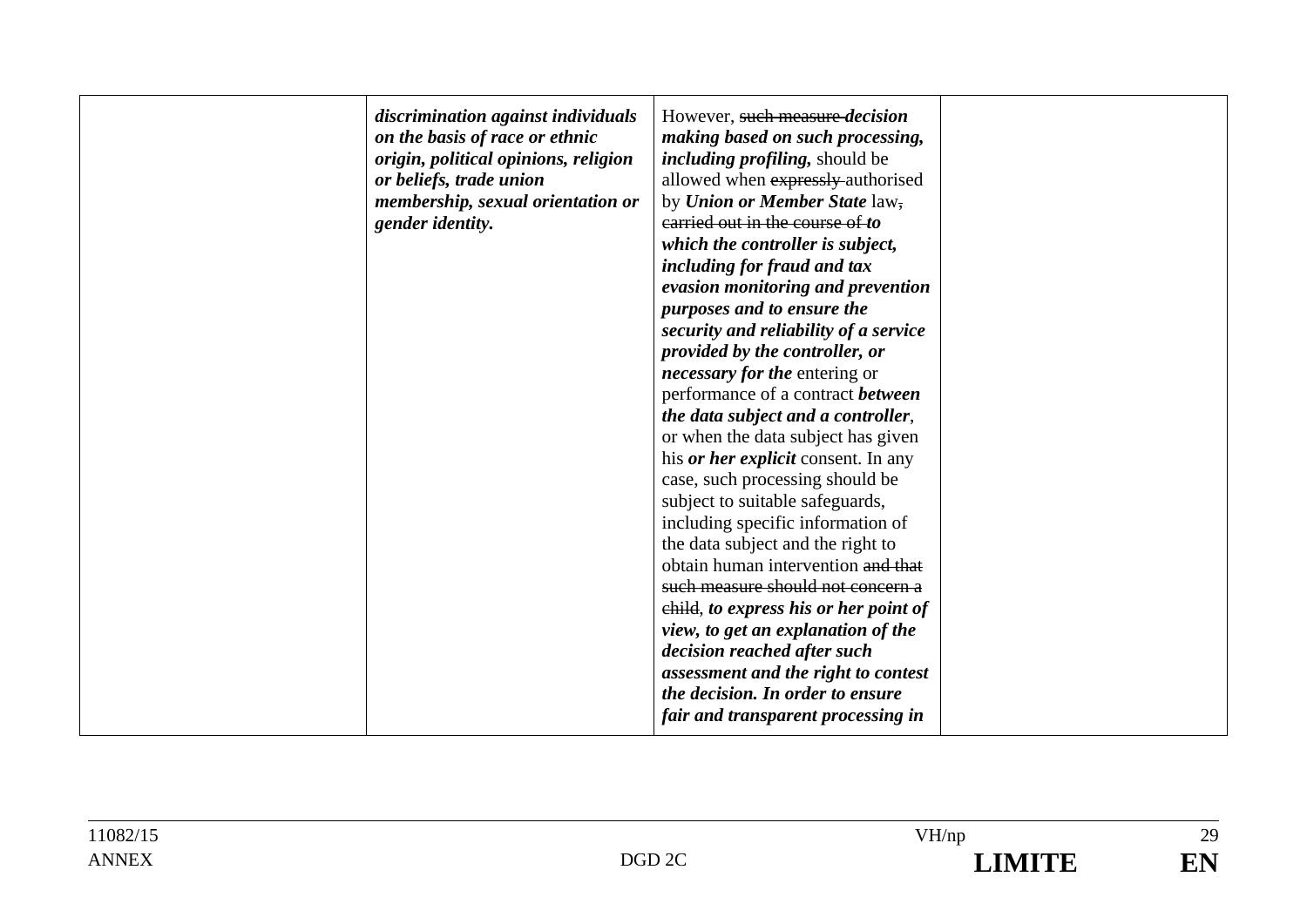| discrimination against individuals<br>on the basis of race or ethnic<br>origin, political opinions, religion<br>or beliefs, trade union<br>membership, sexual orientation or<br>gender identity. | However, such measure <i>decision</i><br>making based on such processing,<br><i>including profiling</i> , should be<br>allowed when expressly authorised<br>by Union or Member State law,<br>earried out in the course of to<br>which the controller is subject,<br>including for fraud and tax<br>evasion monitoring and prevention<br>purposes and to ensure the<br>security and reliability of a service<br>provided by the controller, or<br><i>necessary for the entering or</i><br>performance of a contract <b>between</b><br>the data subject and a controller,<br>or when the data subject has given<br>his <i>or her explicit</i> consent. In any<br>case, such processing should be<br>subject to suitable safeguards,<br>including specific information of<br>the data subject and the right to<br>obtain human intervention and that<br>such measure should not concern a<br>child, to express his or her point of<br>view, to get an explanation of the<br>decision reached after such |  |
|--------------------------------------------------------------------------------------------------------------------------------------------------------------------------------------------------|------------------------------------------------------------------------------------------------------------------------------------------------------------------------------------------------------------------------------------------------------------------------------------------------------------------------------------------------------------------------------------------------------------------------------------------------------------------------------------------------------------------------------------------------------------------------------------------------------------------------------------------------------------------------------------------------------------------------------------------------------------------------------------------------------------------------------------------------------------------------------------------------------------------------------------------------------------------------------------------------------|--|
|                                                                                                                                                                                                  | assessment and the right to contest<br>the decision. In order to ensure<br>fair and transparent processing in                                                                                                                                                                                                                                                                                                                                                                                                                                                                                                                                                                                                                                                                                                                                                                                                                                                                                        |  |
|                                                                                                                                                                                                  |                                                                                                                                                                                                                                                                                                                                                                                                                                                                                                                                                                                                                                                                                                                                                                                                                                                                                                                                                                                                      |  |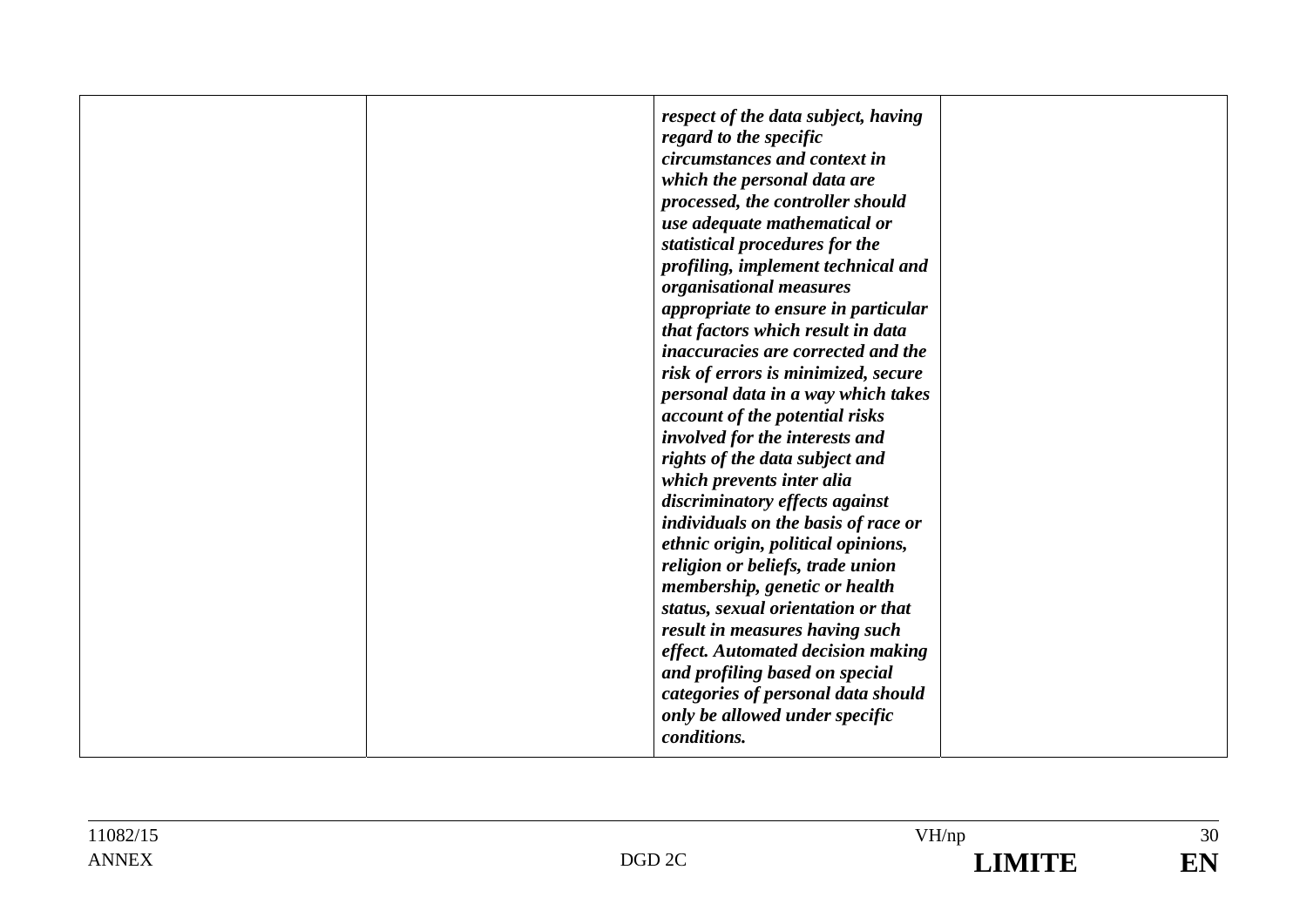|  | respect of the data subject, having<br>regard to the specific<br>circumstances and context in<br>which the personal data are<br>processed, the controller should<br>use adequate mathematical or<br>statistical procedures for the<br>profiling, implement technical and<br>organisational measures<br>appropriate to ensure in particular<br>that factors which result in data<br>inaccuracies are corrected and the<br>risk of errors is minimized, secure<br>personal data in a way which takes<br>account of the potential risks<br>involved for the interests and<br>rights of the data subject and<br>which prevents inter alia<br>discriminatory effects against<br>individuals on the basis of race or<br>ethnic origin, political opinions,<br>religion or beliefs, trade union<br>membership, genetic or health<br>status, sexual orientation or that |  |
|--|-----------------------------------------------------------------------------------------------------------------------------------------------------------------------------------------------------------------------------------------------------------------------------------------------------------------------------------------------------------------------------------------------------------------------------------------------------------------------------------------------------------------------------------------------------------------------------------------------------------------------------------------------------------------------------------------------------------------------------------------------------------------------------------------------------------------------------------------------------------------|--|
|  |                                                                                                                                                                                                                                                                                                                                                                                                                                                                                                                                                                                                                                                                                                                                                                                                                                                                 |  |
|  |                                                                                                                                                                                                                                                                                                                                                                                                                                                                                                                                                                                                                                                                                                                                                                                                                                                                 |  |
|  | result in measures having such                                                                                                                                                                                                                                                                                                                                                                                                                                                                                                                                                                                                                                                                                                                                                                                                                                  |  |
|  | effect. Automated decision making                                                                                                                                                                                                                                                                                                                                                                                                                                                                                                                                                                                                                                                                                                                                                                                                                               |  |
|  | and profiling based on special<br>categories of personal data should                                                                                                                                                                                                                                                                                                                                                                                                                                                                                                                                                                                                                                                                                                                                                                                            |  |
|  | only be allowed under specific<br>conditions.                                                                                                                                                                                                                                                                                                                                                                                                                                                                                                                                                                                                                                                                                                                                                                                                                   |  |

| 11082/15     |                   | VH/np          | 30            |
|--------------|-------------------|----------------|---------------|
| <b>ANNEX</b> | DGD <sub>2C</sub> | <b>I IMITE</b> | ГN<br>H<br>-- |
|              |                   |                |               |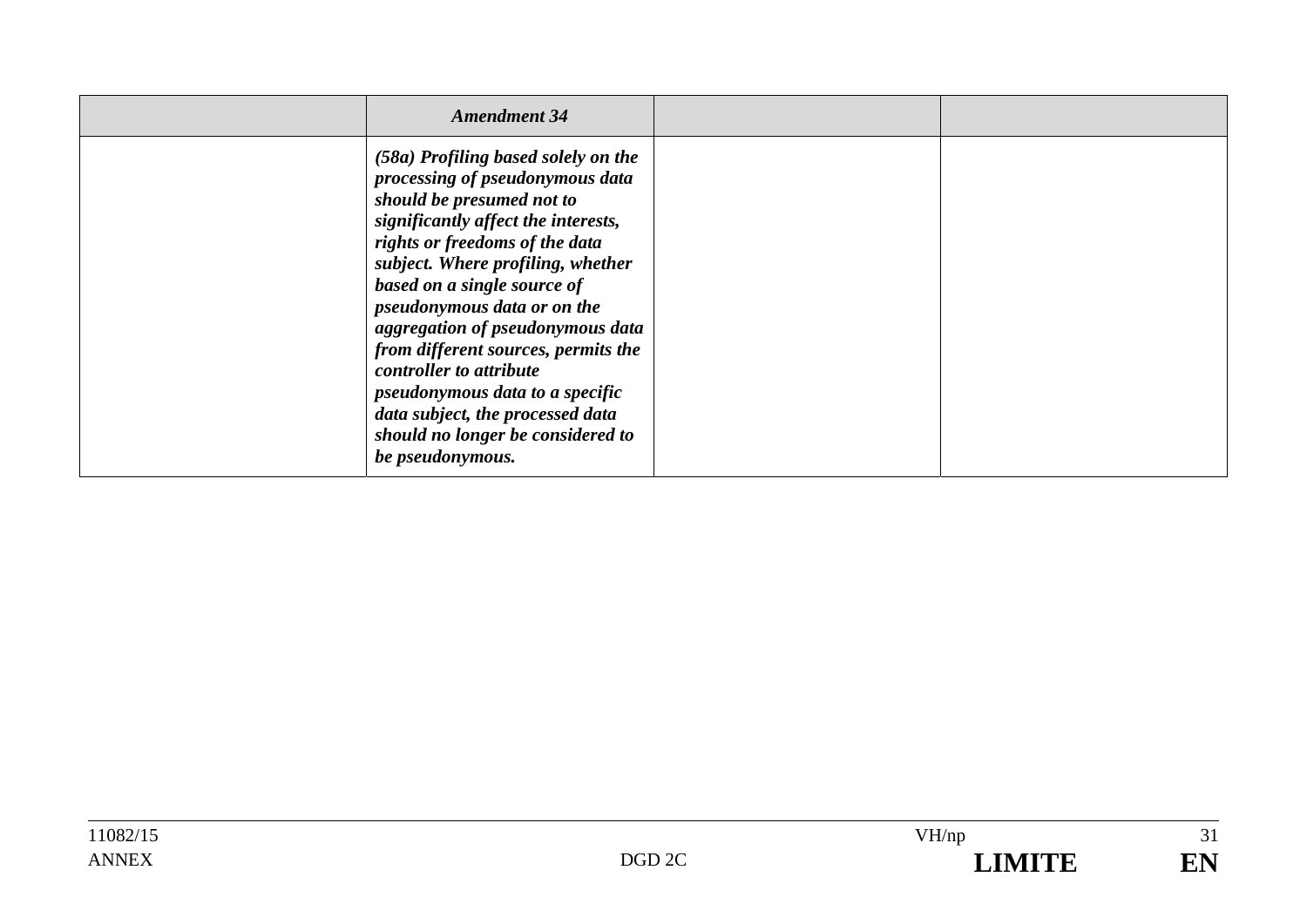| <b>Amendment 34</b>                                                                                                                                                                                                                                                                                                                                                                                                                                                                                                   |  |
|-----------------------------------------------------------------------------------------------------------------------------------------------------------------------------------------------------------------------------------------------------------------------------------------------------------------------------------------------------------------------------------------------------------------------------------------------------------------------------------------------------------------------|--|
| (58a) Profiling based solely on the<br>processing of pseudonymous data<br>should be presumed not to<br>significantly affect the interests,<br>rights or freedoms of the data<br>subject. Where profiling, whether<br>based on a single source of<br>pseudonymous data or on the<br>aggregation of pseudonymous data<br>from different sources, permits the<br>controller to attribute<br>pseudonymous data to a specific<br>data subject, the processed data<br>should no longer be considered to<br>be pseudonymous. |  |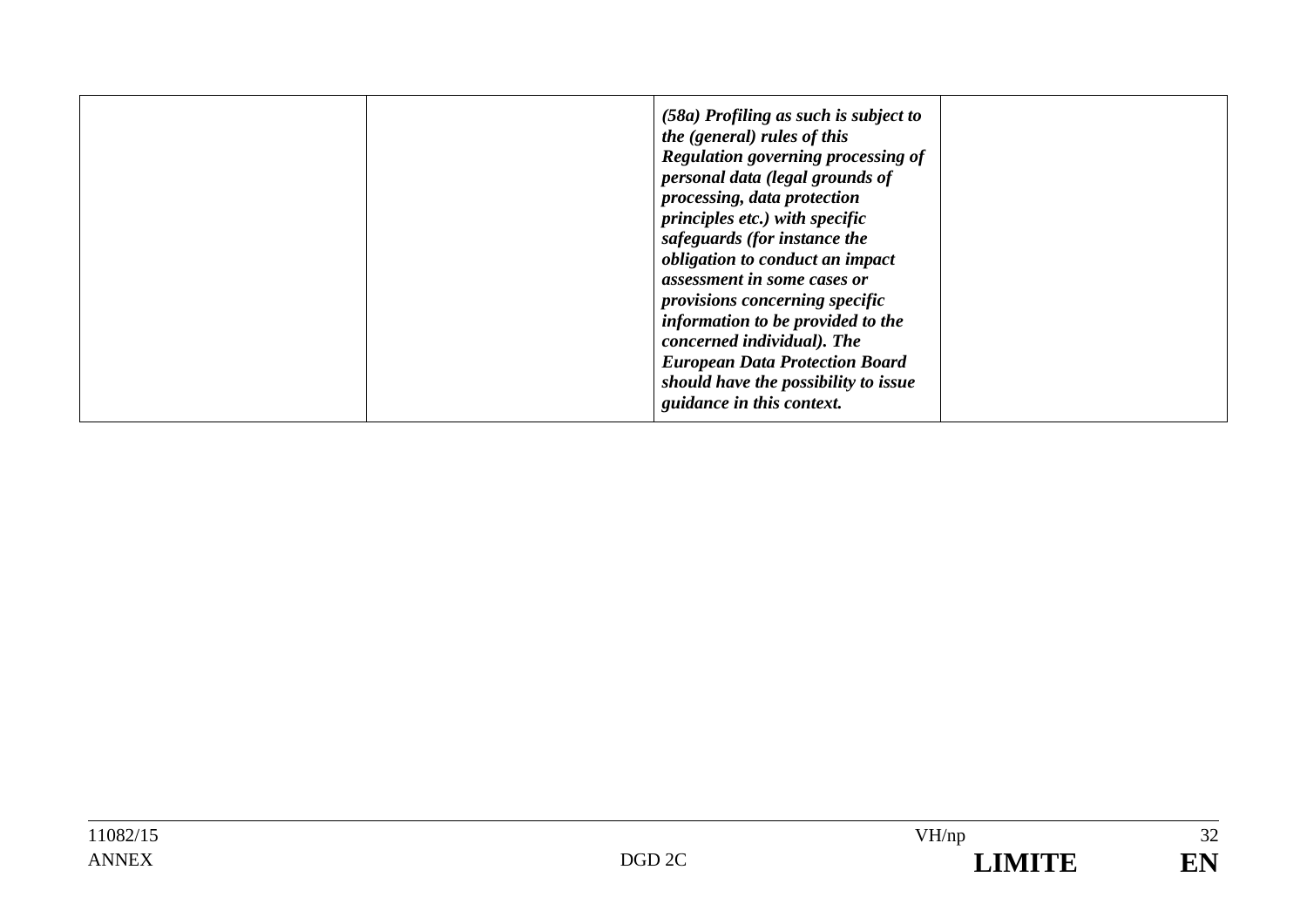|  | $(58a)$ Profiling as such is subject to<br>the (general) rules of this<br>Regulation governing processing of<br>personal data (legal grounds of<br>processing, data protection<br>principles etc.) with specific<br>safeguards (for instance the<br>obligation to conduct an impact<br>assessment in some cases or<br>provisions concerning specific<br>information to be provided to the<br>concerned individual). The<br><b>European Data Protection Board</b><br>should have the possibility to issue<br>guidance in this context. |
|--|---------------------------------------------------------------------------------------------------------------------------------------------------------------------------------------------------------------------------------------------------------------------------------------------------------------------------------------------------------------------------------------------------------------------------------------------------------------------------------------------------------------------------------------|
|--|---------------------------------------------------------------------------------------------------------------------------------------------------------------------------------------------------------------------------------------------------------------------------------------------------------------------------------------------------------------------------------------------------------------------------------------------------------------------------------------------------------------------------------------|

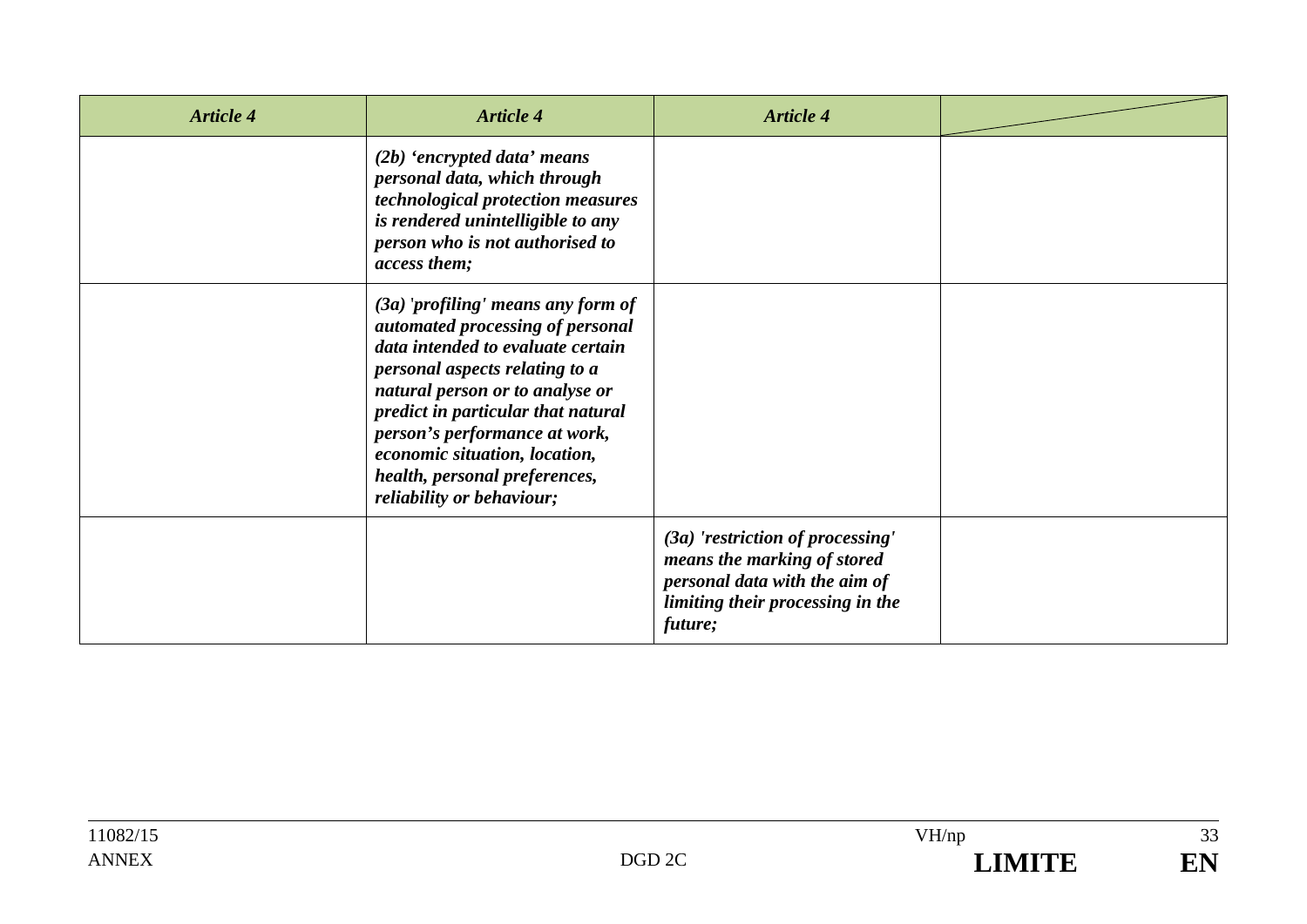| <b>Article 4</b> | <b>Article 4</b>                                                                                                                                                                                                                                                                                                                                         | <b>Article 4</b>                                                                                                                                  |  |
|------------------|----------------------------------------------------------------------------------------------------------------------------------------------------------------------------------------------------------------------------------------------------------------------------------------------------------------------------------------------------------|---------------------------------------------------------------------------------------------------------------------------------------------------|--|
|                  | (2b) 'encrypted data' means<br>personal data, which through<br>technological protection measures<br>is rendered unintelligible to any<br>person who is not authorised to<br>access them;                                                                                                                                                                 |                                                                                                                                                   |  |
|                  | $(3a)$ 'profiling' means any form of<br>automated processing of personal<br>data intended to evaluate certain<br>personal aspects relating to a<br>natural person or to analyse or<br>predict in particular that natural<br>person's performance at work,<br>economic situation, location,<br>health, personal preferences,<br>reliability or behaviour; |                                                                                                                                                   |  |
|                  |                                                                                                                                                                                                                                                                                                                                                          | $(3a)$ 'restriction of processing'<br>means the marking of stored<br>personal data with the aim of<br>limiting their processing in the<br>future; |  |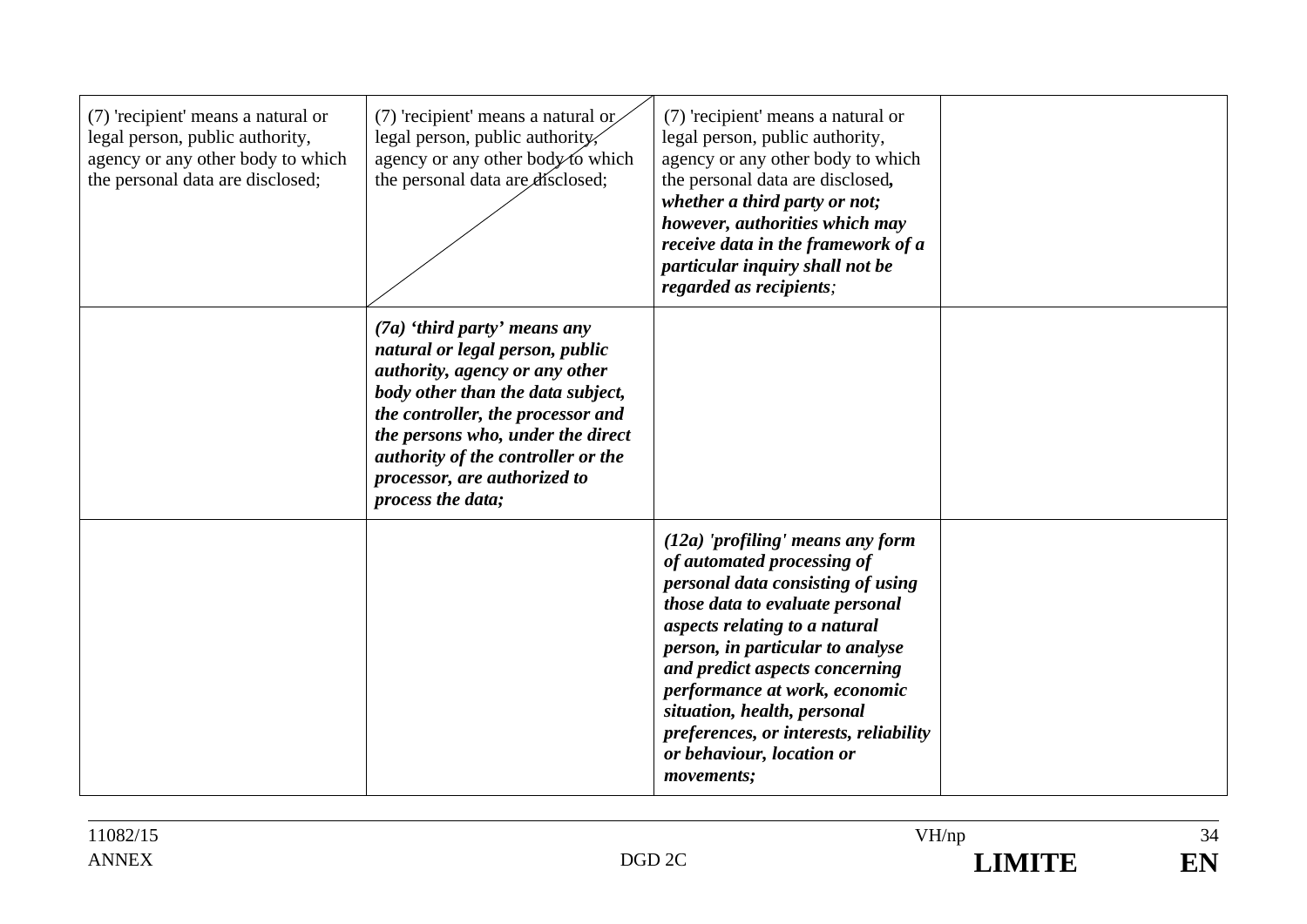| (7) 'recipient' means a natural or<br>legal person, public authority,<br>agency or any other body to which<br>the personal data are disclosed; | (7) 'recipient' means a natural or<br>legal person, public authority,<br>agency or any other body to which<br>the personal data are disclosed;                                                                                                                                                                | (7) 'recipient' means a natural or<br>legal person, public authority,<br>agency or any other body to which<br>the personal data are disclosed,<br>whether a third party or not;<br>however, authorities which may<br>receive data in the framework of a<br>particular inquiry shall not be<br>regarded as recipients;                                                                                |  |
|------------------------------------------------------------------------------------------------------------------------------------------------|---------------------------------------------------------------------------------------------------------------------------------------------------------------------------------------------------------------------------------------------------------------------------------------------------------------|------------------------------------------------------------------------------------------------------------------------------------------------------------------------------------------------------------------------------------------------------------------------------------------------------------------------------------------------------------------------------------------------------|--|
|                                                                                                                                                | $(7a)$ 'third party' means any<br>natural or legal person, public<br>authority, agency or any other<br>body other than the data subject,<br>the controller, the processor and<br>the persons who, under the direct<br>authority of the controller or the<br>processor, are authorized to<br>process the data; |                                                                                                                                                                                                                                                                                                                                                                                                      |  |
|                                                                                                                                                |                                                                                                                                                                                                                                                                                                               | $(12a)$ 'profiling' means any form<br>of automated processing of<br>personal data consisting of using<br>those data to evaluate personal<br>aspects relating to a natural<br>person, in particular to analyse<br>and predict aspects concerning<br>performance at work, economic<br>situation, health, personal<br>preferences, or interests, reliability<br>or behaviour, location or<br>movements; |  |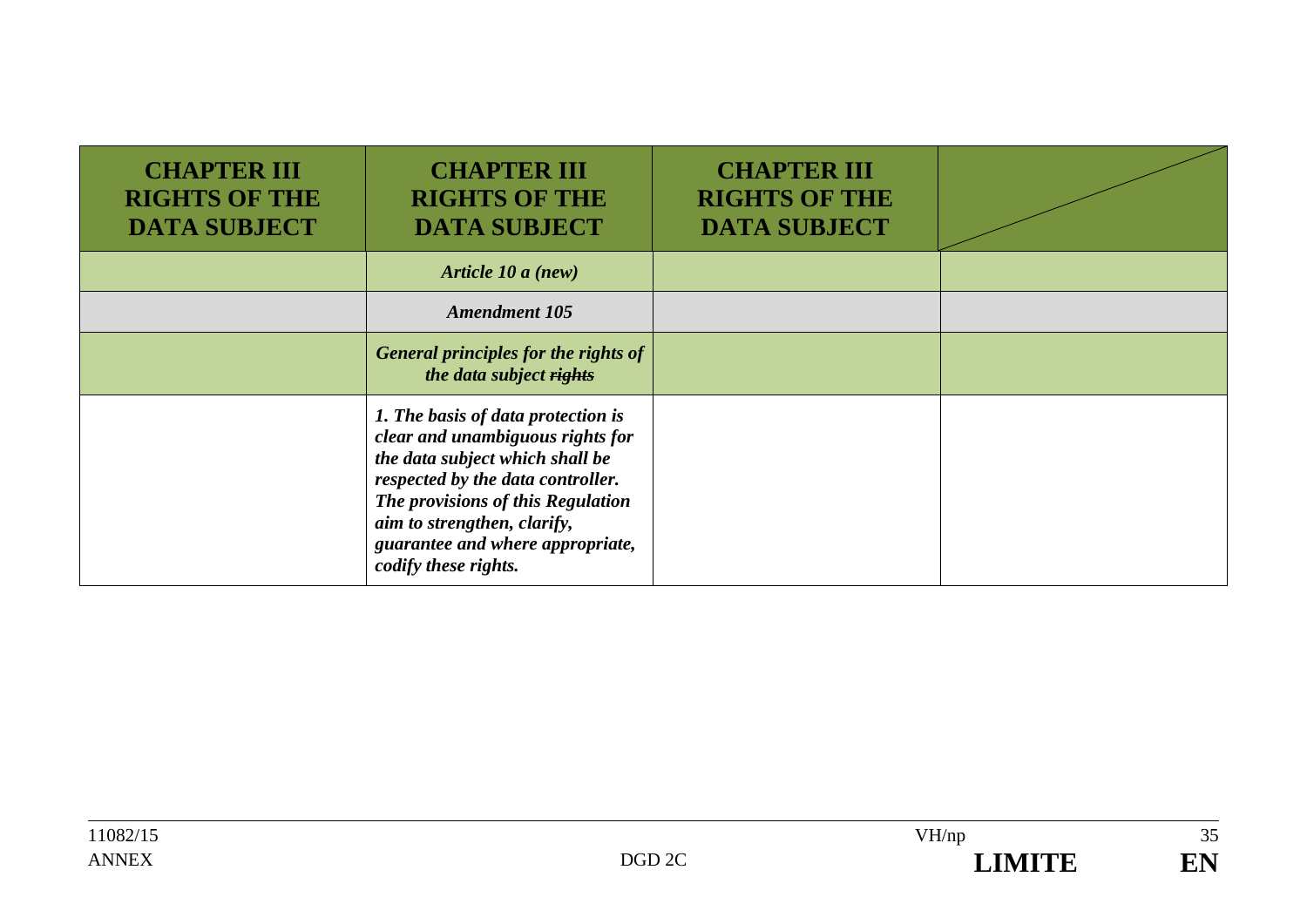| <b>CHAPTER III</b><br><b>RIGHTS OF THE</b><br><b>DATA SUBJECT</b> | <b>CHAPTER III</b><br><b>RIGHTS OF THE</b><br><b>DATA SUBJECT</b>                                                                                                                                                                                                              | <b>CHAPTER III</b><br><b>RIGHTS OF THE</b><br><b>DATA SUBJECT</b> |  |
|-------------------------------------------------------------------|--------------------------------------------------------------------------------------------------------------------------------------------------------------------------------------------------------------------------------------------------------------------------------|-------------------------------------------------------------------|--|
|                                                                   | Article 10 a (new)                                                                                                                                                                                                                                                             |                                                                   |  |
|                                                                   | <b>Amendment 105</b>                                                                                                                                                                                                                                                           |                                                                   |  |
|                                                                   | <b>General principles for the rights of</b><br>the data subject rights                                                                                                                                                                                                         |                                                                   |  |
|                                                                   | 1. The basis of data protection is<br>clear and unambiguous rights for<br>the data subject which shall be<br>respected by the data controller.<br>The provisions of this Regulation<br>aim to strengthen, clarify,<br>guarantee and where appropriate,<br>codify these rights. |                                                                   |  |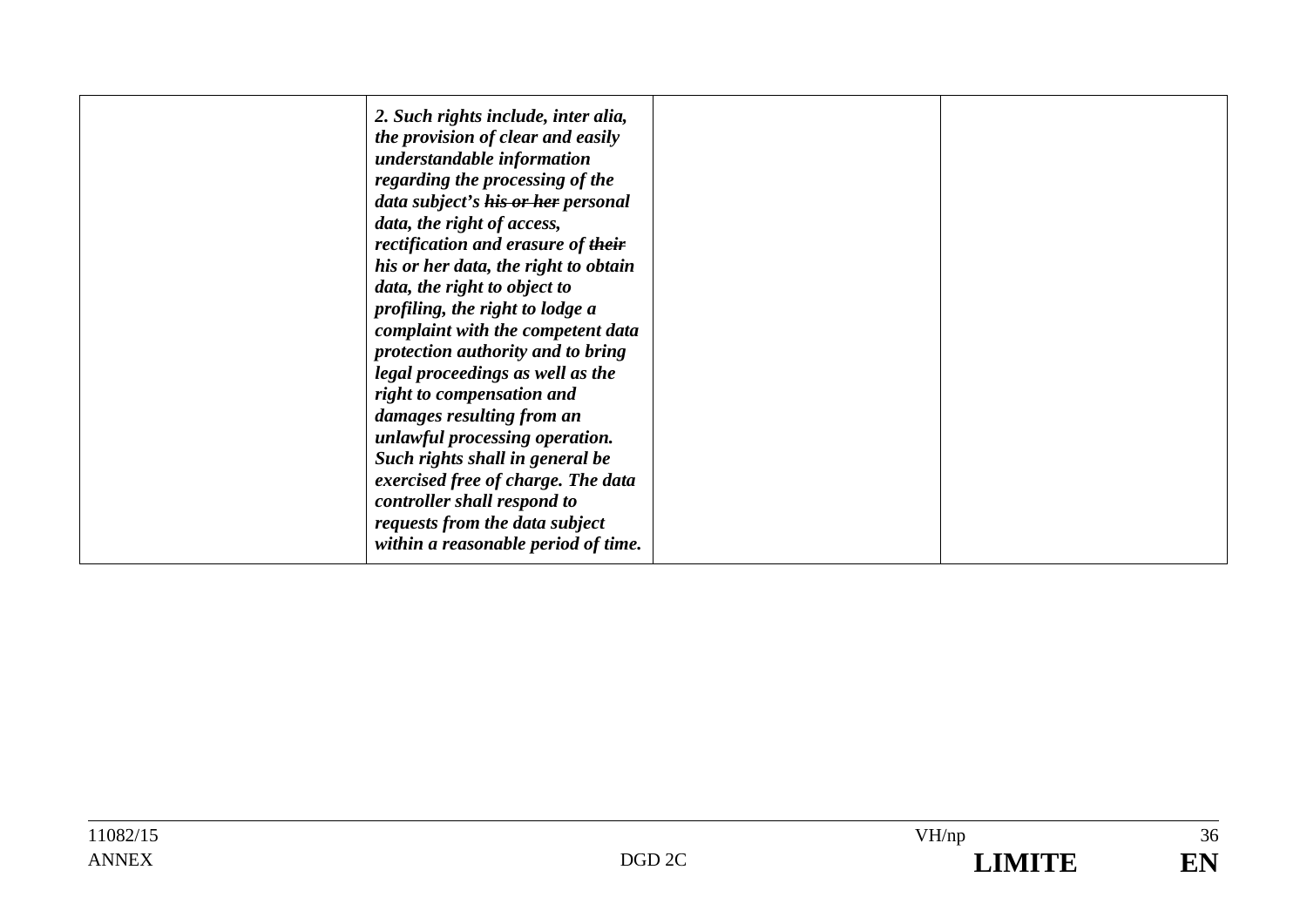| 2. Such rights include, inter alia,<br>the provision of clear and easily<br>understandable information<br>regarding the processing of the<br>data subject's his or her personal<br>data, the right of access,<br>rectification and erasure of their<br>his or her data, the right to obtain<br>data, the right to object to<br>profiling, the right to lodge a<br>complaint with the competent data<br>protection authority and to bring<br>legal proceedings as well as the<br>right to compensation and<br>damages resulting from an<br>unlawful processing operation.<br>Such rights shall in general be<br>exercised free of charge. The data<br>controller shall respond to<br>requests from the data subject |  |
|--------------------------------------------------------------------------------------------------------------------------------------------------------------------------------------------------------------------------------------------------------------------------------------------------------------------------------------------------------------------------------------------------------------------------------------------------------------------------------------------------------------------------------------------------------------------------------------------------------------------------------------------------------------------------------------------------------------------|--|
| within a reasonable period of time.                                                                                                                                                                                                                                                                                                                                                                                                                                                                                                                                                                                                                                                                                |  |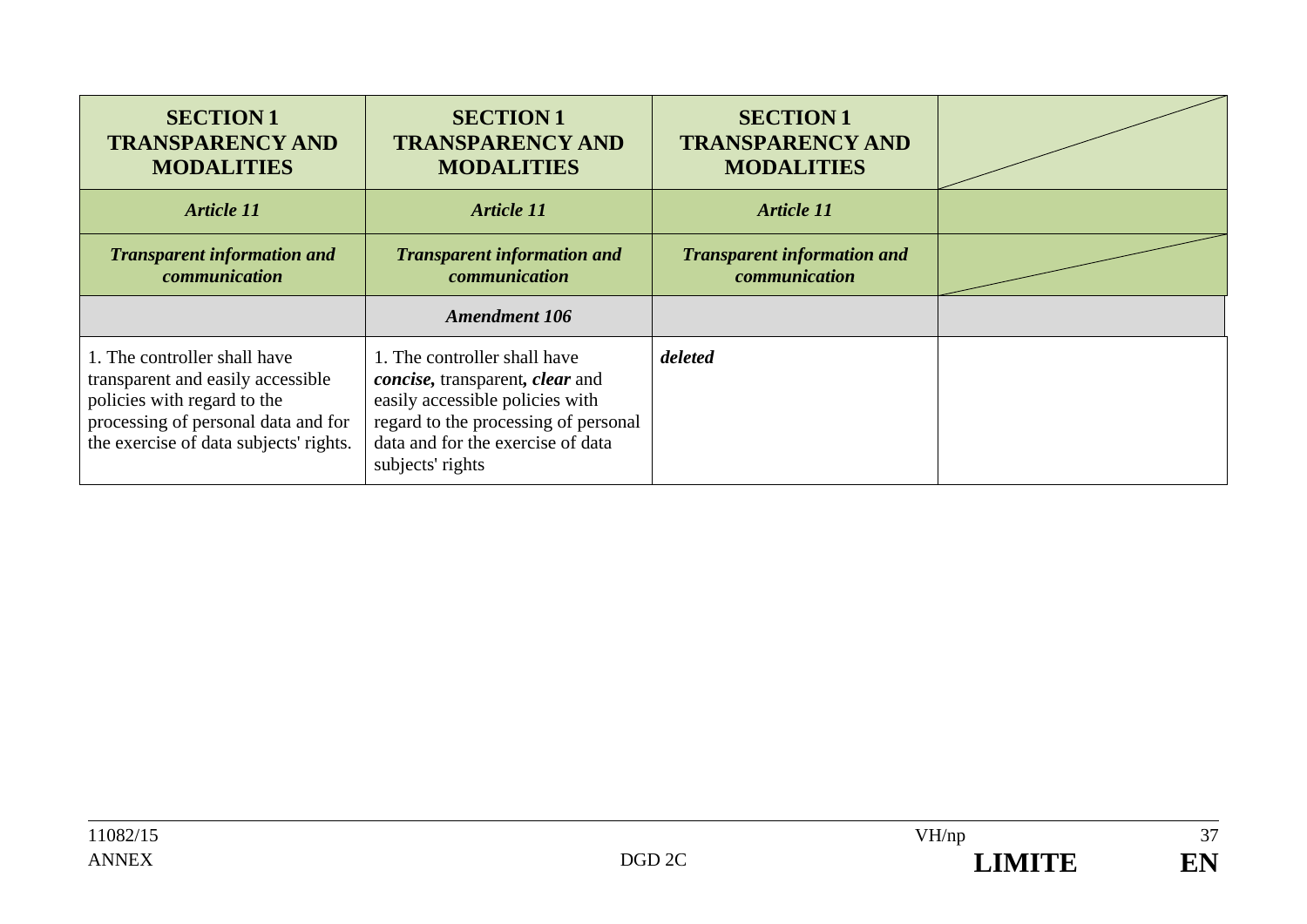| <b>SECTION 1</b><br><b>TRANSPARENCY AND</b><br><b>MODALITIES</b>                                                                                                                  | <b>SECTION 1</b><br><b>TRANSPARENCY AND</b><br><b>MODALITIES</b>                                                                                                                                                   | <b>SECTION 1</b><br><b>TRANSPARENCY AND</b><br><b>MODALITIES</b> |  |
|-----------------------------------------------------------------------------------------------------------------------------------------------------------------------------------|--------------------------------------------------------------------------------------------------------------------------------------------------------------------------------------------------------------------|------------------------------------------------------------------|--|
| <b>Article 11</b>                                                                                                                                                                 | <b>Article 11</b>                                                                                                                                                                                                  | <b>Article 11</b>                                                |  |
| <b>Transparent information and</b><br>communication                                                                                                                               | <b>Transparent information and</b><br>communication                                                                                                                                                                | <b>Transparent information and</b><br>communication              |  |
|                                                                                                                                                                                   | <b>Amendment 106</b>                                                                                                                                                                                               |                                                                  |  |
| 1. The controller shall have<br>transparent and easily accessible<br>policies with regard to the<br>processing of personal data and for<br>the exercise of data subjects' rights. | 1. The controller shall have<br><i>concise</i> , transparent, <i>clear</i> and<br>easily accessible policies with<br>regard to the processing of personal<br>data and for the exercise of data<br>subjects' rights | deleted                                                          |  |

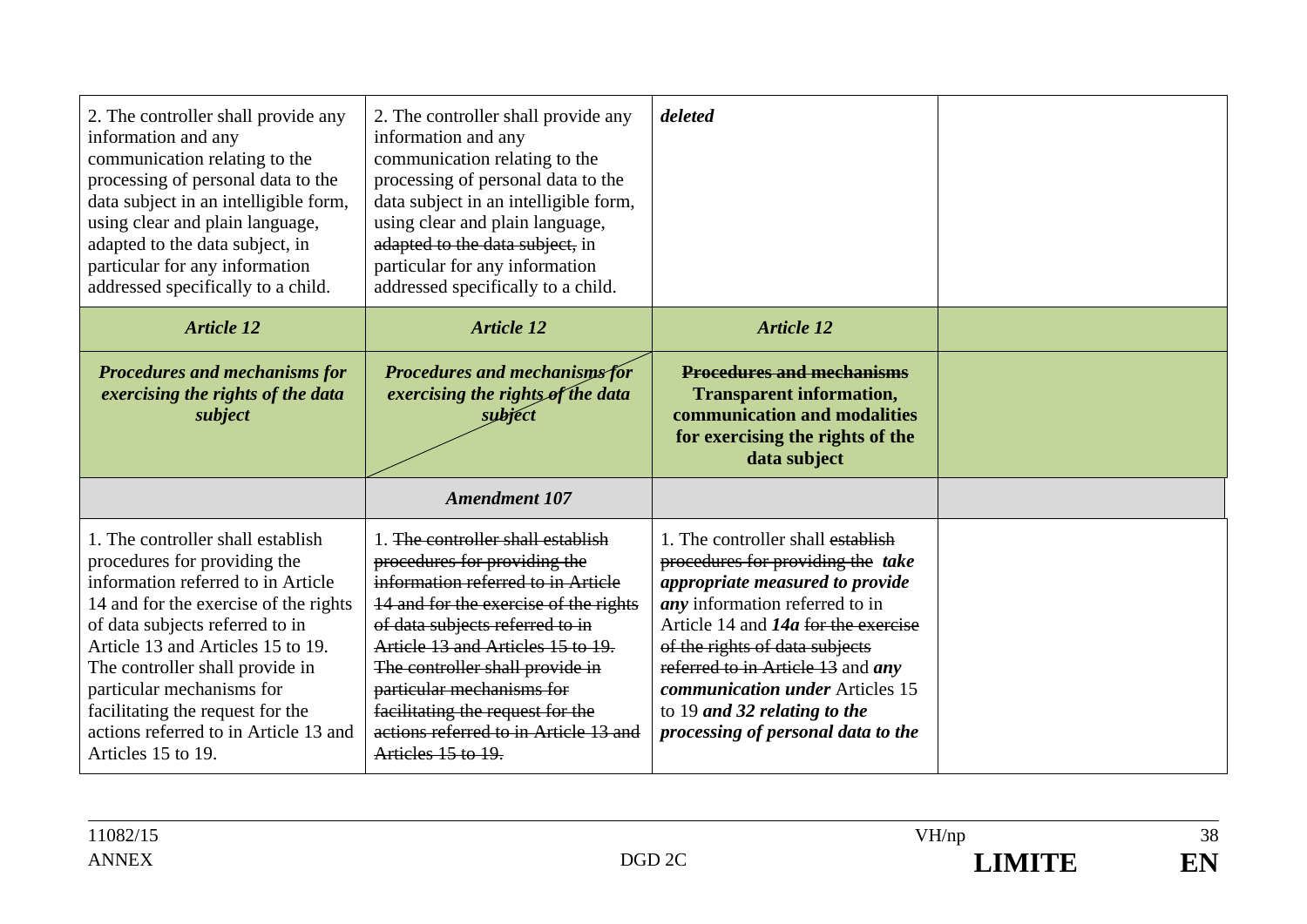| 2. The controller shall provide any<br>information and any<br>communication relating to the<br>processing of personal data to the<br>data subject in an intelligible form,<br>using clear and plain language,<br>adapted to the data subject, in<br>particular for any information<br>addressed specifically to a child.                                                                    | 2. The controller shall provide any<br>information and any<br>communication relating to the<br>processing of personal data to the<br>data subject in an intelligible form,<br>using clear and plain language,<br>adapted to the data subject, in<br>particular for any information<br>addressed specifically to a child.                                                                    | deleted                                                                                                                                                                                                                                                                                                                                                                            |  |
|---------------------------------------------------------------------------------------------------------------------------------------------------------------------------------------------------------------------------------------------------------------------------------------------------------------------------------------------------------------------------------------------|---------------------------------------------------------------------------------------------------------------------------------------------------------------------------------------------------------------------------------------------------------------------------------------------------------------------------------------------------------------------------------------------|------------------------------------------------------------------------------------------------------------------------------------------------------------------------------------------------------------------------------------------------------------------------------------------------------------------------------------------------------------------------------------|--|
| <b>Article 12</b>                                                                                                                                                                                                                                                                                                                                                                           | <b>Article 12</b>                                                                                                                                                                                                                                                                                                                                                                           | <b>Article 12</b>                                                                                                                                                                                                                                                                                                                                                                  |  |
| <b>Procedures and mechanisms for</b><br>exercising the rights of the data<br>subject                                                                                                                                                                                                                                                                                                        | <b>Procedures and mechanisms for</b><br>exercising the rights of the data<br>subject                                                                                                                                                                                                                                                                                                        | <b>Procedures and mechanisms</b><br><b>Transparent information,</b><br>communication and modalities<br>for exercising the rights of the<br>data subject                                                                                                                                                                                                                            |  |
|                                                                                                                                                                                                                                                                                                                                                                                             | <b>Amendment 107</b>                                                                                                                                                                                                                                                                                                                                                                        |                                                                                                                                                                                                                                                                                                                                                                                    |  |
| 1. The controller shall establish<br>procedures for providing the<br>information referred to in Article<br>14 and for the exercise of the rights<br>of data subjects referred to in<br>Article 13 and Articles 15 to 19.<br>The controller shall provide in<br>particular mechanisms for<br>facilitating the request for the<br>actions referred to in Article 13 and<br>Articles 15 to 19. | 1. The controller shall establish<br>procedures for providing the<br>information referred to in Article<br>14 and for the exercise of the rights<br>of data subjects referred to in<br>Article 13 and Articles 15 to 19.<br>The controller shall provide in<br>particular mechanisms for<br>facilitating the request for the<br>actions referred to in Article 13 and<br>Articles 15 to 19. | 1. The controller shall establish<br>procedures for providing the take<br>appropriate measured to provide<br><i>any</i> information referred to in<br>Article 14 and $14a$ for the exercise<br>of the rights of data subjects<br>referred to in Article 13 and any<br><i>communication under Articles 15</i><br>to 19 and 32 relating to the<br>processing of personal data to the |  |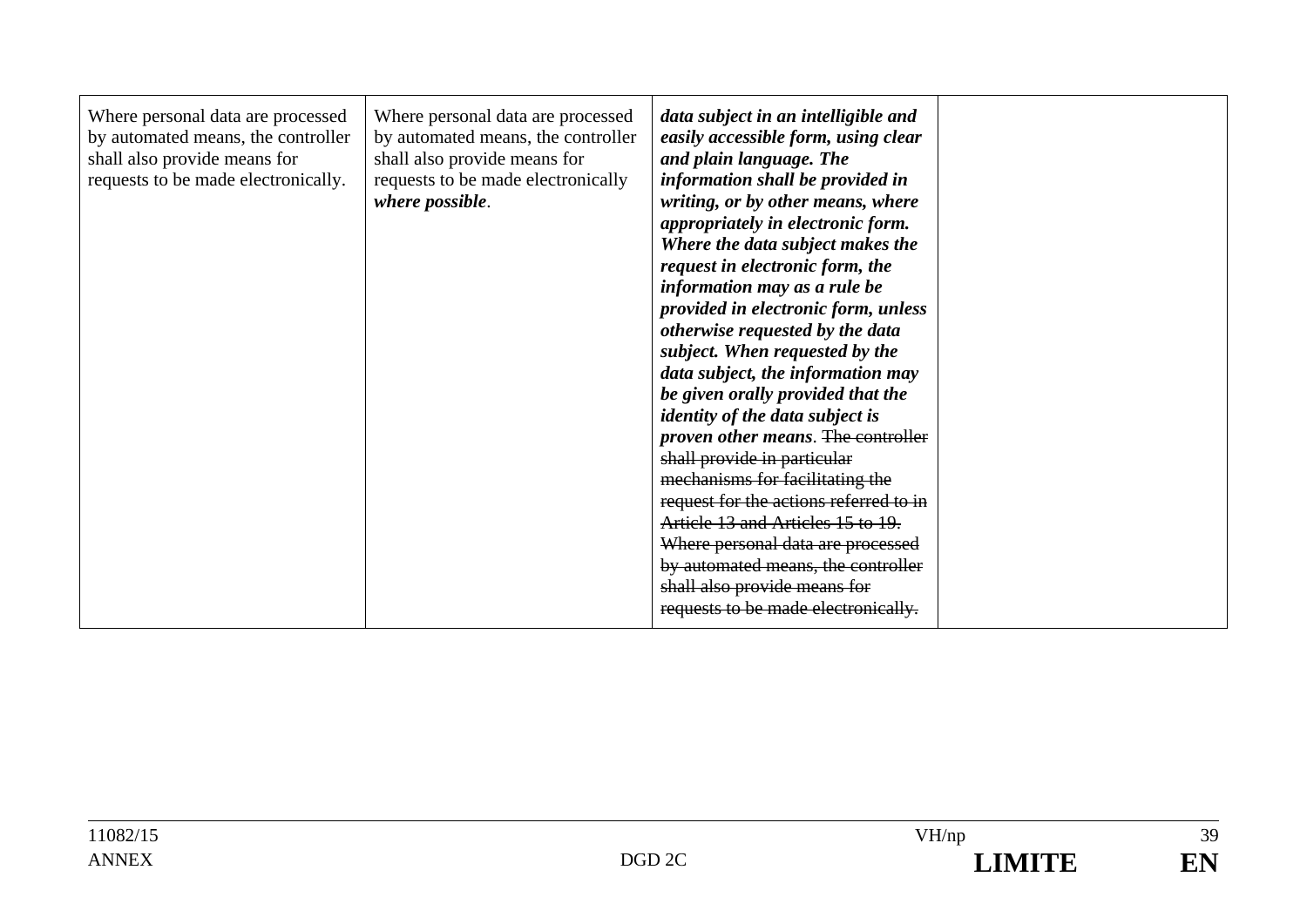| Where personal data are processed<br>by automated means, the controller<br>shall also provide means for<br>requests to be made electronically. | Where personal data are processed<br>by automated means, the controller<br>shall also provide means for<br>requests to be made electronically<br>where possible. | data subject in an intelligible and<br>easily accessible form, using clear<br>and plain language. The<br>information shall be provided in<br>writing, or by other means, where<br>appropriately in electronic form.<br>Where the data subject makes the<br>request in electronic form, the<br>information may as a rule be<br>provided in electronic form, unless<br>otherwise requested by the data<br>subject. When requested by the<br>data subject, the information may<br>be given orally provided that the<br><i>identity of the data subject is</i><br>proven other means. The controller<br>shall provide in particular<br>mechanisms for facilitating the<br>request for the actions referred to in<br>Article 13 and Articles 15 to 19.<br>Where personal data are processed<br>by automated means, the controller<br>shall also provide means for<br>requests to be made electronically. |  |
|------------------------------------------------------------------------------------------------------------------------------------------------|------------------------------------------------------------------------------------------------------------------------------------------------------------------|-----------------------------------------------------------------------------------------------------------------------------------------------------------------------------------------------------------------------------------------------------------------------------------------------------------------------------------------------------------------------------------------------------------------------------------------------------------------------------------------------------------------------------------------------------------------------------------------------------------------------------------------------------------------------------------------------------------------------------------------------------------------------------------------------------------------------------------------------------------------------------------------------------|--|
|------------------------------------------------------------------------------------------------------------------------------------------------|------------------------------------------------------------------------------------------------------------------------------------------------------------------|-----------------------------------------------------------------------------------------------------------------------------------------------------------------------------------------------------------------------------------------------------------------------------------------------------------------------------------------------------------------------------------------------------------------------------------------------------------------------------------------------------------------------------------------------------------------------------------------------------------------------------------------------------------------------------------------------------------------------------------------------------------------------------------------------------------------------------------------------------------------------------------------------------|--|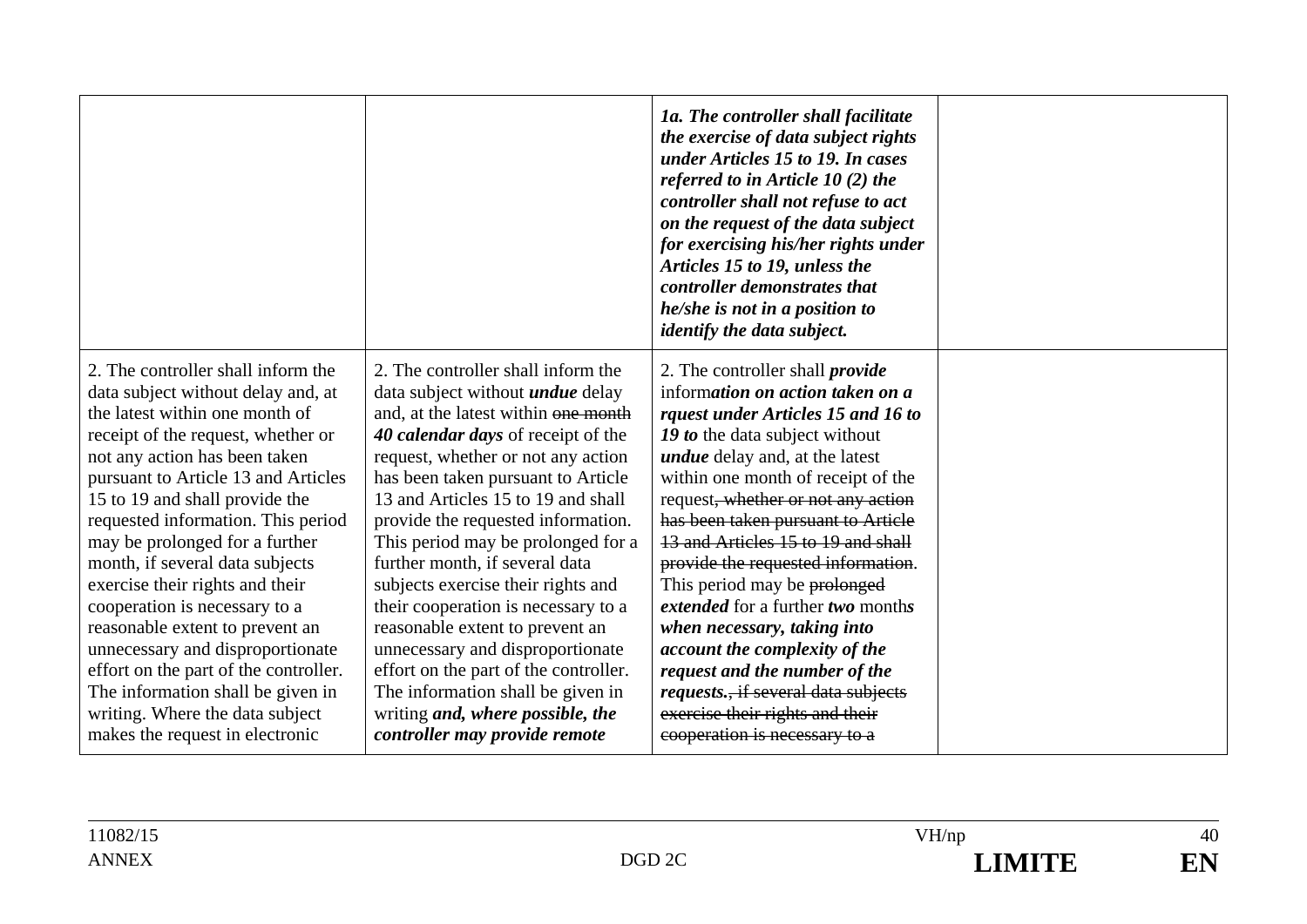|                                       |                                         | 1a. The controller shall facilitate<br>the exercise of data subject rights<br>under Articles 15 to 19. In cases<br>referred to in Article 10 $(2)$ the<br>controller shall not refuse to act<br>on the request of the data subject<br>for exercising his/her rights under<br>Articles 15 to 19, unless the<br>controller demonstrates that<br>he/she is not in a position to<br><i>identify the data subject.</i> |  |
|---------------------------------------|-----------------------------------------|-------------------------------------------------------------------------------------------------------------------------------------------------------------------------------------------------------------------------------------------------------------------------------------------------------------------------------------------------------------------------------------------------------------------|--|
| 2. The controller shall inform the    | 2. The controller shall inform the      | 2. The controller shall <i>provide</i>                                                                                                                                                                                                                                                                                                                                                                            |  |
| data subject without delay and, at    | data subject without <i>undue</i> delay | information on action taken on a                                                                                                                                                                                                                                                                                                                                                                                  |  |
| the latest within one month of        | and, at the latest within one month     | rquest under Articles 15 and 16 to                                                                                                                                                                                                                                                                                                                                                                                |  |
| receipt of the request, whether or    | 40 calendar days of receipt of the      | 19 to the data subject without                                                                                                                                                                                                                                                                                                                                                                                    |  |
| not any action has been taken         | request, whether or not any action      | <i>undue</i> delay and, at the latest                                                                                                                                                                                                                                                                                                                                                                             |  |
| pursuant to Article 13 and Articles   | has been taken pursuant to Article      | within one month of receipt of the                                                                                                                                                                                                                                                                                                                                                                                |  |
| 15 to 19 and shall provide the        | 13 and Articles 15 to 19 and shall      | request, whether or not any action                                                                                                                                                                                                                                                                                                                                                                                |  |
| requested information. This period    | provide the requested information.      | has been taken pursuant to Article                                                                                                                                                                                                                                                                                                                                                                                |  |
| may be prolonged for a further        | This period may be prolonged for a      | 13 and Articles 15 to 19 and shall                                                                                                                                                                                                                                                                                                                                                                                |  |
| month, if several data subjects       | further month, if several data          | provide the requested information.                                                                                                                                                                                                                                                                                                                                                                                |  |
| exercise their rights and their       | subjects exercise their rights and      | This period may be prolonged                                                                                                                                                                                                                                                                                                                                                                                      |  |
| cooperation is necessary to a         | their cooperation is necessary to a     | extended for a further two months                                                                                                                                                                                                                                                                                                                                                                                 |  |
| reasonable extent to prevent an       | reasonable extent to prevent an         | when necessary, taking into                                                                                                                                                                                                                                                                                                                                                                                       |  |
| unnecessary and disproportionate      | unnecessary and disproportionate        | account the complexity of the                                                                                                                                                                                                                                                                                                                                                                                     |  |
| effort on the part of the controller. | effort on the part of the controller.   | request and the number of the                                                                                                                                                                                                                                                                                                                                                                                     |  |
| The information shall be given in     | The information shall be given in       | <i>requests.</i> , if several data subjects                                                                                                                                                                                                                                                                                                                                                                       |  |
| writing. Where the data subject       | writing and, where possible, the        | exercise their rights and their                                                                                                                                                                                                                                                                                                                                                                                   |  |
| makes the request in electronic       | controller may provide remote           | cooperation is necessary to a                                                                                                                                                                                                                                                                                                                                                                                     |  |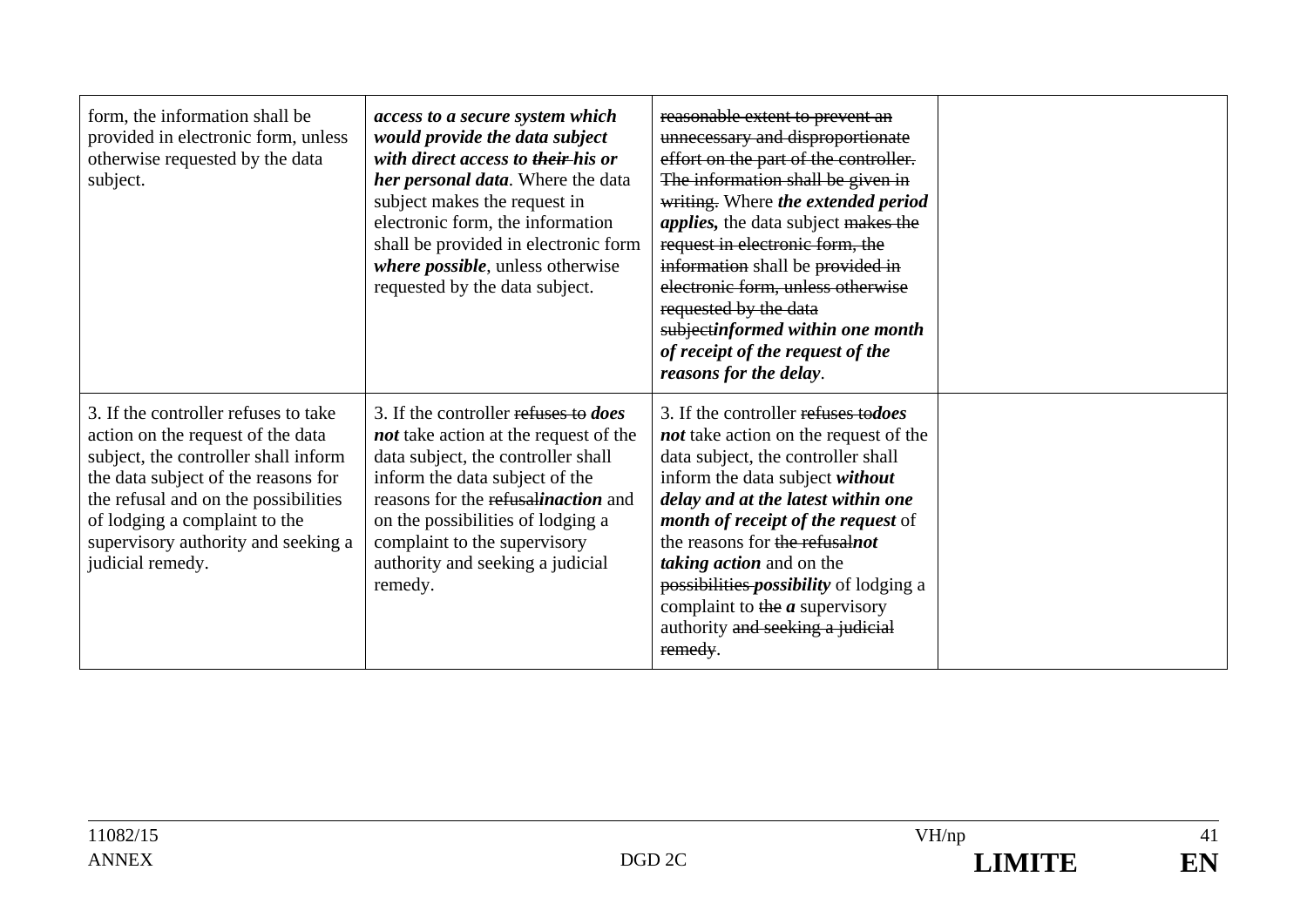| form, the information shall be<br>provided in electronic form, unless<br>otherwise requested by the data<br>subject.                                                                                                                                                                         | access to a secure system which<br>would provide the data subject<br>with direct access to their-his or<br>her personal data. Where the data<br>subject makes the request in<br>electronic form, the information<br>shall be provided in electronic form<br>where possible, unless otherwise<br>requested by the data subject. | reasonable extent to prevent an<br>unnecessary and disproportionate<br>effort on the part of the controller.<br>The information shall be given in<br>writing. Where the extended period<br><i>applies</i> , the data subject makes the<br>request in electronic form, the<br>information shall be provided in<br>electronic form, unless otherwise<br>requested by the data<br>subjectinformed within one month<br>of receipt of the request of the<br>reasons for the delay. |  |
|----------------------------------------------------------------------------------------------------------------------------------------------------------------------------------------------------------------------------------------------------------------------------------------------|--------------------------------------------------------------------------------------------------------------------------------------------------------------------------------------------------------------------------------------------------------------------------------------------------------------------------------|-------------------------------------------------------------------------------------------------------------------------------------------------------------------------------------------------------------------------------------------------------------------------------------------------------------------------------------------------------------------------------------------------------------------------------------------------------------------------------|--|
| 3. If the controller refuses to take<br>action on the request of the data<br>subject, the controller shall inform<br>the data subject of the reasons for<br>the refusal and on the possibilities<br>of lodging a complaint to the<br>supervisory authority and seeking a<br>judicial remedy. | 3. If the controller refuses to <i>does</i><br><i>not</i> take action at the request of the<br>data subject, the controller shall<br>inform the data subject of the<br>reasons for the refusalingction and<br>on the possibilities of lodging a<br>complaint to the supervisory<br>authority and seeking a judicial<br>remedy. | 3. If the controller refuses todoes<br><i>not</i> take action on the request of the<br>data subject, the controller shall<br>inform the data subject without<br>delay and at the latest within one<br><i>month of receipt of the request of</i><br>the reasons for the refusalnot<br><i>taking action</i> and on the<br>possibilities <i>possibility</i> of lodging a<br>complaint to the $a$ supervisory<br>authority and seeking a judicial<br>remedy.                      |  |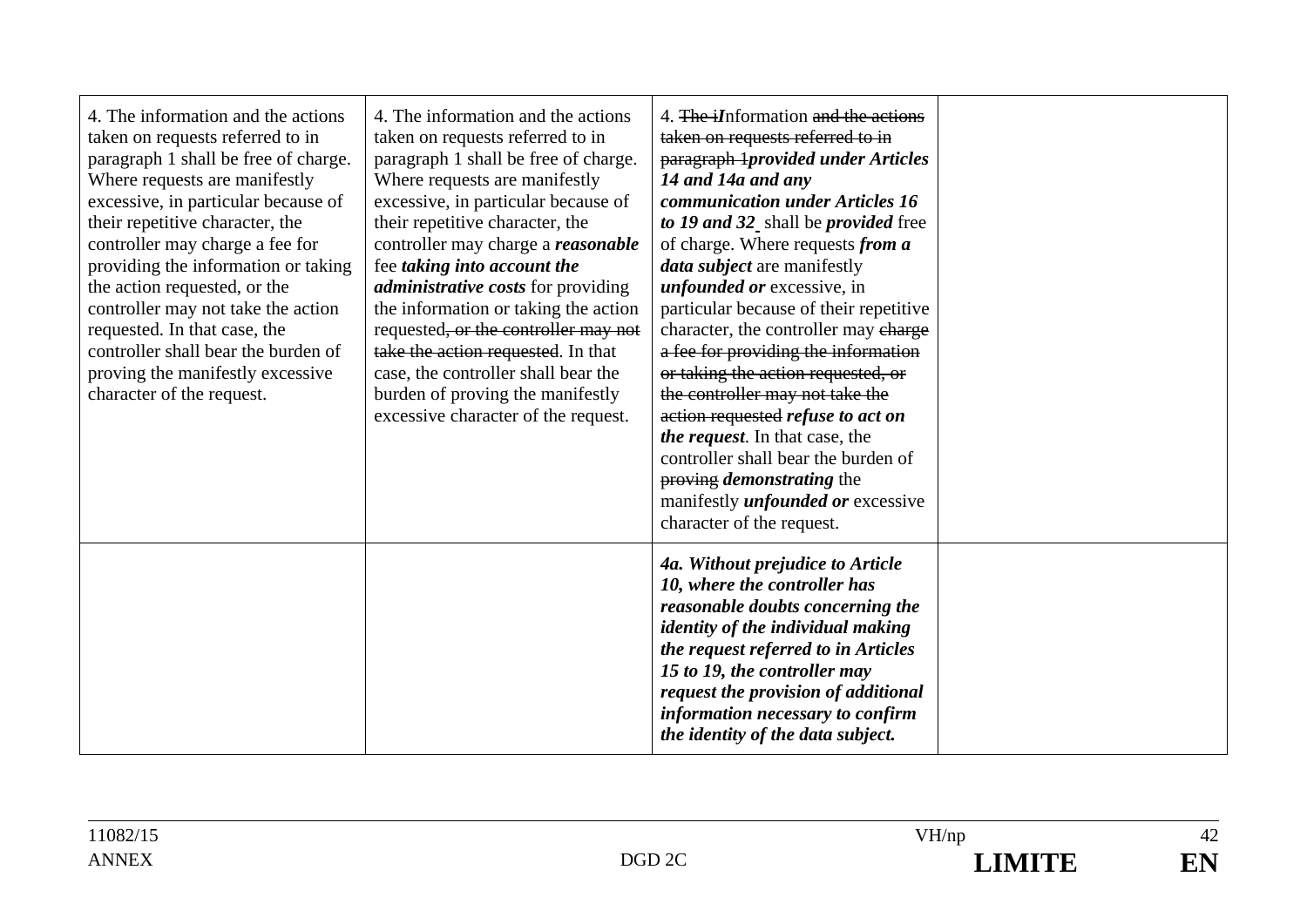| 4. The information and the actions<br>taken on requests referred to in<br>paragraph 1 shall be free of charge.<br>Where requests are manifestly<br>excessive, in particular because of<br>their repetitive character, the<br>controller may charge a fee for<br>providing the information or taking<br>the action requested, or the<br>controller may not take the action<br>requested. In that case, the<br>controller shall bear the burden of<br>proving the manifestly excessive<br>character of the request. | 4. The information and the actions<br>taken on requests referred to in<br>paragraph 1 shall be free of charge.<br>Where requests are manifestly<br>excessive, in particular because of<br>their repetitive character, the<br>controller may charge a <b>reasonable</b><br>fee taking into account the<br><i>administrative costs</i> for providing<br>the information or taking the action<br>requested, or the controller may not<br>take the action requested. In that<br>case, the controller shall bear the<br>burden of proving the manifestly<br>excessive character of the request. | 4. The <i>il</i> information and the actions<br>taken on requests referred to in<br>paragraph 1provided under Articles<br>14 and 14a and any<br>communication under Articles 16<br>to 19 and 32_shall be provided free<br>of charge. Where requests from a<br><i>data subject</i> are manifestly<br><i>unfounded or excessive, in</i><br>particular because of their repetitive<br>character, the controller may eharge<br>a fee for providing the information<br>or taking the action requested, or<br>the controller may not take the<br>action requested refuse to act on<br>the request. In that case, the<br>controller shall bear the burden of<br>proving <i>demonstrating</i> the<br>manifestly <i>unfounded or</i> excessive<br>character of the request. |  |
|-------------------------------------------------------------------------------------------------------------------------------------------------------------------------------------------------------------------------------------------------------------------------------------------------------------------------------------------------------------------------------------------------------------------------------------------------------------------------------------------------------------------|--------------------------------------------------------------------------------------------------------------------------------------------------------------------------------------------------------------------------------------------------------------------------------------------------------------------------------------------------------------------------------------------------------------------------------------------------------------------------------------------------------------------------------------------------------------------------------------------|--------------------------------------------------------------------------------------------------------------------------------------------------------------------------------------------------------------------------------------------------------------------------------------------------------------------------------------------------------------------------------------------------------------------------------------------------------------------------------------------------------------------------------------------------------------------------------------------------------------------------------------------------------------------------------------------------------------------------------------------------------------------|--|
|                                                                                                                                                                                                                                                                                                                                                                                                                                                                                                                   |                                                                                                                                                                                                                                                                                                                                                                                                                                                                                                                                                                                            | 4a. Without prejudice to Article<br>10, where the controller has<br>reasonable doubts concerning the<br><i>identity of the individual making</i><br>the request referred to in Articles<br>15 to 19, the controller may<br>request the provision of additional<br>information necessary to confirm<br>the identity of the data subject.                                                                                                                                                                                                                                                                                                                                                                                                                            |  |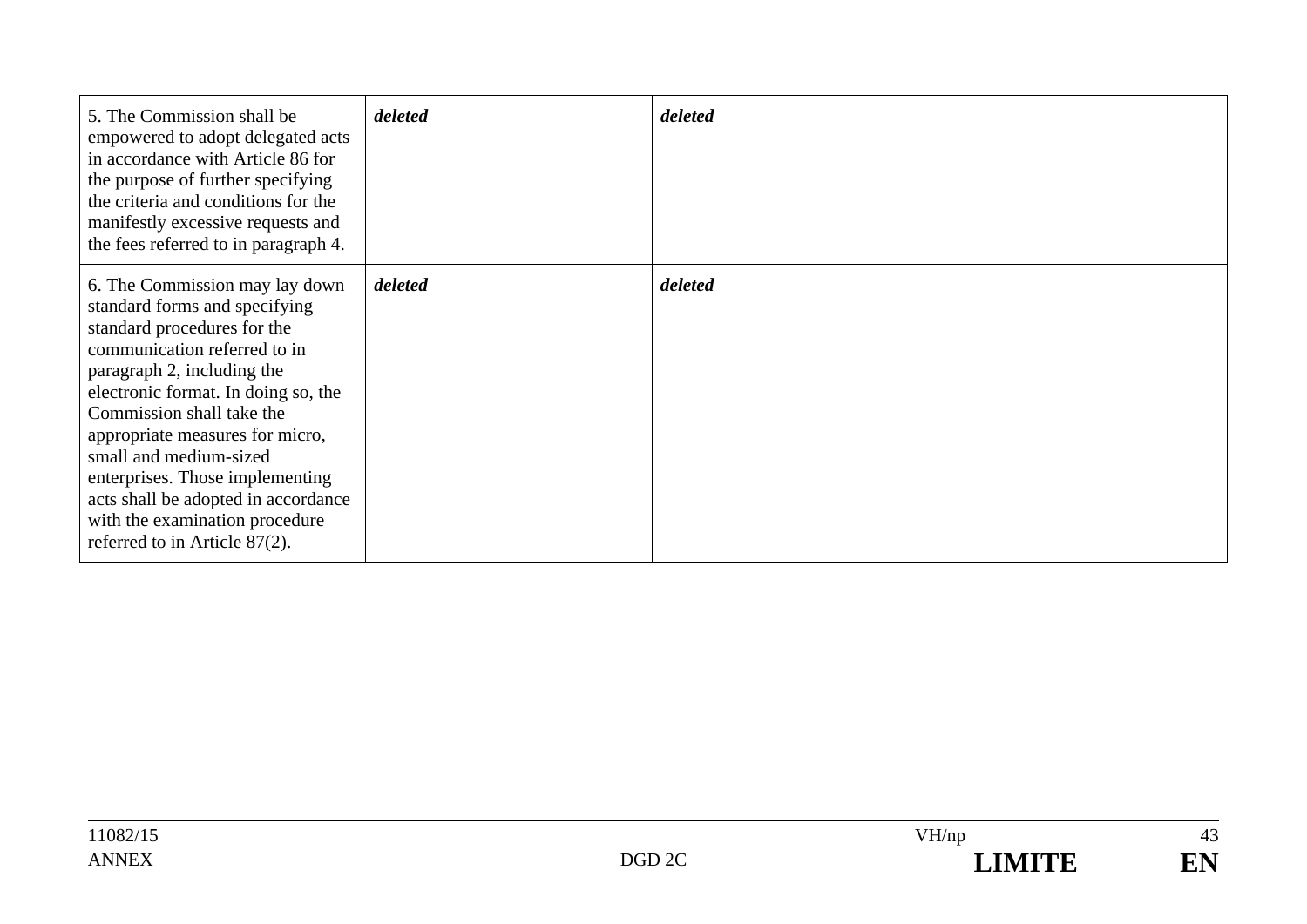| 5. The Commission shall be<br>empowered to adopt delegated acts<br>in accordance with Article 86 for<br>the purpose of further specifying<br>the criteria and conditions for the<br>manifestly excessive requests and<br>the fees referred to in paragraph 4.                                                                                                                                                                              | deleted | deleted |  |
|--------------------------------------------------------------------------------------------------------------------------------------------------------------------------------------------------------------------------------------------------------------------------------------------------------------------------------------------------------------------------------------------------------------------------------------------|---------|---------|--|
| 6. The Commission may lay down<br>standard forms and specifying<br>standard procedures for the<br>communication referred to in<br>paragraph 2, including the<br>electronic format. In doing so, the<br>Commission shall take the<br>appropriate measures for micro,<br>small and medium-sized<br>enterprises. Those implementing<br>acts shall be adopted in accordance<br>with the examination procedure<br>referred to in Article 87(2). | deleted | deleted |  |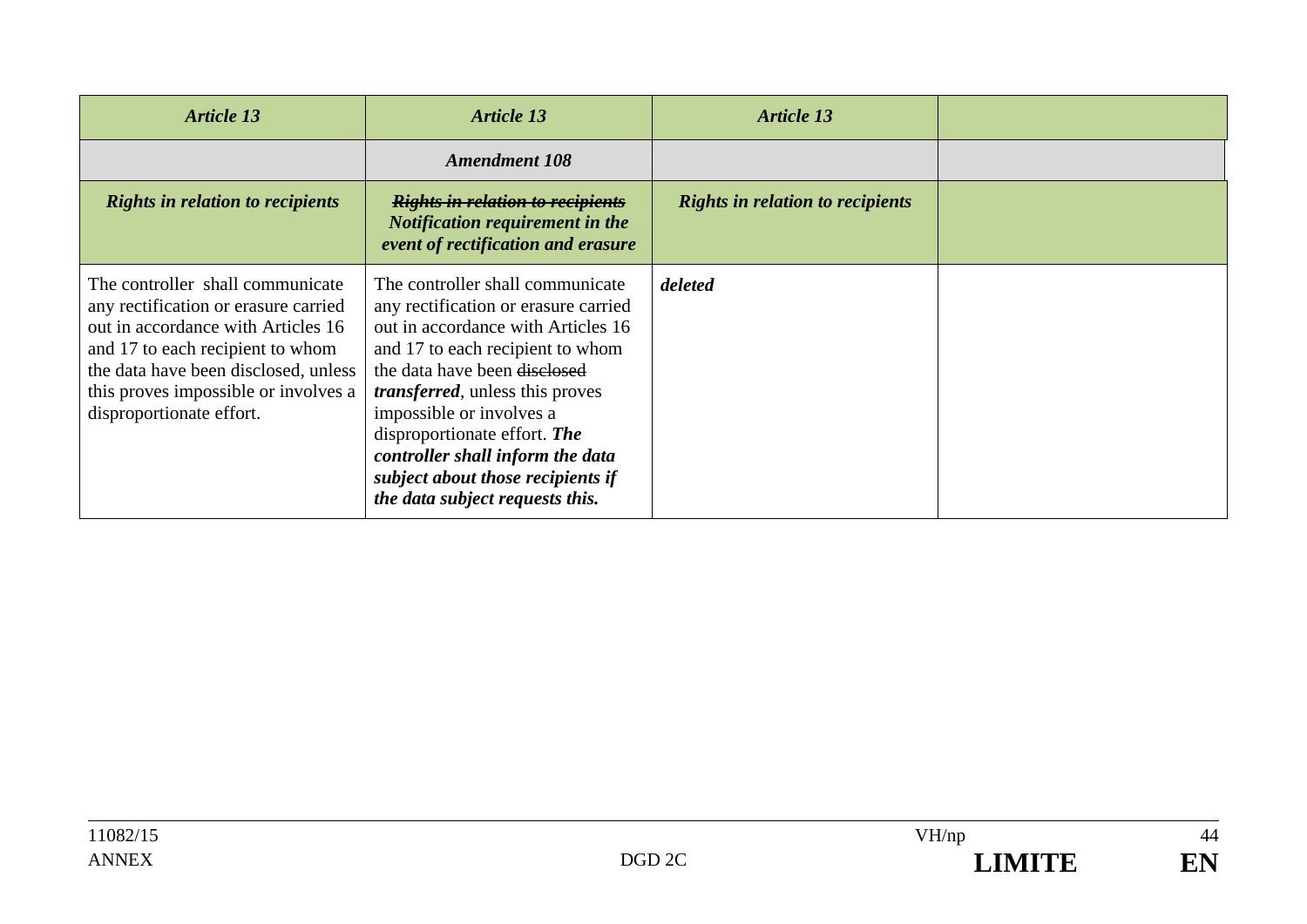| <b>Article 13</b>                                                                                                                                                                                                                                              | <b>Article 13</b>                                                                                                                                                                                                                                                                                                                                                                                     | <b>Article 13</b>                       |  |
|----------------------------------------------------------------------------------------------------------------------------------------------------------------------------------------------------------------------------------------------------------------|-------------------------------------------------------------------------------------------------------------------------------------------------------------------------------------------------------------------------------------------------------------------------------------------------------------------------------------------------------------------------------------------------------|-----------------------------------------|--|
|                                                                                                                                                                                                                                                                | <b>Amendment 108</b>                                                                                                                                                                                                                                                                                                                                                                                  |                                         |  |
| <b>Rights in relation to recipients</b>                                                                                                                                                                                                                        | <b>Rights in relation to recipients</b><br><b>Notification requirement in the</b><br>event of rectification and erasure                                                                                                                                                                                                                                                                               | <b>Rights in relation to recipients</b> |  |
| The controller shall communicate<br>any rectification or erasure carried<br>out in accordance with Articles 16<br>and 17 to each recipient to whom<br>the data have been disclosed, unless<br>this proves impossible or involves a<br>disproportionate effort. | The controller shall communicate<br>any rectification or erasure carried<br>out in accordance with Articles 16<br>and 17 to each recipient to whom<br>the data have been disclosed<br><i>transferred</i> , unless this proves<br>impossible or involves a<br>disproportionate effort. The<br>controller shall inform the data<br>subject about those recipients if<br>the data subject requests this. | deleted                                 |  |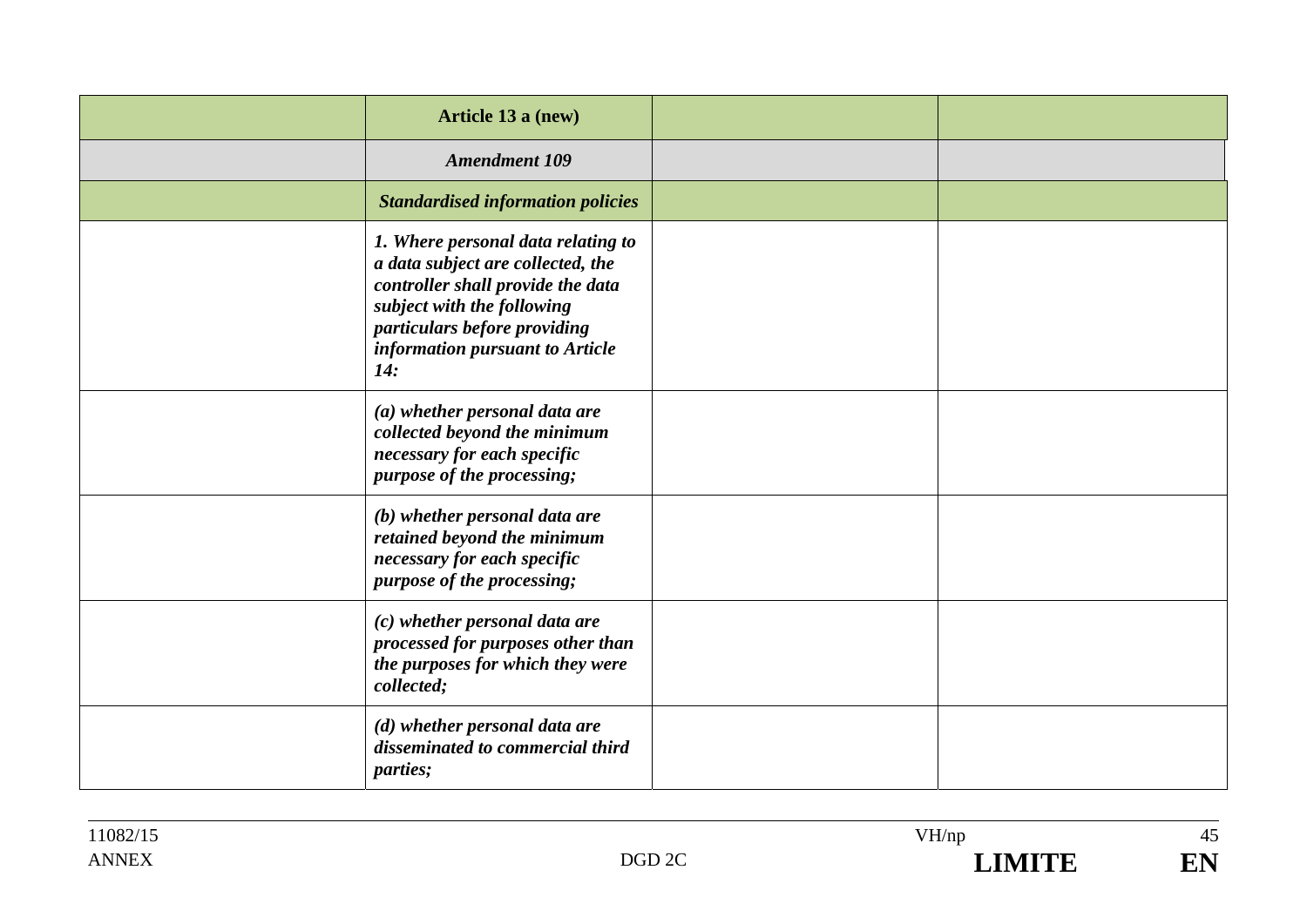| Article 13 a (new)                                                                                                                                                                                                   |  |
|----------------------------------------------------------------------------------------------------------------------------------------------------------------------------------------------------------------------|--|
| <b>Amendment 109</b>                                                                                                                                                                                                 |  |
| <b>Standardised information policies</b>                                                                                                                                                                             |  |
| 1. Where personal data relating to<br>a data subject are collected, the<br>controller shall provide the data<br>subject with the following<br>particulars before providing<br>information pursuant to Article<br>14: |  |
| (a) whether personal data are<br>collected beyond the minimum<br>necessary for each specific<br>purpose of the processing;                                                                                           |  |
| (b) whether personal data are<br>retained beyond the minimum<br>necessary for each specific<br>purpose of the processing;                                                                                            |  |
| (c) whether personal data are<br>processed for purposes other than<br>the purposes for which they were<br>collected;                                                                                                 |  |
| (d) whether personal data are<br>disseminated to commercial third<br><i>parties;</i>                                                                                                                                 |  |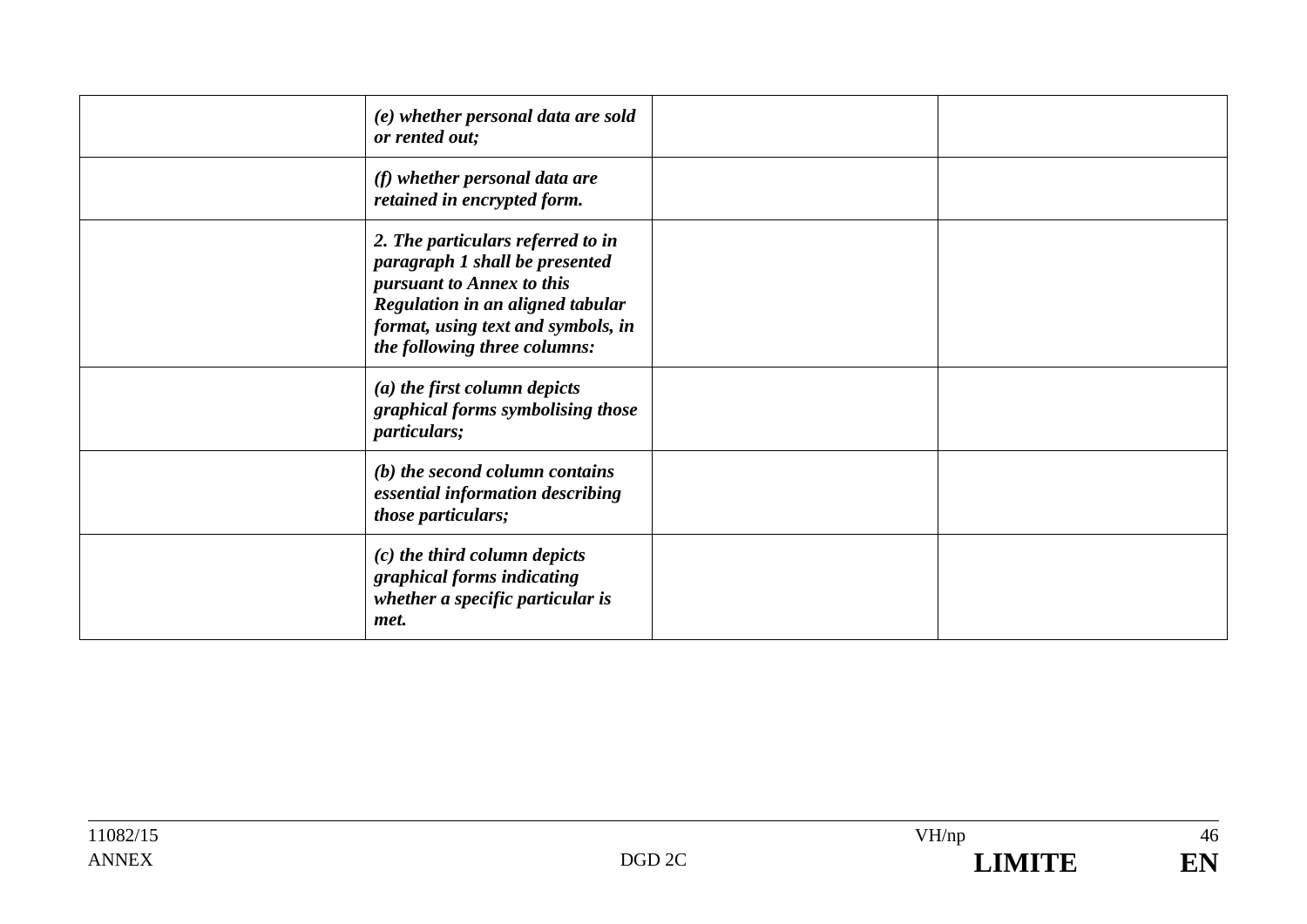| (e) whether personal data are sold<br>or rented out;                                                                                                                                                       |  |
|------------------------------------------------------------------------------------------------------------------------------------------------------------------------------------------------------------|--|
| $(f)$ whether personal data are<br>retained in encrypted form.                                                                                                                                             |  |
| 2. The particulars referred to in<br>paragraph 1 shall be presented<br>pursuant to Annex to this<br>Regulation in an aligned tabular<br>format, using text and symbols, in<br>the following three columns: |  |
| $(a)$ the first column depicts<br>graphical forms symbolising those<br><i>particulars;</i>                                                                                                                 |  |
| $(b)$ the second column contains<br>essential information describing<br>those particulars;                                                                                                                 |  |
| $(c)$ the third column depicts<br>graphical forms indicating<br>whether a specific particular is<br>met.                                                                                                   |  |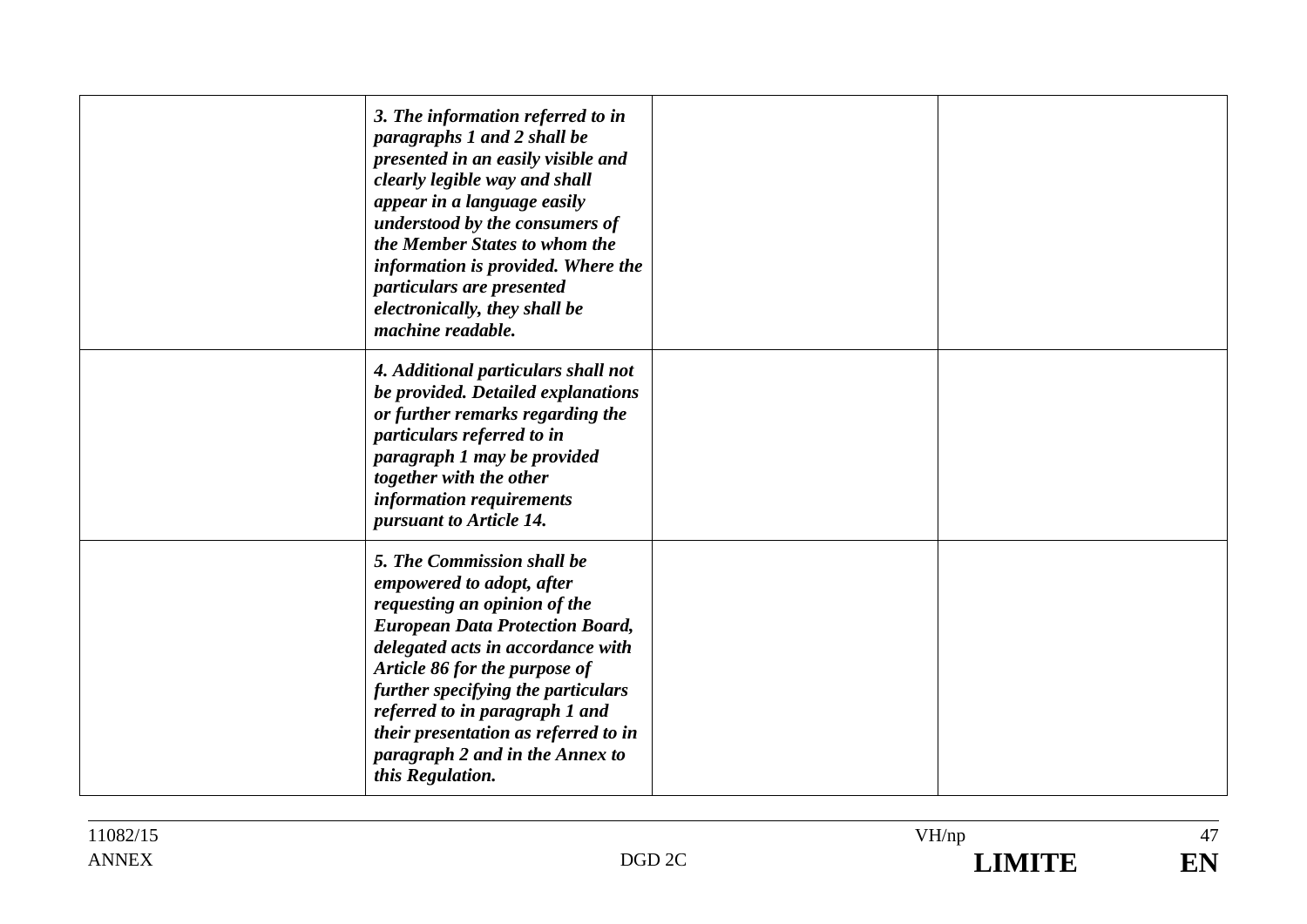| 3. The information referred to in<br>paragraphs 1 and 2 shall be<br>presented in an easily visible and<br>clearly legible way and shall<br>appear in a language easily<br>understood by the consumers of<br>the Member States to whom the<br>information is provided. Where the<br>particulars are presented<br>electronically, they shall be<br>machine readable.             |  |
|--------------------------------------------------------------------------------------------------------------------------------------------------------------------------------------------------------------------------------------------------------------------------------------------------------------------------------------------------------------------------------|--|
| 4. Additional particulars shall not<br>be provided. Detailed explanations<br>or further remarks regarding the<br>particulars referred to in<br>paragraph 1 may be provided<br>together with the other<br>information requirements<br>pursuant to Article 14.                                                                                                                   |  |
| 5. The Commission shall be<br>empowered to adopt, after<br>requesting an opinion of the<br><b>European Data Protection Board,</b><br>delegated acts in accordance with<br>Article 86 for the purpose of<br>further specifying the particulars<br>referred to in paragraph 1 and<br>their presentation as referred to in<br>paragraph 2 and in the Annex to<br>this Regulation. |  |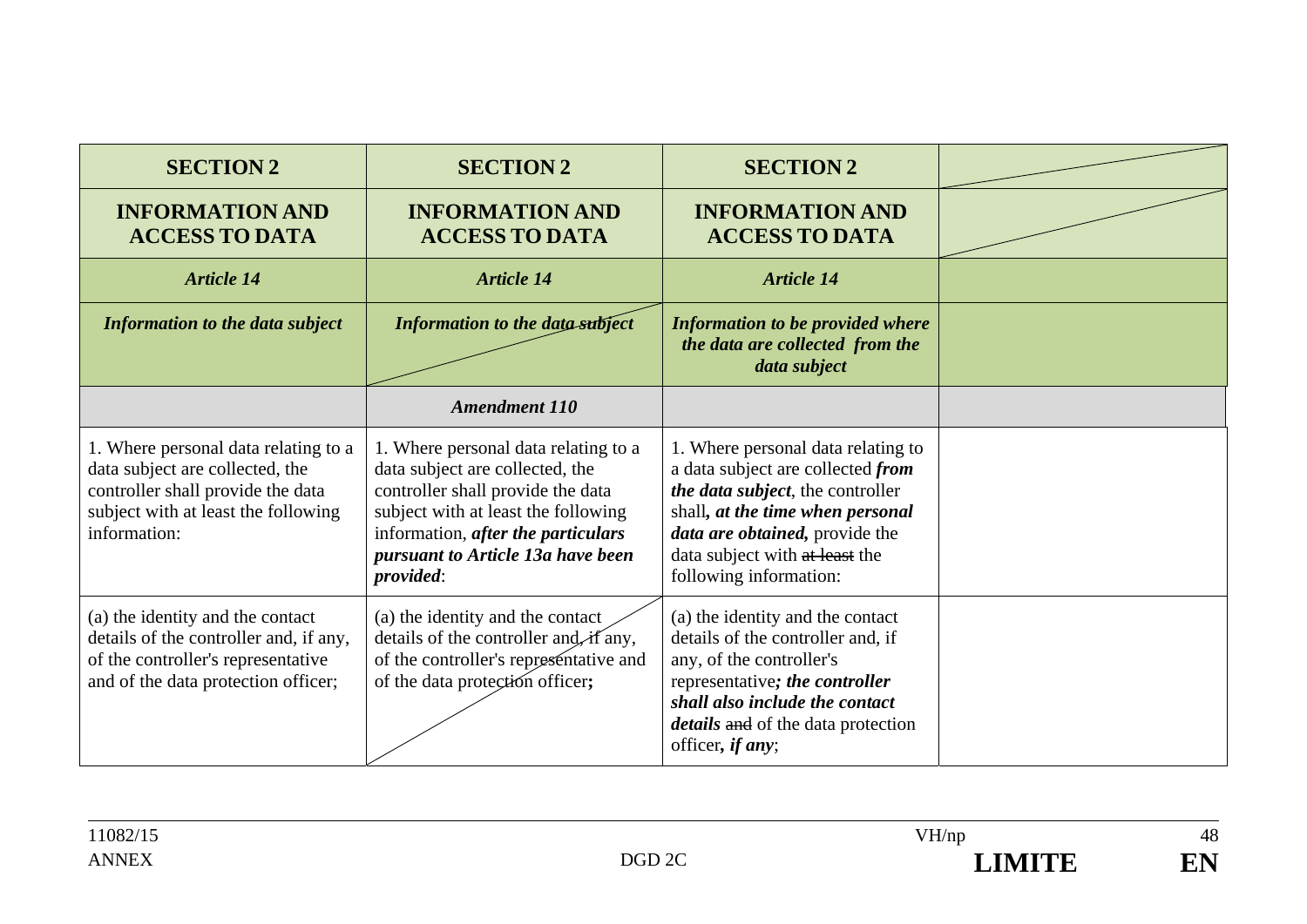| <b>SECTION 2</b>                                                                                                                                                    | <b>SECTION 2</b>                                                                                                                                                                                                                            | <b>SECTION 2</b>                                                                                                                                                                                                                              |  |
|---------------------------------------------------------------------------------------------------------------------------------------------------------------------|---------------------------------------------------------------------------------------------------------------------------------------------------------------------------------------------------------------------------------------------|-----------------------------------------------------------------------------------------------------------------------------------------------------------------------------------------------------------------------------------------------|--|
| <b>INFORMATION AND</b><br><b>ACCESS TO DATA</b>                                                                                                                     | <b>INFORMATION AND</b><br><b>ACCESS TO DATA</b>                                                                                                                                                                                             | <b>INFORMATION AND</b><br><b>ACCESS TO DATA</b>                                                                                                                                                                                               |  |
| <b>Article 14</b>                                                                                                                                                   | <b>Article 14</b>                                                                                                                                                                                                                           | <b>Article 14</b>                                                                                                                                                                                                                             |  |
| <b>Information to the data subject</b>                                                                                                                              | Information to the data subject                                                                                                                                                                                                             | <b>Information to be provided where</b><br>the data are collected from the<br>data subject                                                                                                                                                    |  |
|                                                                                                                                                                     | <b>Amendment 110</b>                                                                                                                                                                                                                        |                                                                                                                                                                                                                                               |  |
| 1. Where personal data relating to a<br>data subject are collected, the<br>controller shall provide the data<br>subject with at least the following<br>information: | 1. Where personal data relating to a<br>data subject are collected, the<br>controller shall provide the data<br>subject with at least the following<br>information, after the particulars<br>pursuant to Article 13a have been<br>provided: | 1. Where personal data relating to<br>a data subject are collected from<br>the data subject, the controller<br>shall, at the time when personal<br>data are obtained, provide the<br>data subject with at least the<br>following information: |  |
| (a) the identity and the contact<br>details of the controller and, if any,<br>of the controller's representative<br>and of the data protection officer;             | (a) the identity and the contact<br>details of the controller and if any,<br>of the controller's representative and<br>of the data protection officer;                                                                                      | (a) the identity and the contact<br>details of the controller and, if<br>any, of the controller's<br>representative; the controller<br>shall also include the contact<br><i>details</i> and of the data protection<br>officer, if any;        |  |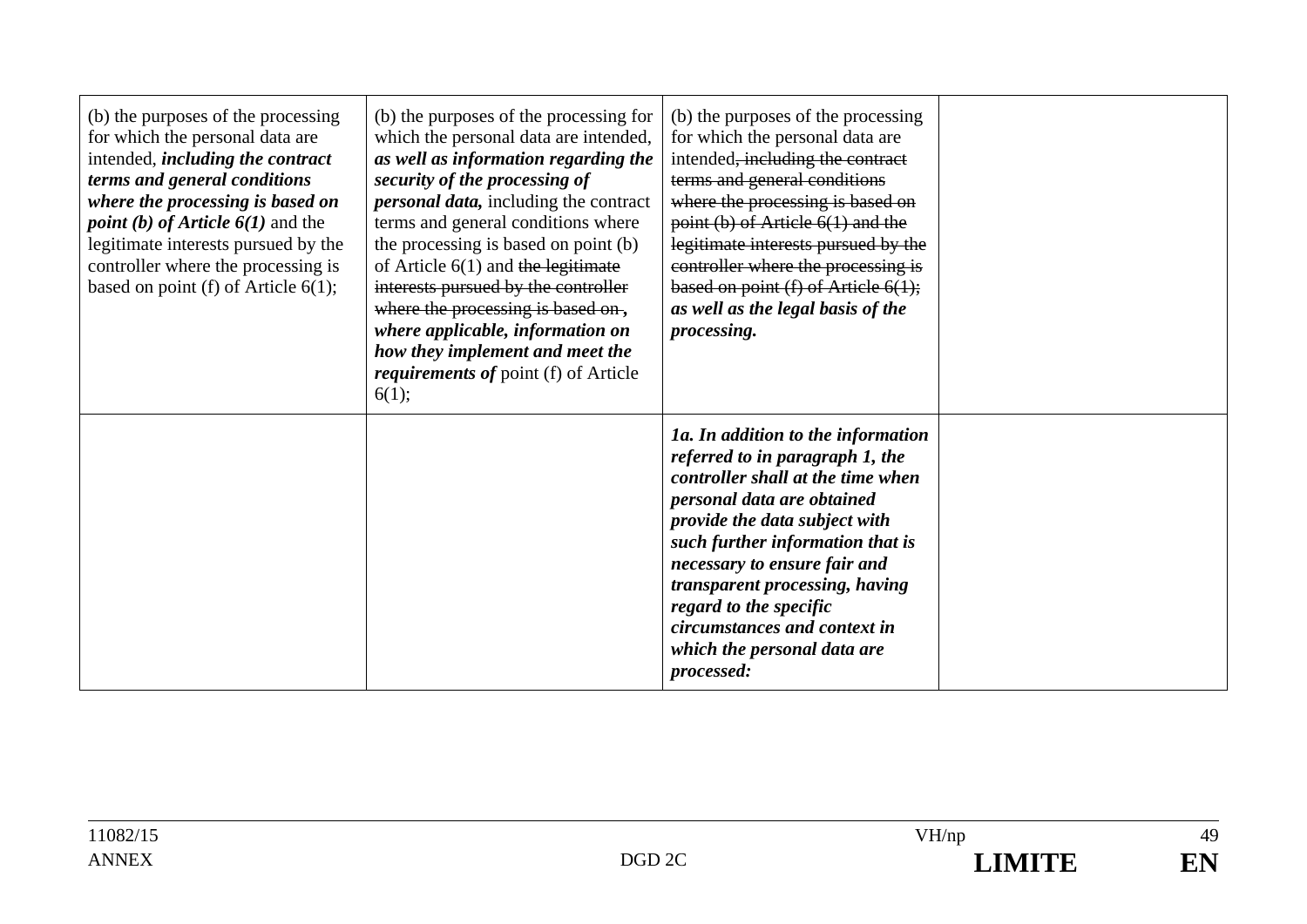| (b) the purposes of the processing<br>for which the personal data are<br>intended, <i>including the contract</i><br>terms and general conditions<br>where the processing is based on<br><i>point (b) of Article 6(1)</i> and the<br>legitimate interests pursued by the<br>controller where the processing is<br>based on point (f) of Article $6(1)$ ; | (b) the purposes of the processing for<br>which the personal data are intended,<br>as well as information regarding the<br>security of the processing of<br><i>personal data</i> , including the contract<br>terms and general conditions where<br>the processing is based on point (b)<br>of Article $6(1)$ and the legitimate<br>interests pursued by the controller<br>where the processing is based on,<br>where applicable, information on<br>how they implement and meet the<br><i>requirements of point (f) of Article</i><br>6(1); | (b) the purposes of the processing<br>for which the personal data are<br>intended, including the contract<br>terms and general conditions<br>where the processing is based on<br>point (b) of Article $6(1)$ and the<br>legitimate interests pursued by the<br>controller where the processing is<br>based on point $(f)$ of Article $6(1)$ ;<br>as well as the legal basis of the<br>processing. |  |
|---------------------------------------------------------------------------------------------------------------------------------------------------------------------------------------------------------------------------------------------------------------------------------------------------------------------------------------------------------|--------------------------------------------------------------------------------------------------------------------------------------------------------------------------------------------------------------------------------------------------------------------------------------------------------------------------------------------------------------------------------------------------------------------------------------------------------------------------------------------------------------------------------------------|---------------------------------------------------------------------------------------------------------------------------------------------------------------------------------------------------------------------------------------------------------------------------------------------------------------------------------------------------------------------------------------------------|--|
|                                                                                                                                                                                                                                                                                                                                                         |                                                                                                                                                                                                                                                                                                                                                                                                                                                                                                                                            | 1a. In addition to the information<br>referred to in paragraph 1, the<br>controller shall at the time when<br>personal data are obtained<br>provide the data subject with<br>such further information that is<br>necessary to ensure fair and<br>transparent processing, having<br>regard to the specific<br>circumstances and context in<br>which the personal data are<br>processed:            |  |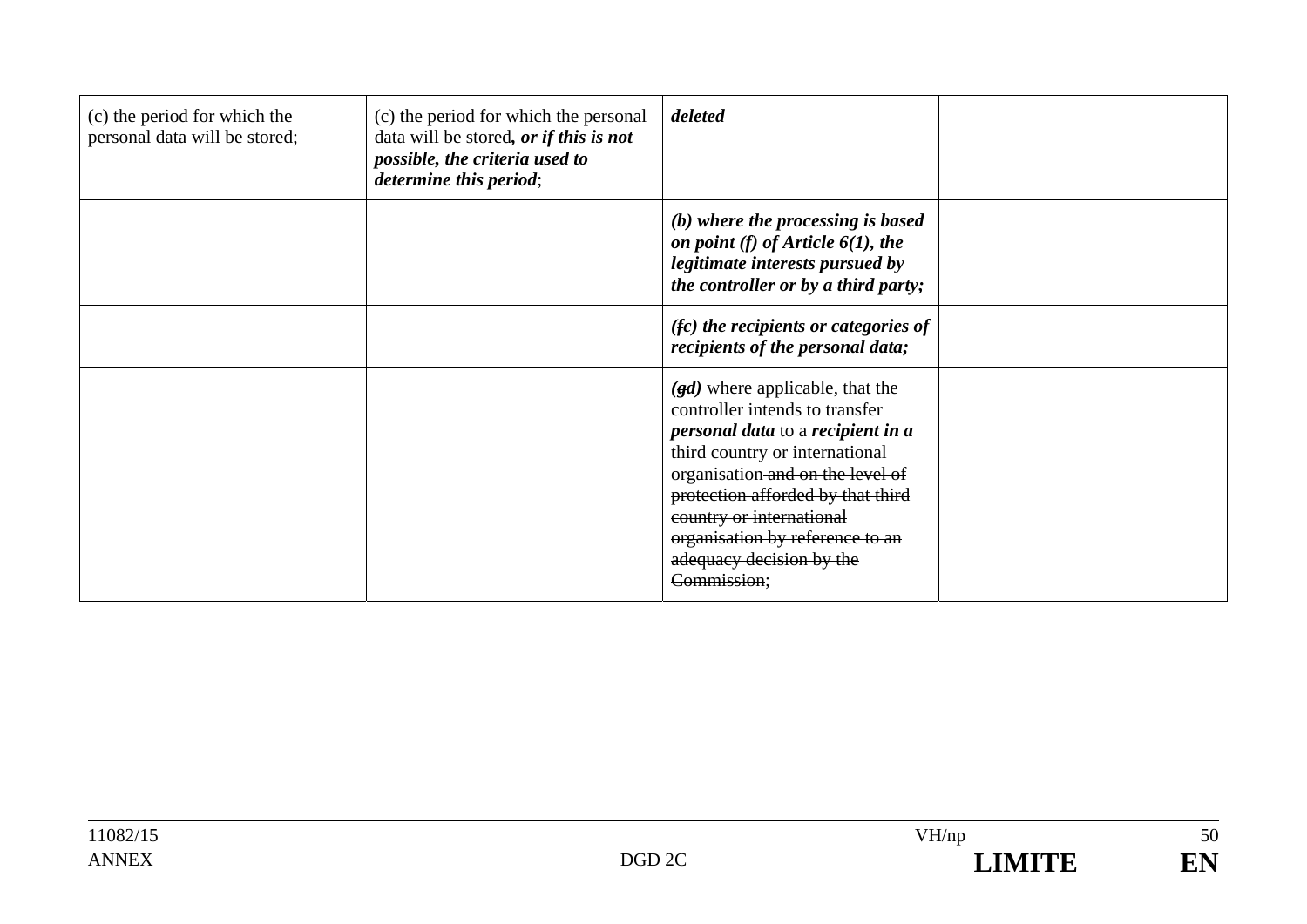| (c) the period for which the<br>personal data will be stored; | (c) the period for which the personal<br>data will be stored, or if this is not<br>possible, the criteria used to<br>determine this period; | deleted                                                                                                                                                                                                                                                                                                                              |  |
|---------------------------------------------------------------|---------------------------------------------------------------------------------------------------------------------------------------------|--------------------------------------------------------------------------------------------------------------------------------------------------------------------------------------------------------------------------------------------------------------------------------------------------------------------------------------|--|
|                                                               |                                                                                                                                             | $(b)$ where the processing is based<br>on point (f) of Article $6(1)$ , the<br>legitimate interests pursued by<br>the controller or by a third party;                                                                                                                                                                                |  |
|                                                               |                                                                                                                                             | $f(x)$ the recipients or categories of<br>recipients of the personal data;                                                                                                                                                                                                                                                           |  |
|                                                               |                                                                                                                                             | $(gd)$ where applicable, that the<br>controller intends to transfer<br><i>personal data to a recipient in a</i><br>third country or international<br>organisation and on the level of<br>protection afforded by that third<br>country or international<br>organisation by reference to an<br>adequacy decision by the<br>Commission: |  |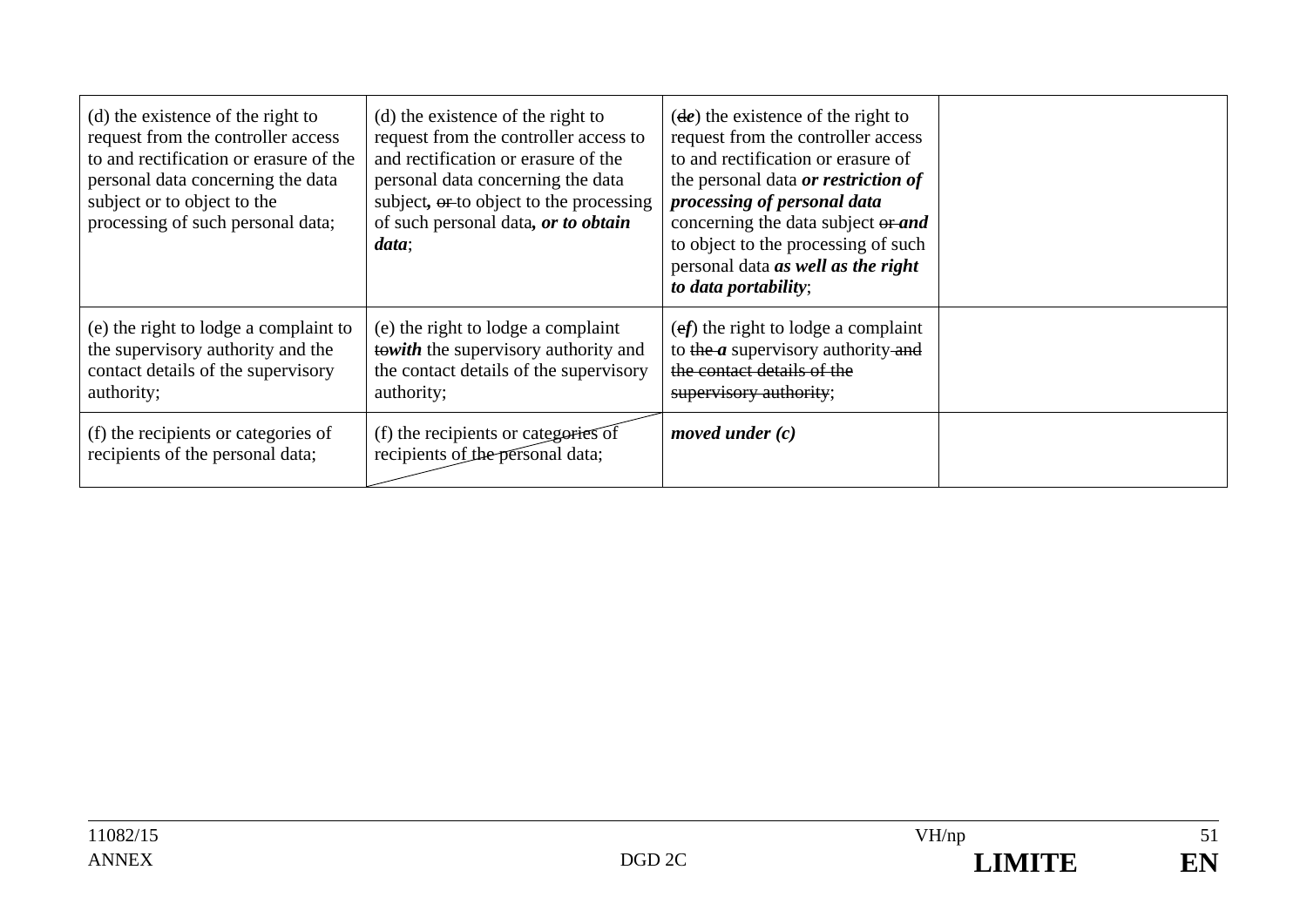| (d) the existence of the right to<br>request from the controller access<br>to and rectification or erasure of the<br>personal data concerning the data<br>subject or to object to the<br>processing of such personal data; | (d) the existence of the right to<br>request from the controller access to<br>and rectification or erasure of the<br>personal data concerning the data<br>subject, or to object to the processing<br>of such personal data, or to obtain<br>data; | $(de)$ the existence of the right to<br>request from the controller access<br>to and rectification or erasure of<br>the personal data <i>or restriction of</i><br>processing of personal data<br>concerning the data subject $\theta$ <b>r</b> and<br>to object to the processing of such<br>personal data <i>as well as the right</i><br>to data portability; |  |
|----------------------------------------------------------------------------------------------------------------------------------------------------------------------------------------------------------------------------|---------------------------------------------------------------------------------------------------------------------------------------------------------------------------------------------------------------------------------------------------|----------------------------------------------------------------------------------------------------------------------------------------------------------------------------------------------------------------------------------------------------------------------------------------------------------------------------------------------------------------|--|
| (e) the right to lodge a complaint to<br>the supervisory authority and the<br>contact details of the supervisory<br>authority;                                                                                             | (e) the right to lodge a complaint<br><b>towith</b> the supervisory authority and<br>the contact details of the supervisory<br>authority;                                                                                                         | $(\epsilon f)$ the right to lodge a complaint<br>to the $a$ supervisory authority and<br>the contact details of the<br>supervisory authority;                                                                                                                                                                                                                  |  |
| (f) the recipients or categories of<br>recipients of the personal data;                                                                                                                                                    | $(f)$ the recipients or categories of<br>recipients of the personal data;                                                                                                                                                                         | moved under $(c)$                                                                                                                                                                                                                                                                                                                                              |  |

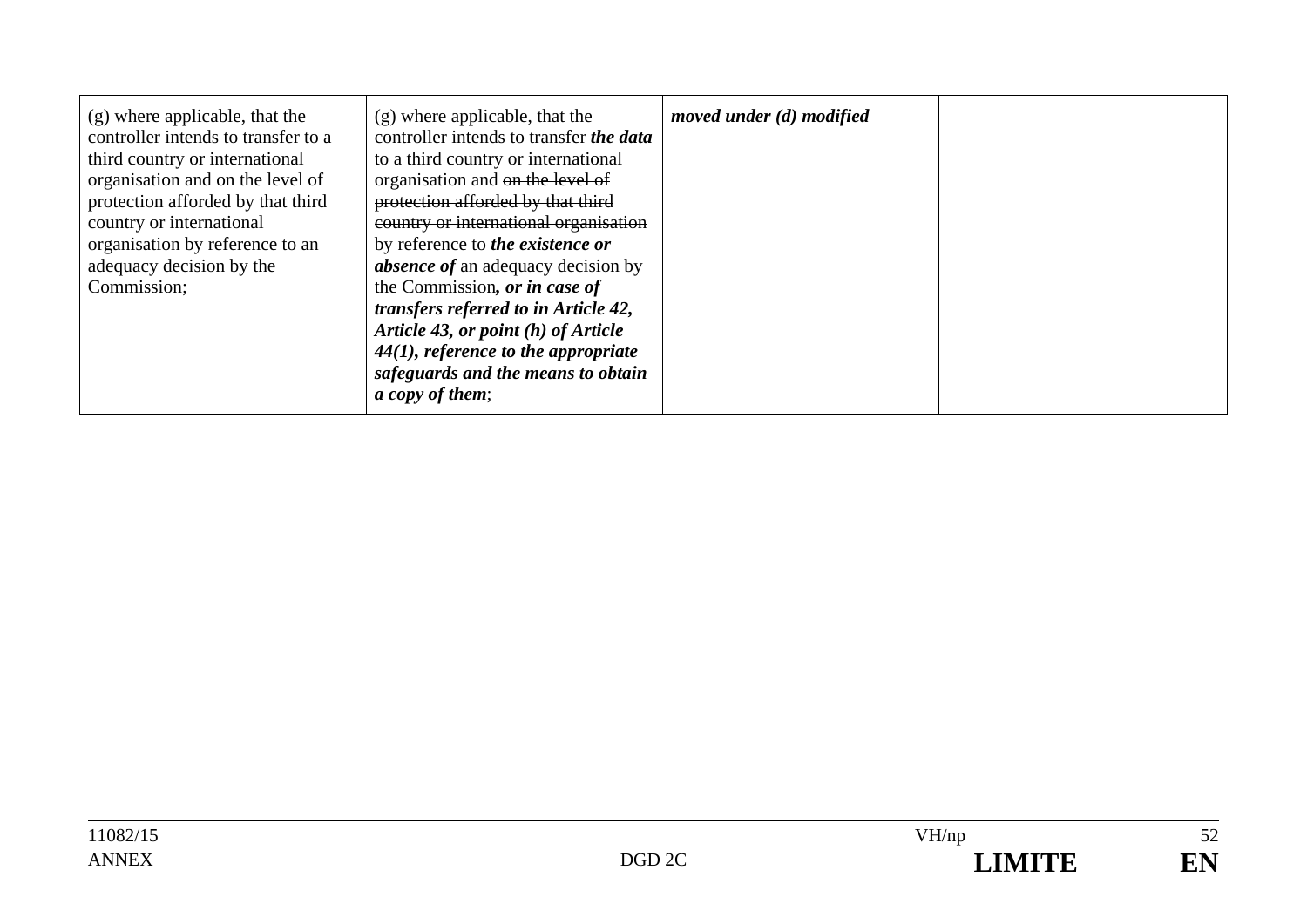| (g) where applicable, that the<br>controller intends to transfer to a<br>third country or international<br>organisation and on the level of<br>protection afforded by that third<br>country or international<br>organisation by reference to an<br>adequacy decision by the<br>Commission; | (g) where applicable, that the<br>controller intends to transfer the data<br>to a third country or international<br>organisation and on the level of<br>protection afforded by that third<br>country or international organisation<br>by reference to the existence or<br><i>absence of an adequacy decision by</i><br>the Commission, or in case of<br>transfers referred to in Article 42,<br>Article 43, or point (h) of Article<br>$44(1)$ , reference to the appropriate<br>safeguards and the means to obtain<br><i>a copy of them</i> ; | moved under (d) modified |  |
|--------------------------------------------------------------------------------------------------------------------------------------------------------------------------------------------------------------------------------------------------------------------------------------------|------------------------------------------------------------------------------------------------------------------------------------------------------------------------------------------------------------------------------------------------------------------------------------------------------------------------------------------------------------------------------------------------------------------------------------------------------------------------------------------------------------------------------------------------|--------------------------|--|
|--------------------------------------------------------------------------------------------------------------------------------------------------------------------------------------------------------------------------------------------------------------------------------------------|------------------------------------------------------------------------------------------------------------------------------------------------------------------------------------------------------------------------------------------------------------------------------------------------------------------------------------------------------------------------------------------------------------------------------------------------------------------------------------------------------------------------------------------------|--------------------------|--|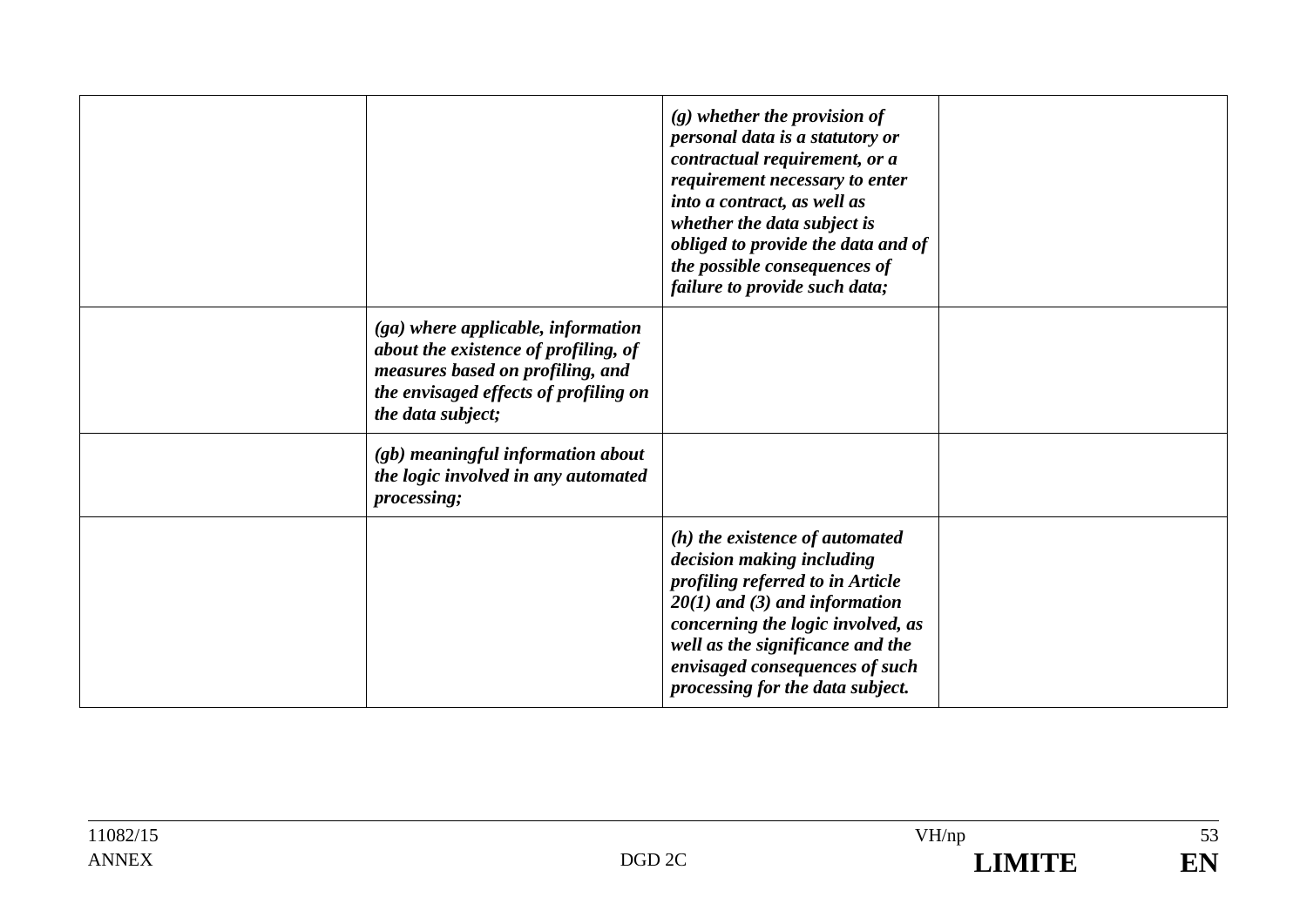|                                                                                                                                                                                | $(g)$ whether the provision of<br>personal data is a statutory or<br>contractual requirement, or a<br>requirement necessary to enter<br>into a contract, as well as<br>whether the data subject is<br>obliged to provide the data and of<br>the possible consequences of<br>failure to provide such data; |  |
|--------------------------------------------------------------------------------------------------------------------------------------------------------------------------------|-----------------------------------------------------------------------------------------------------------------------------------------------------------------------------------------------------------------------------------------------------------------------------------------------------------|--|
| $(ga)$ where applicable, information<br>about the existence of profiling, of<br>measures based on profiling, and<br>the envisaged effects of profiling on<br>the data subject; |                                                                                                                                                                                                                                                                                                           |  |
| (gb) meaningful information about<br>the logic involved in any automated<br>processing;                                                                                        |                                                                                                                                                                                                                                                                                                           |  |
|                                                                                                                                                                                | (h) the existence of automated<br>decision making including<br>profiling referred to in Article<br>$20(1)$ and (3) and information<br>concerning the logic involved, as<br>well as the significance and the<br>envisaged consequences of such<br>processing for the data subject.                         |  |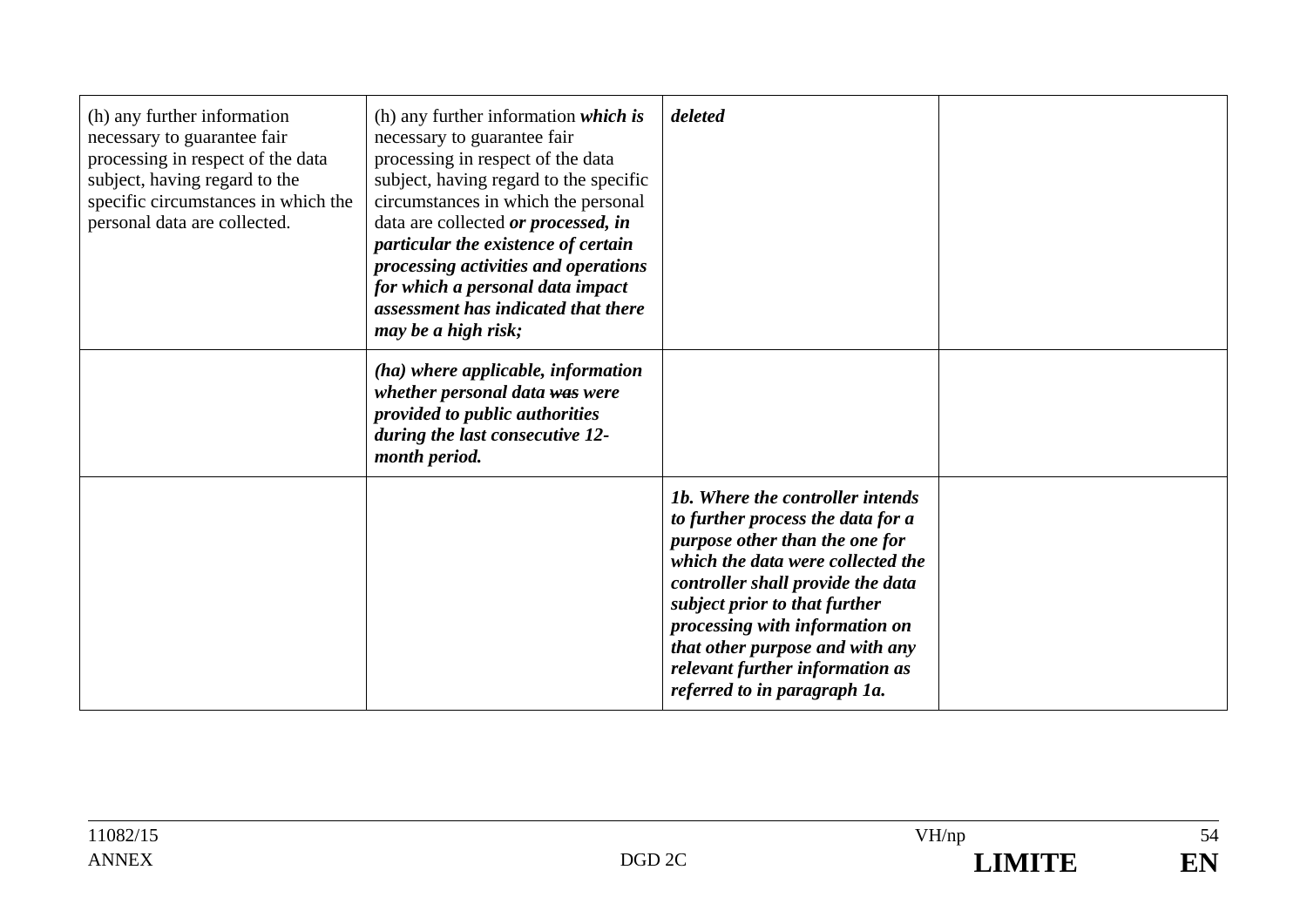| (h) any further information<br>necessary to guarantee fair<br>processing in respect of the data<br>subject, having regard to the<br>specific circumstances in which the<br>personal data are collected. | (h) any further information $which$ is<br>necessary to guarantee fair<br>processing in respect of the data<br>subject, having regard to the specific<br>circumstances in which the personal<br>data are collected or processed, in<br>particular the existence of certain<br>processing activities and operations<br>for which a personal data impact<br>assessment has indicated that there<br>may be a high risk; | deleted                                                                                                                                                                                                                                                                                                                                                    |  |
|---------------------------------------------------------------------------------------------------------------------------------------------------------------------------------------------------------|---------------------------------------------------------------------------------------------------------------------------------------------------------------------------------------------------------------------------------------------------------------------------------------------------------------------------------------------------------------------------------------------------------------------|------------------------------------------------------------------------------------------------------------------------------------------------------------------------------------------------------------------------------------------------------------------------------------------------------------------------------------------------------------|--|
|                                                                                                                                                                                                         | (ha) where applicable, information<br>whether personal data was were<br>provided to public authorities<br>during the last consecutive 12-<br>month period.                                                                                                                                                                                                                                                          |                                                                                                                                                                                                                                                                                                                                                            |  |
|                                                                                                                                                                                                         |                                                                                                                                                                                                                                                                                                                                                                                                                     | 1b. Where the controller intends<br>to further process the data for a<br>purpose other than the one for<br>which the data were collected the<br>controller shall provide the data<br>subject prior to that further<br>processing with information on<br>that other purpose and with any<br>relevant further information as<br>referred to in paragraph 1a. |  |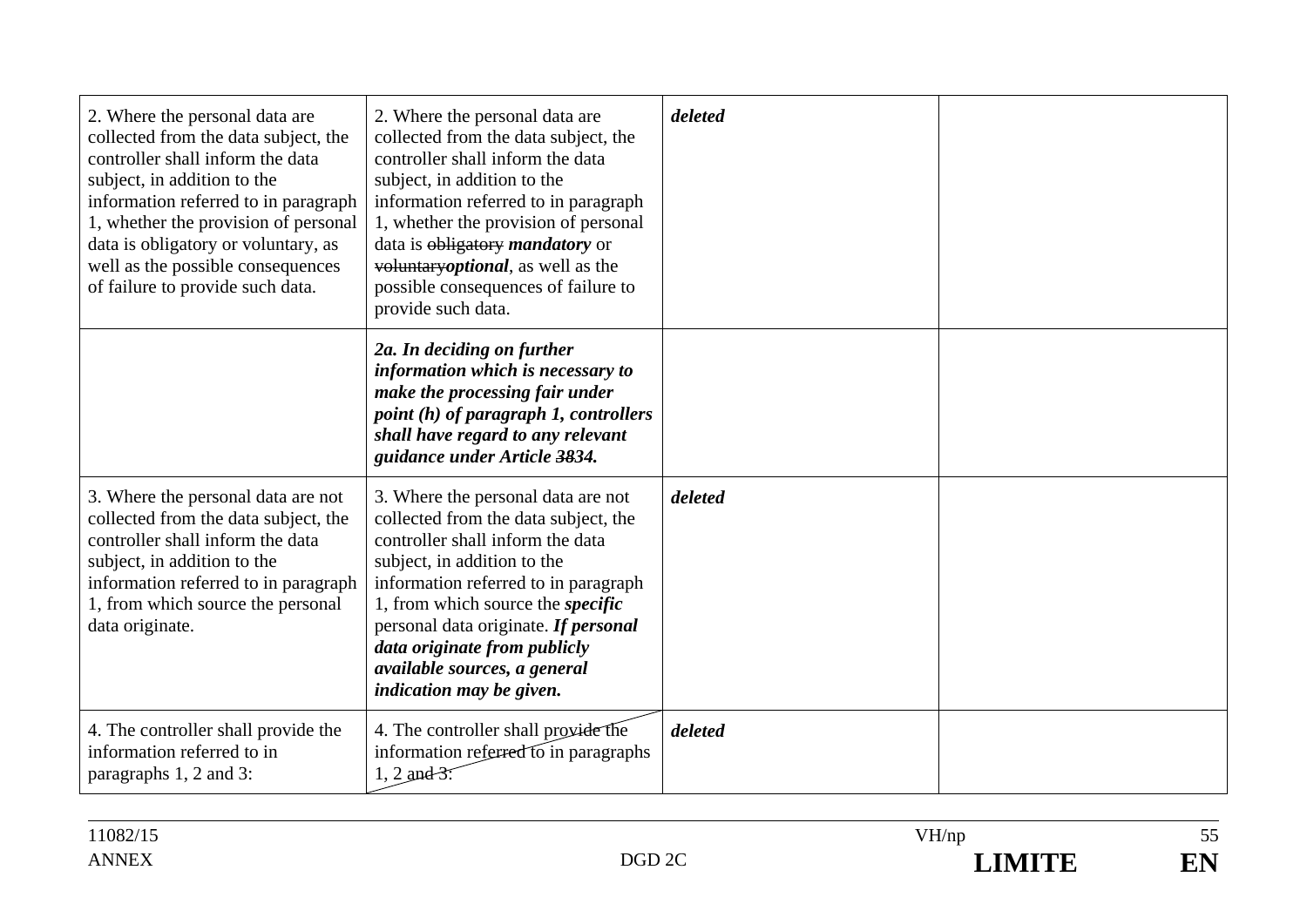| 2. Where the personal data are<br>collected from the data subject, the<br>controller shall inform the data<br>subject, in addition to the<br>information referred to in paragraph<br>1, whether the provision of personal<br>data is obligatory or voluntary, as<br>well as the possible consequences<br>of failure to provide such data. | 2. Where the personal data are<br>collected from the data subject, the<br>controller shall inform the data<br>subject, in addition to the<br>information referred to in paragraph<br>1, whether the provision of personal<br>data is obligatory mandatory or<br>voluntaryoptional, as well as the<br>possible consequences of failure to<br>provide such data.        | deleted |  |
|-------------------------------------------------------------------------------------------------------------------------------------------------------------------------------------------------------------------------------------------------------------------------------------------------------------------------------------------|-----------------------------------------------------------------------------------------------------------------------------------------------------------------------------------------------------------------------------------------------------------------------------------------------------------------------------------------------------------------------|---------|--|
|                                                                                                                                                                                                                                                                                                                                           | 2a. In deciding on further<br>information which is necessary to<br>make the processing fair under<br>point (h) of paragraph 1, controllers<br>shall have regard to any relevant<br>guidance under Article 3834.                                                                                                                                                       |         |  |
| 3. Where the personal data are not<br>collected from the data subject, the<br>controller shall inform the data<br>subject, in addition to the<br>information referred to in paragraph<br>1, from which source the personal<br>data originate.                                                                                             | 3. Where the personal data are not<br>collected from the data subject, the<br>controller shall inform the data<br>subject, in addition to the<br>information referred to in paragraph<br>1, from which source the <i>specific</i><br>personal data originate. If personal<br>data originate from publicly<br>available sources, a general<br>indication may be given. | deleted |  |
| 4. The controller shall provide the<br>information referred to in<br>paragraphs 1, 2 and 3:                                                                                                                                                                                                                                               | 4. The controller shall provide the<br>information referred to in paragraphs<br>$1, 2$ and 3.                                                                                                                                                                                                                                                                         | deleted |  |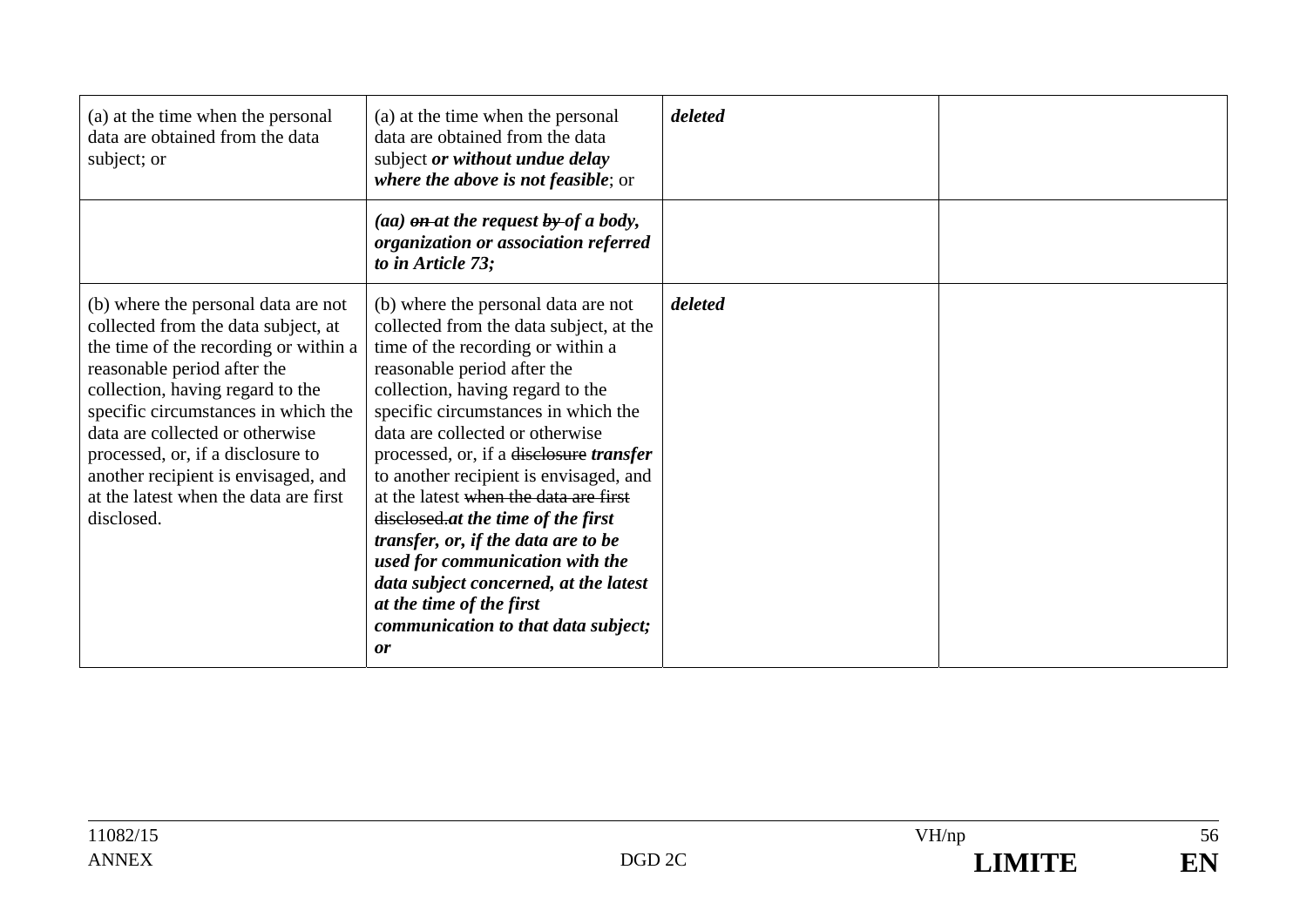| (a) at the time when the personal<br>data are obtained from the data<br>subject; or                                                                                                                                                                                                                                                                                                                 | (a) at the time when the personal<br>data are obtained from the data<br>subject or without undue delay<br>where the above is not feasible; or                                                                                                                                                                                                                                                                                                                                                                                                                                                                                    | deleted |  |
|-----------------------------------------------------------------------------------------------------------------------------------------------------------------------------------------------------------------------------------------------------------------------------------------------------------------------------------------------------------------------------------------------------|----------------------------------------------------------------------------------------------------------------------------------------------------------------------------------------------------------------------------------------------------------------------------------------------------------------------------------------------------------------------------------------------------------------------------------------------------------------------------------------------------------------------------------------------------------------------------------------------------------------------------------|---------|--|
|                                                                                                                                                                                                                                                                                                                                                                                                     | (aa) $\theta$ at the request $\theta$ y of a body,<br>organization or association referred<br>to in Article 73;                                                                                                                                                                                                                                                                                                                                                                                                                                                                                                                  |         |  |
| (b) where the personal data are not<br>collected from the data subject, at<br>the time of the recording or within a<br>reasonable period after the<br>collection, having regard to the<br>specific circumstances in which the<br>data are collected or otherwise<br>processed, or, if a disclosure to<br>another recipient is envisaged, and<br>at the latest when the data are first<br>disclosed. | (b) where the personal data are not<br>collected from the data subject, at the<br>time of the recording or within a<br>reasonable period after the<br>collection, having regard to the<br>specific circumstances in which the<br>data are collected or otherwise<br>processed, or, if a disclosure transfer<br>to another recipient is envisaged, and<br>at the latest when the data are first<br>disclosed at the time of the first<br>transfer, or, if the data are to be<br>used for communication with the<br>data subject concerned, at the latest<br>at the time of the first<br>communication to that data subject;<br>or | deleted |  |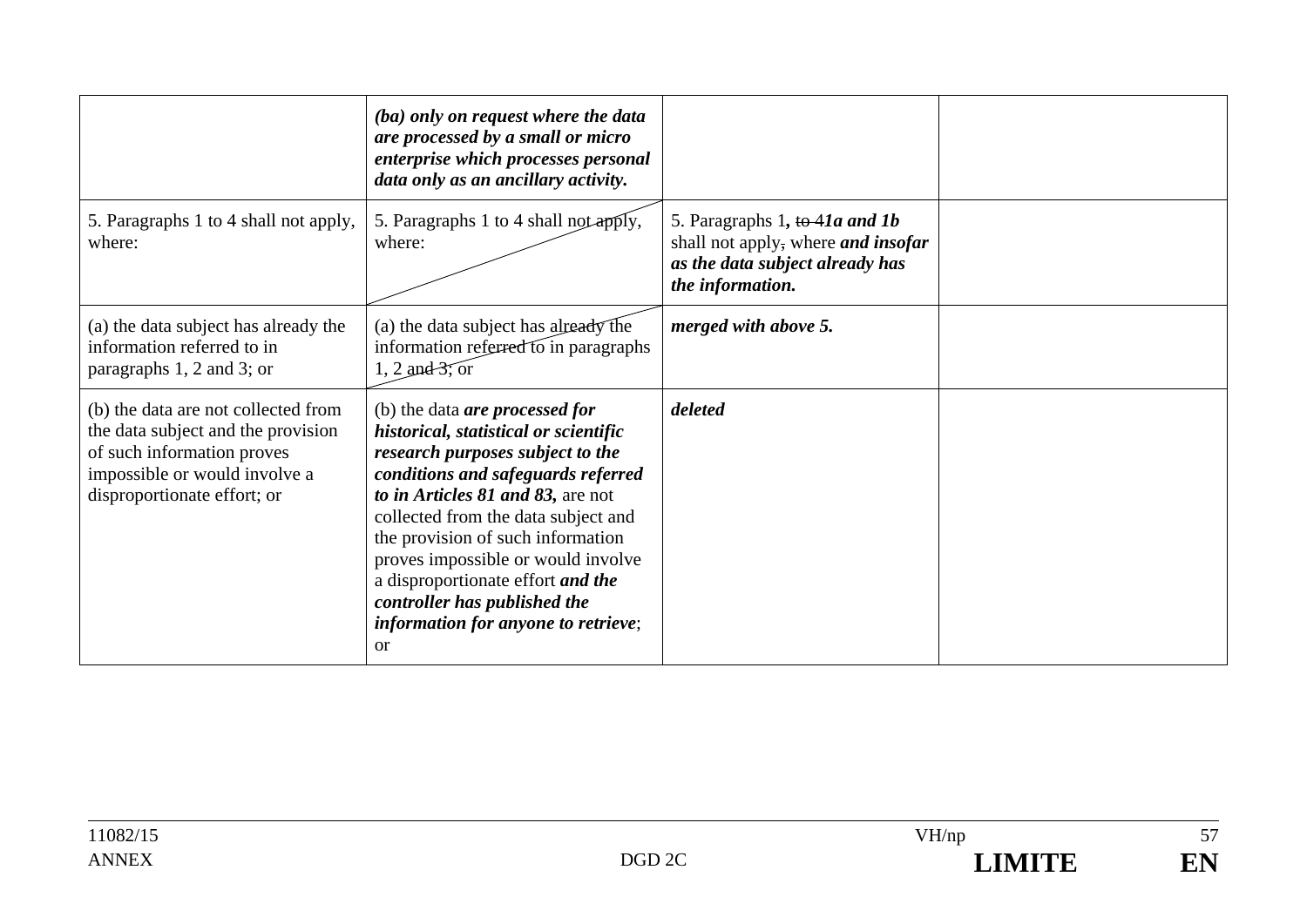|                                                                                                                                                                         | (ba) only on request where the data<br>are processed by a small or micro<br>enterprise which processes personal<br>data only as an ancillary activity.                                                                                                                                                                                                                                                                            |                                                                                                                                    |  |
|-------------------------------------------------------------------------------------------------------------------------------------------------------------------------|-----------------------------------------------------------------------------------------------------------------------------------------------------------------------------------------------------------------------------------------------------------------------------------------------------------------------------------------------------------------------------------------------------------------------------------|------------------------------------------------------------------------------------------------------------------------------------|--|
| 5. Paragraphs 1 to 4 shall not apply,<br>where:                                                                                                                         | 5. Paragraphs 1 to 4 shall not apply,<br>where:                                                                                                                                                                                                                                                                                                                                                                                   | 5. Paragraphs 1, to 41a and 1b<br>shall not apply, where <i>and insofar</i><br>as the data subject already has<br>the information. |  |
| (a) the data subject has already the<br>information referred to in<br>paragraphs 1, 2 and 3; or                                                                         | (a) the data subject has already the<br>information referred to in paragraphs<br>$1, 2$ and 3, or                                                                                                                                                                                                                                                                                                                                 | merged with above 5.                                                                                                               |  |
| (b) the data are not collected from<br>the data subject and the provision<br>of such information proves<br>impossible or would involve a<br>disproportionate effort; or | (b) the data <i>are processed for</i><br>historical, statistical or scientific<br>research purposes subject to the<br>conditions and safeguards referred<br>to in Articles 81 and 83, are not<br>collected from the data subject and<br>the provision of such information<br>proves impossible or would involve<br>a disproportionate effort and the<br>controller has published the<br>information for anyone to retrieve;<br>or | deleted                                                                                                                            |  |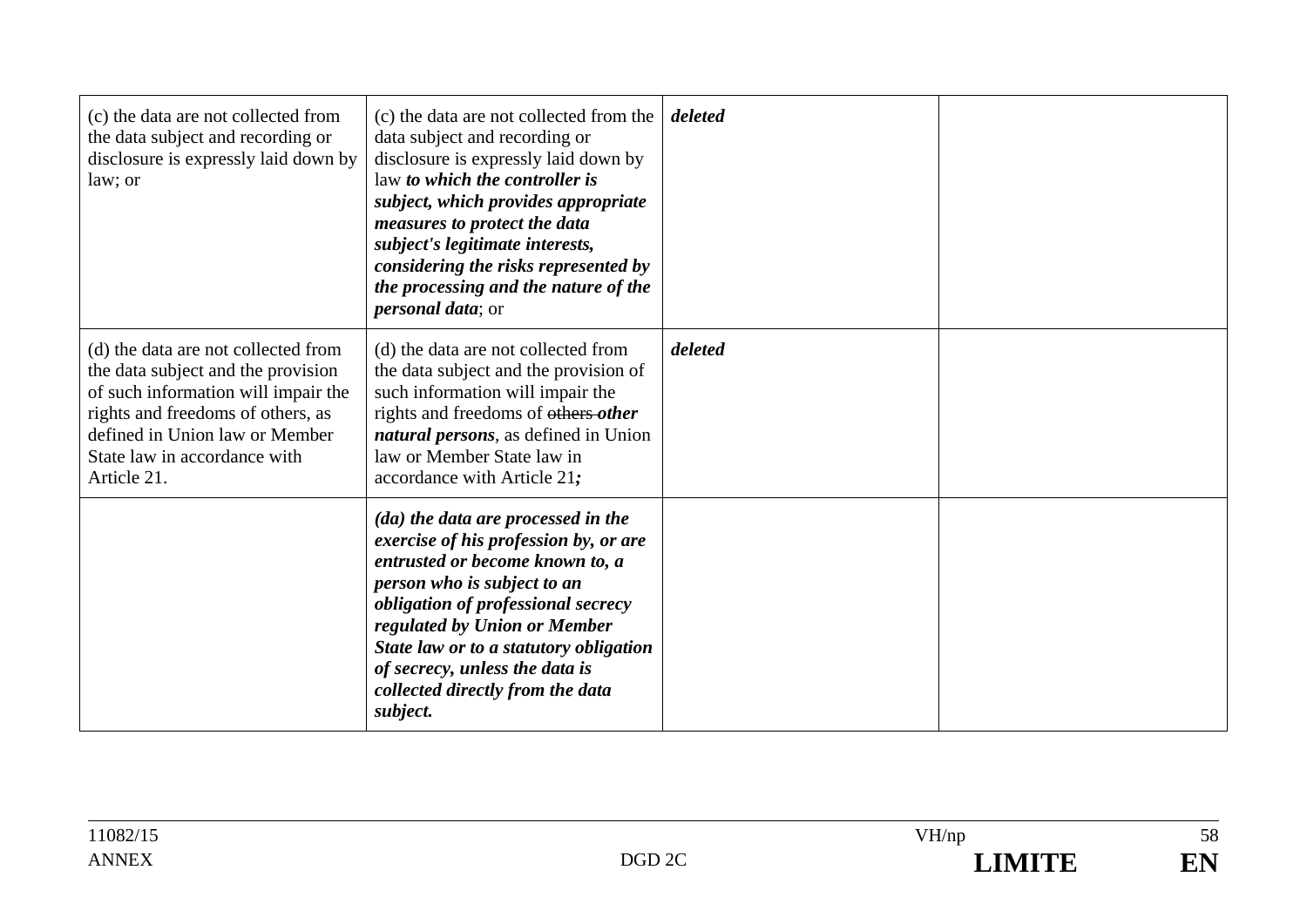| (c) the data are not collected from<br>the data subject and recording or<br>disclosure is expressly laid down by<br>law; or                                                                                                            | (c) the data are not collected from the $\vert$<br>data subject and recording or<br>disclosure is expressly laid down by<br>law to which the controller is<br>subject, which provides appropriate<br>measures to protect the data<br>subject's legitimate interests,<br>considering the risks represented by<br>the processing and the nature of the<br><i>personal data</i> ; or | deleted |  |
|----------------------------------------------------------------------------------------------------------------------------------------------------------------------------------------------------------------------------------------|-----------------------------------------------------------------------------------------------------------------------------------------------------------------------------------------------------------------------------------------------------------------------------------------------------------------------------------------------------------------------------------|---------|--|
| (d) the data are not collected from<br>the data subject and the provision<br>of such information will impair the<br>rights and freedoms of others, as<br>defined in Union law or Member<br>State law in accordance with<br>Article 21. | (d) the data are not collected from<br>the data subject and the provision of<br>such information will impair the<br>rights and freedoms of others other<br><i>natural persons</i> , as defined in Union<br>law or Member State law in<br>accordance with Article 21;                                                                                                              | deleted |  |
|                                                                                                                                                                                                                                        | (da) the data are processed in the<br>exercise of his profession by, or are<br>entrusted or become known to, a<br>person who is subject to an<br>obligation of professional secrecy<br>regulated by Union or Member<br>State law or to a statutory obligation<br>of secrecy, unless the data is<br>collected directly from the data<br>subject.                                   |         |  |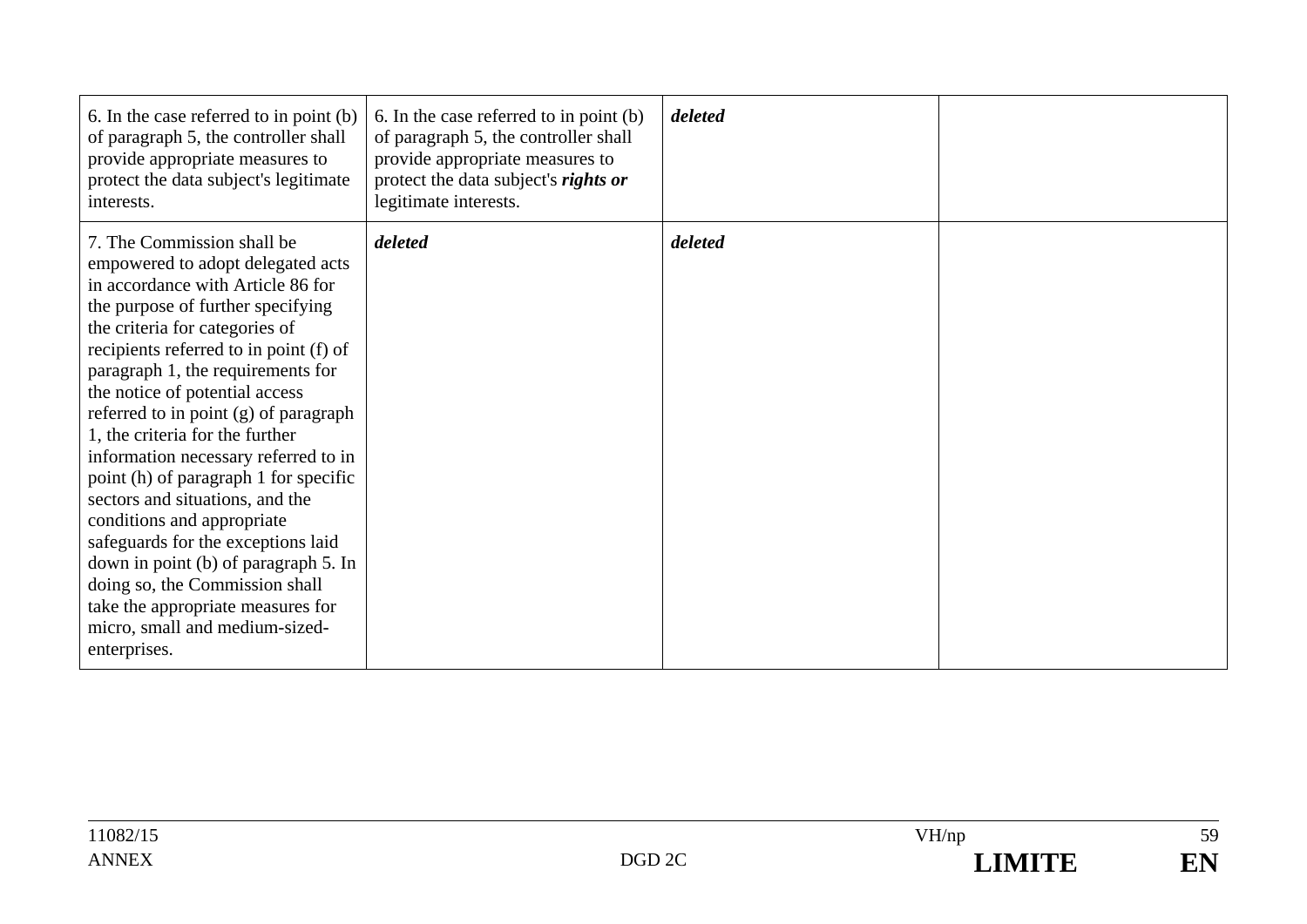| 6. In the case referred to in point (b)<br>of paragraph 5, the controller shall<br>provide appropriate measures to<br>protect the data subject's legitimate<br>interests.                                                                                                                                                                                                                                                                                                                                                                                                                                                                                                                                                         | 6. In the case referred to in point (b)<br>of paragraph 5, the controller shall<br>provide appropriate measures to<br>protect the data subject's rights or<br>legitimate interests. | deleted |  |
|-----------------------------------------------------------------------------------------------------------------------------------------------------------------------------------------------------------------------------------------------------------------------------------------------------------------------------------------------------------------------------------------------------------------------------------------------------------------------------------------------------------------------------------------------------------------------------------------------------------------------------------------------------------------------------------------------------------------------------------|-------------------------------------------------------------------------------------------------------------------------------------------------------------------------------------|---------|--|
| 7. The Commission shall be<br>empowered to adopt delegated acts<br>in accordance with Article 86 for<br>the purpose of further specifying<br>the criteria for categories of<br>recipients referred to in point (f) of<br>paragraph 1, the requirements for<br>the notice of potential access<br>referred to in point (g) of paragraph<br>1, the criteria for the further<br>information necessary referred to in<br>point (h) of paragraph 1 for specific<br>sectors and situations, and the<br>conditions and appropriate<br>safeguards for the exceptions laid<br>down in point (b) of paragraph 5. In<br>doing so, the Commission shall<br>take the appropriate measures for<br>micro, small and medium-sized-<br>enterprises. | deleted                                                                                                                                                                             | deleted |  |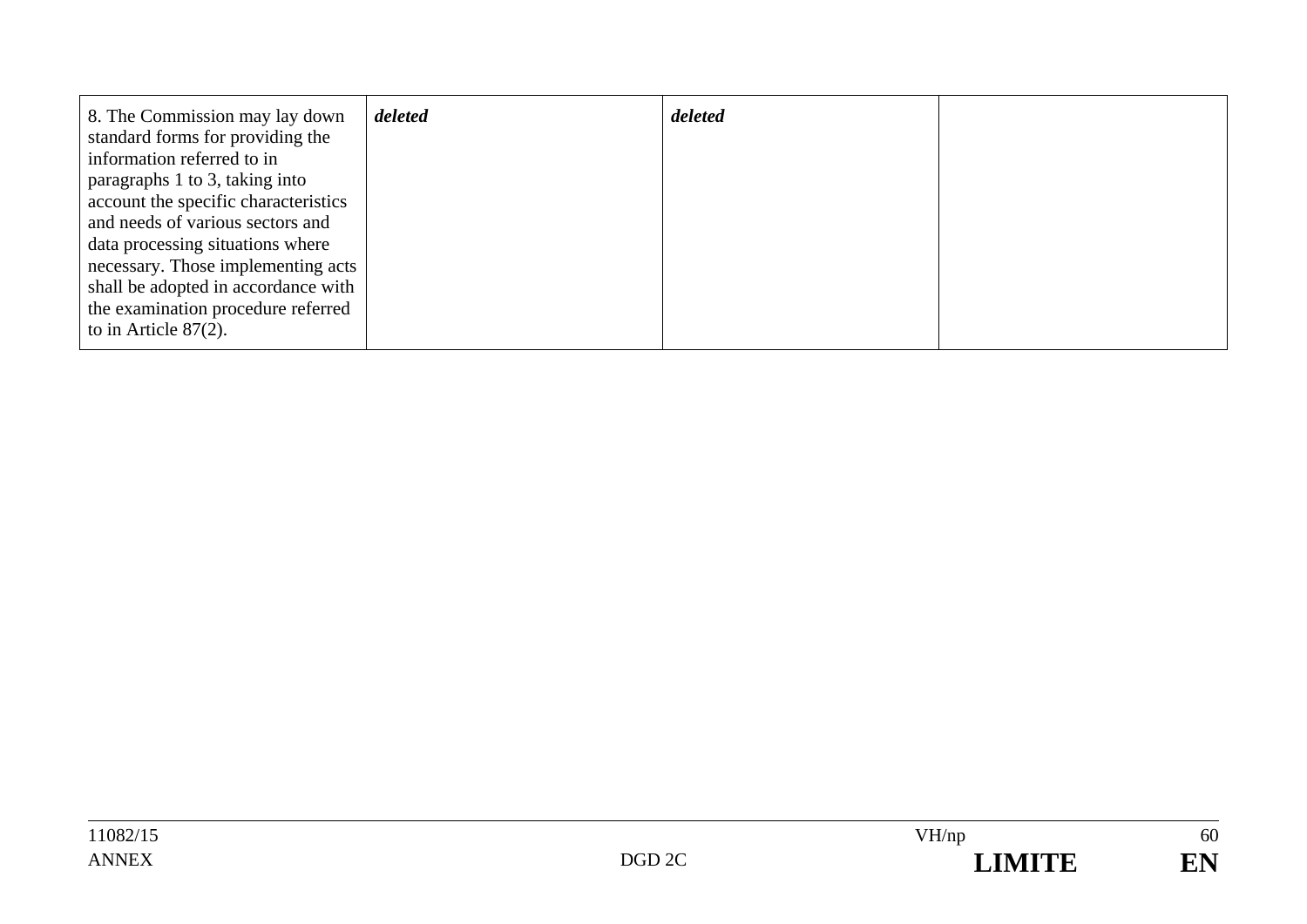| 8. The Commission may lay down       | deleted | deleted |  |
|--------------------------------------|---------|---------|--|
| standard forms for providing the     |         |         |  |
| information referred to in           |         |         |  |
| paragraphs 1 to 3, taking into       |         |         |  |
| account the specific characteristics |         |         |  |
| and needs of various sectors and     |         |         |  |
| data processing situations where     |         |         |  |
| necessary. Those implementing acts   |         |         |  |
| shall be adopted in accordance with  |         |         |  |
| the examination procedure referred   |         |         |  |
| to in Article $87(2)$ .              |         |         |  |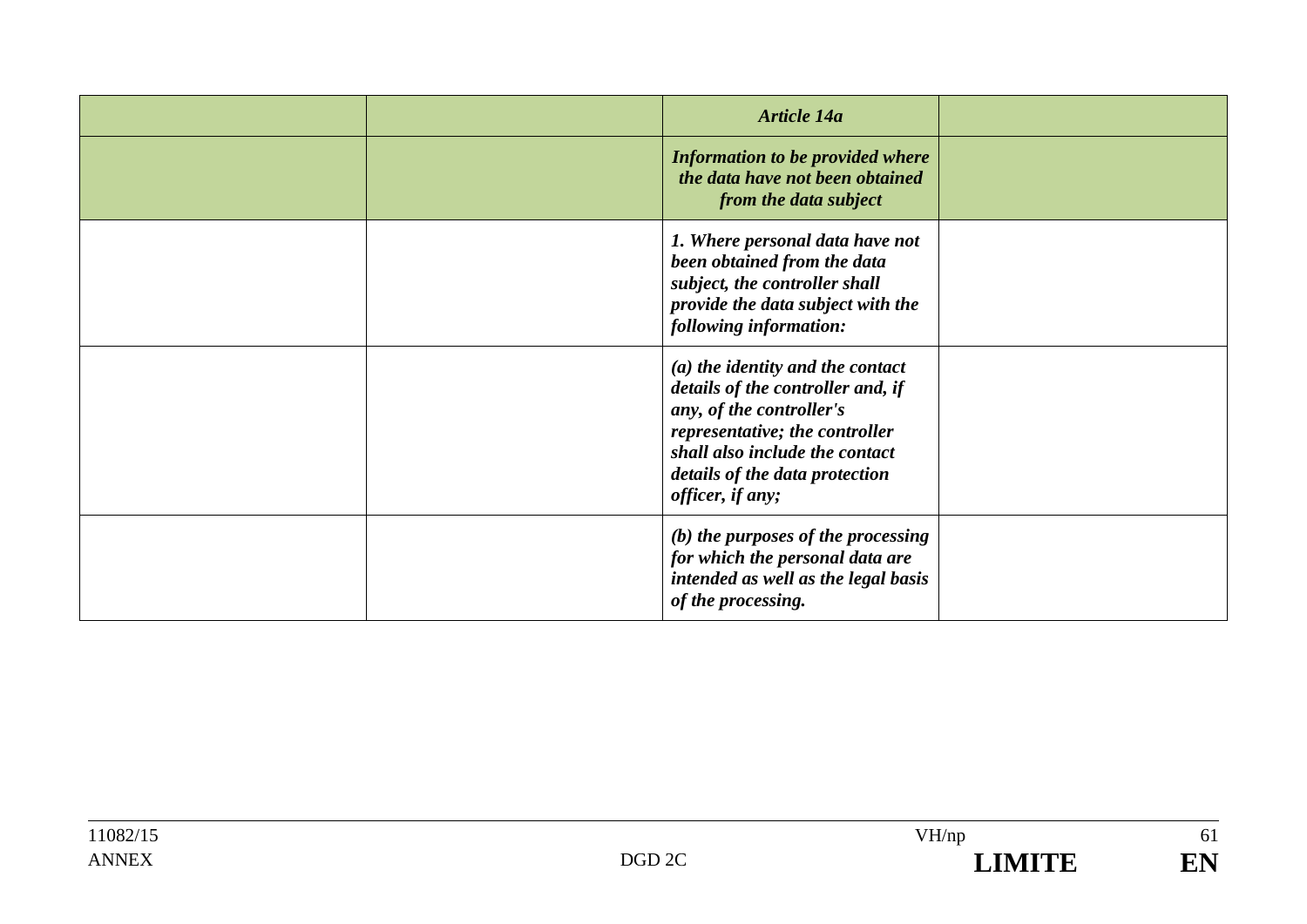|  | <b>Article 14a</b>                                                                                                                                                                                                            |  |
|--|-------------------------------------------------------------------------------------------------------------------------------------------------------------------------------------------------------------------------------|--|
|  | <b>Information to be provided where</b><br>the data have not been obtained<br>from the data subject                                                                                                                           |  |
|  | 1. Where personal data have not<br>been obtained from the data<br>subject, the controller shall<br>provide the data subject with the<br>following information:                                                                |  |
|  | $(a)$ the identity and the contact<br>details of the controller and, if<br>any, of the controller's<br>representative; the controller<br>shall also include the contact<br>details of the data protection<br>officer, if any; |  |
|  | $(b)$ the purposes of the processing<br>for which the personal data are<br>intended as well as the legal basis<br>of the processing.                                                                                          |  |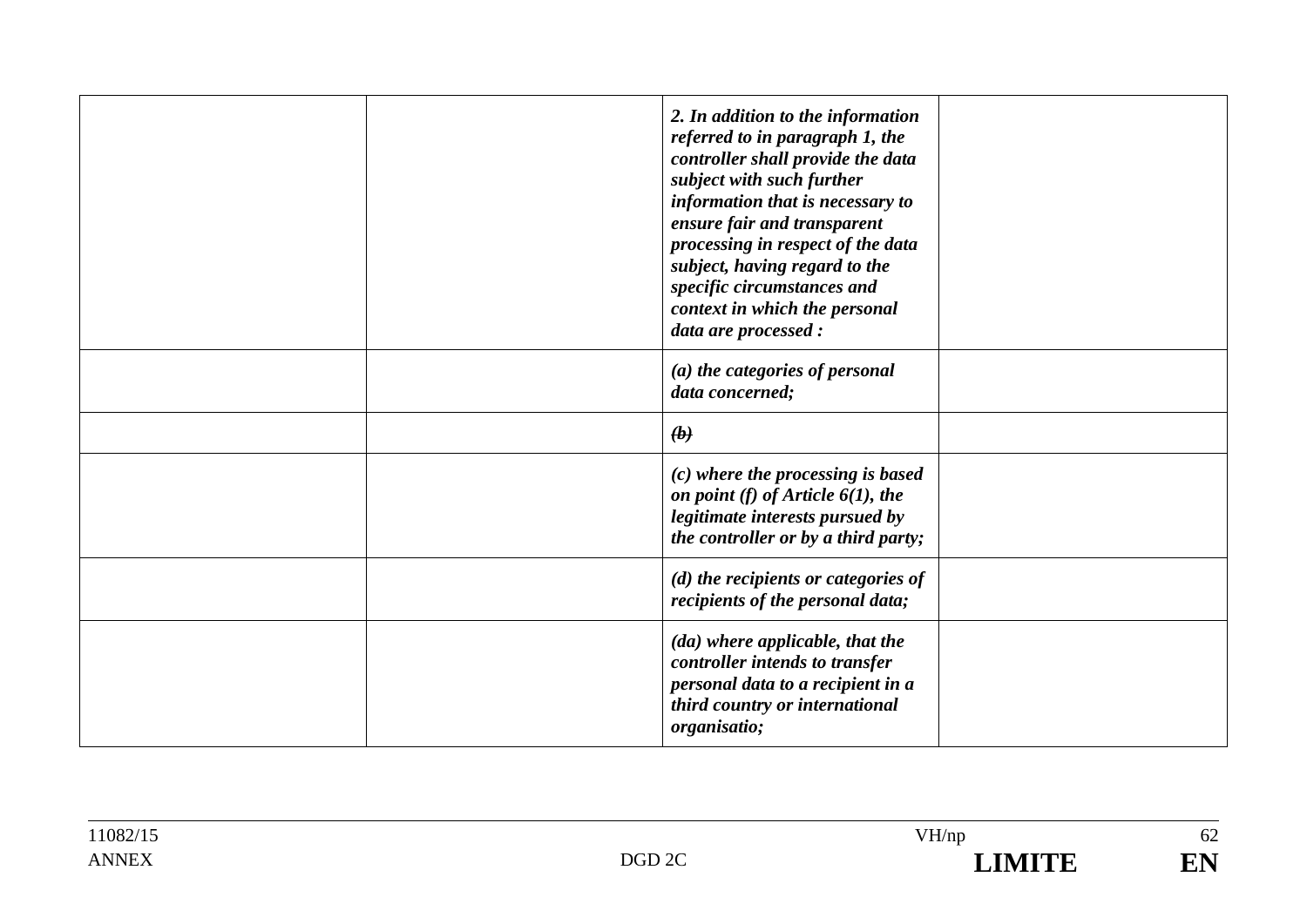| 2. In addition to the information<br>referred to in paragraph 1, the<br>controller shall provide the data<br>subject with such further<br>information that is necessary to<br>ensure fair and transparent<br>processing in respect of the data<br>subject, having regard to the<br>specific circumstances and<br>context in which the personal<br>data are processed : |
|------------------------------------------------------------------------------------------------------------------------------------------------------------------------------------------------------------------------------------------------------------------------------------------------------------------------------------------------------------------------|
| (a) the categories of personal<br>data concerned;                                                                                                                                                                                                                                                                                                                      |
| $\langle b \rangle$                                                                                                                                                                                                                                                                                                                                                    |
| $(c)$ where the processing is based<br>on point (f) of Article $6(1)$ , the<br>legitimate interests pursued by<br>the controller or by a third party;                                                                                                                                                                                                                  |
| $(d)$ the recipients or categories of<br>recipients of the personal data;                                                                                                                                                                                                                                                                                              |
| (da) where applicable, that the<br>controller intends to transfer<br>personal data to a recipient in a<br>third country or international<br>organisatio;                                                                                                                                                                                                               |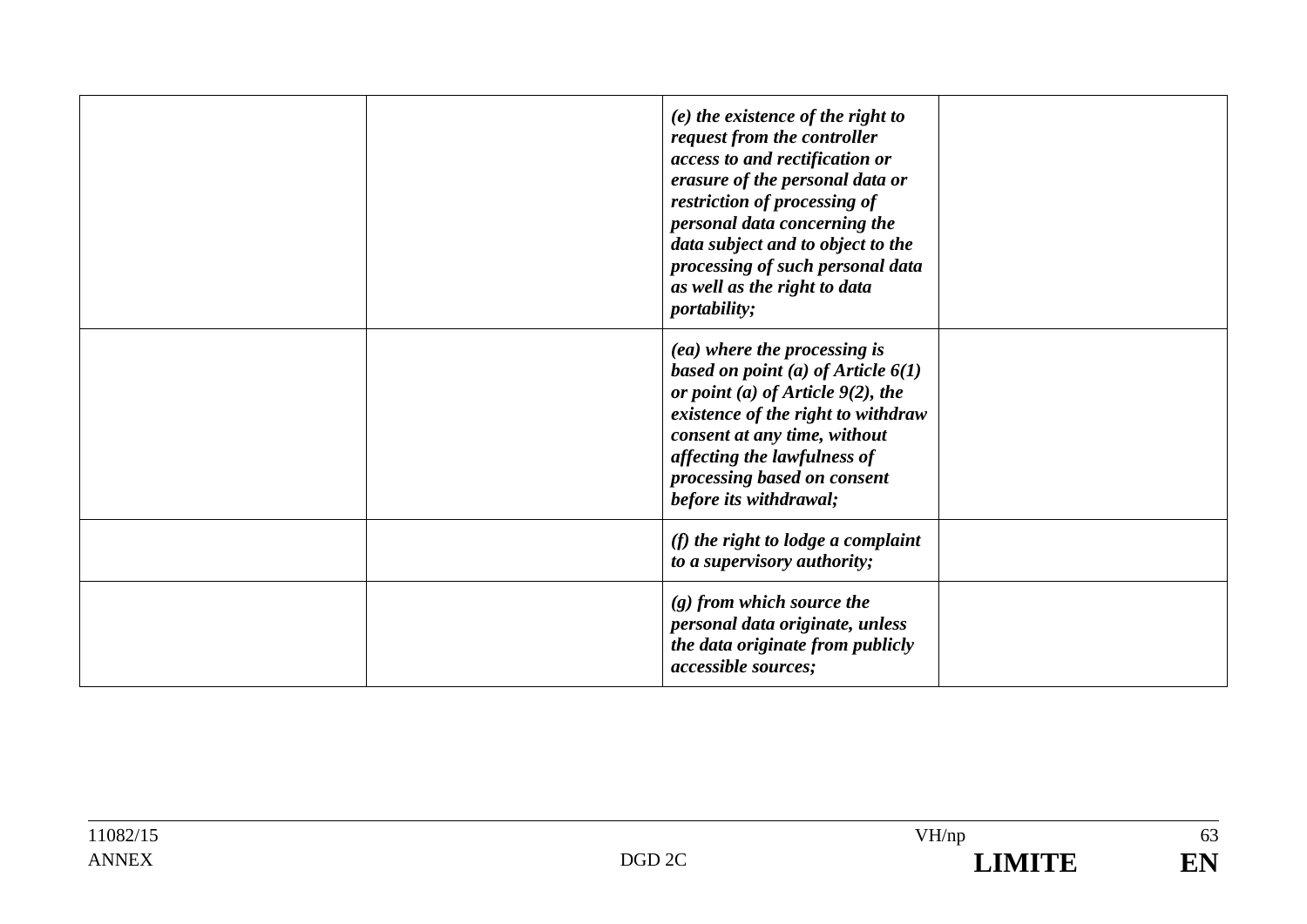| $(e)$ the existence of the right to<br>request from the controller<br>access to and rectification or<br>erasure of the personal data or<br>restriction of processing of<br>personal data concerning the<br>data subject and to object to the<br>processing of such personal data<br>as well as the right to data<br><i>portability;</i> |
|-----------------------------------------------------------------------------------------------------------------------------------------------------------------------------------------------------------------------------------------------------------------------------------------------------------------------------------------|
| (ea) where the processing is<br>based on point (a) of Article $6(1)$<br>or point (a) of Article $9(2)$ , the<br>existence of the right to withdraw<br>consent at any time, without<br>affecting the lawfulness of<br>processing based on consent<br>before its withdrawal;                                                              |
| $(f)$ the right to lodge a complaint<br>to a supervisory authority;                                                                                                                                                                                                                                                                     |
| $(g)$ from which source the<br>personal data originate, unless<br>the data originate from publicly<br><i>accessible sources;</i>                                                                                                                                                                                                        |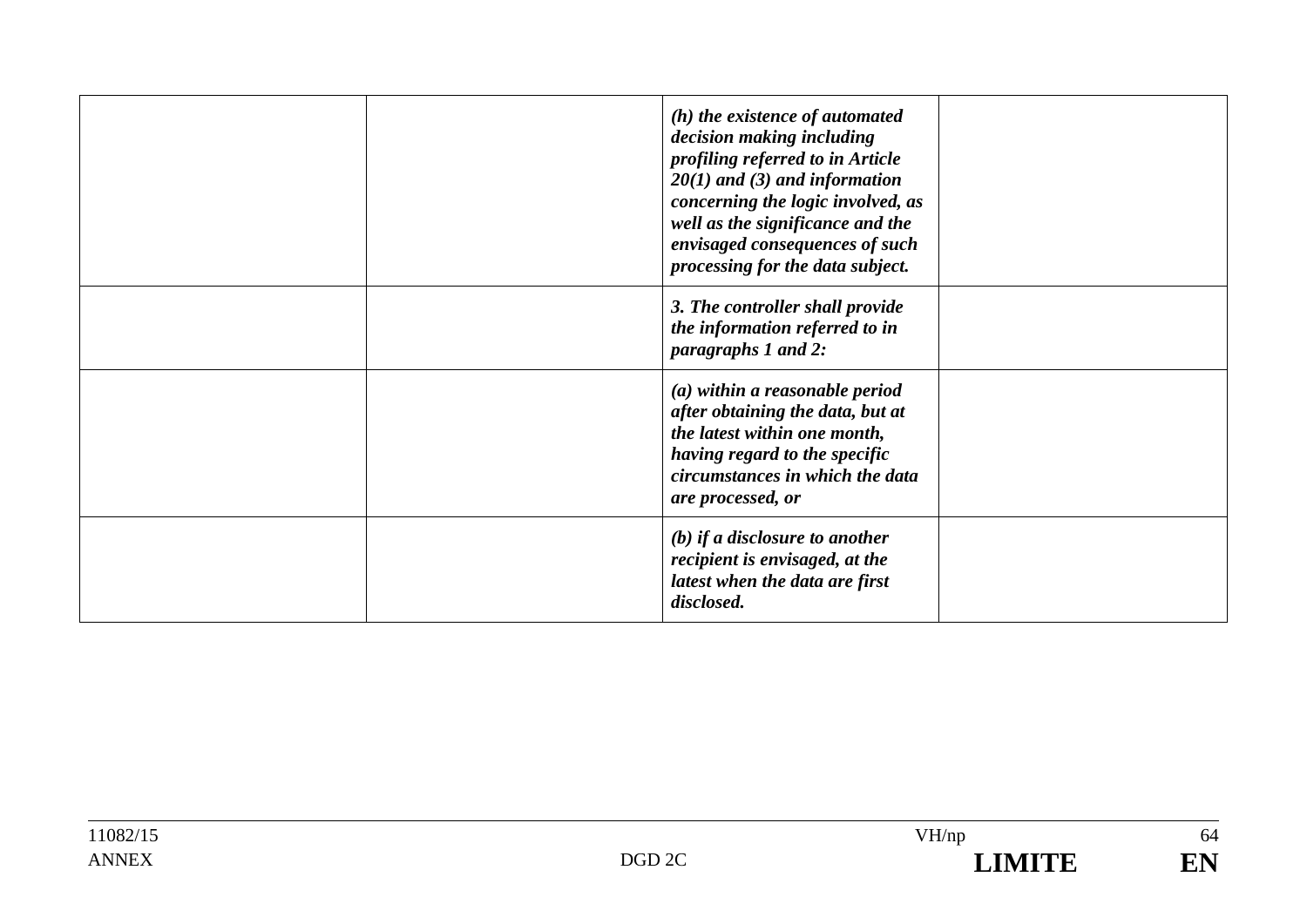|  | $(h)$ the existence of automated<br>decision making including<br>profiling referred to in Article<br>$20(1)$ and (3) and information<br>concerning the logic involved, as<br>well as the significance and the<br>envisaged consequences of such<br>processing for the data subject. |  |
|--|-------------------------------------------------------------------------------------------------------------------------------------------------------------------------------------------------------------------------------------------------------------------------------------|--|
|  | 3. The controller shall provide<br>the information referred to in<br>paragraphs 1 and 2:                                                                                                                                                                                            |  |
|  | (a) within a reasonable period<br>after obtaining the data, but at<br>the latest within one month,<br>having regard to the specific<br>circumstances in which the data<br>are processed, or                                                                                         |  |
|  | (b) if a disclosure to another<br>recipient is envisaged, at the<br>latest when the data are first<br>disclosed.                                                                                                                                                                    |  |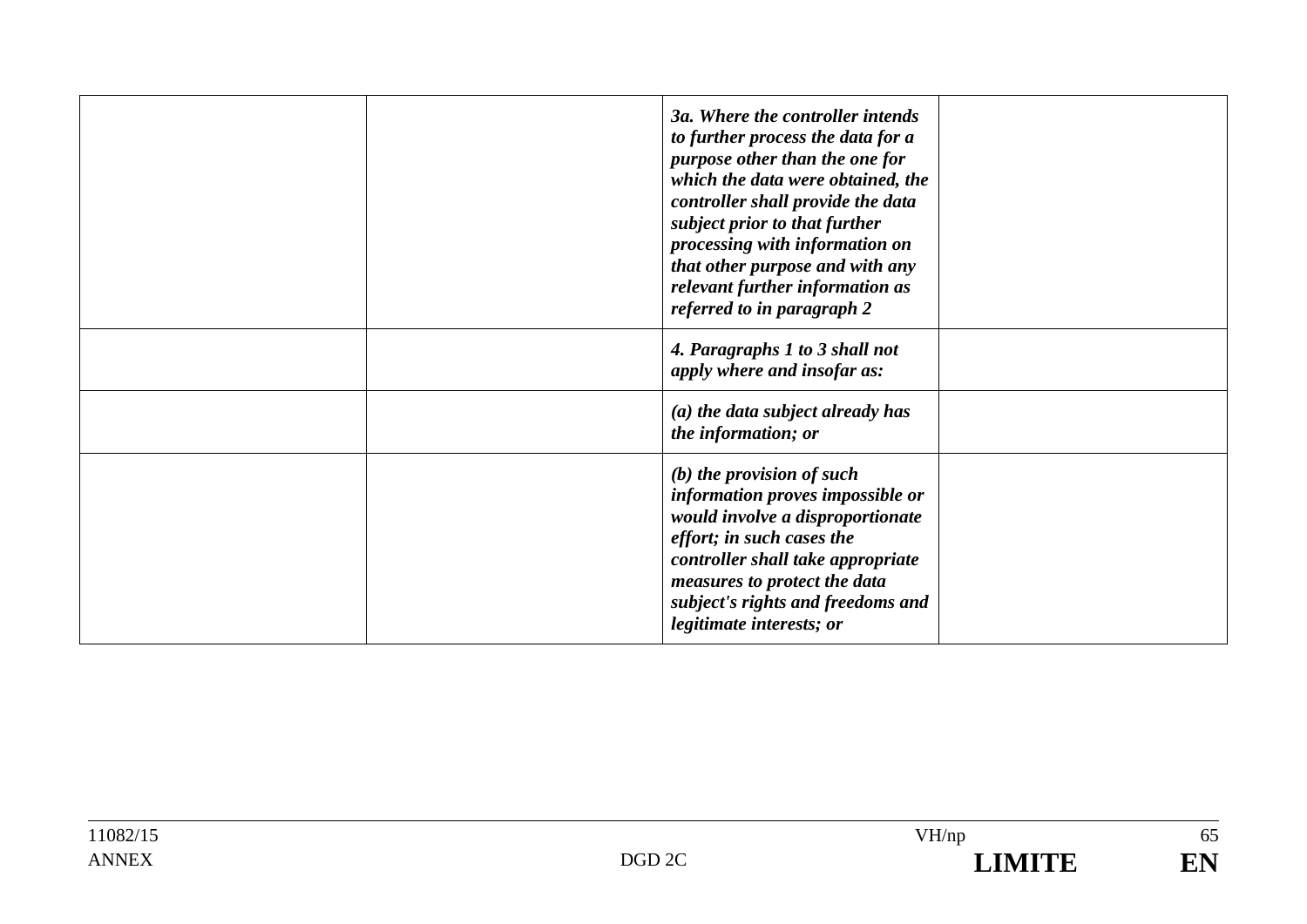| 3a. Where the controller intends<br>to further process the data for a<br>purpose other than the one for<br>which the data were obtained, the<br>controller shall provide the data<br>subject prior to that further<br>processing with information on<br>that other purpose and with any<br>relevant further information as<br>referred to in paragraph 2 |  |
|----------------------------------------------------------------------------------------------------------------------------------------------------------------------------------------------------------------------------------------------------------------------------------------------------------------------------------------------------------|--|
| 4. Paragraphs 1 to 3 shall not<br>apply where and insofar as:                                                                                                                                                                                                                                                                                            |  |
| (a) the data subject already has<br>the information; or                                                                                                                                                                                                                                                                                                  |  |
| $(b)$ the provision of such<br>information proves impossible or<br>would involve a disproportionate<br>effort; in such cases the<br>controller shall take appropriate<br>measures to protect the data<br>subject's rights and freedoms and<br>legitimate interests; or                                                                                   |  |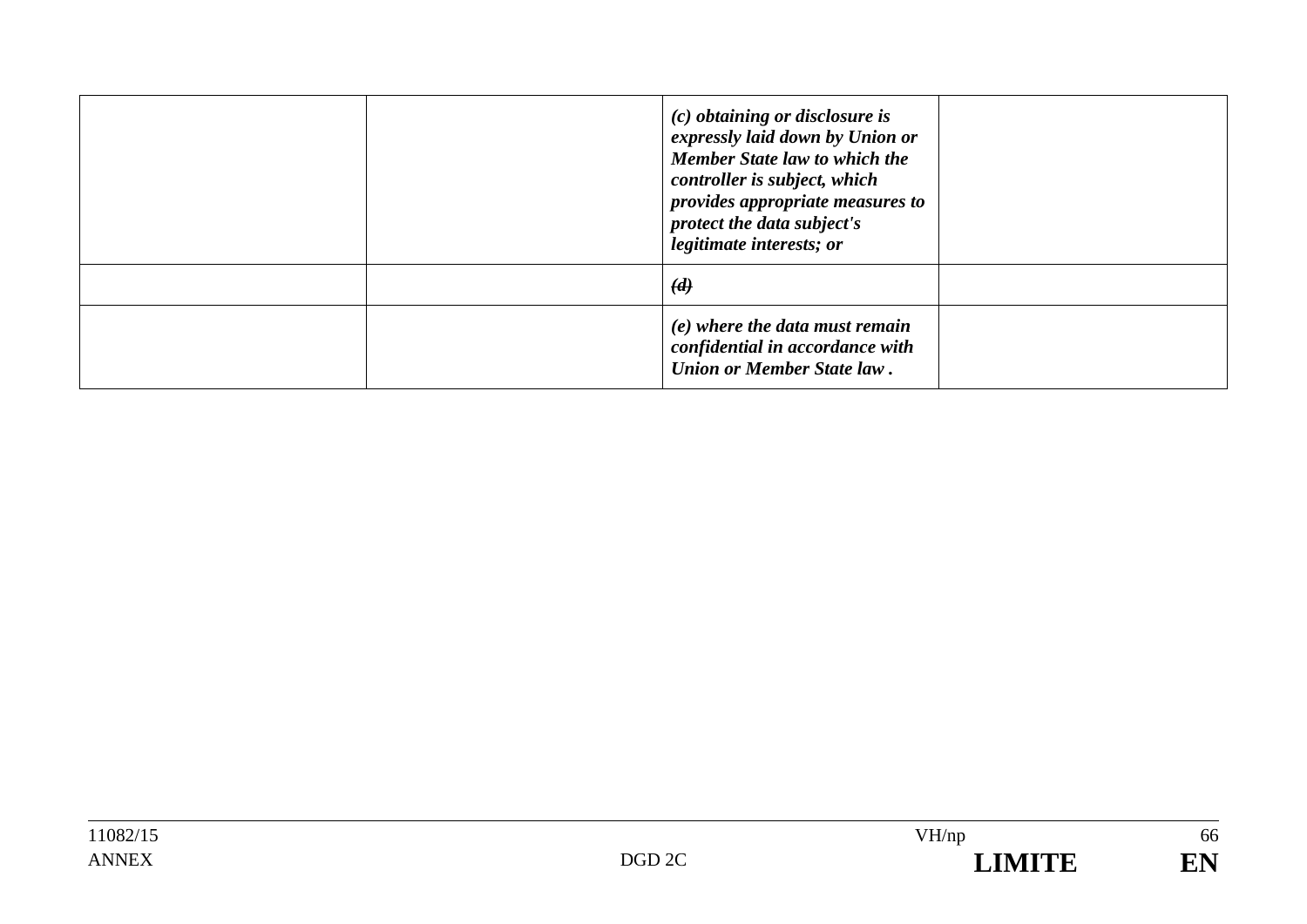|  | $(c)$ obtaining or disclosure is<br>expressly laid down by Union or<br><b>Member State law to which the</b><br>controller is subject, which<br>provides appropriate measures to<br>protect the data subject's<br>legitimate interests; or |  |
|--|-------------------------------------------------------------------------------------------------------------------------------------------------------------------------------------------------------------------------------------------|--|
|  | (d)                                                                                                                                                                                                                                       |  |
|  | $(e)$ where the data must remain<br>confidential in accordance with<br>Union or Member State law.                                                                                                                                         |  |

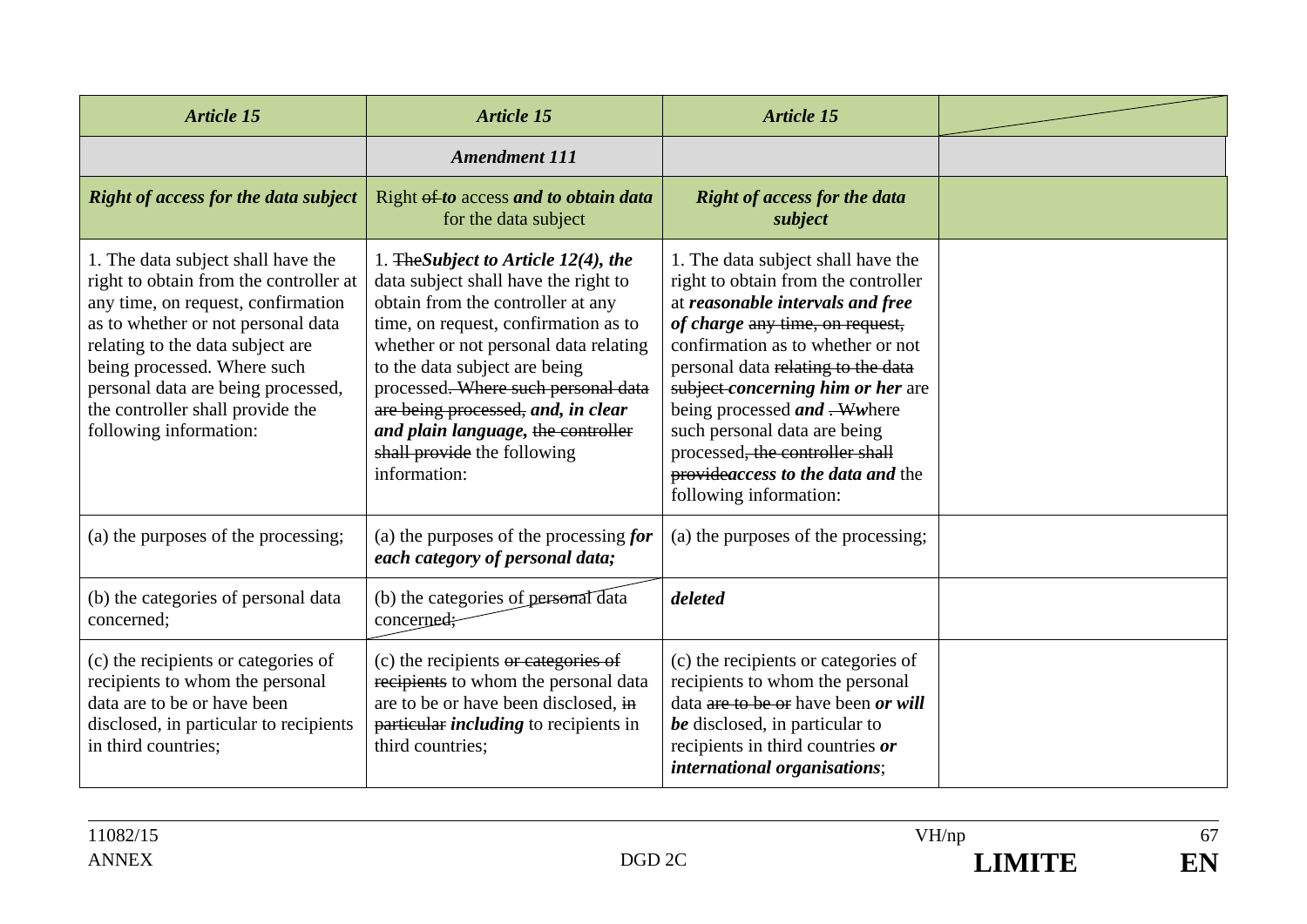| <b>Article 15</b>                                                                                                                                                                                                                                                                                                               | <b>Article 15</b>                                                                                                                                                                                                                                                                                                                                                                                             | <b>Article 15</b>                                                                                                                                                                                                                                                                                                                                                                                                                        |  |
|---------------------------------------------------------------------------------------------------------------------------------------------------------------------------------------------------------------------------------------------------------------------------------------------------------------------------------|---------------------------------------------------------------------------------------------------------------------------------------------------------------------------------------------------------------------------------------------------------------------------------------------------------------------------------------------------------------------------------------------------------------|------------------------------------------------------------------------------------------------------------------------------------------------------------------------------------------------------------------------------------------------------------------------------------------------------------------------------------------------------------------------------------------------------------------------------------------|--|
|                                                                                                                                                                                                                                                                                                                                 | <b>Amendment 111</b>                                                                                                                                                                                                                                                                                                                                                                                          |                                                                                                                                                                                                                                                                                                                                                                                                                                          |  |
| <b>Right of access for the data subject</b>                                                                                                                                                                                                                                                                                     | Right of to access and to obtain data<br>for the data subject                                                                                                                                                                                                                                                                                                                                                 | <b>Right of access for the data</b><br>subject                                                                                                                                                                                                                                                                                                                                                                                           |  |
| 1. The data subject shall have the<br>right to obtain from the controller at<br>any time, on request, confirmation<br>as to whether or not personal data<br>relating to the data subject are<br>being processed. Where such<br>personal data are being processed,<br>the controller shall provide the<br>following information: | 1. $\exists$ heSubject to Article 12(4), the<br>data subject shall have the right to<br>obtain from the controller at any<br>time, on request, confirmation as to<br>whether or not personal data relating<br>to the data subject are being<br>processed. Where such personal data<br>are being processed, and, in clear<br>and plain language, the controller<br>shall provide the following<br>information: | 1. The data subject shall have the<br>right to obtain from the controller<br>at reasonable intervals and free<br>of charge any time, on request,<br>confirmation as to whether or not<br>personal data relating to the data<br>subject-concerning him or her are<br>being processed <i>and</i> . Wwhere<br>such personal data are being<br>processed, the controller shall<br>providencess to the data and the<br>following information: |  |
| (a) the purposes of the processing;                                                                                                                                                                                                                                                                                             | (a) the purposes of the processing $for$<br>each category of personal data;                                                                                                                                                                                                                                                                                                                                   | (a) the purposes of the processing;                                                                                                                                                                                                                                                                                                                                                                                                      |  |
| (b) the categories of personal data<br>concerned;                                                                                                                                                                                                                                                                               | (b) the categories of personal data<br>concerned;                                                                                                                                                                                                                                                                                                                                                             | deleted                                                                                                                                                                                                                                                                                                                                                                                                                                  |  |
| (c) the recipients or categories of<br>recipients to whom the personal<br>data are to be or have been<br>disclosed, in particular to recipients<br>in third countries;                                                                                                                                                          | (c) the recipients or categories of<br>recipients to whom the personal data<br>are to be or have been disclosed, in<br>particular <i>including</i> to recipients in<br>third countries;                                                                                                                                                                                                                       | (c) the recipients or categories of<br>recipients to whom the personal<br>data are to be or have been or will<br>be disclosed, in particular to<br>recipients in third countries or<br><i>international organisations;</i>                                                                                                                                                                                                               |  |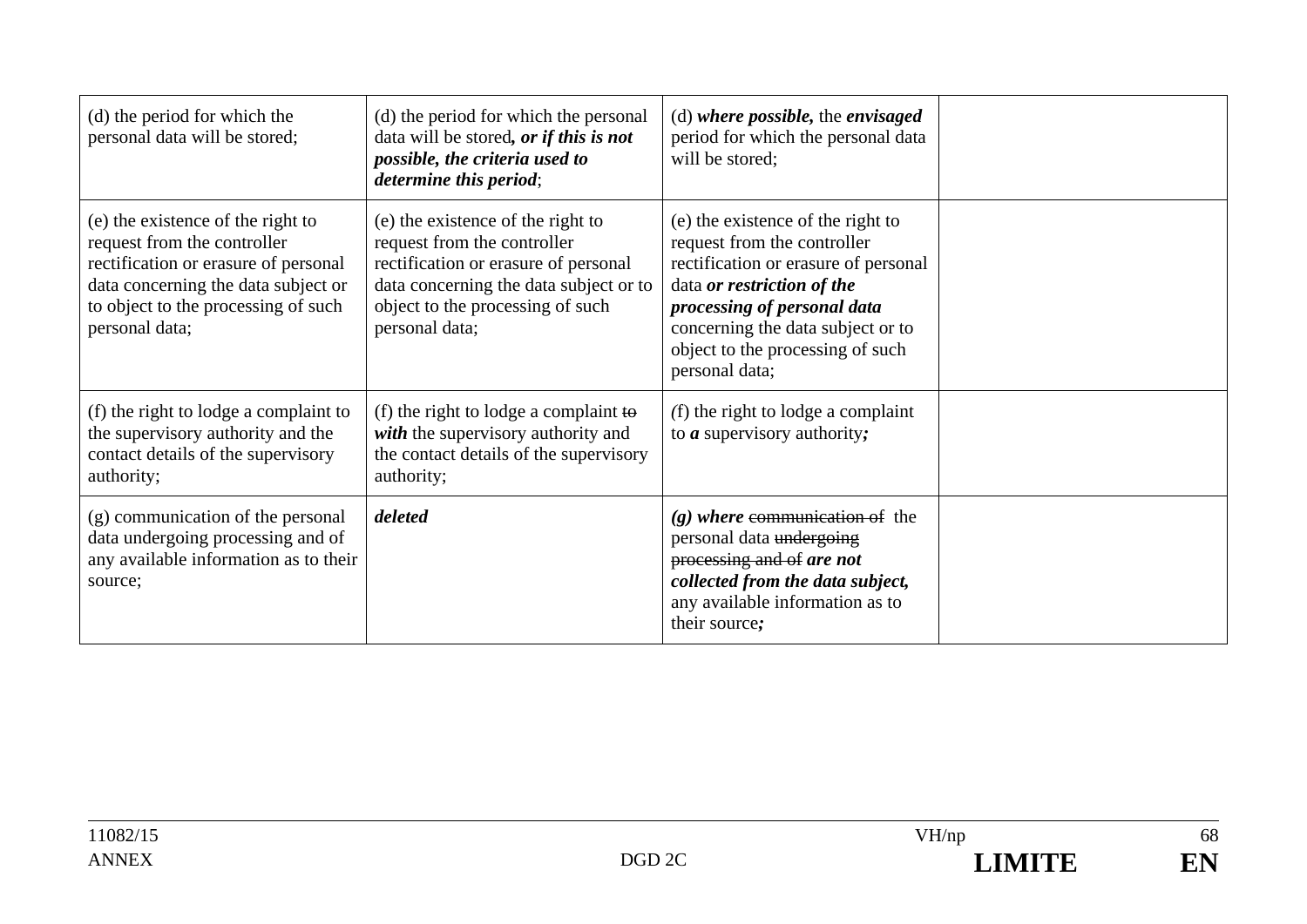| (d) the period for which the<br>personal data will be stored;                                                                                                                                            | (d) the period for which the personal<br>data will be stored, or if this is not<br>possible, the criteria used to<br>determine this period;                                                              | (d) where possible, the envisaged<br>period for which the personal data<br>will be stored;                                                                                                                                                                       |  |
|----------------------------------------------------------------------------------------------------------------------------------------------------------------------------------------------------------|----------------------------------------------------------------------------------------------------------------------------------------------------------------------------------------------------------|------------------------------------------------------------------------------------------------------------------------------------------------------------------------------------------------------------------------------------------------------------------|--|
| (e) the existence of the right to<br>request from the controller<br>rectification or erasure of personal<br>data concerning the data subject or<br>to object to the processing of such<br>personal data; | (e) the existence of the right to<br>request from the controller<br>rectification or erasure of personal<br>data concerning the data subject or to<br>object to the processing of such<br>personal data; | (e) the existence of the right to<br>request from the controller<br>rectification or erasure of personal<br>data or restriction of the<br>processing of personal data<br>concerning the data subject or to<br>object to the processing of such<br>personal data; |  |
| (f) the right to lodge a complaint to<br>the supervisory authority and the<br>contact details of the supervisory<br>authority;                                                                           | (f) the right to lodge a complaint $\leftrightarrow$<br>with the supervisory authority and<br>the contact details of the supervisory<br>authority;                                                       | (f) the right to lodge a complaint<br>to $\alpha$ supervisory authority;                                                                                                                                                                                         |  |
| (g) communication of the personal<br>data undergoing processing and of<br>any available information as to their<br>source;                                                                               | deleted                                                                                                                                                                                                  | $(g)$ where communication of the<br>personal data undergoing<br>processing and of are not<br>collected from the data subject,<br>any available information as to<br>their source;                                                                                |  |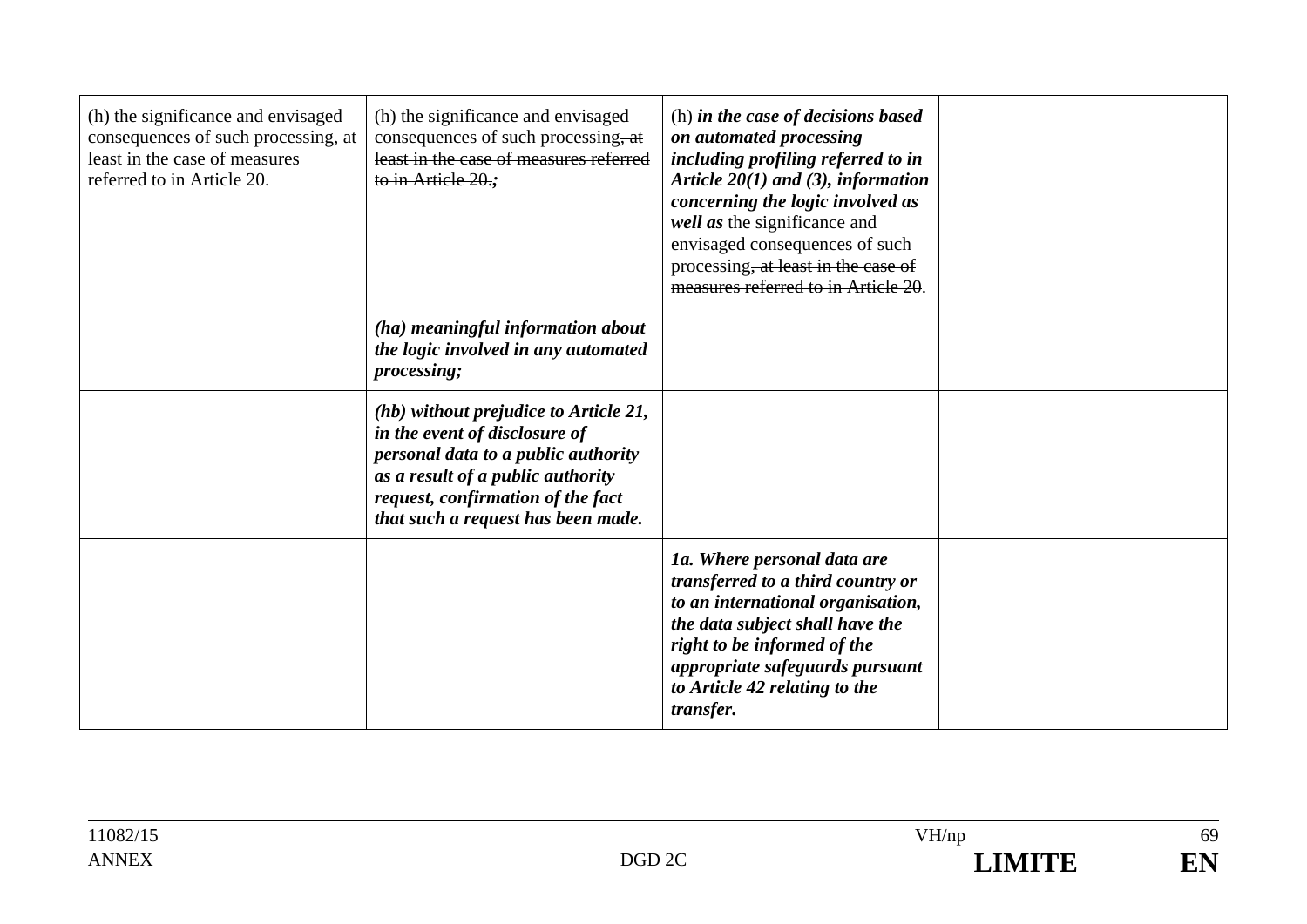| (h) the significance and envisaged<br>consequences of such processing, at<br>least in the case of measures<br>referred to in Article 20. | (h) the significance and envisaged<br>consequences of such processing, at<br>least in the case of measures referred<br>to in Article 20.:                                                                                     | (h) in the case of decisions based<br>on automated processing<br>including profiling referred to in<br>Article $20(1)$ and (3), information<br>concerning the logic involved as<br>well as the significance and<br>envisaged consequences of such<br>processing, at least in the case of<br>measures referred to in Article 20 |  |
|------------------------------------------------------------------------------------------------------------------------------------------|-------------------------------------------------------------------------------------------------------------------------------------------------------------------------------------------------------------------------------|--------------------------------------------------------------------------------------------------------------------------------------------------------------------------------------------------------------------------------------------------------------------------------------------------------------------------------|--|
|                                                                                                                                          | (ha) meaningful information about<br>the logic involved in any automated<br>processing;                                                                                                                                       |                                                                                                                                                                                                                                                                                                                                |  |
|                                                                                                                                          | (hb) without prejudice to Article 21,<br>in the event of disclosure of<br>personal data to a public authority<br>as a result of a public authority<br>request, confirmation of the fact<br>that such a request has been made. |                                                                                                                                                                                                                                                                                                                                |  |
|                                                                                                                                          |                                                                                                                                                                                                                               | 1a. Where personal data are<br>transferred to a third country or<br>to an international organisation,<br>the data subject shall have the<br>right to be informed of the<br>appropriate safeguards pursuant<br>to Article 42 relating to the<br>transfer.                                                                       |  |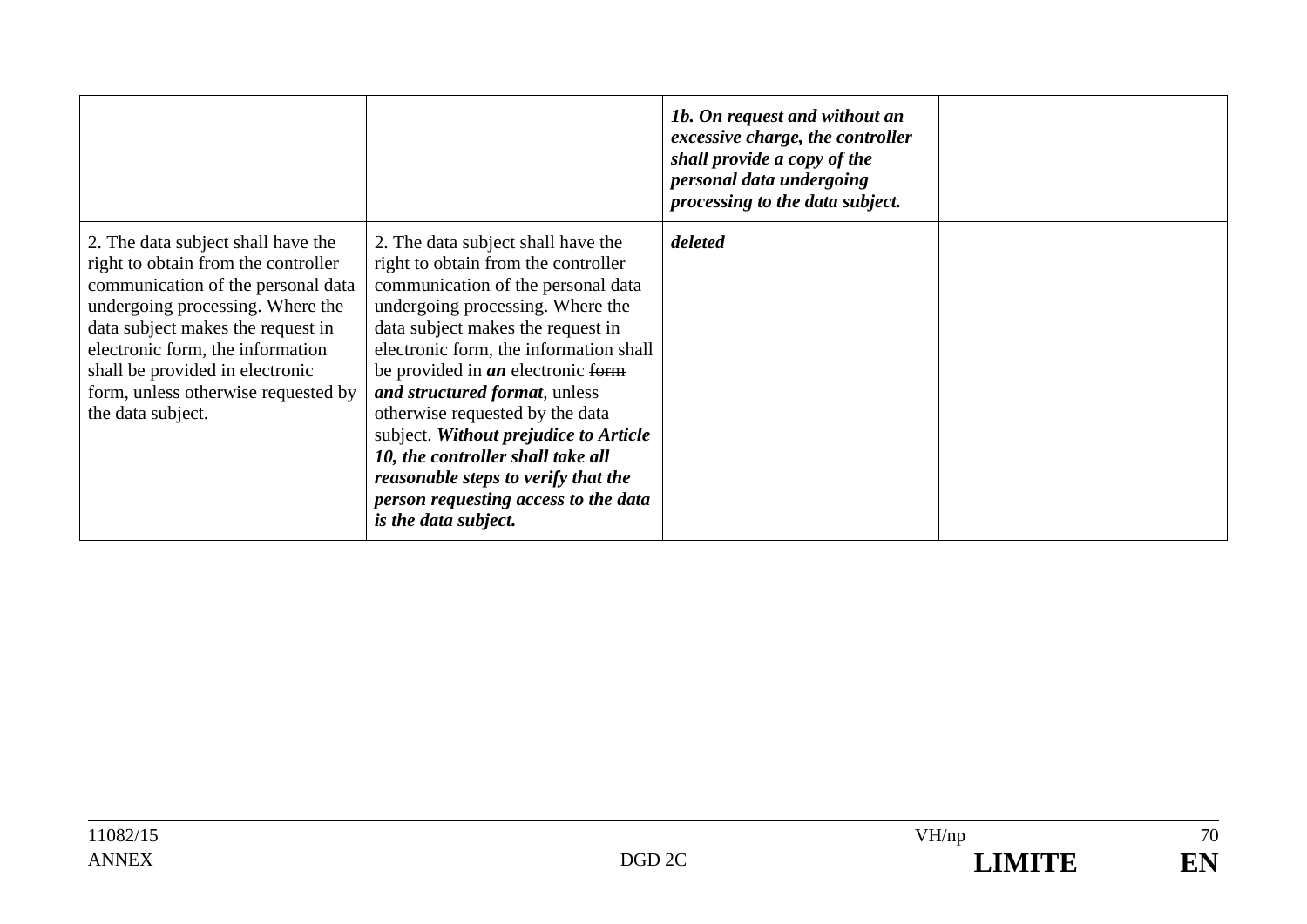|                                                                                                                                                                                                                                                                                                                             |                                                                                                                                                                                                                                                                                                                                                                                                                                                                                                                                    | 1b. On request and without an<br>excessive charge, the controller<br>shall provide a copy of the<br>personal data undergoing<br>processing to the data subject. |  |
|-----------------------------------------------------------------------------------------------------------------------------------------------------------------------------------------------------------------------------------------------------------------------------------------------------------------------------|------------------------------------------------------------------------------------------------------------------------------------------------------------------------------------------------------------------------------------------------------------------------------------------------------------------------------------------------------------------------------------------------------------------------------------------------------------------------------------------------------------------------------------|-----------------------------------------------------------------------------------------------------------------------------------------------------------------|--|
| 2. The data subject shall have the<br>right to obtain from the controller<br>communication of the personal data<br>undergoing processing. Where the<br>data subject makes the request in<br>electronic form, the information<br>shall be provided in electronic<br>form, unless otherwise requested by<br>the data subject. | 2. The data subject shall have the<br>right to obtain from the controller<br>communication of the personal data<br>undergoing processing. Where the<br>data subject makes the request in<br>electronic form, the information shall<br>be provided in $an$ electronic form<br>and structured format, unless<br>otherwise requested by the data<br>subject. Without prejudice to Article<br>10, the controller shall take all<br>reasonable steps to verify that the<br>person requesting access to the data<br>is the data subject. | deleted                                                                                                                                                         |  |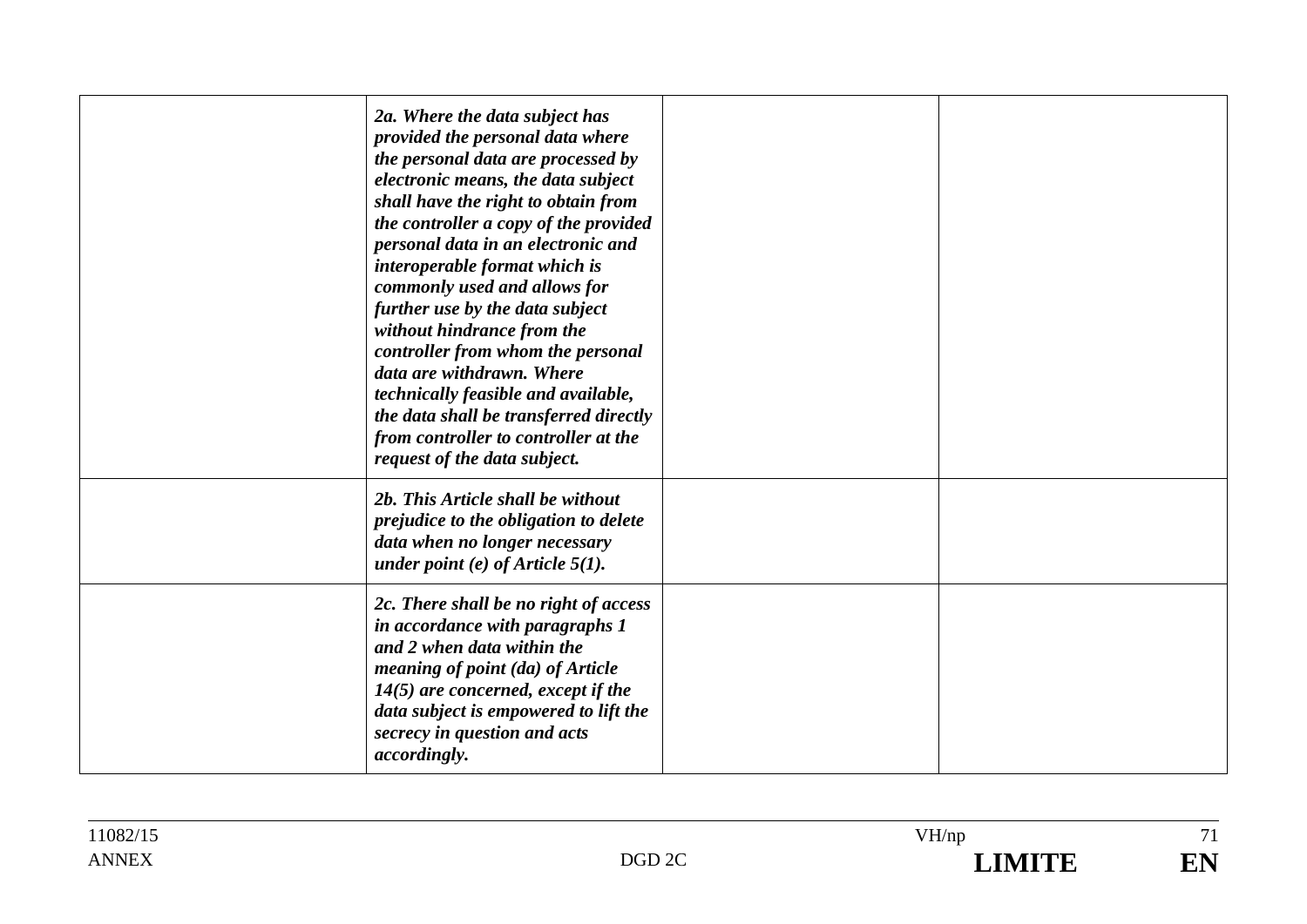| 2a. Where the data subject has<br>provided the personal data where<br>the personal data are processed by<br>electronic means, the data subject<br>shall have the right to obtain from<br>the controller a copy of the provided<br>personal data in an electronic and<br>interoperable format which is<br>commonly used and allows for<br>further use by the data subject<br>without hindrance from the<br>controller from whom the personal<br>data are withdrawn. Where<br>technically feasible and available,<br>the data shall be transferred directly<br>from controller to controller at the<br>request of the data subject. |  |
|-----------------------------------------------------------------------------------------------------------------------------------------------------------------------------------------------------------------------------------------------------------------------------------------------------------------------------------------------------------------------------------------------------------------------------------------------------------------------------------------------------------------------------------------------------------------------------------------------------------------------------------|--|
| 2b. This Article shall be without<br>prejudice to the obligation to delete<br>data when no longer necessary<br>under point (e) of Article $5(1)$ .                                                                                                                                                                                                                                                                                                                                                                                                                                                                                |  |
| 2c. There shall be no right of access<br>in accordance with paragraphs 1<br>and 2 when data within the<br>meaning of point (da) of Article<br>$14(5)$ are concerned, except if the<br>data subject is empowered to lift the<br>secrecy in question and acts<br>accordingly.                                                                                                                                                                                                                                                                                                                                                       |  |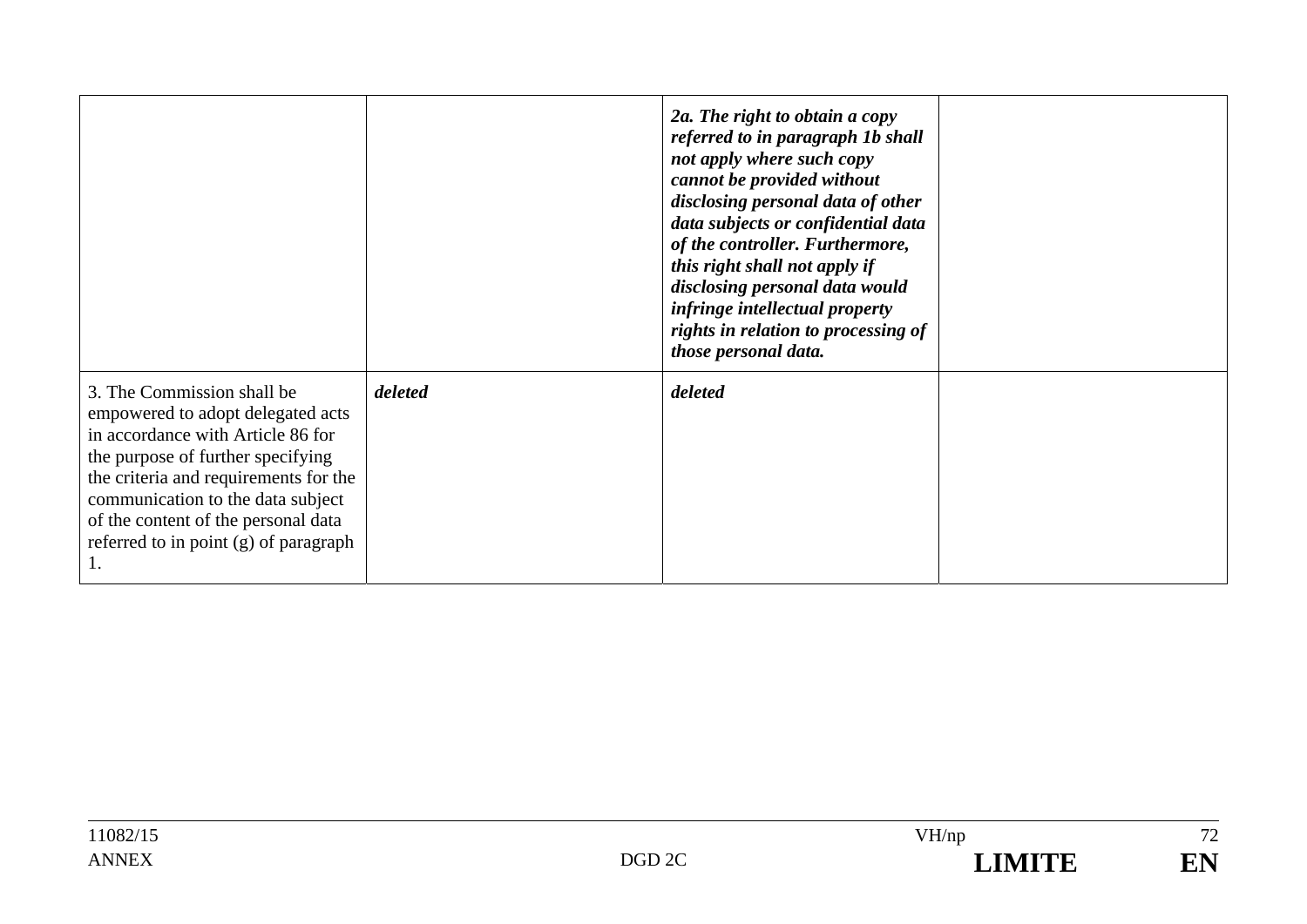|                                                                                                                                                                                                                                                                                                               |         | 2a. The right to obtain a copy<br>referred to in paragraph 1b shall<br>not apply where such copy<br>cannot be provided without<br>disclosing personal data of other<br>data subjects or confidential data<br>of the controller. Furthermore,<br>this right shall not apply if<br>disclosing personal data would<br>infringe intellectual property<br>rights in relation to processing of<br>those personal data. |  |
|---------------------------------------------------------------------------------------------------------------------------------------------------------------------------------------------------------------------------------------------------------------------------------------------------------------|---------|------------------------------------------------------------------------------------------------------------------------------------------------------------------------------------------------------------------------------------------------------------------------------------------------------------------------------------------------------------------------------------------------------------------|--|
| 3. The Commission shall be<br>empowered to adopt delegated acts<br>in accordance with Article 86 for<br>the purpose of further specifying<br>the criteria and requirements for the<br>communication to the data subject<br>of the content of the personal data<br>referred to in point (g) of paragraph<br>1. | deleted | deleted                                                                                                                                                                                                                                                                                                                                                                                                          |  |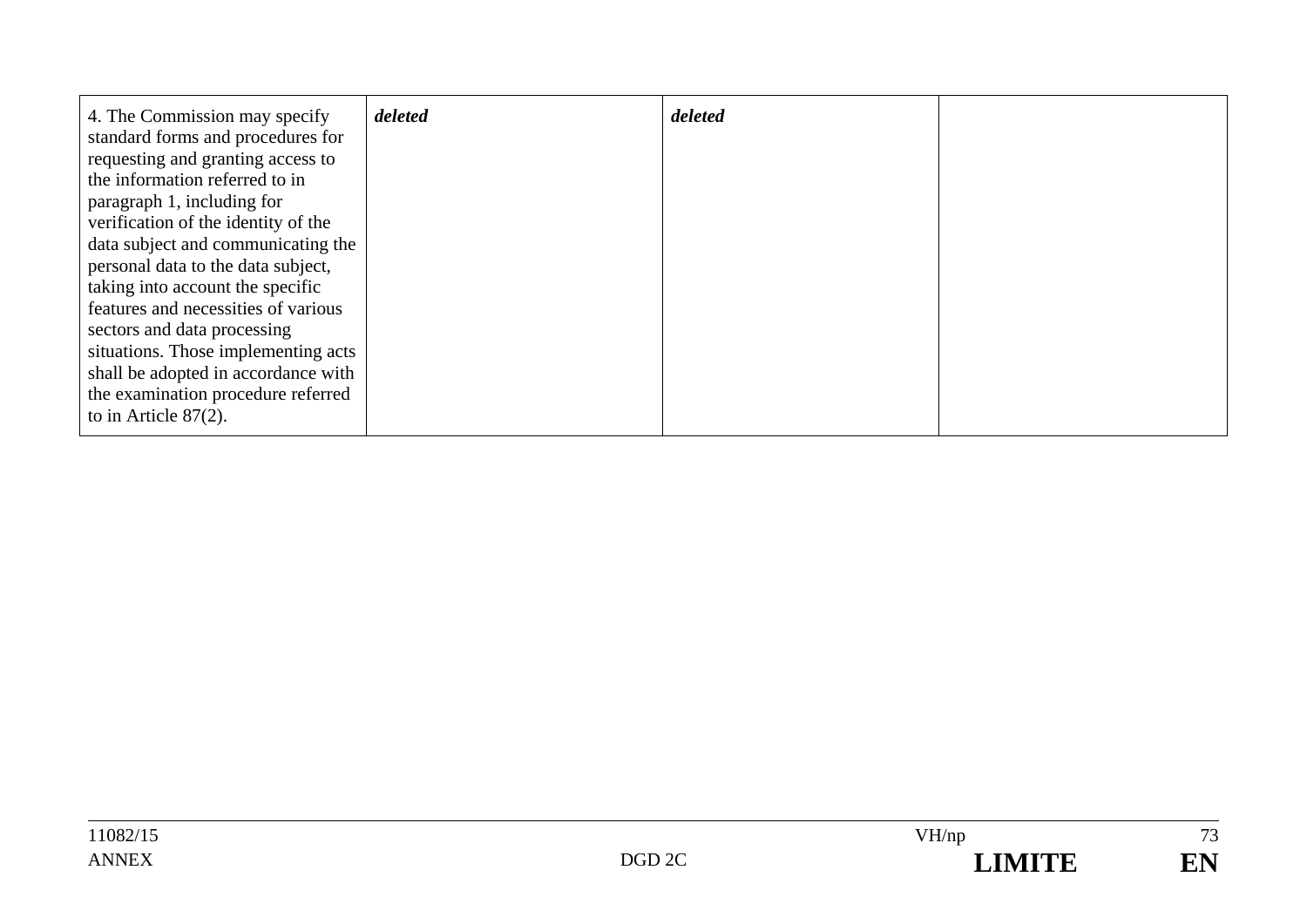| deleted | deleted |  |
|---------|---------|--|
|         |         |  |
|         |         |  |
|         |         |  |
|         |         |  |
|         |         |  |
|         |         |  |
|         |         |  |
|         |         |  |
|         |         |  |
|         |         |  |
|         |         |  |
|         |         |  |
|         |         |  |
|         |         |  |
|         |         |  |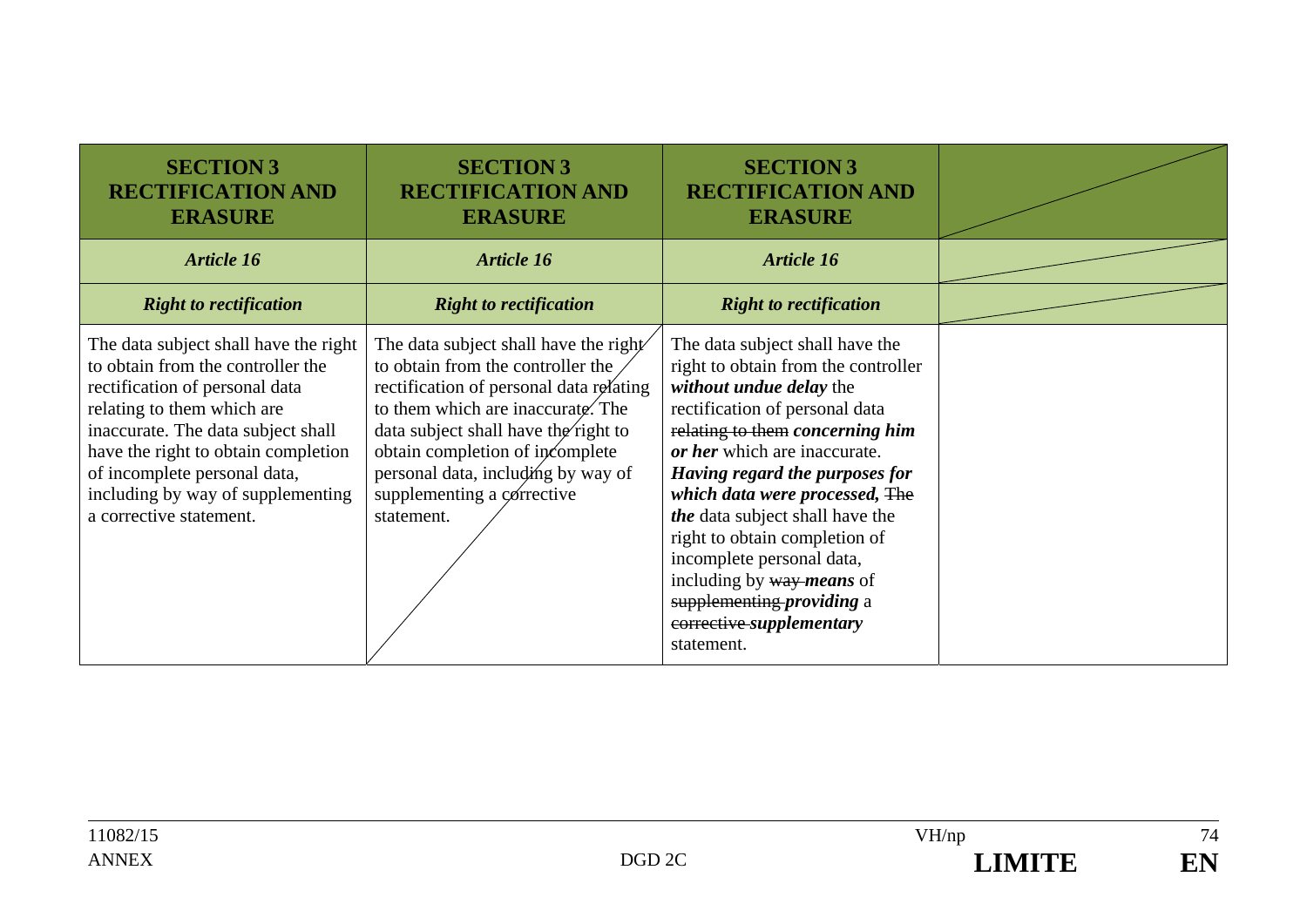| <b>SECTION 3</b><br><b>RECTIFICATION AND</b><br><b>ERASURE</b>                                                                                                                                                                                                                                                          | <b>SECTION 3</b><br><b>RECTIFICATION AND</b><br><b>ERASURE</b>                                                                                                                                                                                                                                                          | <b>SECTION 3</b><br><b>RECTIFICATION AND</b><br><b>ERASURE</b>                                                                                                                                                                                                                                                                                                                                                                                                                  |  |
|-------------------------------------------------------------------------------------------------------------------------------------------------------------------------------------------------------------------------------------------------------------------------------------------------------------------------|-------------------------------------------------------------------------------------------------------------------------------------------------------------------------------------------------------------------------------------------------------------------------------------------------------------------------|---------------------------------------------------------------------------------------------------------------------------------------------------------------------------------------------------------------------------------------------------------------------------------------------------------------------------------------------------------------------------------------------------------------------------------------------------------------------------------|--|
| <b>Article 16</b>                                                                                                                                                                                                                                                                                                       | <b>Article 16</b>                                                                                                                                                                                                                                                                                                       | <b>Article 16</b>                                                                                                                                                                                                                                                                                                                                                                                                                                                               |  |
| <b>Right to rectification</b>                                                                                                                                                                                                                                                                                           | <b>Right to rectification</b>                                                                                                                                                                                                                                                                                           | <b>Right to rectification</b>                                                                                                                                                                                                                                                                                                                                                                                                                                                   |  |
| The data subject shall have the right<br>to obtain from the controller the<br>rectification of personal data<br>relating to them which are<br>inaccurate. The data subject shall<br>have the right to obtain completion<br>of incomplete personal data,<br>including by way of supplementing<br>a corrective statement. | The data subject shall have the right<br>to obtain from the controller the<br>rectification of personal data relating<br>to them which are inaccurate. The<br>data subject shall have the right to<br>obtain completion of incomplete<br>personal data, including by way of<br>supplementing a corrective<br>statement. | The data subject shall have the<br>right to obtain from the controller<br>without undue delay the<br>rectification of personal data<br>relating to them concerning him<br>or her which are inaccurate.<br>Having regard the purposes for<br>which data were processed, The<br>the data subject shall have the<br>right to obtain completion of<br>incomplete personal data,<br>including by way means of<br>supplementing providing a<br>corrective-supplementary<br>statement. |  |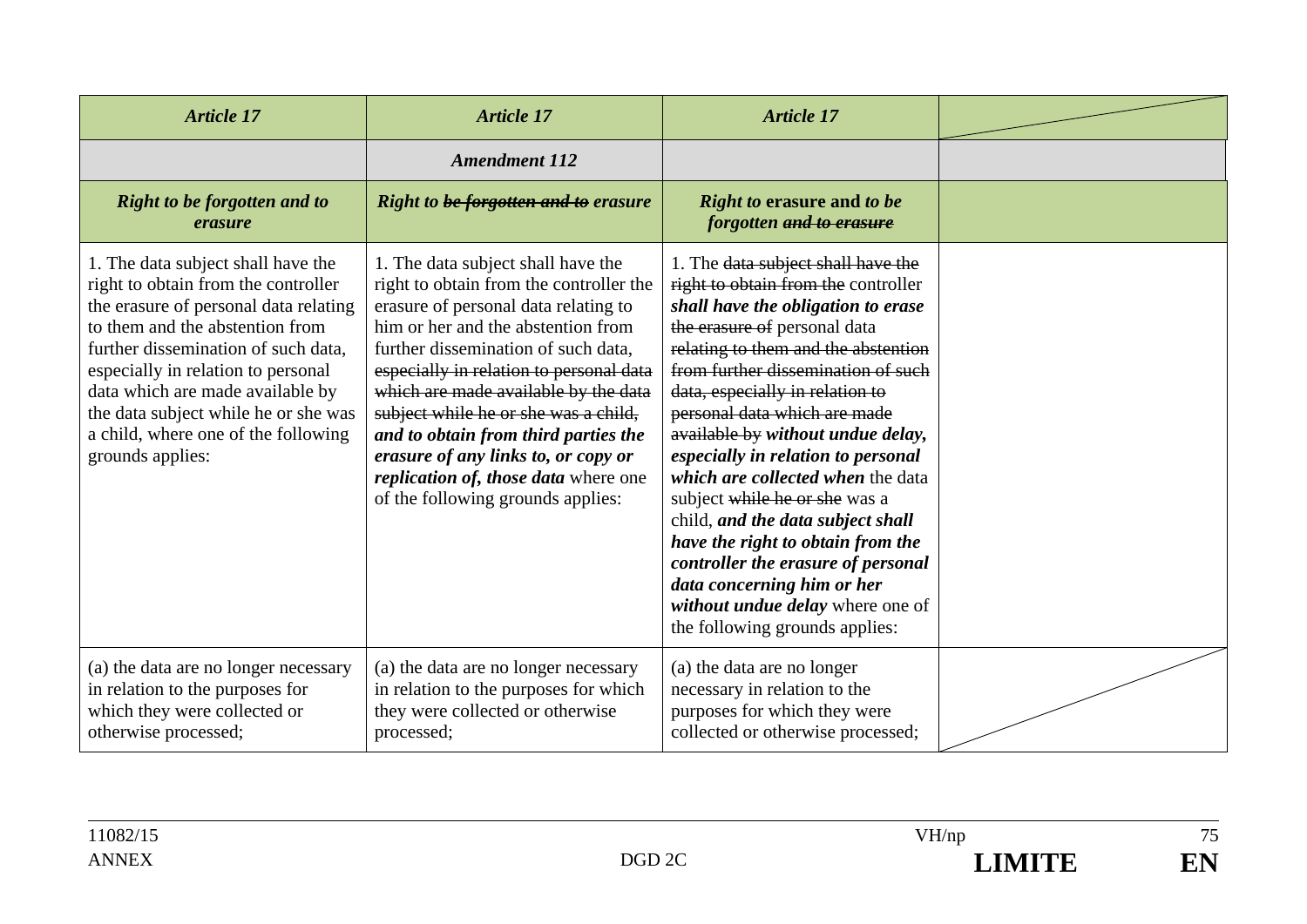| <b>Article 17</b>                                                                                                                                                                                                                                                                                                                                                         | <b>Article 17</b>                                                                                                                                                                                                                                                                                                                                                                                                                                                                         | <b>Article 17</b>                                                                                                                                                                                                                                                                                                                                                                                                                                                                                                                                                                                                                                                    |  |
|---------------------------------------------------------------------------------------------------------------------------------------------------------------------------------------------------------------------------------------------------------------------------------------------------------------------------------------------------------------------------|-------------------------------------------------------------------------------------------------------------------------------------------------------------------------------------------------------------------------------------------------------------------------------------------------------------------------------------------------------------------------------------------------------------------------------------------------------------------------------------------|----------------------------------------------------------------------------------------------------------------------------------------------------------------------------------------------------------------------------------------------------------------------------------------------------------------------------------------------------------------------------------------------------------------------------------------------------------------------------------------------------------------------------------------------------------------------------------------------------------------------------------------------------------------------|--|
|                                                                                                                                                                                                                                                                                                                                                                           | <b>Amendment 112</b>                                                                                                                                                                                                                                                                                                                                                                                                                                                                      |                                                                                                                                                                                                                                                                                                                                                                                                                                                                                                                                                                                                                                                                      |  |
| <b>Right to be forgotten and to</b><br>erasure                                                                                                                                                                                                                                                                                                                            | Right to be forgotten and to erasure                                                                                                                                                                                                                                                                                                                                                                                                                                                      | <b>Right to erasure and to be</b><br>forgotten and to erasure                                                                                                                                                                                                                                                                                                                                                                                                                                                                                                                                                                                                        |  |
| 1. The data subject shall have the<br>right to obtain from the controller<br>the erasure of personal data relating<br>to them and the abstention from<br>further dissemination of such data,<br>especially in relation to personal<br>data which are made available by<br>the data subject while he or she was<br>a child, where one of the following<br>grounds applies: | 1. The data subject shall have the<br>right to obtain from the controller the<br>erasure of personal data relating to<br>him or her and the abstention from<br>further dissemination of such data,<br>especially in relation to personal data<br>which are made available by the data<br>subject while he or she was a child,<br>and to obtain from third parties the<br>erasure of any links to, or copy or<br>replication of, those data where one<br>of the following grounds applies: | 1. The data subject shall have the<br>right to obtain from the controller<br>shall have the obligation to erase<br>the erasure of personal data<br>relating to them and the abstention<br>from further dissemination of such<br>data, especially in relation to<br>personal data which are made<br>available by without undue delay,<br>especially in relation to personal<br>which are collected when the data<br>subject while he or she was a<br>child, and the data subject shall<br>have the right to obtain from the<br>controller the erasure of personal<br>data concerning him or her<br>without undue delay where one of<br>the following grounds applies: |  |
| (a) the data are no longer necessary<br>in relation to the purposes for<br>which they were collected or<br>otherwise processed;                                                                                                                                                                                                                                           | (a) the data are no longer necessary<br>in relation to the purposes for which<br>they were collected or otherwise<br>processed;                                                                                                                                                                                                                                                                                                                                                           | (a) the data are no longer<br>necessary in relation to the<br>purposes for which they were<br>collected or otherwise processed;                                                                                                                                                                                                                                                                                                                                                                                                                                                                                                                                      |  |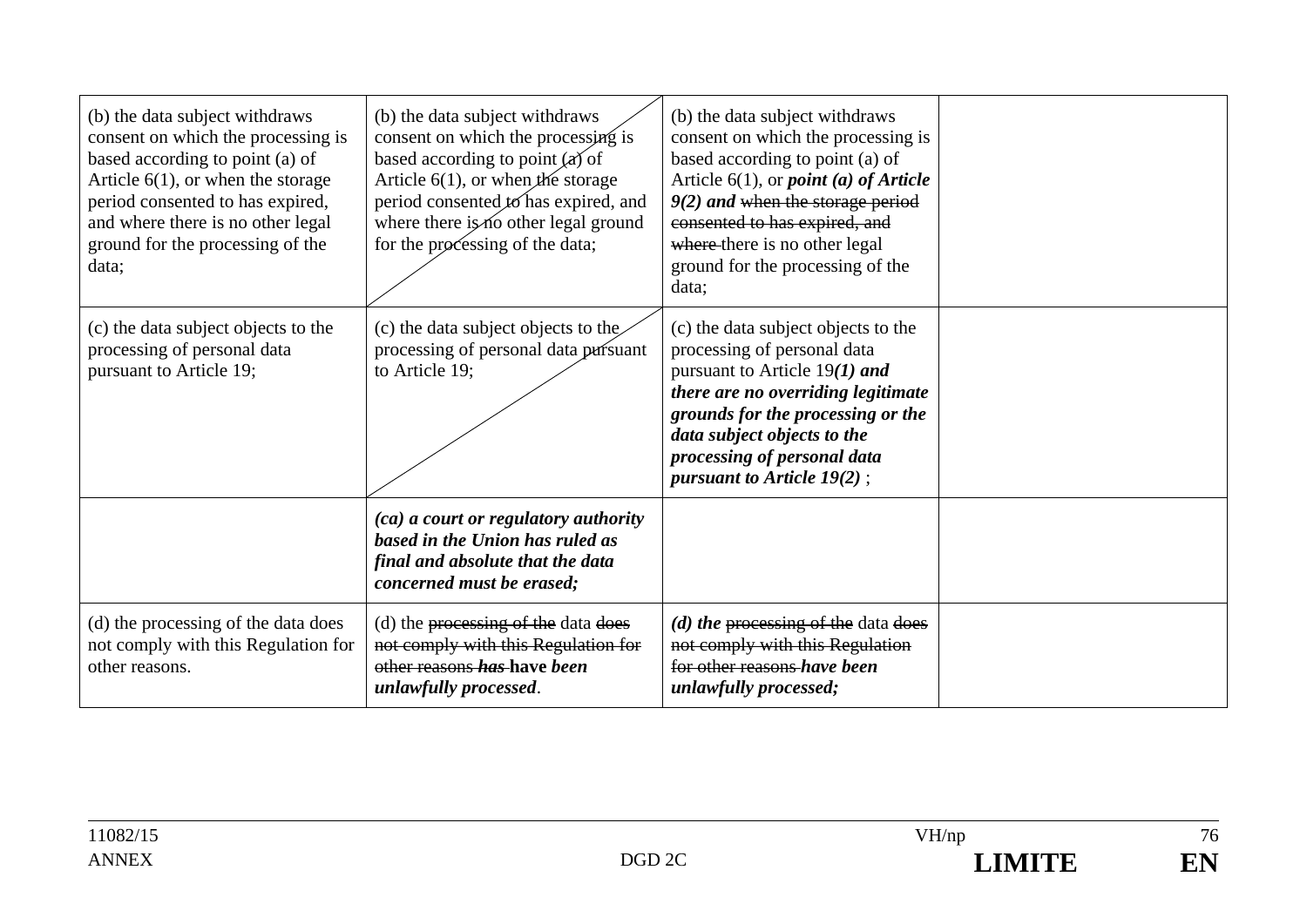| (b) the data subject withdraws<br>consent on which the processing is<br>based according to point (a) of<br>Article $6(1)$ , or when the storage<br>period consented to has expired,<br>and where there is no other legal<br>ground for the processing of the<br>data; | (b) the data subject withdraws<br>consent on which the processing is<br>based according to point $(x)$ of<br>Article $6(1)$ , or when the storage<br>period consented to has expired, and<br>where there is no other legal ground<br>for the processing of the data; | (b) the data subject withdraws<br>consent on which the processing is<br>based according to point (a) of<br>Article $6(1)$ , or <i>point</i> ( <i>a</i> ) of Article<br>$9(2)$ and when the storage period<br>consented to has expired, and<br>where there is no other legal<br>ground for the processing of the<br>data; |  |
|-----------------------------------------------------------------------------------------------------------------------------------------------------------------------------------------------------------------------------------------------------------------------|----------------------------------------------------------------------------------------------------------------------------------------------------------------------------------------------------------------------------------------------------------------------|--------------------------------------------------------------------------------------------------------------------------------------------------------------------------------------------------------------------------------------------------------------------------------------------------------------------------|--|
| (c) the data subject objects to the<br>processing of personal data<br>pursuant to Article 19;                                                                                                                                                                         | (c) the data subject objects to the<br>processing of personal data pursuant<br>to Article 19;                                                                                                                                                                        | (c) the data subject objects to the<br>processing of personal data<br>pursuant to Article $19(1)$ and<br>there are no overriding legitimate<br>grounds for the processing or the<br>data subject objects to the<br>processing of personal data<br>pursuant to Article $19(2)$ ;                                          |  |
|                                                                                                                                                                                                                                                                       | (ca) a court or regulatory authority<br>based in the Union has ruled as<br>final and absolute that the data<br>concerned must be erased;                                                                                                                             |                                                                                                                                                                                                                                                                                                                          |  |
| (d) the processing of the data does<br>not comply with this Regulation for<br>other reasons.                                                                                                                                                                          | (d) the processing of the data does<br>not comply with this Regulation for<br>other reasons has have been<br>unlawfully processed.                                                                                                                                   | ( <i>d</i> ) the processing of the data does<br>not comply with this Regulation<br>for other reasons have been<br>unlawfully processed;                                                                                                                                                                                  |  |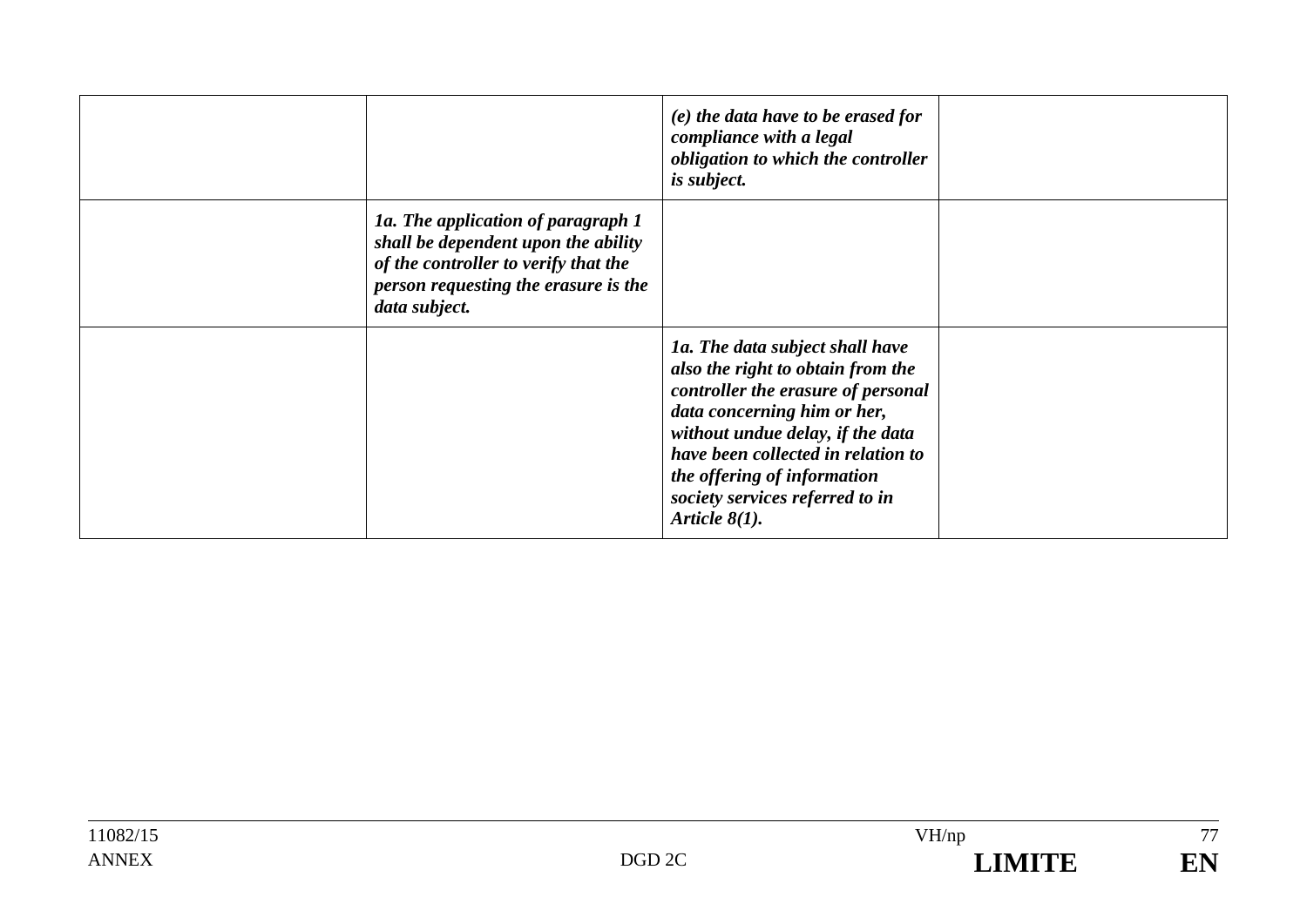|                                                                                                                                                                            | $(e)$ the data have to be erased for<br>compliance with a legal<br>obligation to which the controller<br>is subject.                                                                                                                                                                                      |  |
|----------------------------------------------------------------------------------------------------------------------------------------------------------------------------|-----------------------------------------------------------------------------------------------------------------------------------------------------------------------------------------------------------------------------------------------------------------------------------------------------------|--|
| 1a. The application of paragraph 1<br>shall be dependent upon the ability<br>of the controller to verify that the<br>person requesting the erasure is the<br>data subject. |                                                                                                                                                                                                                                                                                                           |  |
|                                                                                                                                                                            | 1a. The data subject shall have<br>also the right to obtain from the<br>controller the erasure of personal<br>data concerning him or her,<br>without undue delay, if the data<br>have been collected in relation to<br>the offering of information<br>society services referred to in<br>Article $8(1)$ . |  |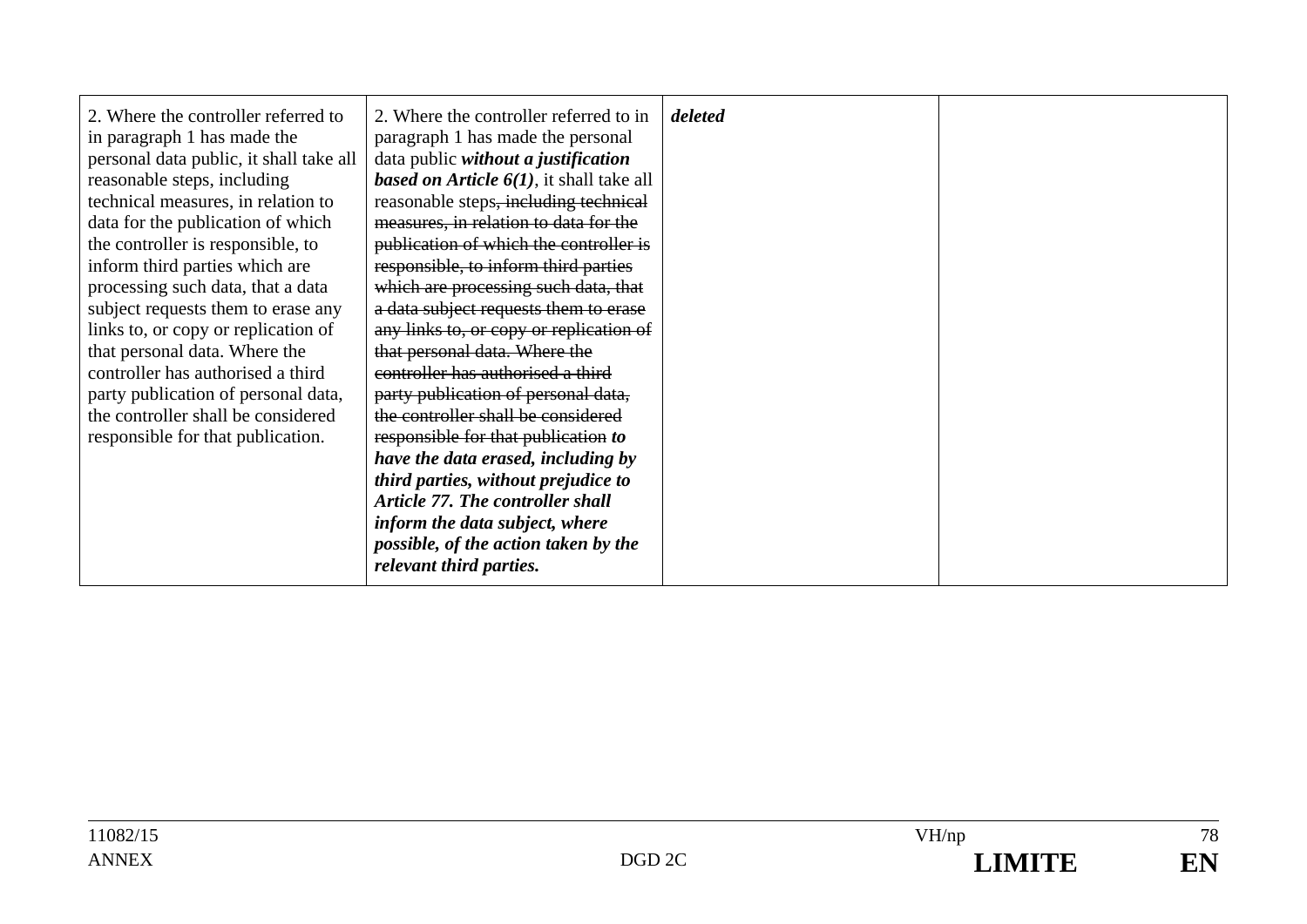| 2. Where the controller referred to<br>in paragraph 1 has made the<br>personal data public, it shall take all<br>reasonable steps, including<br>technical measures, in relation to<br>data for the publication of which<br>the controller is responsible, to<br>inform third parties which are         | 2. Where the controller referred to in<br>paragraph 1 has made the personal<br>data public without a justification<br><b>based on Article 6(1)</b> , it shall take all<br>reasonable steps, including technical<br>measures, in relation to data for the<br>publication of which the controller is<br>responsible, to inform third parties                                                                                                                                                                                               | deleted |  |
|--------------------------------------------------------------------------------------------------------------------------------------------------------------------------------------------------------------------------------------------------------------------------------------------------------|------------------------------------------------------------------------------------------------------------------------------------------------------------------------------------------------------------------------------------------------------------------------------------------------------------------------------------------------------------------------------------------------------------------------------------------------------------------------------------------------------------------------------------------|---------|--|
| processing such data, that a data<br>subject requests them to erase any<br>links to, or copy or replication of<br>that personal data. Where the<br>controller has authorised a third<br>party publication of personal data,<br>the controller shall be considered<br>responsible for that publication. | which are processing such data, that<br>a data subject requests them to erase<br>any links to, or copy or replication of<br>that personal data. Where the<br>controller has authorised a third<br>party publication of personal data,<br>the controller shall be considered<br>responsible for that publication to<br>have the data erased, including by<br>third parties, without prejudice to<br>Article 77. The controller shall<br>inform the data subject, where<br>possible, of the action taken by the<br>relevant third parties. |         |  |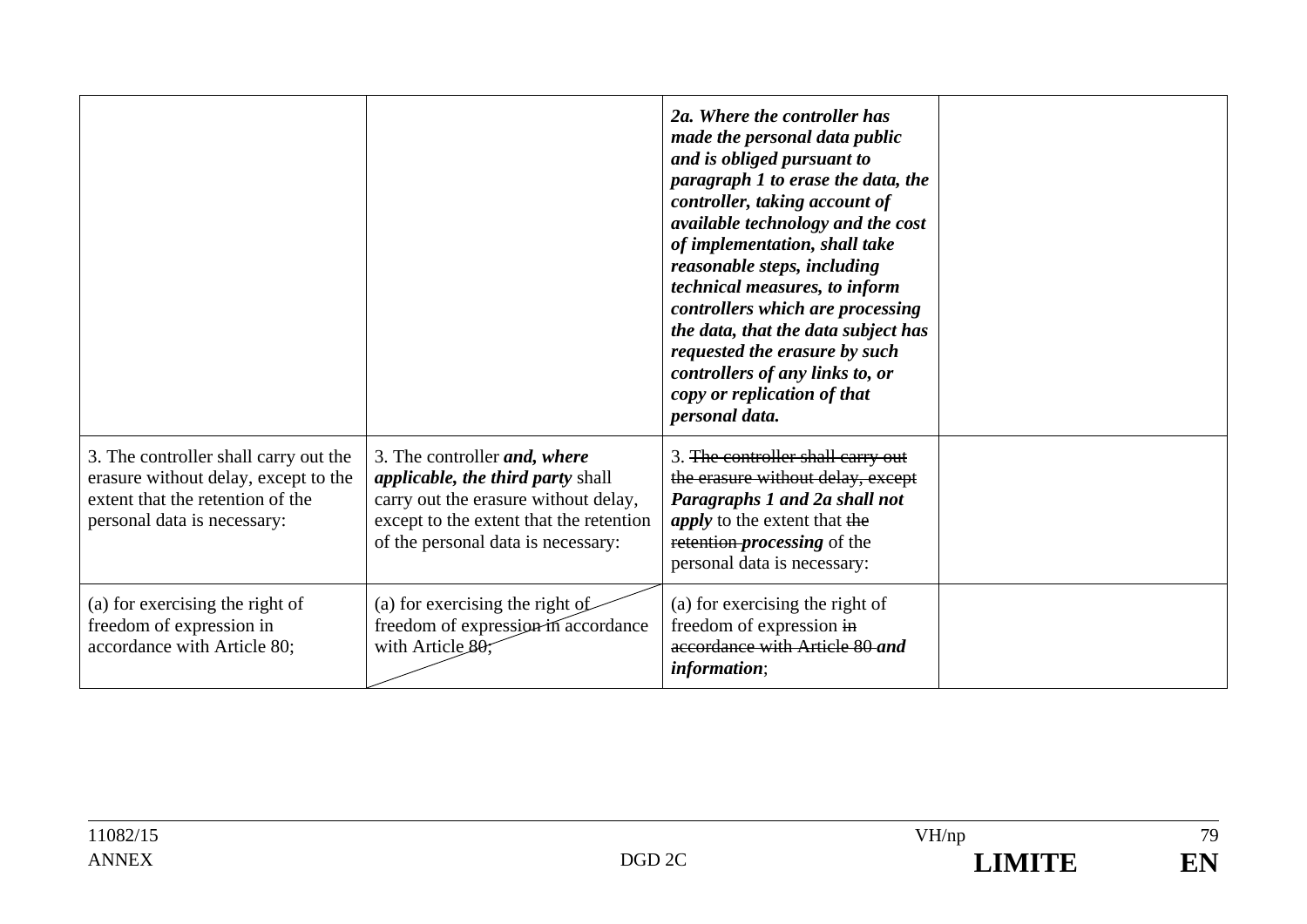|                                                                                                                                                  |                                                                                                                                                                                                           | 2a. Where the controller has<br>made the personal data public<br>and is obliged pursuant to<br>paragraph 1 to erase the data, the<br>controller, taking account of<br>available technology and the cost<br>of implementation, shall take<br>reasonable steps, including<br>technical measures, to inform<br>controllers which are processing<br>the data, that the data subject has<br>requested the erasure by such<br>controllers of any links to, or<br>copy or replication of that<br>personal data. |  |
|--------------------------------------------------------------------------------------------------------------------------------------------------|-----------------------------------------------------------------------------------------------------------------------------------------------------------------------------------------------------------|----------------------------------------------------------------------------------------------------------------------------------------------------------------------------------------------------------------------------------------------------------------------------------------------------------------------------------------------------------------------------------------------------------------------------------------------------------------------------------------------------------|--|
| 3. The controller shall carry out the<br>erasure without delay, except to the<br>extent that the retention of the<br>personal data is necessary: | 3. The controller <i>and</i> , where<br><i>applicable, the third party shall</i><br>carry out the erasure without delay,<br>except to the extent that the retention<br>of the personal data is necessary: | 3. The controller shall carry out<br>the erasure without delay, except<br>Paragraphs 1 and 2a shall not<br><i>apply</i> to the extent that the<br>retention- <i>processing</i> of the<br>personal data is necessary:                                                                                                                                                                                                                                                                                     |  |
| (a) for exercising the right of<br>freedom of expression in<br>accordance with Article 80;                                                       | (a) for exercising the right of<br>freedom of expression in accordance<br>with Article 80,                                                                                                                | (a) for exercising the right of<br>freedom of expression in<br>accordance with Article 80 and<br><i>information</i> ;                                                                                                                                                                                                                                                                                                                                                                                    |  |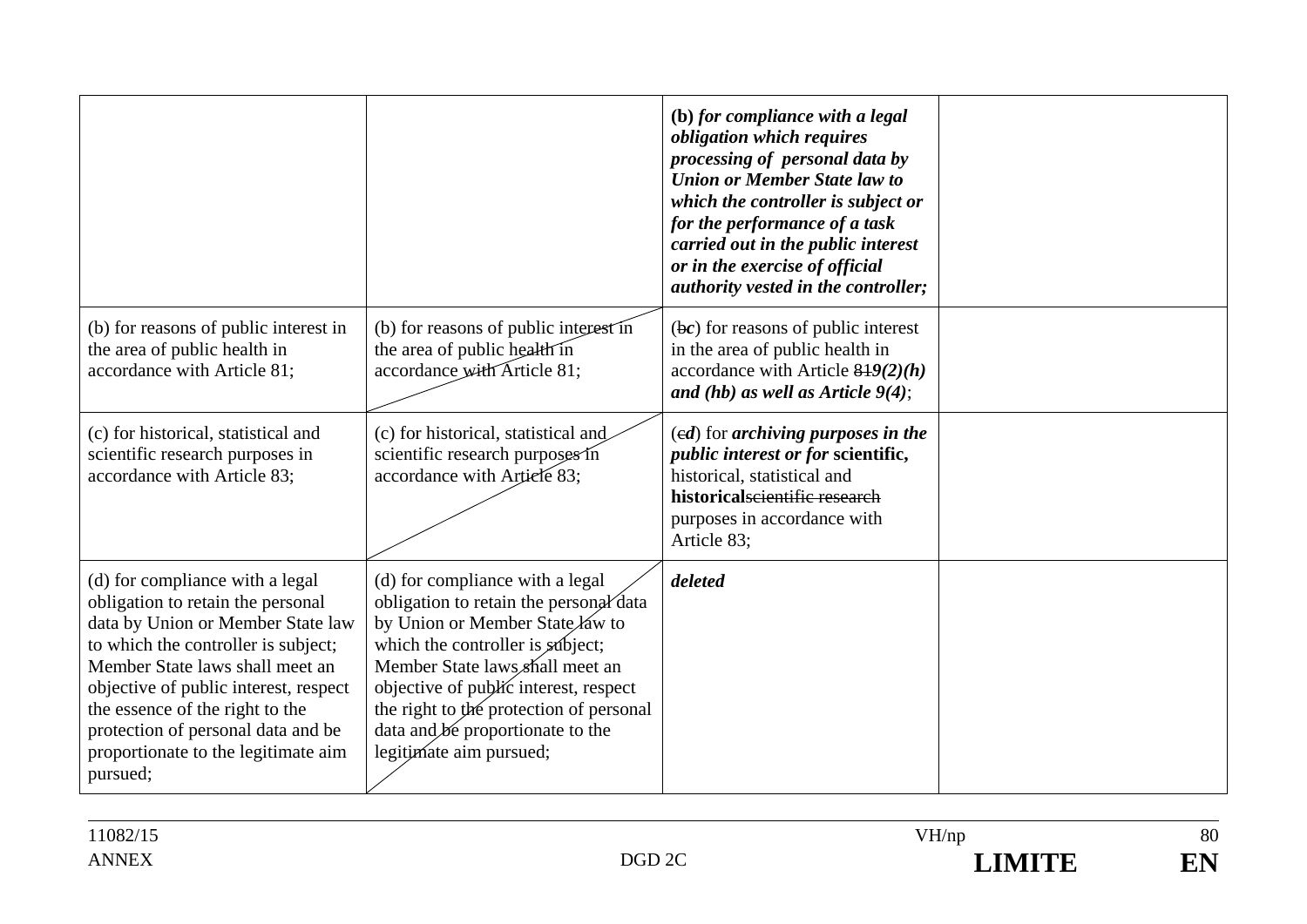|                                                                                                                                                                                                                                                                                                                                                          |                                                                                                                                                                                                                                                                                                                                        | (b) for compliance with a legal<br>obligation which requires<br>processing of personal data by<br><b>Union or Member State law to</b><br>which the controller is subject or<br>for the performance of a task<br>carried out in the public interest<br>or in the exercise of official<br>authority vested in the controller; |  |
|----------------------------------------------------------------------------------------------------------------------------------------------------------------------------------------------------------------------------------------------------------------------------------------------------------------------------------------------------------|----------------------------------------------------------------------------------------------------------------------------------------------------------------------------------------------------------------------------------------------------------------------------------------------------------------------------------------|-----------------------------------------------------------------------------------------------------------------------------------------------------------------------------------------------------------------------------------------------------------------------------------------------------------------------------|--|
| (b) for reasons of public interest in<br>the area of public health in<br>accordance with Article 81;                                                                                                                                                                                                                                                     | (b) for reasons of public interest in<br>the area of public health in<br>accordance with Article 81;                                                                                                                                                                                                                                   | $(bc)$ for reasons of public interest<br>in the area of public health in<br>accordance with Article $819(2)(h)$<br>and (hb) as well as Article $9(4)$ ;                                                                                                                                                                     |  |
| (c) for historical, statistical and<br>scientific research purposes in<br>accordance with Article 83;                                                                                                                                                                                                                                                    | (c) for historical, statistical and<br>scientific research purposes in<br>accordance with Article 83;                                                                                                                                                                                                                                  | $\left(\text{ed}\right)$ for archiving purposes in the<br><i>public interest or for scientific,</i><br>historical, statistical and<br>historicalscientific research<br>purposes in accordance with<br>Article 83;                                                                                                           |  |
| (d) for compliance with a legal<br>obligation to retain the personal<br>data by Union or Member State law<br>to which the controller is subject;<br>Member State laws shall meet an<br>objective of public interest, respect<br>the essence of the right to the<br>protection of personal data and be<br>proportionate to the legitimate aim<br>pursued; | (d) for compliance with a legal<br>obligation to retain the personal data<br>by Union or Member State law to<br>which the controller is subject;<br>Member State laws shall meet an<br>objective of public interest, respect<br>the right to the protection of personal<br>data and be proportionate to the<br>legitimate aim pursued; | deleted                                                                                                                                                                                                                                                                                                                     |  |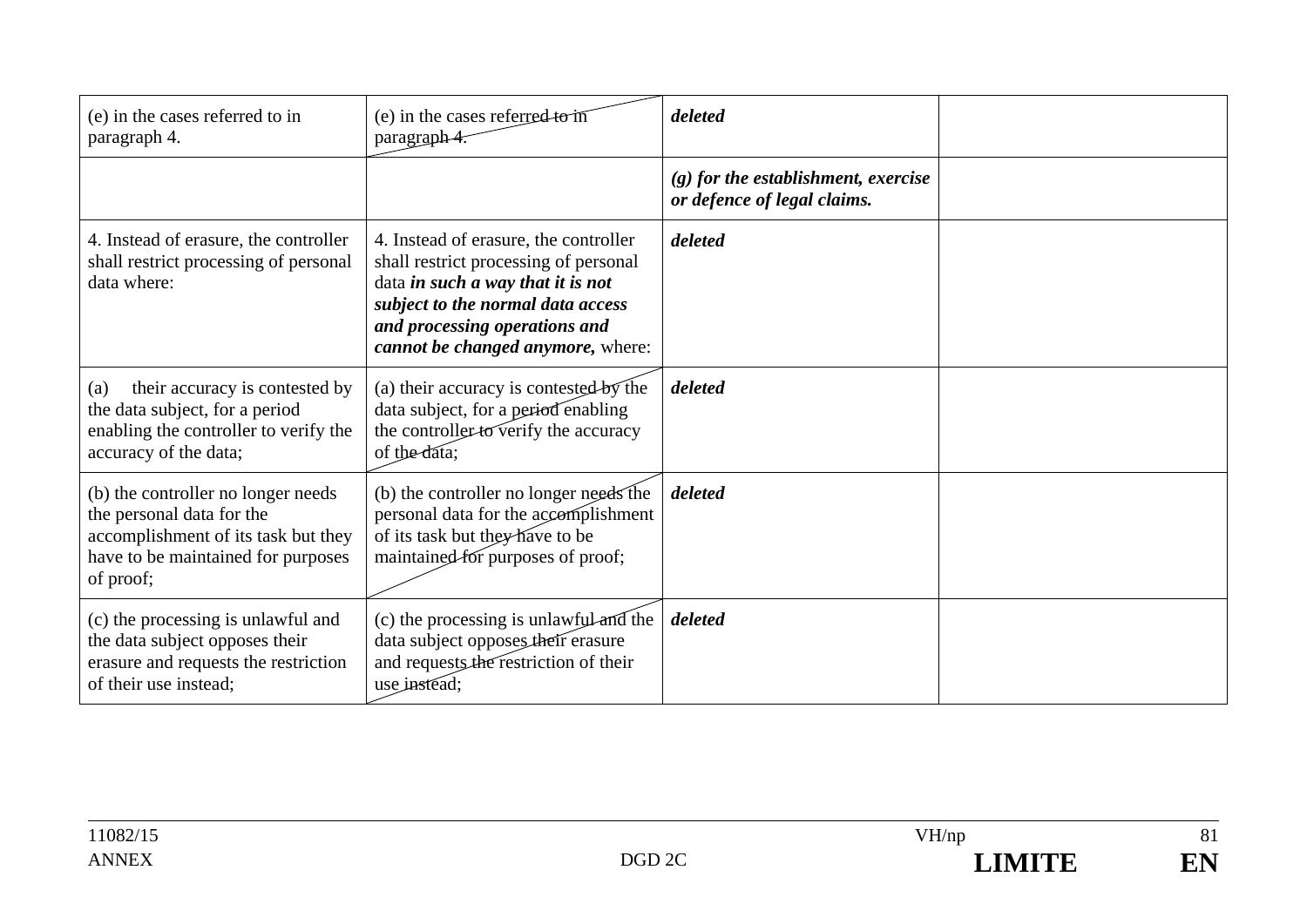| (e) in the cases referred to in<br>paragraph 4.                                                                                                           | (e) in the cases referred to in<br>paragraph 4.                                                                                                                                                                                | deleted                                                              |
|-----------------------------------------------------------------------------------------------------------------------------------------------------------|--------------------------------------------------------------------------------------------------------------------------------------------------------------------------------------------------------------------------------|----------------------------------------------------------------------|
|                                                                                                                                                           |                                                                                                                                                                                                                                | $(g)$ for the establishment, exercise<br>or defence of legal claims. |
| 4. Instead of erasure, the controller<br>shall restrict processing of personal<br>data where:                                                             | 4. Instead of erasure, the controller<br>shall restrict processing of personal<br>data in such a way that it is not<br>subject to the normal data access<br>and processing operations and<br>cannot be changed anymore, where: | deleted                                                              |
| their accuracy is contested by<br>(a)<br>the data subject, for a period<br>enabling the controller to verify the<br>accuracy of the data;                 | (a) their accuracy is contested by the<br>data subject, for a period enabling<br>the controller to verify the accuracy<br>of the data;                                                                                         | deleted                                                              |
| (b) the controller no longer needs<br>the personal data for the<br>accomplishment of its task but they<br>have to be maintained for purposes<br>of proof; | (b) the controller no longer needs the<br>personal data for the accomplishment<br>of its task but they have to be<br>maintained for purposes of proof;                                                                         | deleted                                                              |
| (c) the processing is unlawful and<br>the data subject opposes their<br>erasure and requests the restriction<br>of their use instead;                     | (c) the processing is unlawful and the<br>data subject opposes their erasure<br>and requests the restriction of their<br>use instead;                                                                                          | deleted                                                              |

EN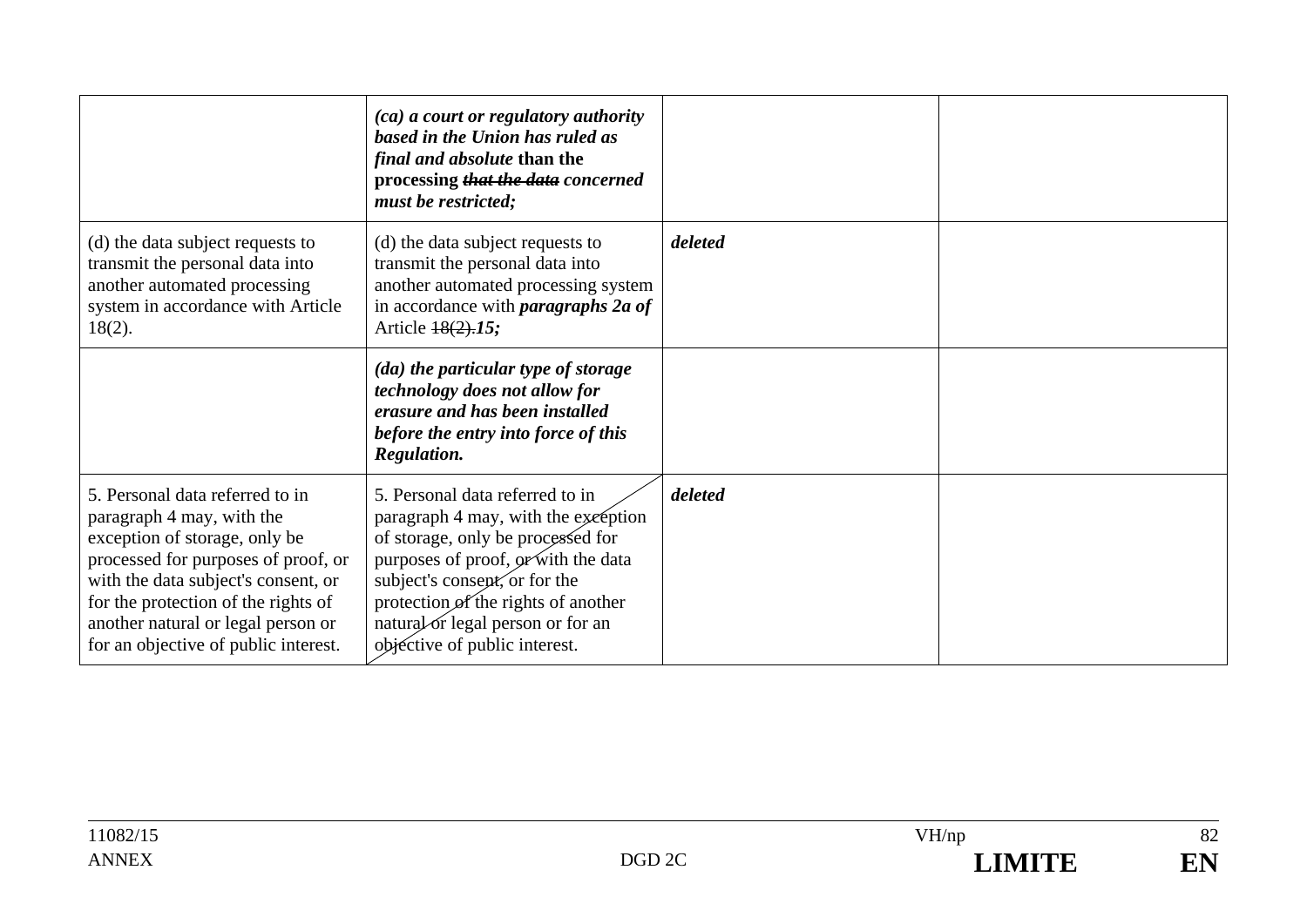|                                                                                                                                                                                                                                                                                                  | (ca) a court or regulatory authority<br>based in the Union has ruled as<br><i>final and absolute than the</i><br>processing that the data concerned<br>must be restricted;                                                                                                                       |         |  |
|--------------------------------------------------------------------------------------------------------------------------------------------------------------------------------------------------------------------------------------------------------------------------------------------------|--------------------------------------------------------------------------------------------------------------------------------------------------------------------------------------------------------------------------------------------------------------------------------------------------|---------|--|
| (d) the data subject requests to<br>transmit the personal data into<br>another automated processing<br>system in accordance with Article<br>$18(2)$ .                                                                                                                                            | (d) the data subject requests to<br>transmit the personal data into<br>another automated processing system<br>in accordance with <i>paragraphs</i> 2 <i>a of</i><br>Article $18(2)$ .15;                                                                                                         | deleted |  |
|                                                                                                                                                                                                                                                                                                  | (da) the particular type of storage<br>technology does not allow for<br>erasure and has been installed<br>before the entry into force of this<br>Regulation.                                                                                                                                     |         |  |
| 5. Personal data referred to in<br>paragraph 4 may, with the<br>exception of storage, only be<br>processed for purposes of proof, or<br>with the data subject's consent, or<br>for the protection of the rights of<br>another natural or legal person or<br>for an objective of public interest. | 5. Personal data referred to in<br>paragraph 4 may, with the execption<br>of storage, only be processed for<br>purposes of proof, or with the data<br>subject's consent, or for the<br>protection of the rights of another<br>natural or legal person or for an<br>objective of public interest. | deleted |  |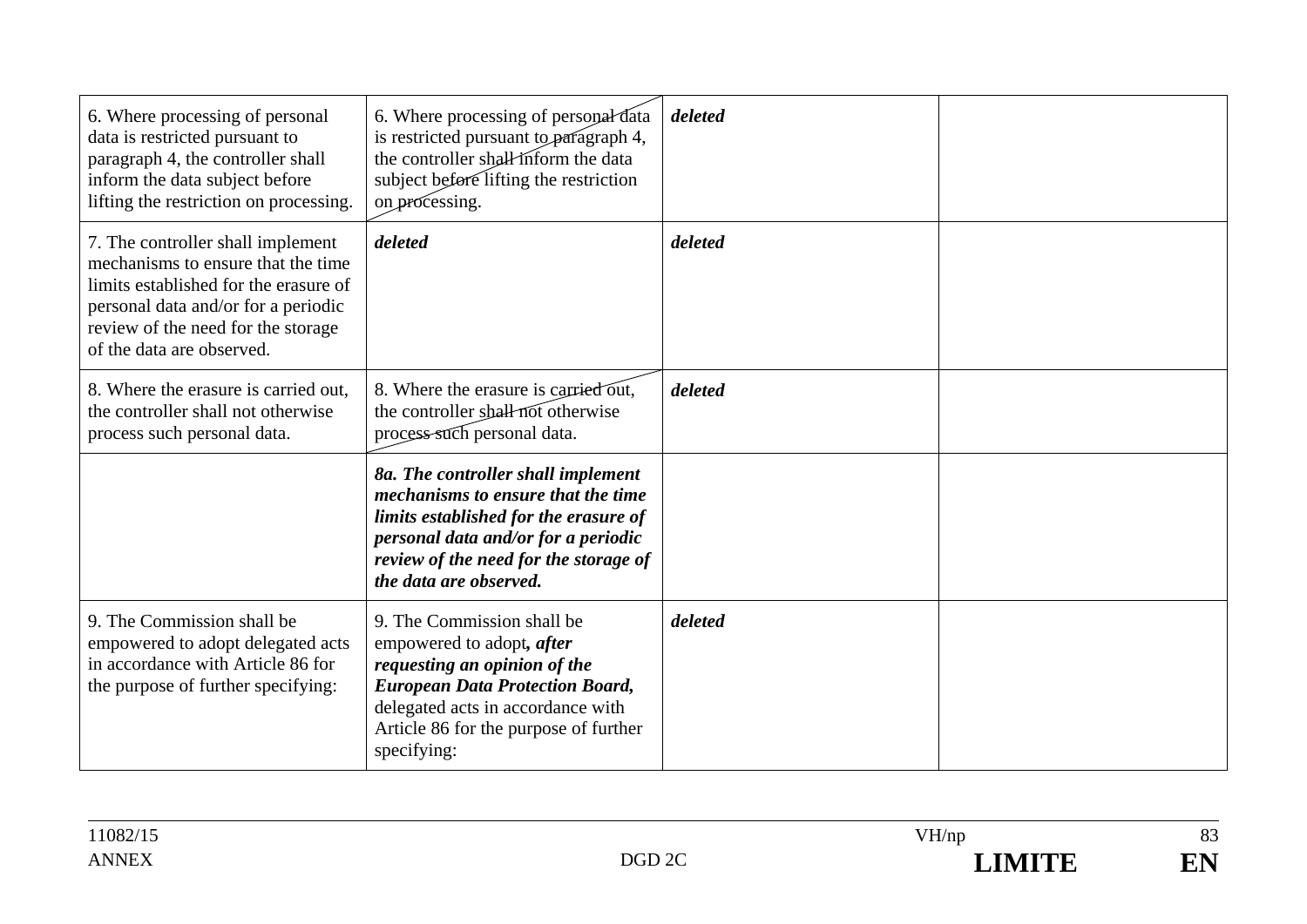| 6. Where processing of personal<br>data is restricted pursuant to<br>paragraph 4, the controller shall<br>inform the data subject before<br>lifting the restriction on processing.                                         | 6. Where processing of personal data<br>is restricted pursuant to paragraph 4,<br>the controller shall inform the data<br>subject before lifting the restriction<br>on processing.                                             | deleted |  |
|----------------------------------------------------------------------------------------------------------------------------------------------------------------------------------------------------------------------------|--------------------------------------------------------------------------------------------------------------------------------------------------------------------------------------------------------------------------------|---------|--|
| 7. The controller shall implement<br>mechanisms to ensure that the time<br>limits established for the erasure of<br>personal data and/or for a periodic<br>review of the need for the storage<br>of the data are observed. | deleted                                                                                                                                                                                                                        | deleted |  |
| 8. Where the erasure is carried out,<br>the controller shall not otherwise<br>process such personal data.                                                                                                                  | 8. Where the erasure is carried out,<br>the controller shall not otherwise<br>process-such personal data.                                                                                                                      | deleted |  |
|                                                                                                                                                                                                                            | 8a. The controller shall implement<br>mechanisms to ensure that the time<br>limits established for the erasure of<br>personal data and/or for a periodic<br>review of the need for the storage of<br>the data are observed.    |         |  |
| 9. The Commission shall be<br>empowered to adopt delegated acts<br>in accordance with Article 86 for<br>the purpose of further specifying:                                                                                 | 9. The Commission shall be<br>empowered to adopt, after<br>requesting an opinion of the<br><b>European Data Protection Board,</b><br>delegated acts in accordance with<br>Article 86 for the purpose of further<br>specifying: | deleted |  |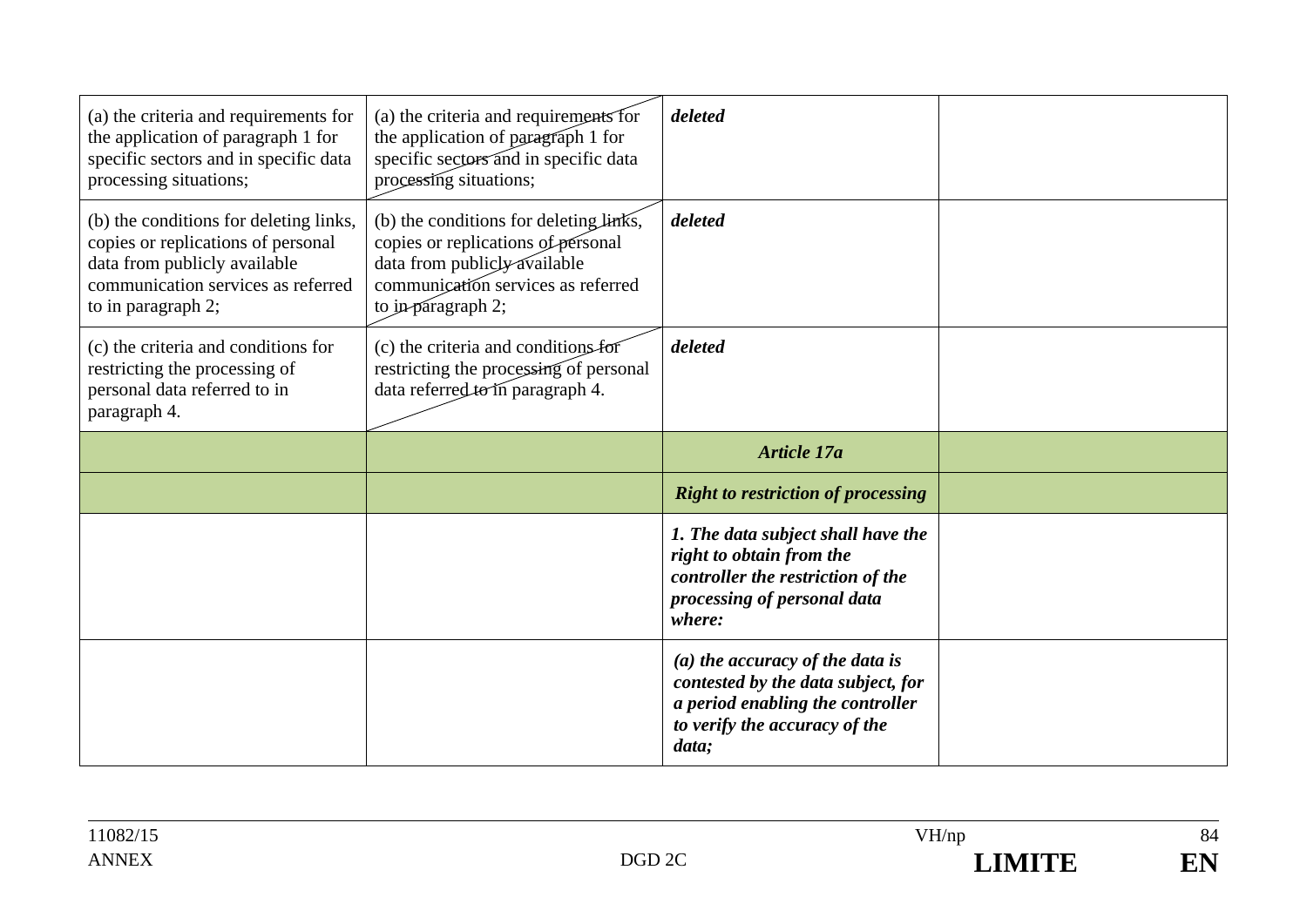| (a) the criteria and requirements for<br>the application of paragraph 1 for<br>specific sectors and in specific data<br>processing situations;                           | (a) the criteria and requirements for<br>the application of paragraph 1 for<br>specific sectors and in specific data<br>processing situations;                           | deleted                                                                                                                                      |  |
|--------------------------------------------------------------------------------------------------------------------------------------------------------------------------|--------------------------------------------------------------------------------------------------------------------------------------------------------------------------|----------------------------------------------------------------------------------------------------------------------------------------------|--|
| (b) the conditions for deleting links,<br>copies or replications of personal<br>data from publicly available<br>communication services as referred<br>to in paragraph 2; | (b) the conditions for deleting links,<br>copies or replications of personal<br>data from publicly available<br>communication services as referred<br>to in paragraph 2; | deleted                                                                                                                                      |  |
| (c) the criteria and conditions for<br>restricting the processing of<br>personal data referred to in<br>paragraph 4.                                                     | (c) the criteria and conditions for<br>restricting the processing of personal<br>data referred to in paragraph 4.                                                        | deleted                                                                                                                                      |  |
|                                                                                                                                                                          |                                                                                                                                                                          | <b>Article 17a</b>                                                                                                                           |  |
|                                                                                                                                                                          |                                                                                                                                                                          |                                                                                                                                              |  |
|                                                                                                                                                                          |                                                                                                                                                                          | <b>Right to restriction of processing</b>                                                                                                    |  |
|                                                                                                                                                                          |                                                                                                                                                                          | 1. The data subject shall have the<br>right to obtain from the<br>controller the restriction of the<br>processing of personal data<br>where: |  |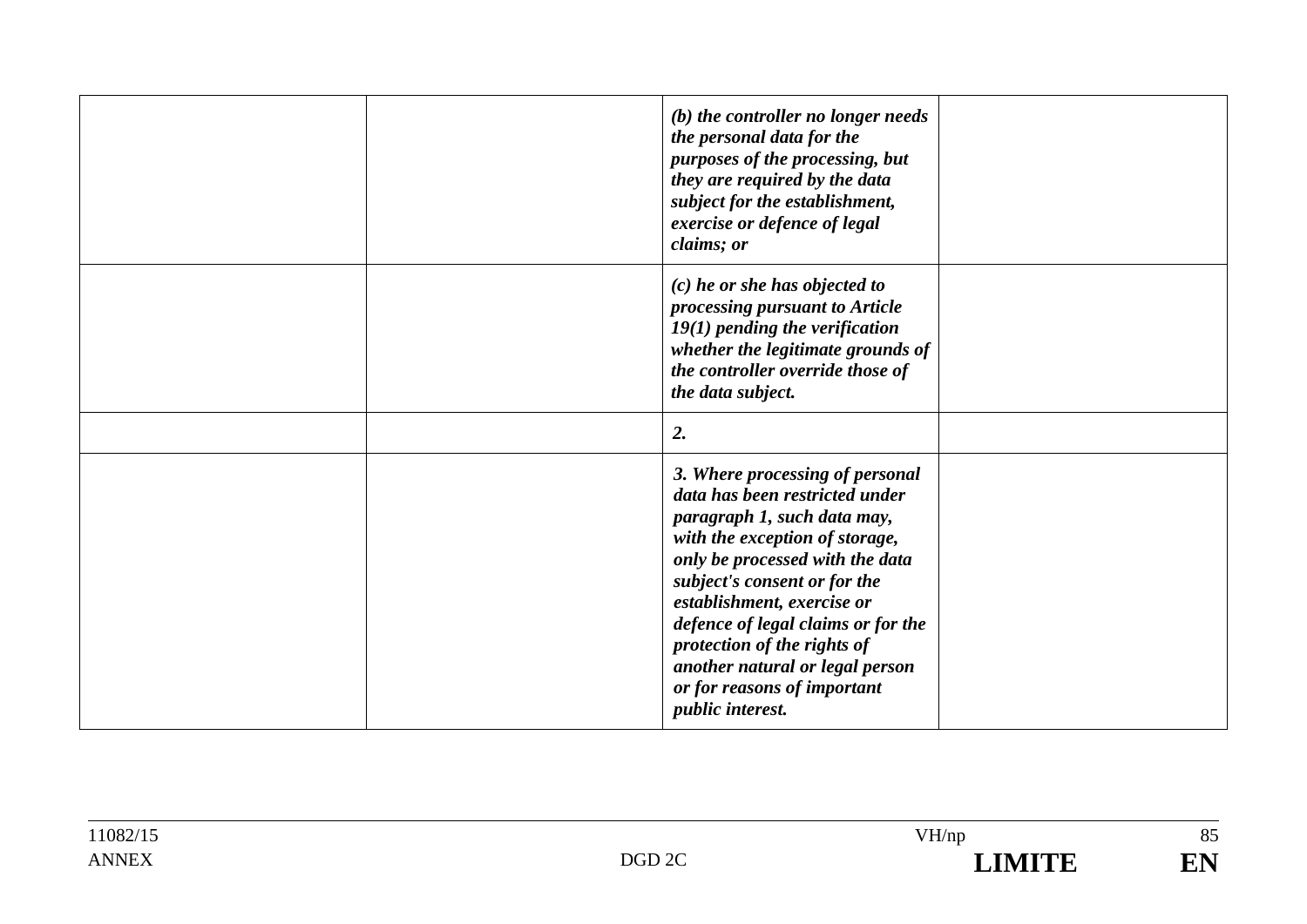| (b) the controller no longer needs<br>the personal data for the<br>purposes of the processing, but<br>they are required by the data<br>subject for the establishment,<br>exercise or defence of legal<br>claims; or                                                                                                                                                                            |  |
|------------------------------------------------------------------------------------------------------------------------------------------------------------------------------------------------------------------------------------------------------------------------------------------------------------------------------------------------------------------------------------------------|--|
| $(c)$ he or she has objected to<br>processing pursuant to Article<br>$19(1)$ pending the verification<br>whether the legitimate grounds of<br>the controller override those of<br>the data subject.                                                                                                                                                                                            |  |
| 2.                                                                                                                                                                                                                                                                                                                                                                                             |  |
| 3. Where processing of personal<br>data has been restricted under<br>paragraph 1, such data may,<br>with the exception of storage,<br>only be processed with the data<br>subject's consent or for the<br>establishment, exercise or<br>defence of legal claims or for the<br>protection of the rights of<br>another natural or legal person<br>or for reasons of important<br>public interest. |  |

| 11082/15     |                   | VH/np         | $\sim$ $\sim$<br>OJ |
|--------------|-------------------|---------------|---------------------|
| <b>ANNEX</b> | DGD <sub>2C</sub> | <b>LIMITE</b> | EN                  |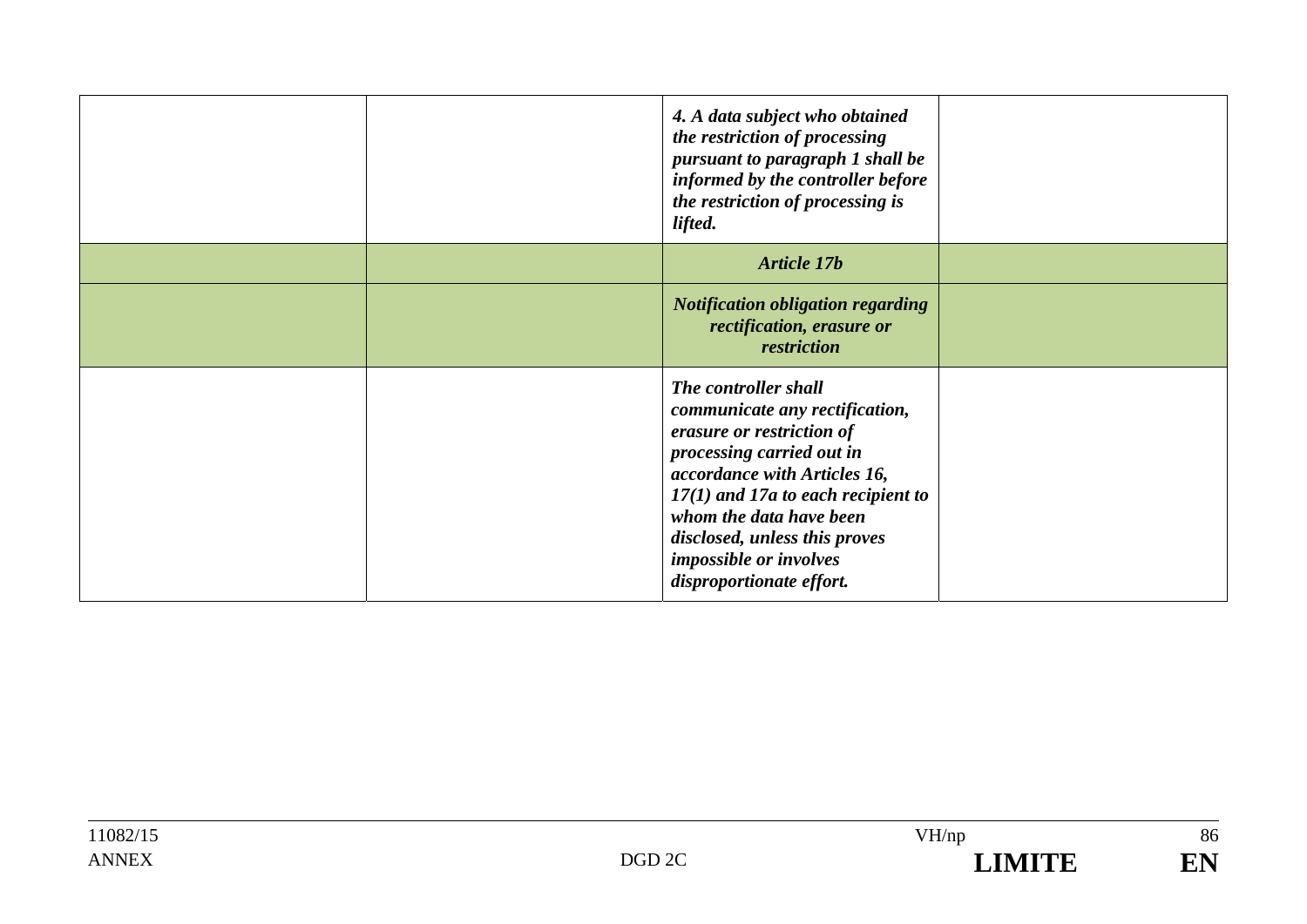|  | 4. A data subject who obtained<br>the restriction of processing<br>pursuant to paragraph 1 shall be<br>informed by the controller before<br>the restriction of processing is<br>lifted.                                                                                                                           |  |
|--|-------------------------------------------------------------------------------------------------------------------------------------------------------------------------------------------------------------------------------------------------------------------------------------------------------------------|--|
|  | <b>Article 17b</b>                                                                                                                                                                                                                                                                                                |  |
|  | <b>Notification obligation regarding</b><br>rectification, erasure or<br>restriction                                                                                                                                                                                                                              |  |
|  | The controller shall<br>communicate any rectification,<br>erasure or restriction of<br>processing carried out in<br>accordance with Articles 16,<br>$17(1)$ and 17a to each recipient to<br>whom the data have been<br>disclosed, unless this proves<br><i>impossible or involves</i><br>disproportionate effort. |  |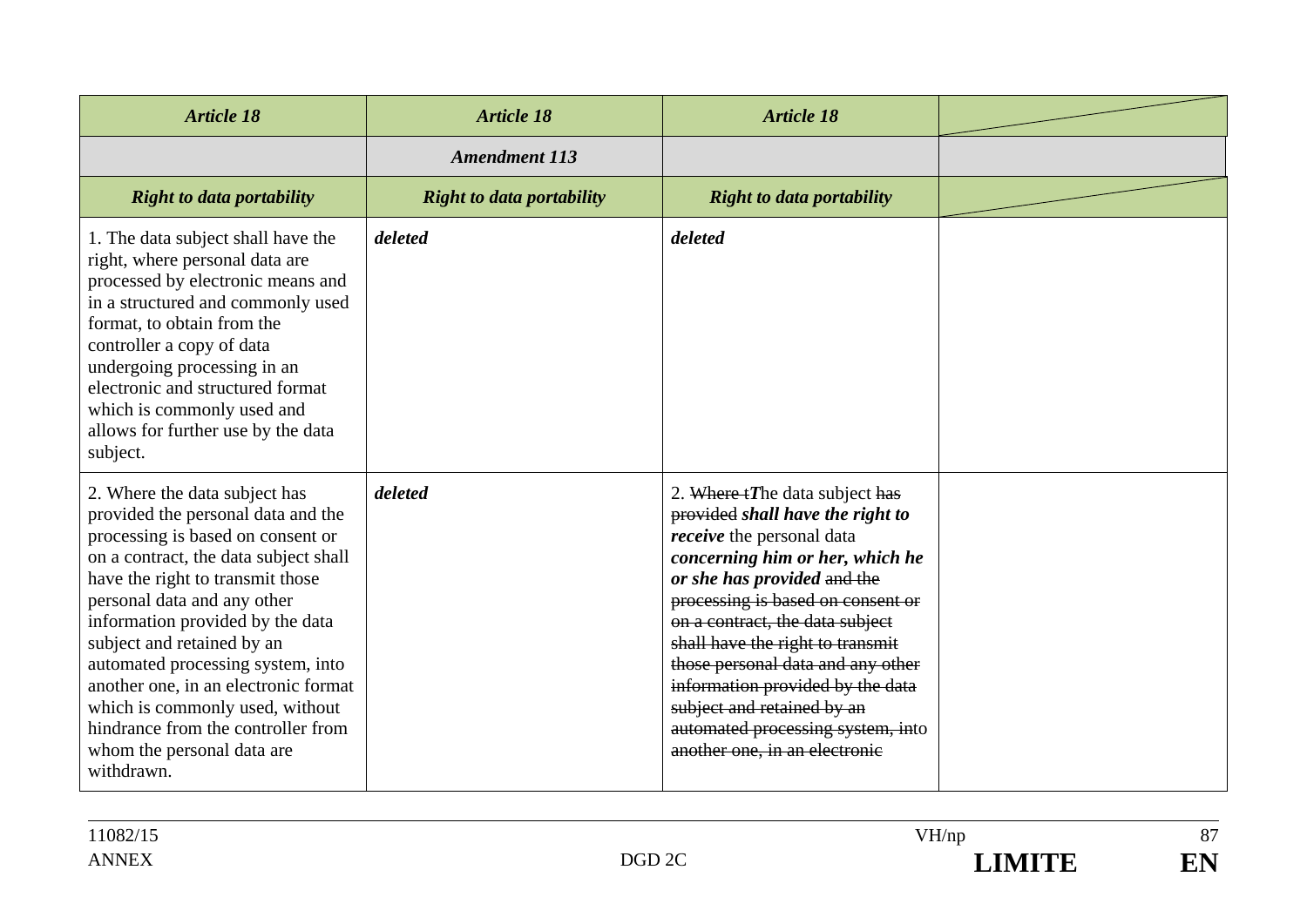| <b>Article 18</b>                                                                                                                                                                                                                                                                                                                                                                                                                                                                        | <b>Article 18</b>                | <b>Article 18</b>                                                                                                                                                                                                                                                                                                                                                                                                                                                    |  |
|------------------------------------------------------------------------------------------------------------------------------------------------------------------------------------------------------------------------------------------------------------------------------------------------------------------------------------------------------------------------------------------------------------------------------------------------------------------------------------------|----------------------------------|----------------------------------------------------------------------------------------------------------------------------------------------------------------------------------------------------------------------------------------------------------------------------------------------------------------------------------------------------------------------------------------------------------------------------------------------------------------------|--|
|                                                                                                                                                                                                                                                                                                                                                                                                                                                                                          | <b>Amendment 113</b>             |                                                                                                                                                                                                                                                                                                                                                                                                                                                                      |  |
| <b>Right to data portability</b>                                                                                                                                                                                                                                                                                                                                                                                                                                                         | <b>Right to data portability</b> | <b>Right to data portability</b>                                                                                                                                                                                                                                                                                                                                                                                                                                     |  |
| 1. The data subject shall have the<br>right, where personal data are<br>processed by electronic means and<br>in a structured and commonly used<br>format, to obtain from the<br>controller a copy of data<br>undergoing processing in an<br>electronic and structured format<br>which is commonly used and<br>allows for further use by the data<br>subject.                                                                                                                             | deleted                          | deleted                                                                                                                                                                                                                                                                                                                                                                                                                                                              |  |
| 2. Where the data subject has<br>provided the personal data and the<br>processing is based on consent or<br>on a contract, the data subject shall<br>have the right to transmit those<br>personal data and any other<br>information provided by the data<br>subject and retained by an<br>automated processing system, into<br>another one, in an electronic format<br>which is commonly used, without<br>hindrance from the controller from<br>whom the personal data are<br>withdrawn. | deleted                          | 2. Where $tT$ he data subject has<br>provided shall have the right to<br><i>receive</i> the personal data<br>concerning him or her, which he<br>or she has provided and the<br>processing is based on consent or<br>on a contract, the data subject<br>shall have the right to transmit<br>those personal data and any other<br>information provided by the data<br>subject and retained by an<br>automated processing system, into<br>another one, in an electronic |  |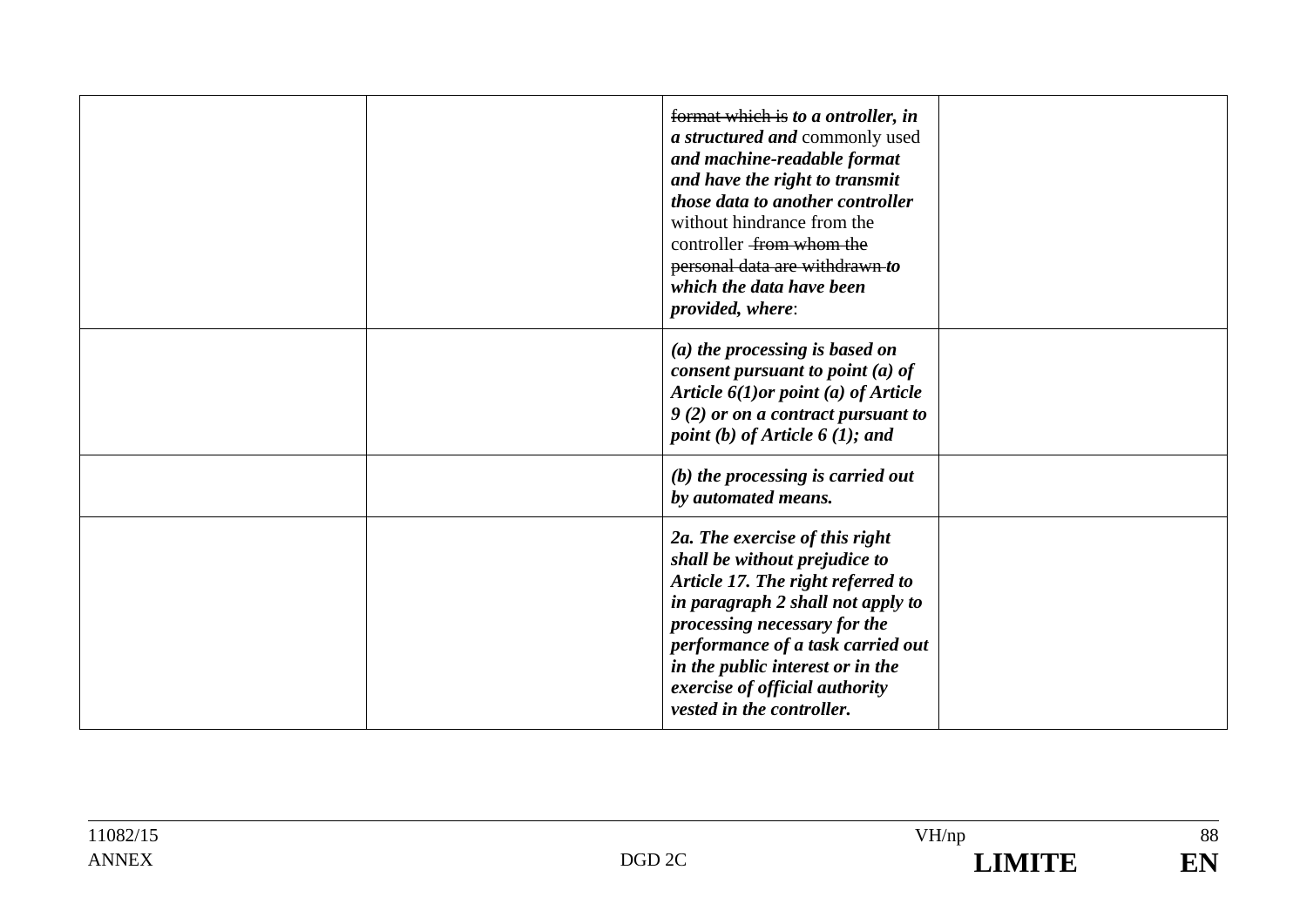| format which is to a ontroller, in<br>a structured and commonly used<br>and machine-readable format<br>and have the right to transmit<br>those data to another controller<br>without hindrance from the<br>controller from whom the<br>personal data are withdrawn to<br>which the data have been<br>provided, where: |  |
|-----------------------------------------------------------------------------------------------------------------------------------------------------------------------------------------------------------------------------------------------------------------------------------------------------------------------|--|
| $(a)$ the processing is based on<br>consent pursuant to point $(a)$ of<br>Article $6(1)$ or point (a) of Article<br>9 (2) or on a contract pursuant to<br>point (b) of Article $6(1)$ ; and                                                                                                                           |  |
| $(b)$ the processing is carried out<br>by automated means.                                                                                                                                                                                                                                                            |  |
| 2a. The exercise of this right<br>shall be without prejudice to<br>Article 17. The right referred to<br>in paragraph 2 shall not apply to<br>processing necessary for the<br>performance of a task carried out<br>in the public interest or in the<br>exercise of official authority<br>vested in the controller.     |  |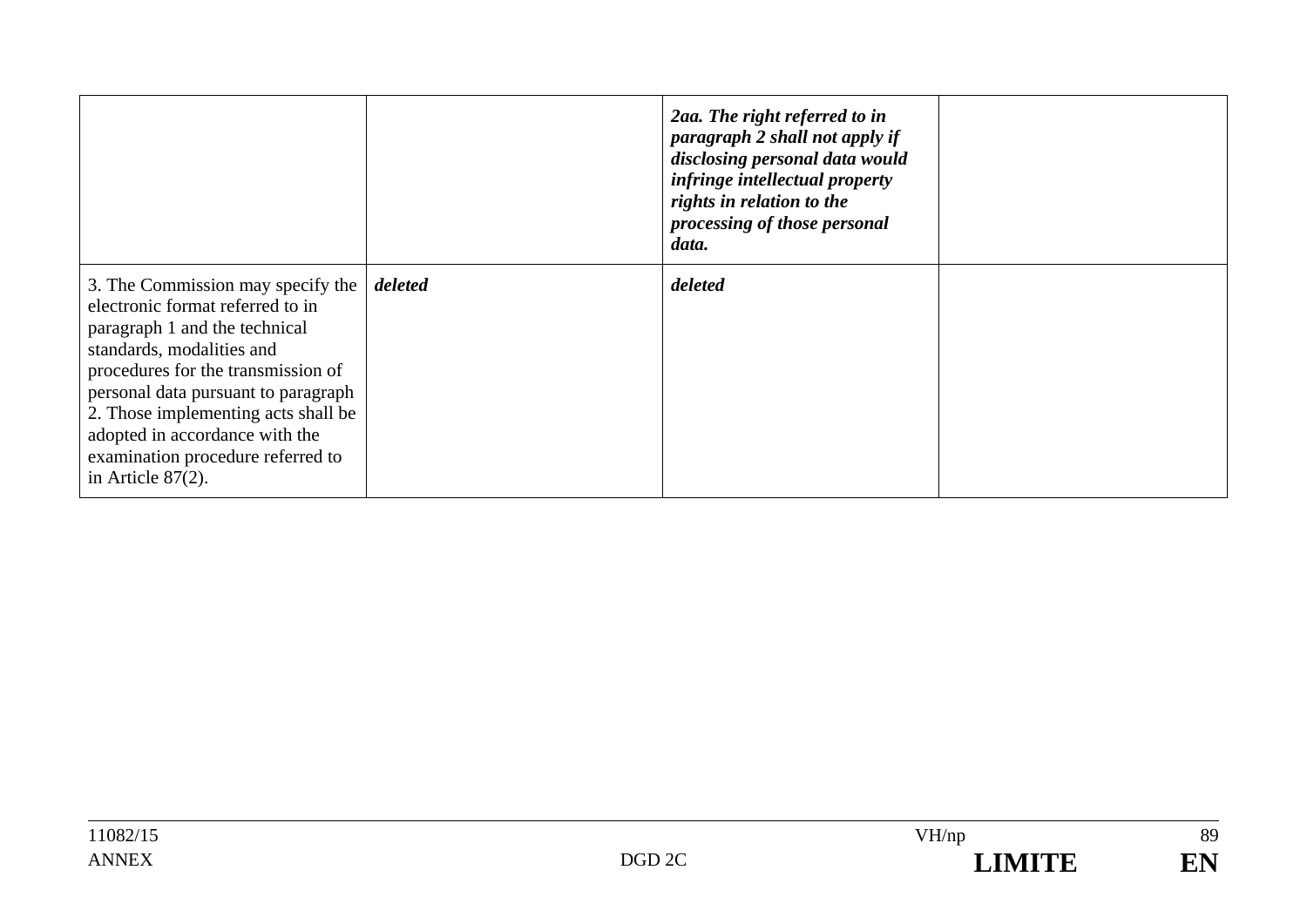|                                                                                                                                                                                                                                                                                                                                                        |         | 2aa. The right referred to in<br>paragraph 2 shall not apply if<br>disclosing personal data would<br>infringe intellectual property<br>rights in relation to the<br>processing of those personal<br>data. |  |
|--------------------------------------------------------------------------------------------------------------------------------------------------------------------------------------------------------------------------------------------------------------------------------------------------------------------------------------------------------|---------|-----------------------------------------------------------------------------------------------------------------------------------------------------------------------------------------------------------|--|
| 3. The Commission may specify the<br>electronic format referred to in<br>paragraph 1 and the technical<br>standards, modalities and<br>procedures for the transmission of<br>personal data pursuant to paragraph<br>2. Those implementing acts shall be<br>adopted in accordance with the<br>examination procedure referred to<br>in Article $87(2)$ . | deleted | deleted                                                                                                                                                                                                   |  |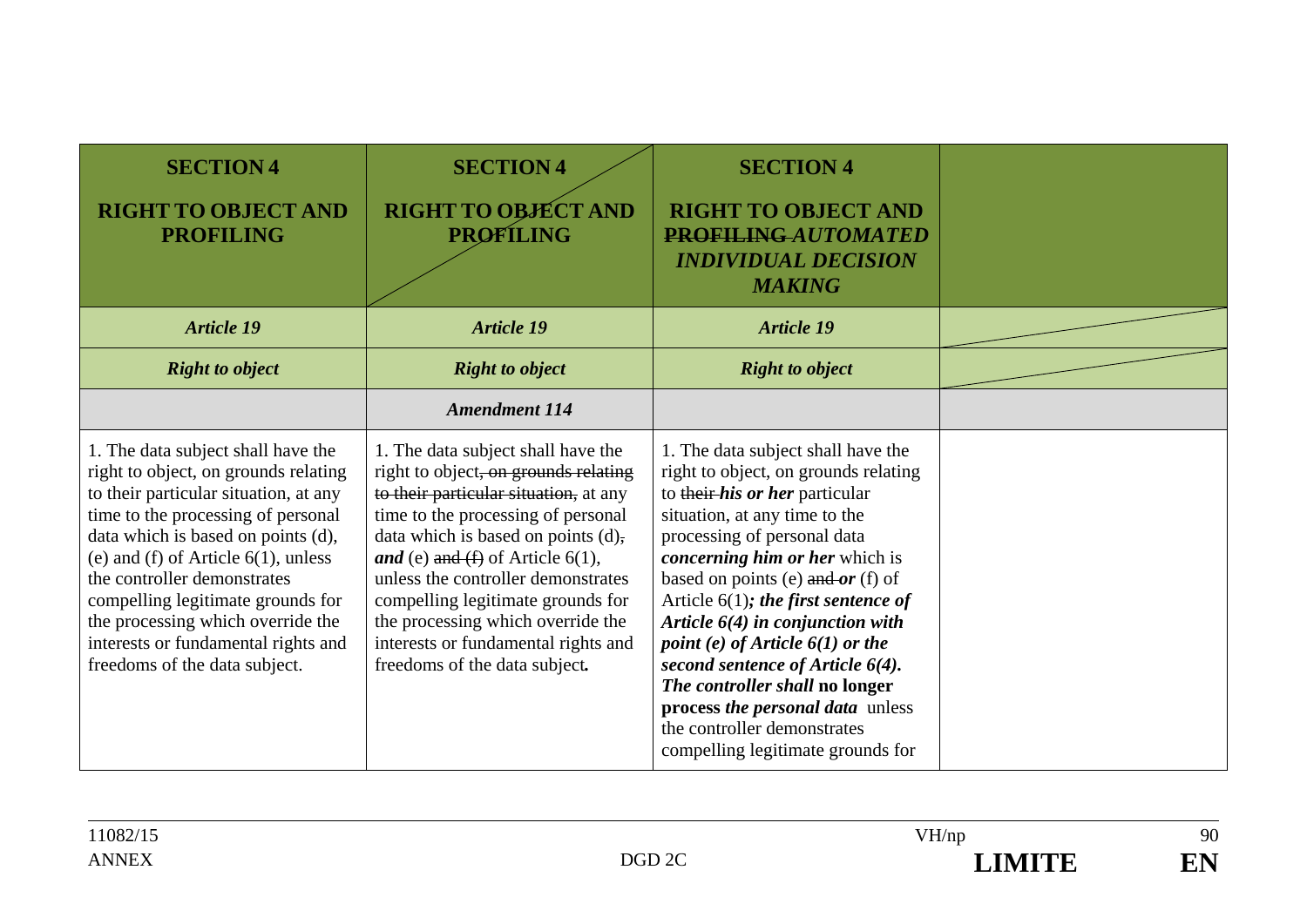| <b>SECTION4</b><br><b>RIGHT TO OBJECT AND</b><br><b>PROFILING</b>                                                                                                                                                                                                                                                                                                                                                          | <b>SECTION 4</b><br><b>RIGHT TO OBJECT AND</b><br><b>PROFILING</b>                                                                                                                                                                                                                                                                                                                                                               | <b>SECTION 4</b><br><b>RIGHT TO OBJECT AND</b><br>PROFILING AUTOMATED<br><b>INDIVIDUAL DECISION</b><br><b>MAKING</b>                                                                                                                                                                                                                                                                                                                                                                                                                                    |  |
|----------------------------------------------------------------------------------------------------------------------------------------------------------------------------------------------------------------------------------------------------------------------------------------------------------------------------------------------------------------------------------------------------------------------------|----------------------------------------------------------------------------------------------------------------------------------------------------------------------------------------------------------------------------------------------------------------------------------------------------------------------------------------------------------------------------------------------------------------------------------|---------------------------------------------------------------------------------------------------------------------------------------------------------------------------------------------------------------------------------------------------------------------------------------------------------------------------------------------------------------------------------------------------------------------------------------------------------------------------------------------------------------------------------------------------------|--|
| <b>Article 19</b>                                                                                                                                                                                                                                                                                                                                                                                                          | <b>Article 19</b>                                                                                                                                                                                                                                                                                                                                                                                                                | <b>Article 19</b>                                                                                                                                                                                                                                                                                                                                                                                                                                                                                                                                       |  |
| <b>Right to object</b>                                                                                                                                                                                                                                                                                                                                                                                                     | <b>Right to object</b>                                                                                                                                                                                                                                                                                                                                                                                                           | <b>Right to object</b>                                                                                                                                                                                                                                                                                                                                                                                                                                                                                                                                  |  |
|                                                                                                                                                                                                                                                                                                                                                                                                                            | <b>Amendment 114</b>                                                                                                                                                                                                                                                                                                                                                                                                             |                                                                                                                                                                                                                                                                                                                                                                                                                                                                                                                                                         |  |
| 1. The data subject shall have the<br>right to object, on grounds relating<br>to their particular situation, at any<br>time to the processing of personal<br>data which is based on points (d),<br>(e) and (f) of Article $6(1)$ , unless<br>the controller demonstrates<br>compelling legitimate grounds for<br>the processing which override the<br>interests or fundamental rights and<br>freedoms of the data subject. | 1. The data subject shall have the<br>right to object, on grounds relating<br>to their particular situation, at any<br>time to the processing of personal<br>data which is based on points $(d)$ ,<br>and (e) and $(f)$ of Article 6(1),<br>unless the controller demonstrates<br>compelling legitimate grounds for<br>the processing which override the<br>interests or fundamental rights and<br>freedoms of the data subject. | 1. The data subject shall have the<br>right to object, on grounds relating<br>to their-his or her particular<br>situation, at any time to the<br>processing of personal data<br>concerning him or her which is<br>based on points (e) and or (f) of<br>Article $6(1)$ ; the first sentence of<br>Article $6(4)$ in conjunction with<br>point (e) of Article $6(1)$ or the<br>second sentence of Article 6(4).<br>The controller shall no longer<br>process the personal data unless<br>the controller demonstrates<br>compelling legitimate grounds for |  |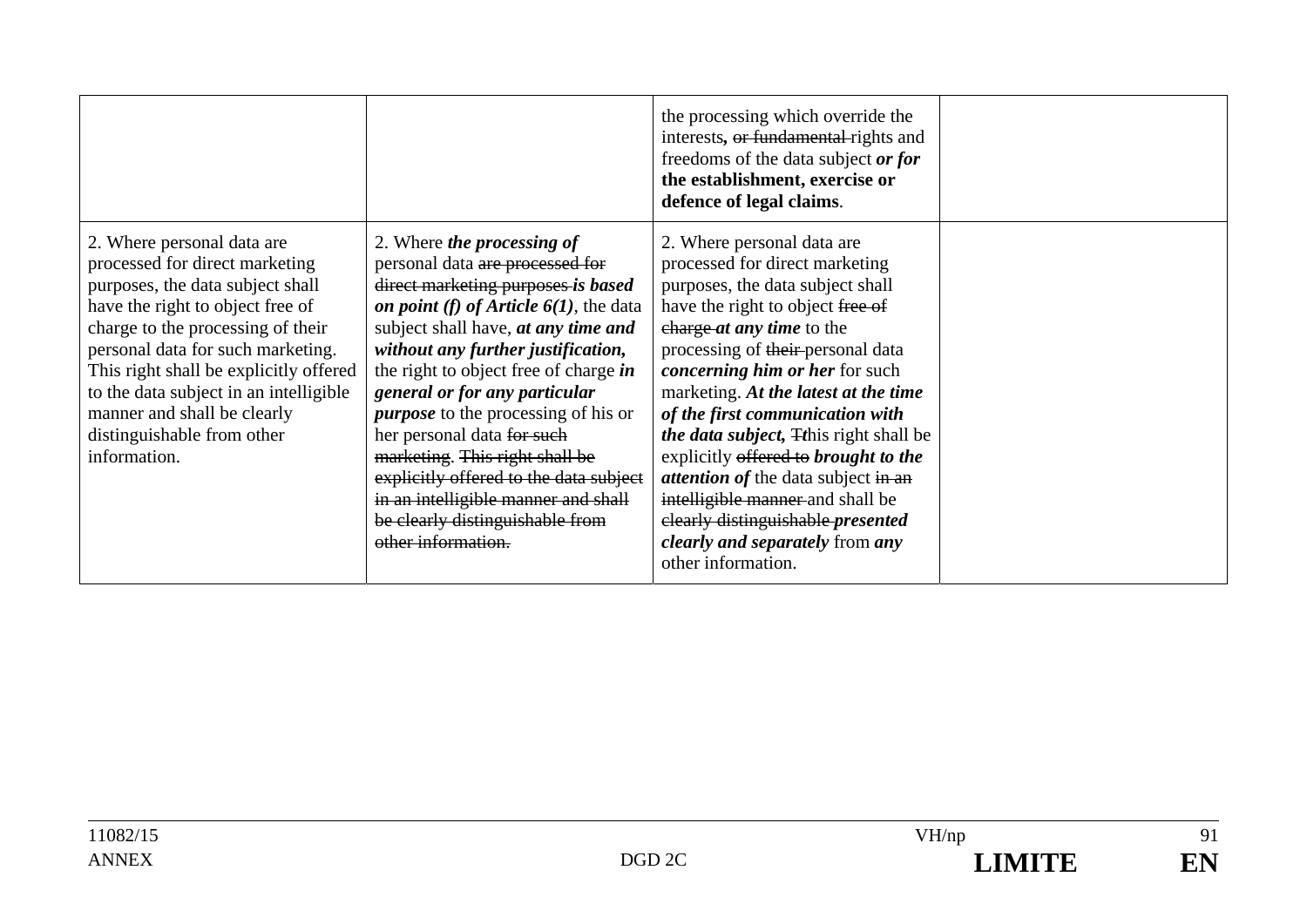|                                                                                                                                                                                                                                                                                                                                                                                 |                                                                                                                                                                                                                                                                                                                                                                                                                                                                                                                                                                 | the processing which override the<br>interests, or fundamental rights and<br>freedoms of the data subject or for<br>the establishment, exercise or<br>defence of legal claims.                                                                                                                                                                                                                                                                                                                                                                                                                                             |  |
|---------------------------------------------------------------------------------------------------------------------------------------------------------------------------------------------------------------------------------------------------------------------------------------------------------------------------------------------------------------------------------|-----------------------------------------------------------------------------------------------------------------------------------------------------------------------------------------------------------------------------------------------------------------------------------------------------------------------------------------------------------------------------------------------------------------------------------------------------------------------------------------------------------------------------------------------------------------|----------------------------------------------------------------------------------------------------------------------------------------------------------------------------------------------------------------------------------------------------------------------------------------------------------------------------------------------------------------------------------------------------------------------------------------------------------------------------------------------------------------------------------------------------------------------------------------------------------------------------|--|
| 2. Where personal data are<br>processed for direct marketing<br>purposes, the data subject shall<br>have the right to object free of<br>charge to the processing of their<br>personal data for such marketing.<br>This right shall be explicitly offered<br>to the data subject in an intelligible<br>manner and shall be clearly<br>distinguishable from other<br>information. | 2. Where the processing of<br>personal data are processed for<br>direct marketing purposes is based<br>on point (f) of Article $6(1)$ , the data<br>subject shall have, at any time and<br>without any further justification,<br>the right to object free of charge in<br>general or for any particular<br><i>purpose</i> to the processing of his or<br>her personal data for such<br>marketing. This right shall be<br>explicitly offered to the data subject<br>in an intelligible manner and shall<br>be clearly distinguishable from<br>other information. | 2. Where personal data are<br>processed for direct marketing<br>purposes, the data subject shall<br>have the right to object free of<br>charge <i>at any time</i> to the<br>processing of their personal data<br><i>concerning him or her for such</i><br>marketing. At the latest at the time<br>of the first communication with<br><i>the data subject</i> , <i>H</i> this right shall be<br>explicitly offered to brought to the<br><i>attention of the data subject in an</i><br>intelligible manner and shall be<br>elearly distinguishable presented<br><i>clearly and separately from any</i><br>other information. |  |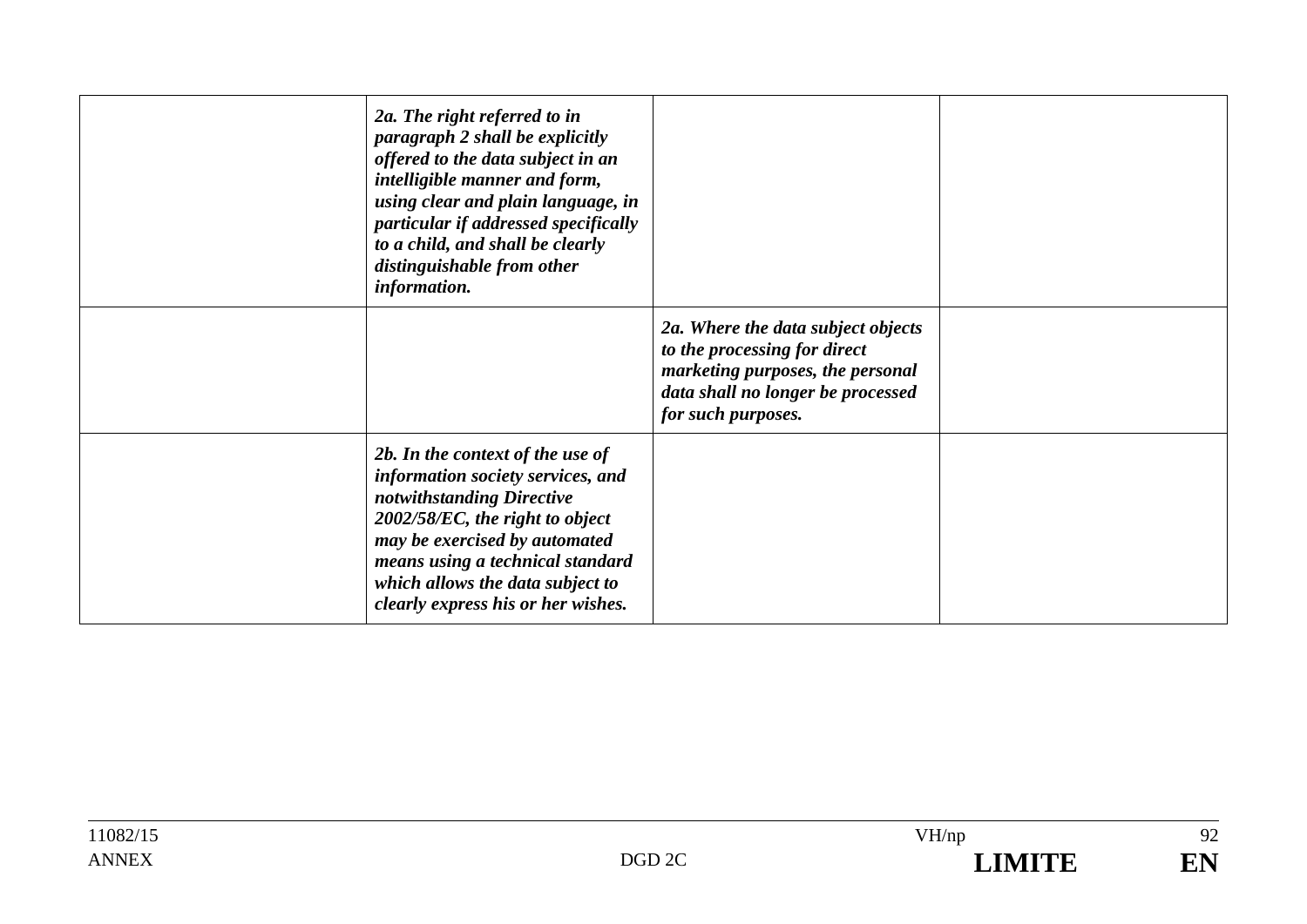| 2a. The right referred to in<br>paragraph 2 shall be explicitly<br>offered to the data subject in an<br>intelligible manner and form,<br>using clear and plain language, in<br>particular if addressed specifically<br>to a child, and shall be clearly<br>distinguishable from other<br>information. |                                                                                                                                                                   |  |
|-------------------------------------------------------------------------------------------------------------------------------------------------------------------------------------------------------------------------------------------------------------------------------------------------------|-------------------------------------------------------------------------------------------------------------------------------------------------------------------|--|
|                                                                                                                                                                                                                                                                                                       | 2a. Where the data subject objects<br>to the processing for direct<br>marketing purposes, the personal<br>data shall no longer be processed<br>for such purposes. |  |
| 2b. In the context of the use of<br>information society services, and<br>notwithstanding Directive<br>2002/58/EC, the right to object<br>may be exercised by automated<br>means using a technical standard<br>which allows the data subject to<br>clearly express his or her wishes.                  |                                                                                                                                                                   |  |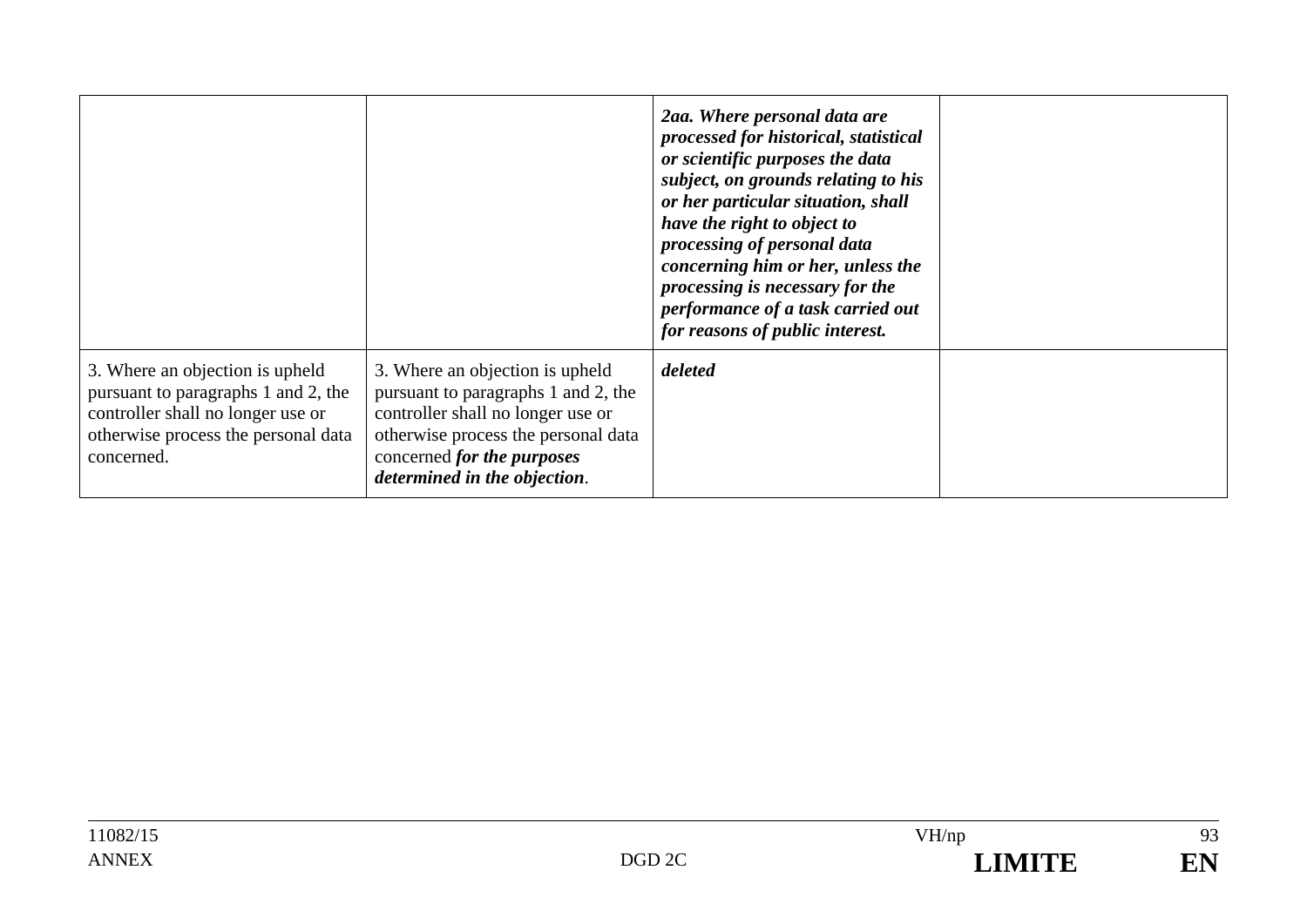|                                                                                                                                                                  |                                                                                                                                                                                                                  | 2aa. Where personal data are<br>processed for historical, statistical<br>or scientific purposes the data<br>subject, on grounds relating to his<br>or her particular situation, shall<br>have the right to object to<br>processing of personal data<br>concerning him or her, unless the<br>processing is necessary for the<br>performance of a task carried out<br>for reasons of public interest. |  |
|------------------------------------------------------------------------------------------------------------------------------------------------------------------|------------------------------------------------------------------------------------------------------------------------------------------------------------------------------------------------------------------|-----------------------------------------------------------------------------------------------------------------------------------------------------------------------------------------------------------------------------------------------------------------------------------------------------------------------------------------------------------------------------------------------------|--|
| 3. Where an objection is upheld<br>pursuant to paragraphs 1 and 2, the<br>controller shall no longer use or<br>otherwise process the personal data<br>concerned. | 3. Where an objection is upheld<br>pursuant to paragraphs 1 and 2, the<br>controller shall no longer use or<br>otherwise process the personal data<br>concerned for the purposes<br>determined in the objection. | deleted                                                                                                                                                                                                                                                                                                                                                                                             |  |

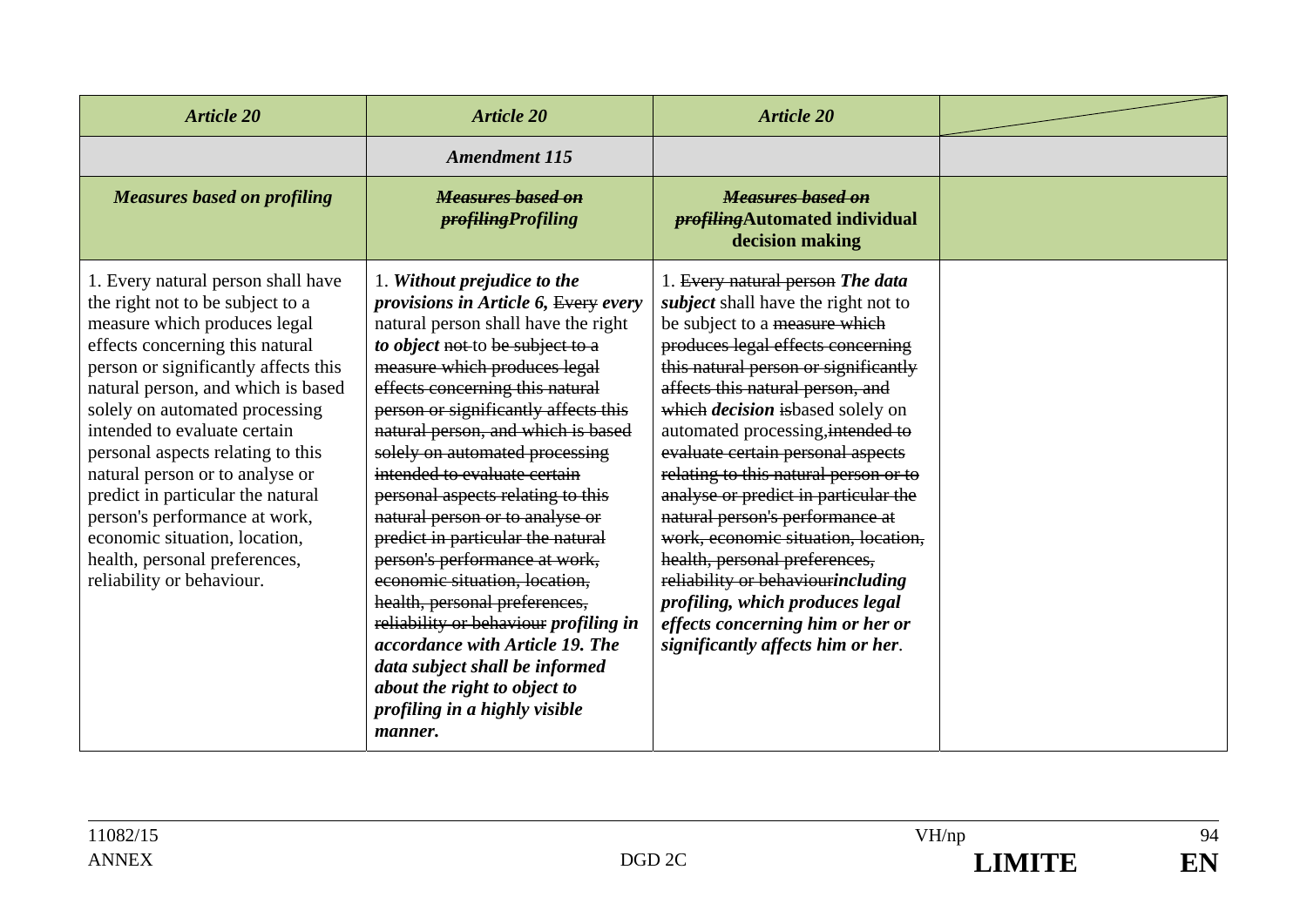| <b>Article 20</b>                                                                                                                                                                                                                                                                                                                                                                                                                                                                                                                      | <b>Article 20</b>                                                                                                                                                                                                                                                                                                                                                                                                                                                                                                                                                                                                                                                                                                                                                                         | <b>Article 20</b>                                                                                                                                                                                                                                                                                                                                                                                                                                                                                                                                                                                                                                                                                   |  |
|----------------------------------------------------------------------------------------------------------------------------------------------------------------------------------------------------------------------------------------------------------------------------------------------------------------------------------------------------------------------------------------------------------------------------------------------------------------------------------------------------------------------------------------|-------------------------------------------------------------------------------------------------------------------------------------------------------------------------------------------------------------------------------------------------------------------------------------------------------------------------------------------------------------------------------------------------------------------------------------------------------------------------------------------------------------------------------------------------------------------------------------------------------------------------------------------------------------------------------------------------------------------------------------------------------------------------------------------|-----------------------------------------------------------------------------------------------------------------------------------------------------------------------------------------------------------------------------------------------------------------------------------------------------------------------------------------------------------------------------------------------------------------------------------------------------------------------------------------------------------------------------------------------------------------------------------------------------------------------------------------------------------------------------------------------------|--|
|                                                                                                                                                                                                                                                                                                                                                                                                                                                                                                                                        | <b>Amendment 115</b>                                                                                                                                                                                                                                                                                                                                                                                                                                                                                                                                                                                                                                                                                                                                                                      |                                                                                                                                                                                                                                                                                                                                                                                                                                                                                                                                                                                                                                                                                                     |  |
| <b>Measures based on profiling</b>                                                                                                                                                                                                                                                                                                                                                                                                                                                                                                     | <b>Measures based on</b><br><i><b>profilingProfiling</b></i>                                                                                                                                                                                                                                                                                                                                                                                                                                                                                                                                                                                                                                                                                                                              | <b>Measures based on</b><br><i>profiling</i> Automated individual<br>decision making                                                                                                                                                                                                                                                                                                                                                                                                                                                                                                                                                                                                                |  |
| 1. Every natural person shall have<br>the right not to be subject to a<br>measure which produces legal<br>effects concerning this natural<br>person or significantly affects this<br>natural person, and which is based<br>solely on automated processing<br>intended to evaluate certain<br>personal aspects relating to this<br>natural person or to analyse or<br>predict in particular the natural<br>person's performance at work,<br>economic situation, location,<br>health, personal preferences,<br>reliability or behaviour. | 1. Without prejudice to the<br><i>provisions in Article 6, Every every</i><br>natural person shall have the right<br>to object not to be subject to a<br>measure which produces legal<br>effects concerning this natural<br>person or significantly affects this<br>natural person, and which is based<br>solely on automated processing<br>intended to evaluate certain<br>personal aspects relating to this<br>natural person or to analyse or<br>predict in particular the natural<br>person's performance at work,<br>economic situation, location,<br>health, personal preferences,<br>reliability or behaviour profiling in<br>accordance with Article 19. The<br>data subject shall be informed<br>about the right to object to<br>profiling in a highly visible<br><i>manner.</i> | 1. Every natural person The data<br><i>subject</i> shall have the right not to<br>be subject to a measure which<br>produces legal effects concerning<br>this natural person or significantly<br>affects this natural person, and<br>which <i>decision</i> is based solely on<br>automated processing, intended to<br>evaluate certain personal aspects<br>relating to this natural person or to<br>analyse or predict in particular the<br>natural person's performance at<br>work, economic situation, location,<br>health, personal preferences,<br>reliability or behaviourincluding<br>profiling, which produces legal<br>effects concerning him or her or<br>significantly affects him or her. |  |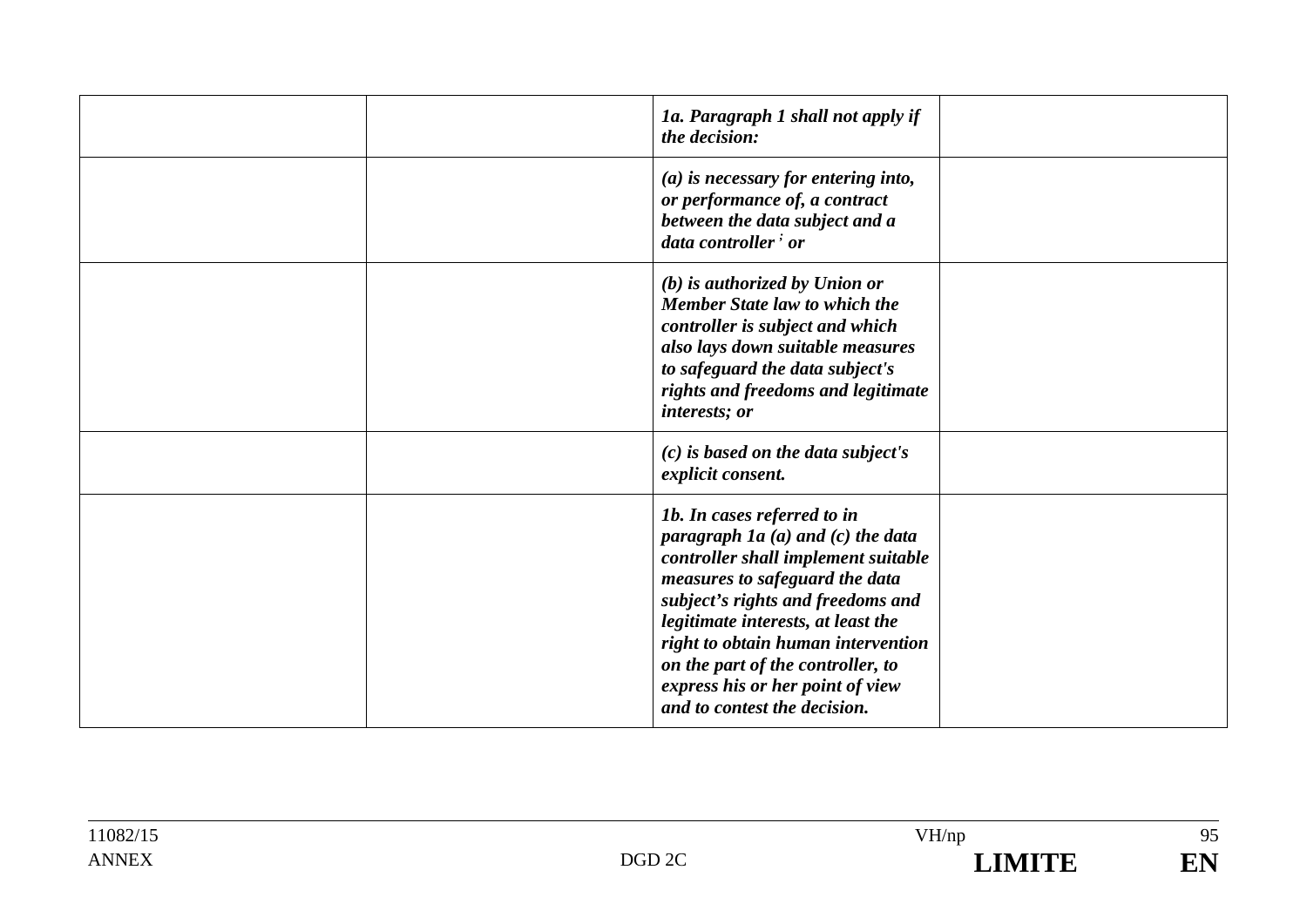|  | 1a. Paragraph 1 shall not apply if<br>the decision:                                                                                                                                                                                                                                                                                                                    |  |
|--|------------------------------------------------------------------------------------------------------------------------------------------------------------------------------------------------------------------------------------------------------------------------------------------------------------------------------------------------------------------------|--|
|  | $(a)$ is necessary for entering into,<br>or performance of, a contract<br>between the data subject and a<br>data controller <sup>;</sup> or                                                                                                                                                                                                                            |  |
|  | $(b)$ is authorized by Union or<br><b>Member State law to which the</b><br>controller is subject and which<br>also lays down suitable measures<br>to safeguard the data subject's<br>rights and freedoms and legitimate<br>interests; or                                                                                                                               |  |
|  | $(c)$ is based on the data subject's<br>explicit consent.                                                                                                                                                                                                                                                                                                              |  |
|  | 1b. In cases referred to in<br>paragraph $1a(a)$ and $(c)$ the data<br>controller shall implement suitable<br>measures to safeguard the data<br>subject's rights and freedoms and<br>legitimate interests, at least the<br>right to obtain human intervention<br>on the part of the controller, to<br>express his or her point of view<br>and to contest the decision. |  |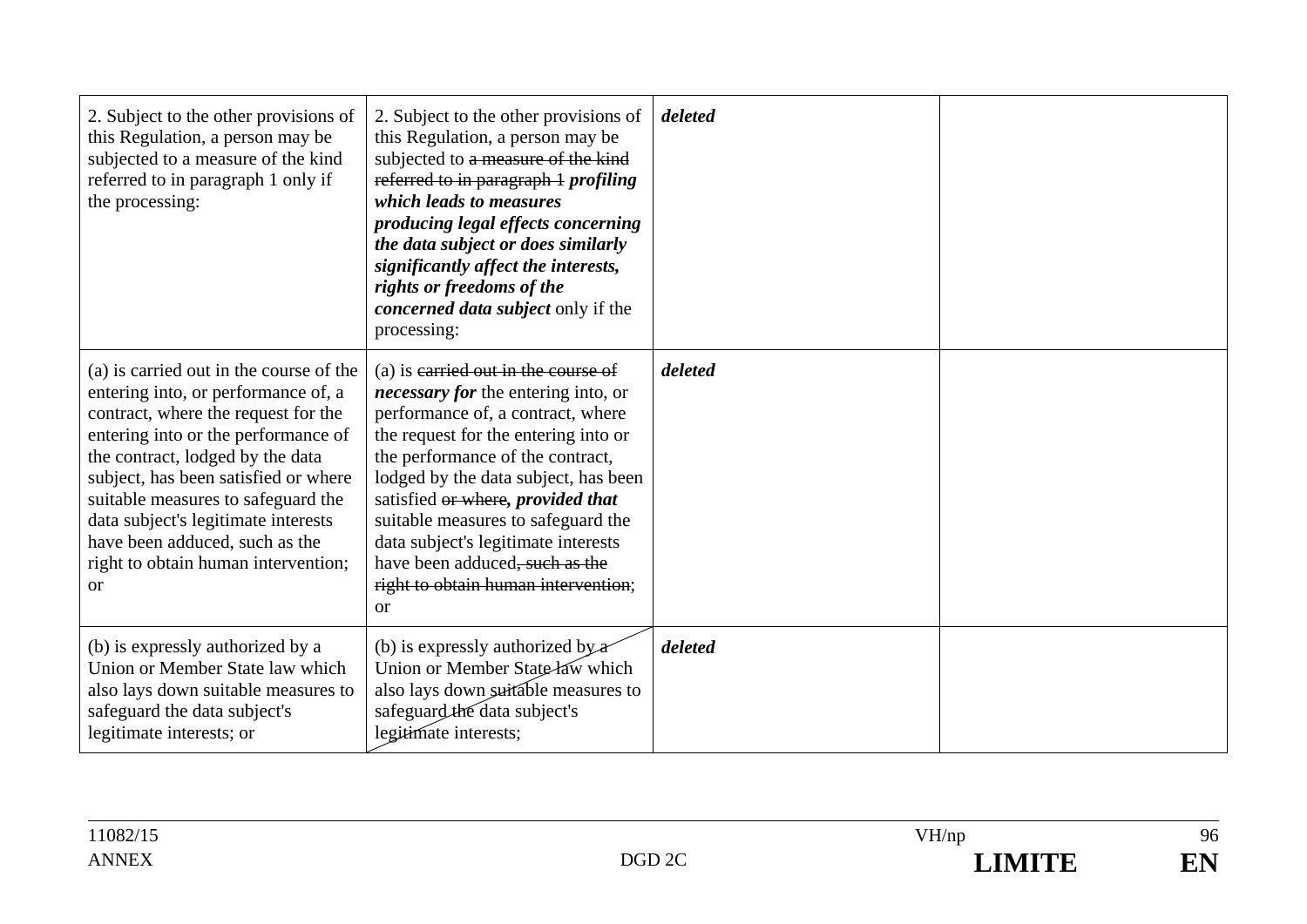| 2. Subject to the other provisions of<br>this Regulation, a person may be<br>subjected to a measure of the kind<br>referred to in paragraph 1 only if<br>the processing:                                                                                                                                                                                                                                        | 2. Subject to the other provisions of<br>this Regulation, a person may be<br>subjected to a measure of the kind<br>referred to in paragraph 1 profiling<br>which leads to measures<br>producing legal effects concerning<br>the data subject or does similarly<br>significantly affect the interests,<br>rights or freedoms of the<br><i>concerned data subject</i> only if the<br>processing:                                                  | deleted |  |
|-----------------------------------------------------------------------------------------------------------------------------------------------------------------------------------------------------------------------------------------------------------------------------------------------------------------------------------------------------------------------------------------------------------------|-------------------------------------------------------------------------------------------------------------------------------------------------------------------------------------------------------------------------------------------------------------------------------------------------------------------------------------------------------------------------------------------------------------------------------------------------|---------|--|
| (a) is carried out in the course of the<br>entering into, or performance of, a<br>contract, where the request for the<br>entering into or the performance of<br>the contract, lodged by the data<br>subject, has been satisfied or where<br>suitable measures to safeguard the<br>data subject's legitimate interests<br>have been adduced, such as the<br>right to obtain human intervention;<br><sub>or</sub> | (a) is carried out in the course of<br>necessary for the entering into, or<br>performance of, a contract, where<br>the request for the entering into or<br>the performance of the contract,<br>lodged by the data subject, has been<br>satisfied or where, provided that<br>suitable measures to safeguard the<br>data subject's legitimate interests<br>have been adduced, such as the<br>right to obtain human intervention;<br><sub>or</sub> | deleted |  |
| (b) is expressly authorized by a<br>Union or Member State law which<br>also lays down suitable measures to<br>safeguard the data subject's<br>legitimate interests; or                                                                                                                                                                                                                                          | (b) is expressly authorized by $\alpha$<br>Union or Member State law which<br>also lays down suitable measures to<br>safeguard the data subject's<br>legitimate interests;                                                                                                                                                                                                                                                                      | deleted |  |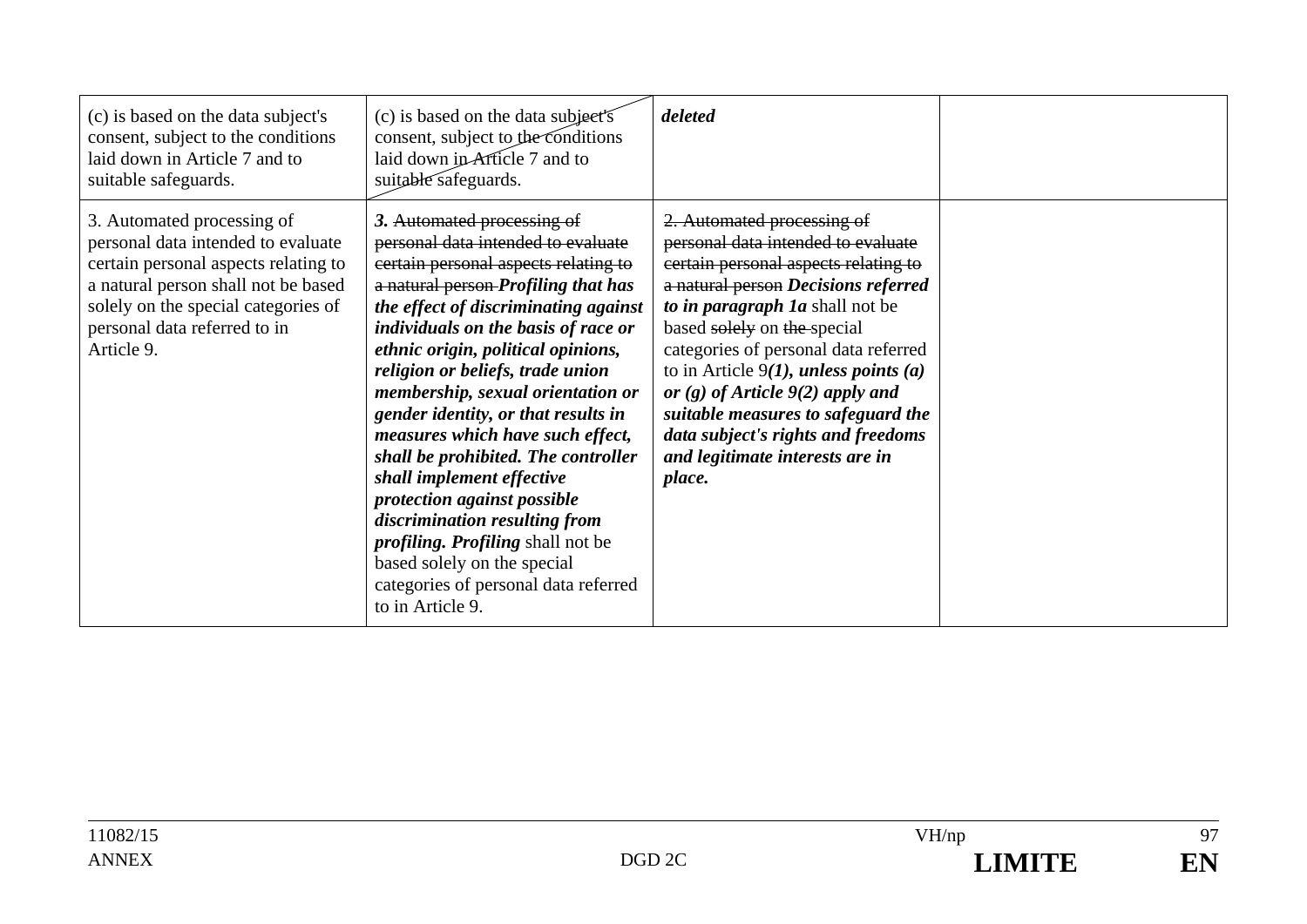| (c) is based on the data subject's<br>consent, subject to the conditions<br>laid down in Article 7 and to<br>suitable safeguards.                                                                                                    | (c) is based on the data subject's<br>consent, subject to the conditions<br>laid down in Article 7 and to<br>suitable safeguards.                                                                                                                                                                                                                                                                                                                                                                                                                                                                                                                                                                   | deleted                                                                                                                                                                                                                                                                                                                                                                                                                                                                |  |
|--------------------------------------------------------------------------------------------------------------------------------------------------------------------------------------------------------------------------------------|-----------------------------------------------------------------------------------------------------------------------------------------------------------------------------------------------------------------------------------------------------------------------------------------------------------------------------------------------------------------------------------------------------------------------------------------------------------------------------------------------------------------------------------------------------------------------------------------------------------------------------------------------------------------------------------------------------|------------------------------------------------------------------------------------------------------------------------------------------------------------------------------------------------------------------------------------------------------------------------------------------------------------------------------------------------------------------------------------------------------------------------------------------------------------------------|--|
| 3. Automated processing of<br>personal data intended to evaluate<br>certain personal aspects relating to<br>a natural person shall not be based<br>solely on the special categories of<br>personal data referred to in<br>Article 9. | 3. Automated processing of<br>personal data intended to evaluate<br>certain personal aspects relating to<br>a natural person-Profiling that has<br>the effect of discriminating against<br>individuals on the basis of race or<br>ethnic origin, political opinions,<br>religion or beliefs, trade union<br>membership, sexual orientation or<br>gender identity, or that results in<br>measures which have such effect,<br>shall be prohibited. The controller<br>shall implement effective<br>protection against possible<br>discrimination resulting from<br><i>profiling. Profiling shall not be</i><br>based solely on the special<br>categories of personal data referred<br>to in Article 9. | 2. Automated processing of<br>personal data intended to evaluate<br>certain personal aspects relating to<br>a natural person Decisions referred<br>to in paragraph 1a shall not be<br>based solely on the special<br>categories of personal data referred<br>to in Article $9(1)$ , unless points (a)<br>or $(g)$ of Article $9(2)$ apply and<br>suitable measures to safeguard the<br>data subject's rights and freedoms<br>and legitimate interests are in<br>place. |  |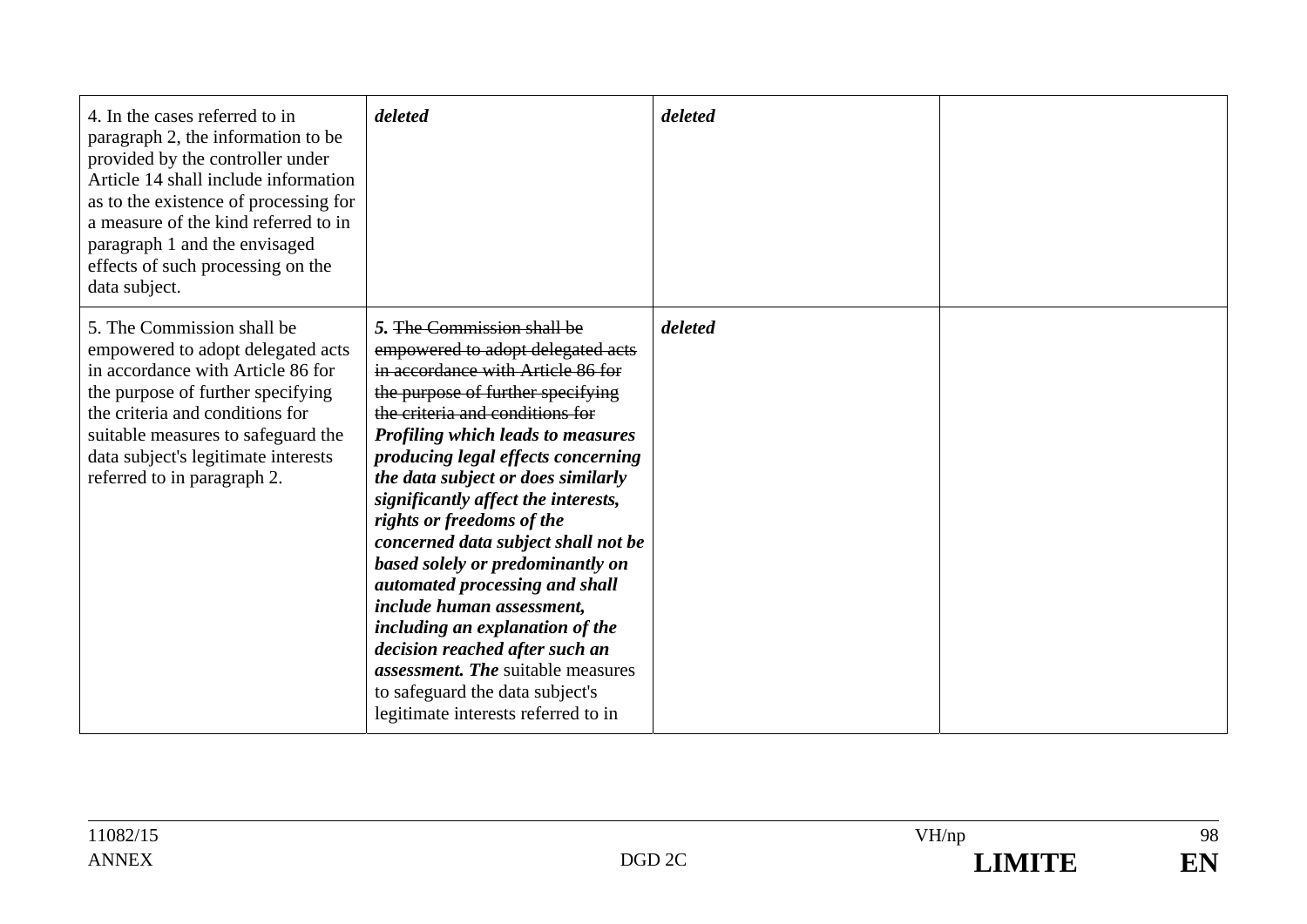| 4. In the cases referred to in<br>paragraph 2, the information to be<br>provided by the controller under<br>Article 14 shall include information<br>as to the existence of processing for<br>a measure of the kind referred to in<br>paragraph 1 and the envisaged<br>effects of such processing on the<br>data subject. | deleted                                                                                                                                                                                                                                                                                                                                                                                                                                                                                                                                                                                                                                                                                                | deleted |  |
|--------------------------------------------------------------------------------------------------------------------------------------------------------------------------------------------------------------------------------------------------------------------------------------------------------------------------|--------------------------------------------------------------------------------------------------------------------------------------------------------------------------------------------------------------------------------------------------------------------------------------------------------------------------------------------------------------------------------------------------------------------------------------------------------------------------------------------------------------------------------------------------------------------------------------------------------------------------------------------------------------------------------------------------------|---------|--|
| 5. The Commission shall be<br>empowered to adopt delegated acts<br>in accordance with Article 86 for<br>the purpose of further specifying<br>the criteria and conditions for<br>suitable measures to safeguard the<br>data subject's legitimate interests<br>referred to in paragraph 2.                                 | 5. The Commission shall be<br>empowered to adopt delegated acts<br>in accordance with Article 86 for<br>the purpose of further specifying<br>the criteria and conditions for<br>Profiling which leads to measures<br>producing legal effects concerning<br>the data subject or does similarly<br>significantly affect the interests,<br>rights or freedoms of the<br>concerned data subject shall not be<br>based solely or predominantly on<br>automated processing and shall<br>include human assessment,<br>including an explanation of the<br>decision reached after such an<br><i>assessment. The suitable measures</i><br>to safeguard the data subject's<br>legitimate interests referred to in | deleted |  |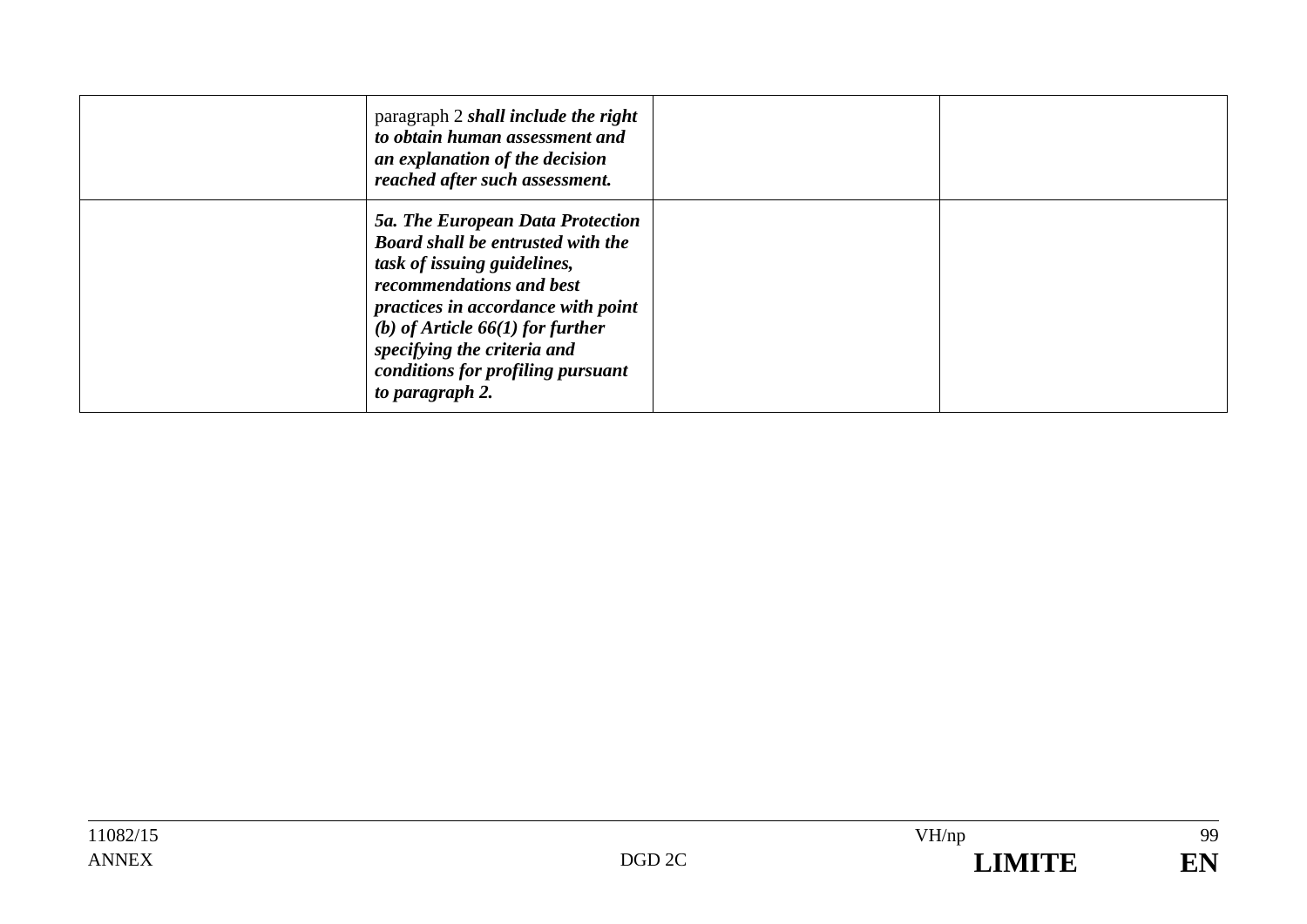| paragraph 2 shall include the right<br>to obtain human assessment and<br>an explanation of the decision<br>reached after such assessment.                                                                                                                                                                  |  |
|------------------------------------------------------------------------------------------------------------------------------------------------------------------------------------------------------------------------------------------------------------------------------------------------------------|--|
| <b>5a. The European Data Protection</b><br>Board shall be entrusted with the<br>task of issuing guidelines,<br>recommendations and best<br>practices in accordance with point<br>(b) of Article $66(1)$ for further<br>specifying the criteria and<br>conditions for profiling pursuant<br>to paragraph 2. |  |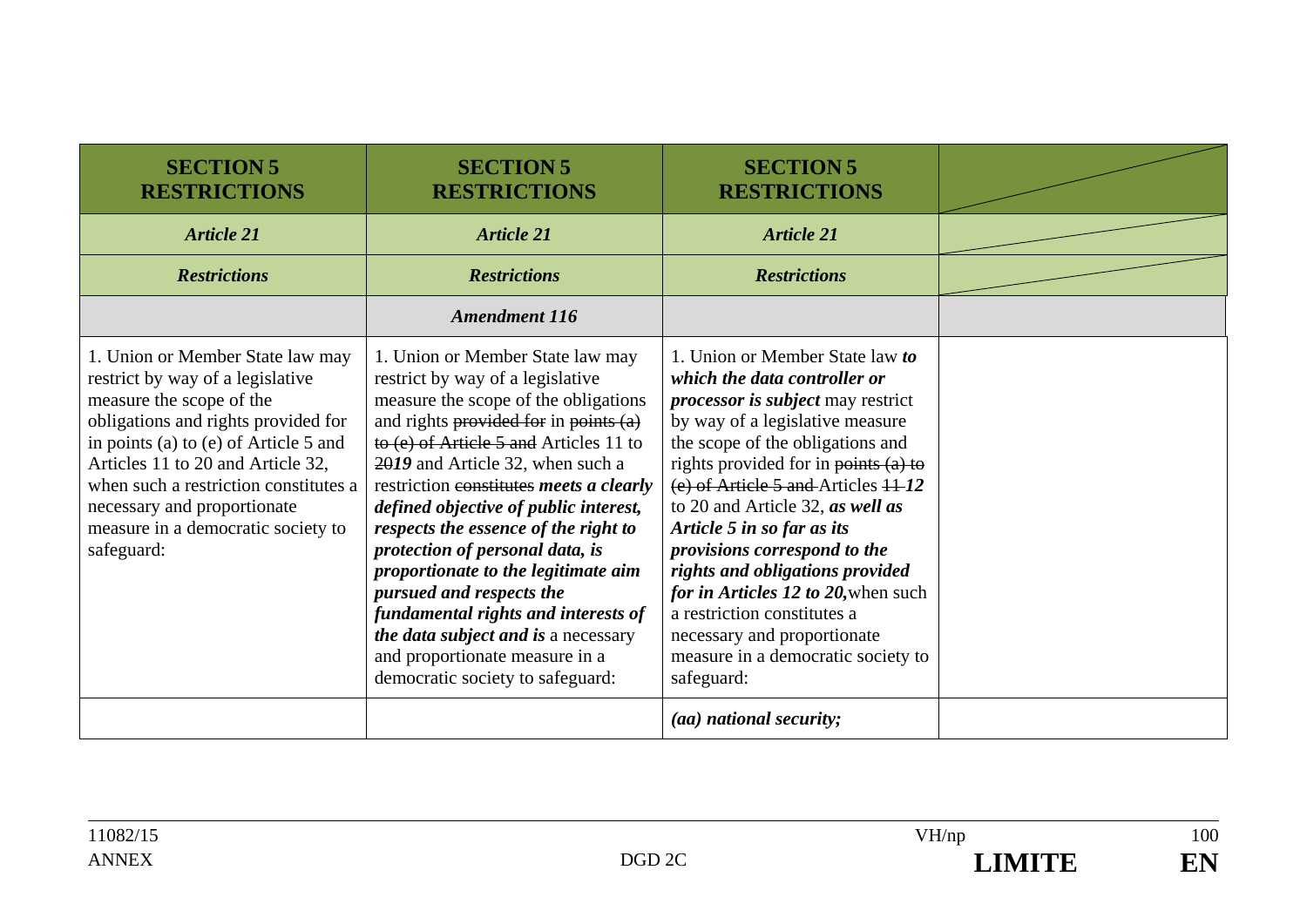| <b>SECTION 5</b><br><b>RESTRICTIONS</b>                                                                                                                                                                                                                                                                                                           | <b>SECTION 5</b><br><b>RESTRICTIONS</b>                                                                                                                                                                                                                                                                                                                                                                                                                                                                                                                                                                                     | <b>SECTION 5</b><br><b>RESTRICTIONS</b>                                                                                                                                                                                                                                                                                                                                                                                                                                                                                                                           |  |
|---------------------------------------------------------------------------------------------------------------------------------------------------------------------------------------------------------------------------------------------------------------------------------------------------------------------------------------------------|-----------------------------------------------------------------------------------------------------------------------------------------------------------------------------------------------------------------------------------------------------------------------------------------------------------------------------------------------------------------------------------------------------------------------------------------------------------------------------------------------------------------------------------------------------------------------------------------------------------------------------|-------------------------------------------------------------------------------------------------------------------------------------------------------------------------------------------------------------------------------------------------------------------------------------------------------------------------------------------------------------------------------------------------------------------------------------------------------------------------------------------------------------------------------------------------------------------|--|
| <b>Article 21</b>                                                                                                                                                                                                                                                                                                                                 | <b>Article 21</b>                                                                                                                                                                                                                                                                                                                                                                                                                                                                                                                                                                                                           | <b>Article 21</b>                                                                                                                                                                                                                                                                                                                                                                                                                                                                                                                                                 |  |
| <b>Restrictions</b>                                                                                                                                                                                                                                                                                                                               | <b>Restrictions</b>                                                                                                                                                                                                                                                                                                                                                                                                                                                                                                                                                                                                         | <b>Restrictions</b>                                                                                                                                                                                                                                                                                                                                                                                                                                                                                                                                               |  |
|                                                                                                                                                                                                                                                                                                                                                   | <b>Amendment 116</b>                                                                                                                                                                                                                                                                                                                                                                                                                                                                                                                                                                                                        |                                                                                                                                                                                                                                                                                                                                                                                                                                                                                                                                                                   |  |
| 1. Union or Member State law may<br>restrict by way of a legislative<br>measure the scope of the<br>obligations and rights provided for<br>in points (a) to (e) of Article 5 and<br>Articles 11 to 20 and Article 32,<br>when such a restriction constitutes a<br>necessary and proportionate<br>measure in a democratic society to<br>safeguard: | 1. Union or Member State law may<br>restrict by way of a legislative<br>measure the scope of the obligations<br>and rights provided for in points $(a)$<br>to (e) of Article 5 and Articles 11 to<br>2019 and Article 32, when such a<br>restriction constitutes meets a clearly<br>defined objective of public interest,<br>respects the essence of the right to<br>protection of personal data, is<br>proportionate to the legitimate aim<br>pursued and respects the<br>fundamental rights and interests of<br>the data subject and is a necessary<br>and proportionate measure in a<br>democratic society to safeguard: | 1. Union or Member State law to<br>which the data controller or<br><i>processor is subject</i> may restrict<br>by way of a legislative measure<br>the scope of the obligations and<br>rights provided for in points $(a)$ to<br>(e) of Article 5 and Articles 11-12<br>to 20 and Article 32, as well as<br>Article 5 in so far as its<br>provisions correspond to the<br>rights and obligations provided<br>for in Articles 12 to 20, when such<br>a restriction constitutes a<br>necessary and proportionate<br>measure in a democratic society to<br>safeguard: |  |
|                                                                                                                                                                                                                                                                                                                                                   |                                                                                                                                                                                                                                                                                                                                                                                                                                                                                                                                                                                                                             | (aa) national security;                                                                                                                                                                                                                                                                                                                                                                                                                                                                                                                                           |  |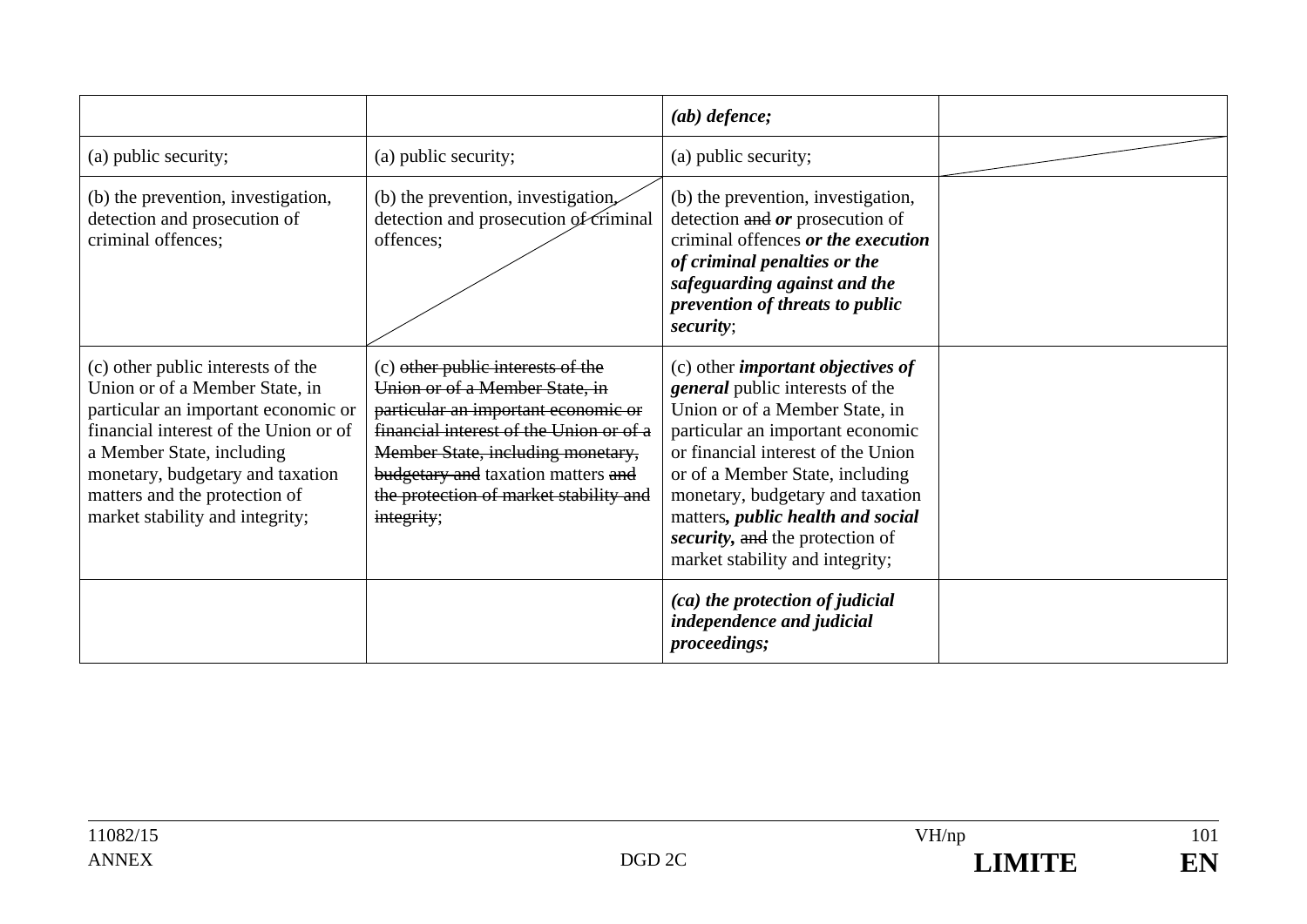|                                                                                                                                                                                                                                                                                          |                                                                                                                                                                                                                                                                                          | $(ab)$ defence;                                                                                                                                                                                                                                                                                                                                                                    |  |
|------------------------------------------------------------------------------------------------------------------------------------------------------------------------------------------------------------------------------------------------------------------------------------------|------------------------------------------------------------------------------------------------------------------------------------------------------------------------------------------------------------------------------------------------------------------------------------------|------------------------------------------------------------------------------------------------------------------------------------------------------------------------------------------------------------------------------------------------------------------------------------------------------------------------------------------------------------------------------------|--|
| (a) public security;                                                                                                                                                                                                                                                                     | (a) public security;                                                                                                                                                                                                                                                                     | (a) public security;                                                                                                                                                                                                                                                                                                                                                               |  |
| (b) the prevention, investigation,<br>detection and prosecution of<br>criminal offences;                                                                                                                                                                                                 | (b) the prevention, investigation,<br>detection and prosecution of criminal<br>offences;                                                                                                                                                                                                 | (b) the prevention, investigation,<br>detection and or prosecution of<br>criminal offences or the execution<br>of criminal penalties or the<br>safeguarding against and the<br>prevention of threats to public<br>security;                                                                                                                                                        |  |
| (c) other public interests of the<br>Union or of a Member State, in<br>particular an important economic or<br>financial interest of the Union or of<br>a Member State, including<br>monetary, budgetary and taxation<br>matters and the protection of<br>market stability and integrity; | (c) other public interests of the<br>Union or of a Member State, in<br>particular an important economic or<br>financial interest of the Union or of a<br>Member State, including monetary,<br>budgetary and taxation matters and<br>the protection of market stability and<br>integrity; | $(c)$ other <i>important objectives of</i><br><i>general</i> public interests of the<br>Union or of a Member State, in<br>particular an important economic<br>or financial interest of the Union<br>or of a Member State, including<br>monetary, budgetary and taxation<br>matters, public health and social<br>security, and the protection of<br>market stability and integrity; |  |
|                                                                                                                                                                                                                                                                                          |                                                                                                                                                                                                                                                                                          | (ca) the protection of judicial<br>independence and judicial<br><i>proceedings;</i>                                                                                                                                                                                                                                                                                                |  |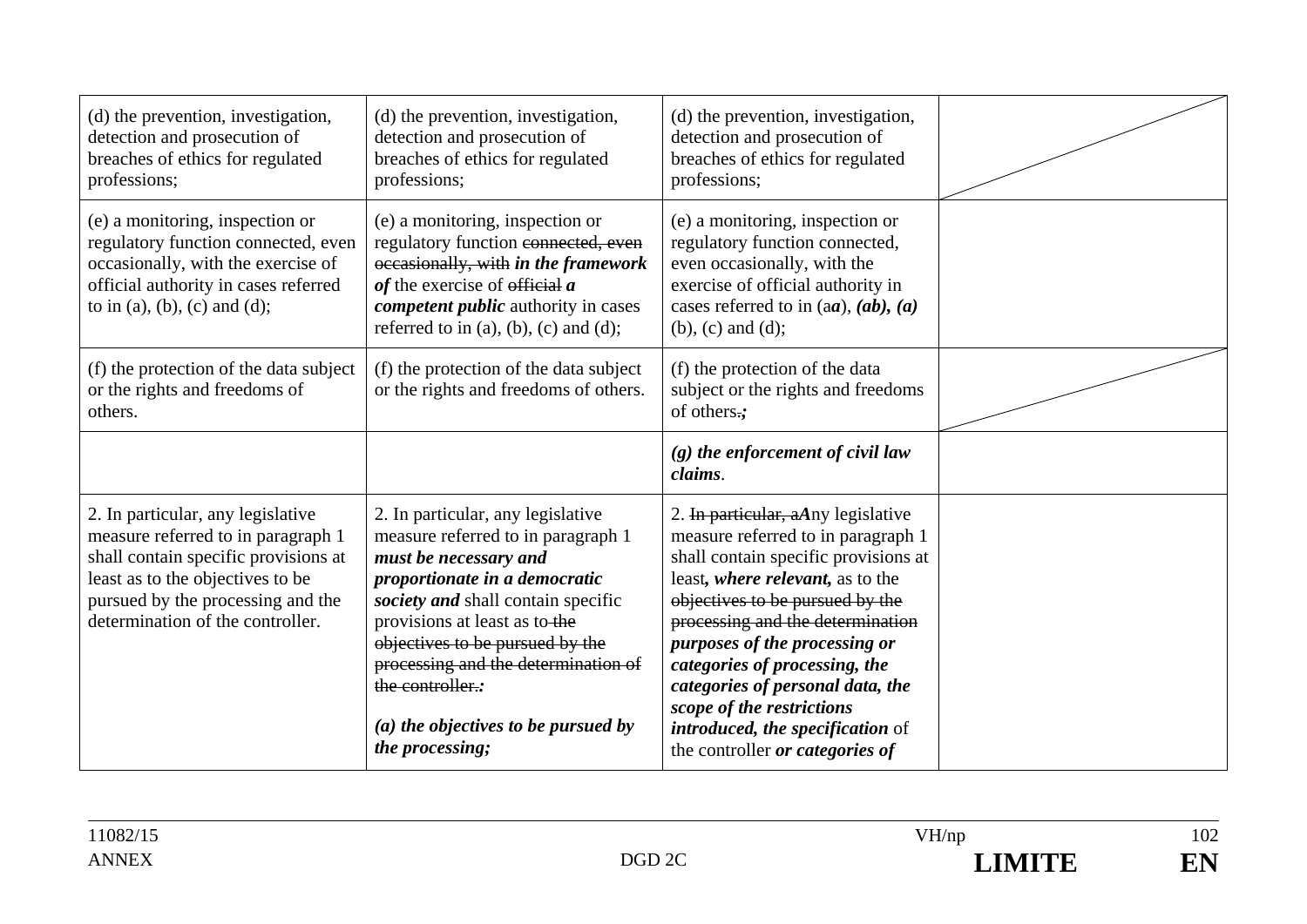| (d) the prevention, investigation,<br>detection and prosecution of<br>breaches of ethics for regulated<br>professions;                                                                                                       | (d) the prevention, investigation,<br>detection and prosecution of<br>breaches of ethics for regulated<br>professions;                                                                                                                                                                                                                                             | (d) the prevention, investigation,<br>detection and prosecution of<br>breaches of ethics for regulated<br>professions;                                                                                                                                                                                                                                                                                                                |  |
|------------------------------------------------------------------------------------------------------------------------------------------------------------------------------------------------------------------------------|--------------------------------------------------------------------------------------------------------------------------------------------------------------------------------------------------------------------------------------------------------------------------------------------------------------------------------------------------------------------|---------------------------------------------------------------------------------------------------------------------------------------------------------------------------------------------------------------------------------------------------------------------------------------------------------------------------------------------------------------------------------------------------------------------------------------|--|
| (e) a monitoring, inspection or<br>regulatory function connected, even<br>occasionally, with the exercise of<br>official authority in cases referred<br>to in (a), (b), (c) and (d);                                         | (e) a monitoring, inspection or<br>regulatory function connected, even<br>occasionally, with in the framework<br>of the exercise of $\theta$ fficial a<br>competent public authority in cases<br>referred to in $(a)$ , $(b)$ , $(c)$ and $(d)$ ;                                                                                                                  | (e) a monitoring, inspection or<br>regulatory function connected,<br>even occasionally, with the<br>exercise of official authority in<br>cases referred to in $(aa)$ , $(ab)$ , $(a)$<br>$(b)$ , $(c)$ and $(d)$ ;                                                                                                                                                                                                                    |  |
| (f) the protection of the data subject<br>or the rights and freedoms of<br>others.                                                                                                                                           | (f) the protection of the data subject<br>or the rights and freedoms of others.                                                                                                                                                                                                                                                                                    | (f) the protection of the data<br>subject or the rights and freedoms<br>of others.;                                                                                                                                                                                                                                                                                                                                                   |  |
|                                                                                                                                                                                                                              |                                                                                                                                                                                                                                                                                                                                                                    | $(g)$ the enforcement of civil law<br>claims.                                                                                                                                                                                                                                                                                                                                                                                         |  |
| 2. In particular, any legislative<br>measure referred to in paragraph 1<br>shall contain specific provisions at<br>least as to the objectives to be<br>pursued by the processing and the<br>determination of the controller. | 2. In particular, any legislative<br>measure referred to in paragraph 1<br>must be necessary and<br>proportionate in a democratic<br>society and shall contain specific<br>provisions at least as to the<br>objectives to be pursued by the<br>processing and the determination of<br>the controller.:<br>$(a)$ the objectives to be pursued by<br>the processing; | 2. In particular, aAny legislative<br>measure referred to in paragraph 1<br>shall contain specific provisions at<br>least, where relevant, as to the<br>objectives to be pursued by the<br>processing and the determination<br>purposes of the processing or<br>categories of processing, the<br>categories of personal data, the<br>scope of the restrictions<br>introduced, the specification of<br>the controller or categories of |  |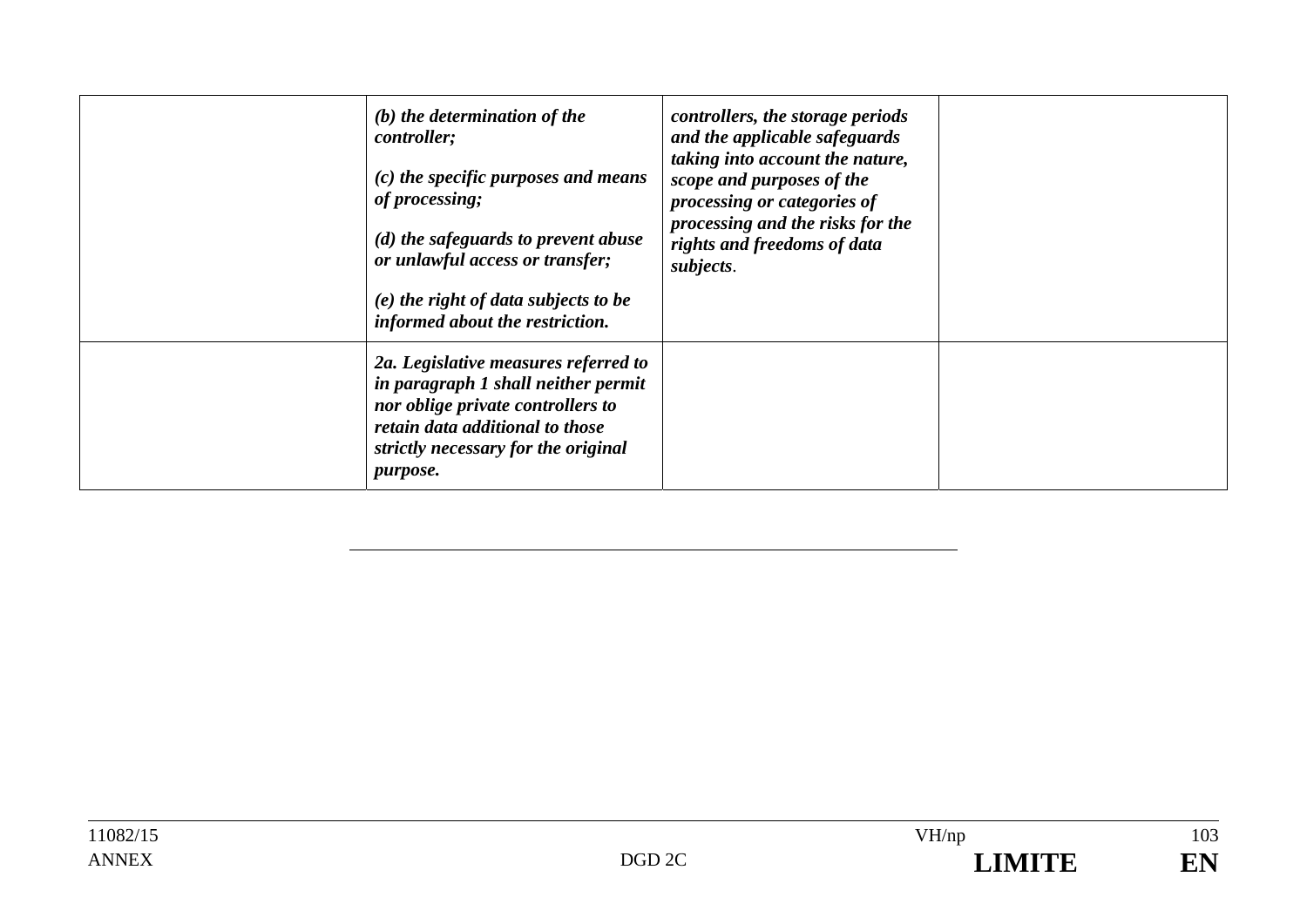| $(b)$ the determination of the<br><i>controller;</i><br>$(c)$ the specific purposes and means<br>of processing;<br>(d) the safeguards to prevent abuse<br>or unlawful access or transfer;<br>$(e)$ the right of data subjects to be<br>informed about the restriction. | controllers, the storage periods<br>and the applicable safeguards<br>taking into account the nature,<br>scope and purposes of the<br>processing or categories of<br>processing and the risks for the<br>rights and freedoms of data<br>subjects. |  |
|------------------------------------------------------------------------------------------------------------------------------------------------------------------------------------------------------------------------------------------------------------------------|--------------------------------------------------------------------------------------------------------------------------------------------------------------------------------------------------------------------------------------------------|--|
| 2a. Legislative measures referred to<br>in paragraph 1 shall neither permit<br>nor oblige private controllers to<br>retain data additional to those<br>strictly necessary for the original<br><i>purpose.</i>                                                          |                                                                                                                                                                                                                                                  |  |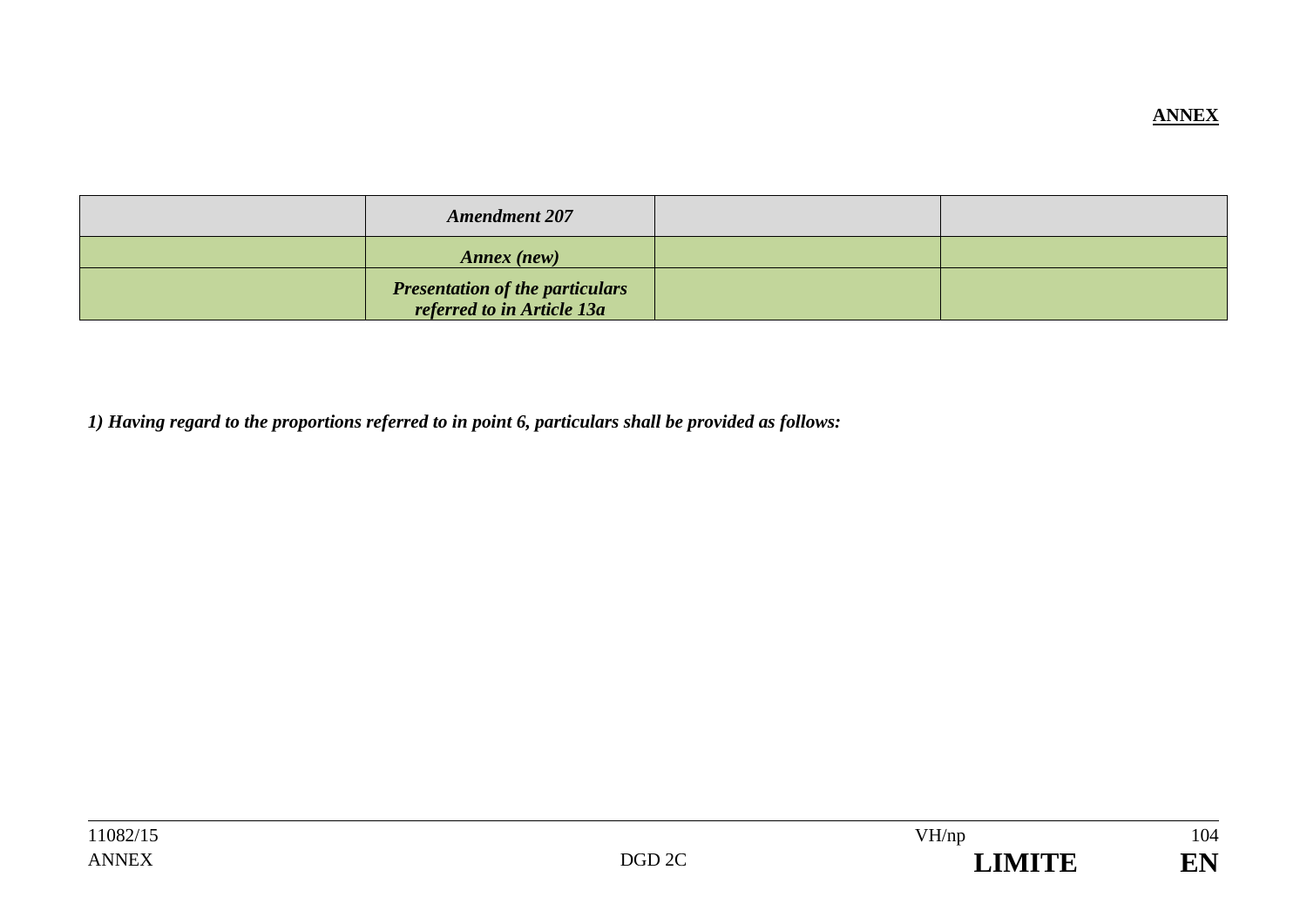| <b>Amendment 207</b>                                                 |  |
|----------------------------------------------------------------------|--|
| Annex (new)                                                          |  |
| <b>Presentation of the particulars</b><br>referred to in Article 13a |  |

*1) Having regard to the proportions referred to in point 6, particulars shall be provided as follows:* 

EN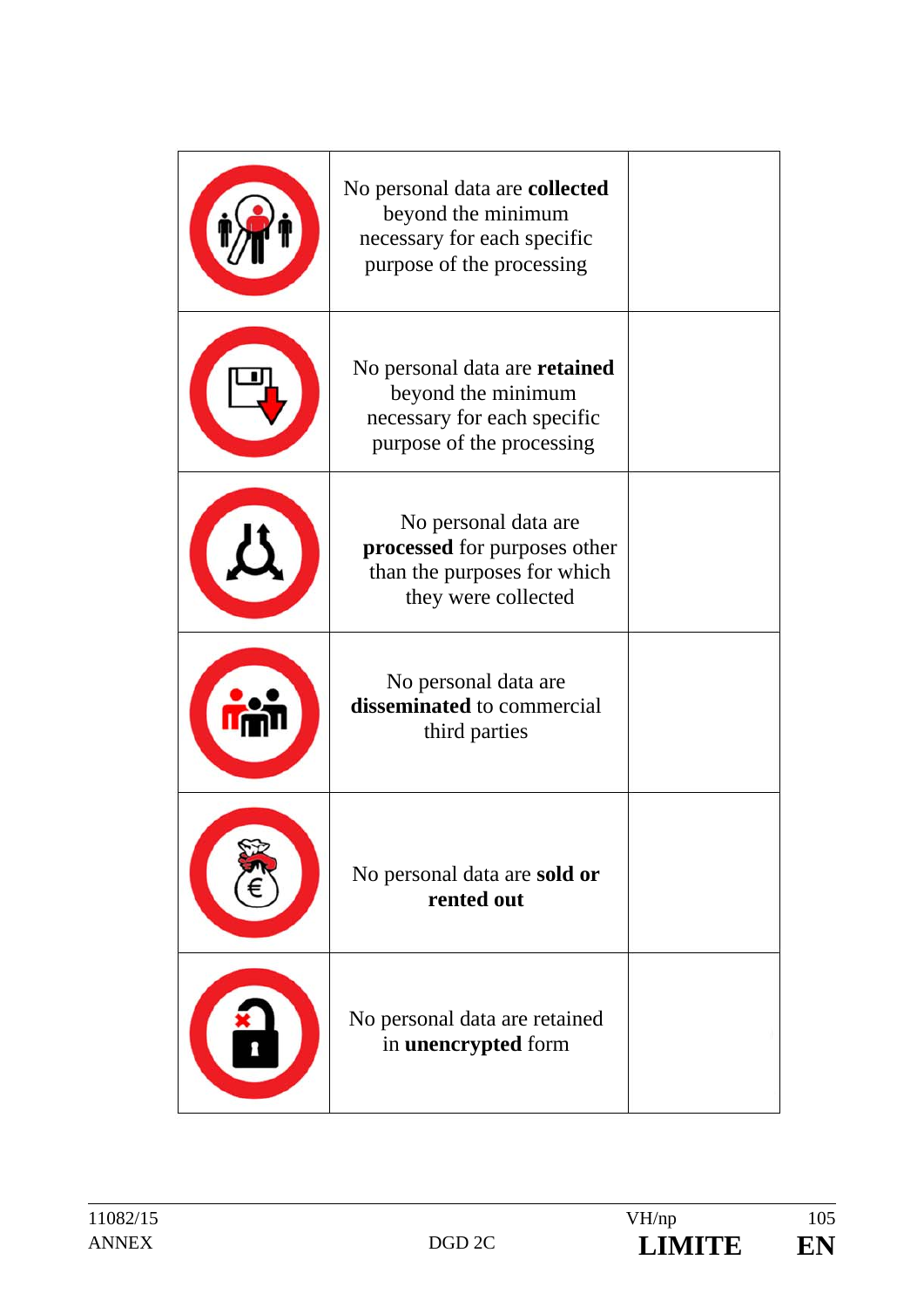| No personal data are collected<br>beyond the minimum<br>necessary for each specific<br>purpose of the processing |  |
|------------------------------------------------------------------------------------------------------------------|--|
| No personal data are retained<br>beyond the minimum<br>necessary for each specific<br>purpose of the processing  |  |
| No personal data are<br>processed for purposes other<br>than the purposes for which<br>they were collected       |  |
| No personal data are<br>disseminated to commercial<br>third parties                                              |  |
| No personal data are sold or<br>rented out                                                                       |  |
| No personal data are retained<br>in unencrypted form                                                             |  |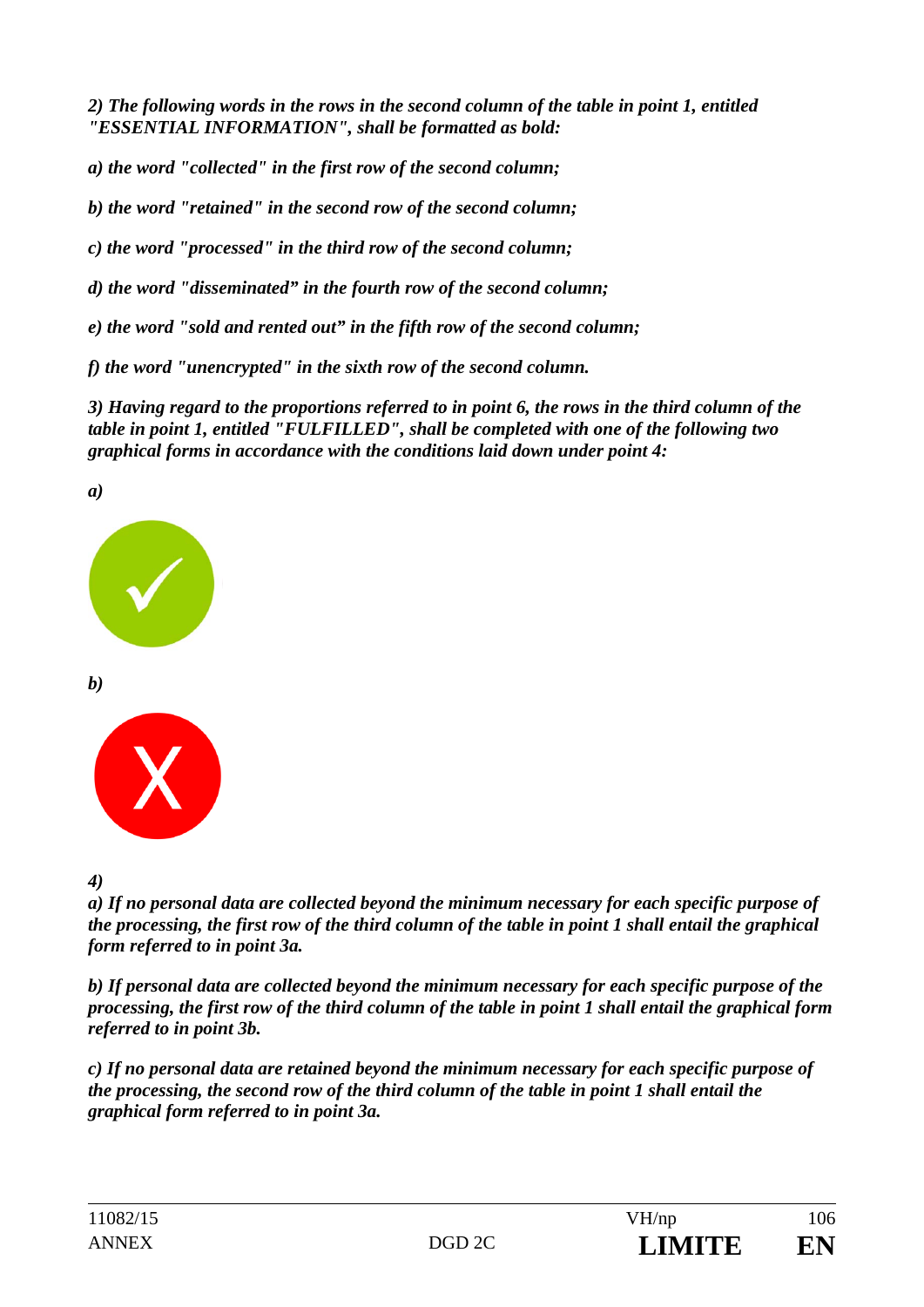*2) The following words in the rows in the second column of the table in point 1, entitled "ESSENTIAL INFORMATION", shall be formatted as bold:* 

*a) the word "collected" in the first row of the second column;* 

*b) the word "retained" in the second row of the second column;* 

*c) the word "processed" in the third row of the second column;* 

*d) the word "disseminated" in the fourth row of the second column;* 

*e) the word "sold and rented out" in the fifth row of the second column;* 

*f) the word "unencrypted" in the sixth row of the second column.* 

*3) Having regard to the proportions referred to in point 6, the rows in the third column of the table in point 1, entitled "FULFILLED", shall be completed with one of the following two graphical forms in accordance with the conditions laid down under point 4:* 

*a)* 



*b)* 



*4)* 

*a) If no personal data are collected beyond the minimum necessary for each specific purpose of the processing, the first row of the third column of the table in point 1 shall entail the graphical form referred to in point 3a.* 

*b) If personal data are collected beyond the minimum necessary for each specific purpose of the processing, the first row of the third column of the table in point 1 shall entail the graphical form referred to in point 3b.* 

*c) If no personal data are retained beyond the minimum necessary for each specific purpose of the processing, the second row of the third column of the table in point 1 shall entail the graphical form referred to in point 3a.*